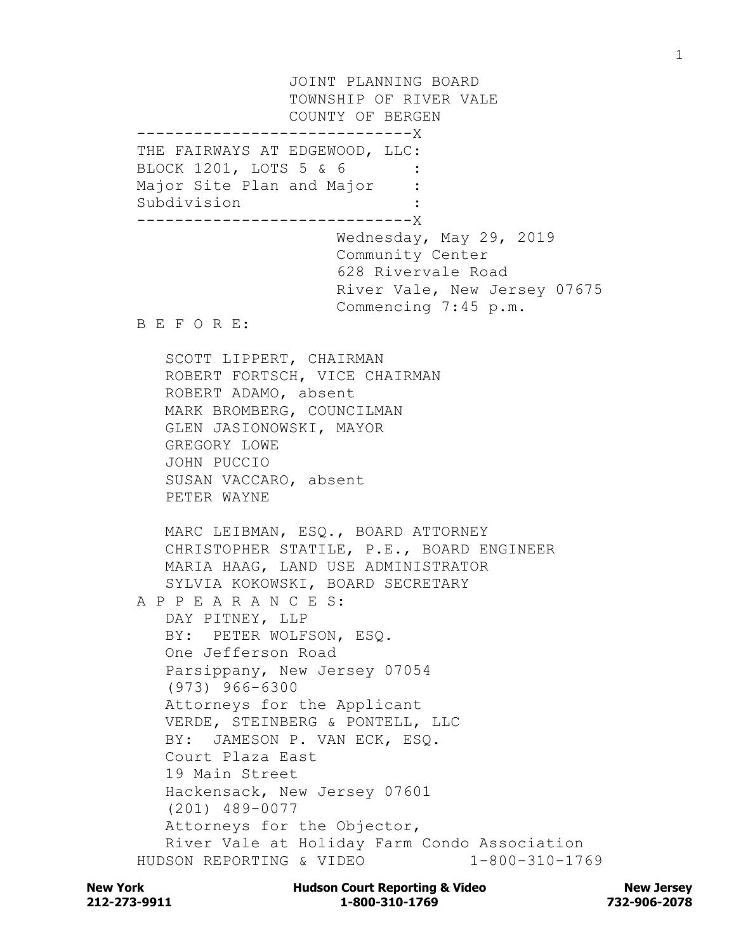JOINT PLANNING BOARD TOWNSHIP OF RIVER VALE COUNTY OF BERGEN -----------------------------X THE FAIRWAYS AT EDGEWOOD, LLC: BLOCK 1201, LOTS 5 & 6 Major Site Plan and Major Subdivision : -----------------------------X Wednesday, May 29, 2019 Community Center 628 Rivervale Road River Vale, New Jersey 07675 Commencing 7:45 p.m. B E F O R E: SCOTT LIPPERT, CHAIRMAN ROBERT FORTSCH, VICE CHAIRMAN ROBERT ADAMO, absent MARK BROMBERG, COUNCILMAN GLEN JASIONOWSKI, MAYOR GREGORY LOWE JOHN PUCCIO SUSAN VACCARO, absent PETER WAYNE MARC LEIBMAN, ESQ., BOARD ATTORNEY CHRISTOPHER STATILE, P.E., BOARD ENGINEER MARIA HAAG, LAND USE ADMINISTRATOR SYLVIA KOKOWSKI, BOARD SECRETARY A P P E A R A N C E S: DAY PITNEY, LLP BY: PETER WOLFSON, ESQ. One Jefferson Road Parsippany, New Jersey 07054 (973) 966-6300 Attorneys for the Applicant VERDE, STEINBERG & PONTELL, LLC BY: JAMESON P. VAN ECK, ESQ. Court Plaza East 19 Main Street Hackensack, New Jersey 07601 (201) 489-0077 Attorneys for the Objector, River Vale at Holiday Farm Condo Association HUDSON REPORTING & VIDEO 1-800-310-1769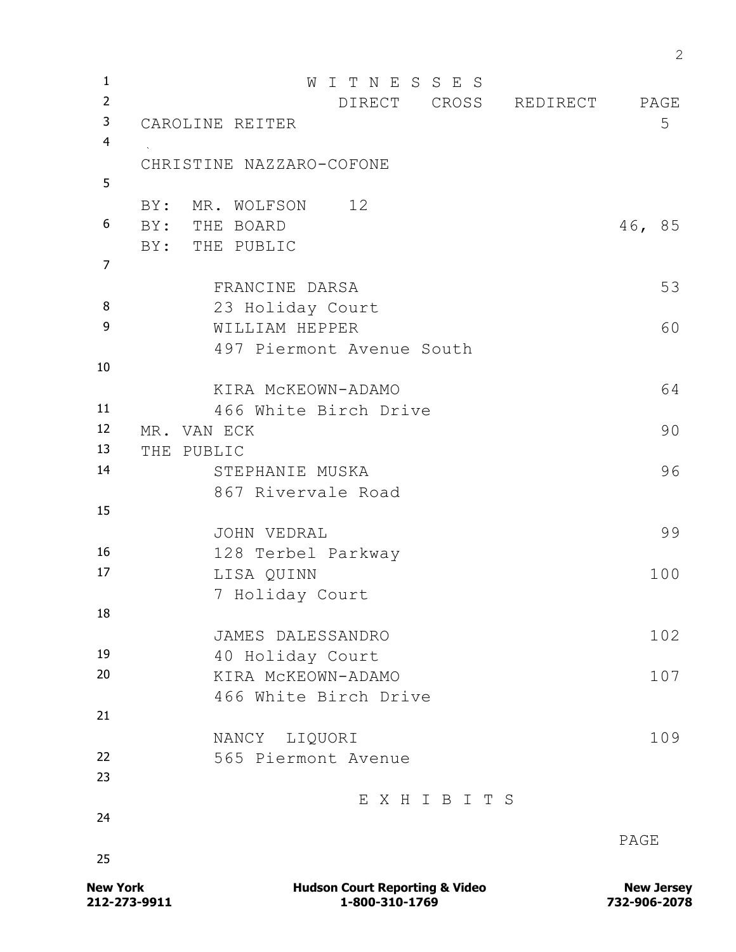<sup>1</sup> W I T N E S S E S <sup>2</sup> DIRECT CROSS REDIRECT PAGE 3 CAROLINE REITER 5 4 CHRISTINE NAZZARO-COFONE 5 BY: MR. WOLFSON 12 <sup>6</sup> BY: THE BOARD 46, 85 BY: THE PUBLIC 7 FRANCINE DARSA 53 <sup>8</sup> 23 Holiday Court 9 WILLIAM HEPPER 60 497 Piermont Avenue South 10 KIRA McKEOWN-ADAMO 64 <sup>11</sup> 466 White Birch Drive <sup>12</sup> MR. VAN ECK 90 <sup>13</sup> THE PUBLIC <sup>14</sup> STEPHANIE MUSKA 96 867 Rivervale Road 15 JOHN VEDRAL 99 <sup>16</sup> 128 Terbel Parkway 17 LISA QUINN 100 7 Holiday Court 18 JAMES DALESSANDRO 102 <sup>19</sup> 40 Holiday Court <sup>20</sup> KIRA McKEOWN-ADAMO 107 466 White Birch Drive 21 NANCY LIQUORI 109 <sup>22</sup> 565 Piermont Avenue 23 E X H I B I T S 24 PAGE 25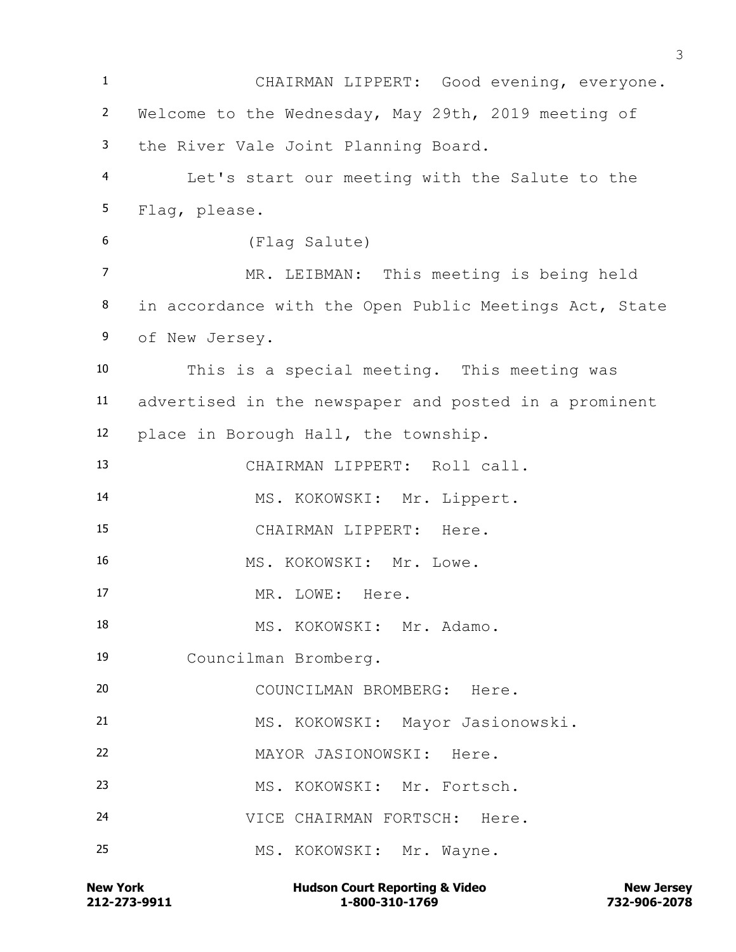CHAIRMAN LIPPERT: Good evening, everyone. Welcome to the Wednesday, May 29th, 2019 meeting of the River Vale Joint Planning Board. Let's start our meeting with the Salute to the Flag, please. (Flag Salute) MR. LEIBMAN: This meeting is being held in accordance with the Open Public Meetings Act, State of New Jersey. This is a special meeting. This meeting was advertised in the newspaper and posted in a prominent place in Borough Hall, the township. CHAIRMAN LIPPERT: Roll call. MS. KOKOWSKI: Mr. Lippert. CHAIRMAN LIPPERT: Here. 16 MS. KOKOWSKI: Mr. Lowe. 17 MR. LOWE: Here. 18 MS. KOKOWSKI: Mr. Adamo. Councilman Bromberg. COUNCILMAN BROMBERG: Here. MS. KOKOWSKI: Mayor Jasionowski. MAYOR JASIONOWSKI: Here. MS. KOKOWSKI: Mr. Fortsch. VICE CHAIRMAN FORTSCH: Here. MS. KOKOWSKI: Mr. Wayne.

**212-273-9911 1-800-310-1769 732-906-2078 New York Communist Court Reporting & Video New Jersey Rew Jersey**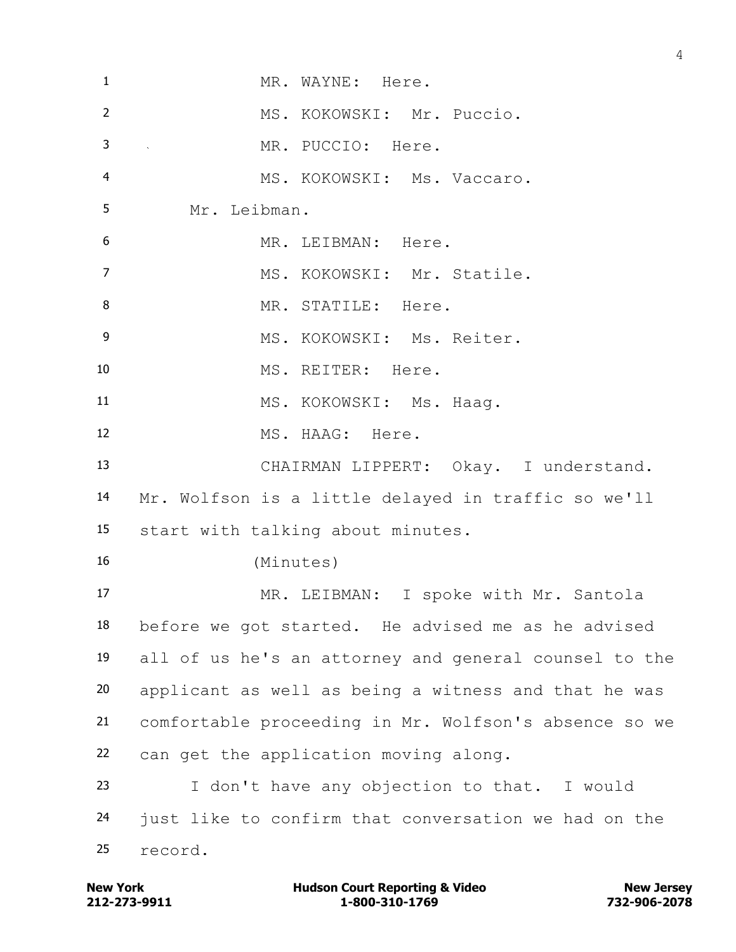| $\mathbf{1}$     | MR. WAYNE: Here.                                      |
|------------------|-------------------------------------------------------|
| $\overline{2}$   | MS. KOKOWSKI: Mr. Puccio.                             |
| 3                | MR. PUCCIO: Here.<br>$\mathcal{L}^{\text{max}}$       |
| $\overline{4}$   | MS. KOKOWSKI: Ms. Vaccaro.                            |
| 5                | Mr. Leibman.                                          |
| $\boldsymbol{6}$ | MR. LEIBMAN: Here.                                    |
| $\overline{7}$   | MS. KOKOWSKI: Mr. Statile.                            |
| 8                | MR. STATILE: Here.                                    |
| $\overline{9}$   | MS. KOKOWSKI: Ms. Reiter.                             |
| 10               | MS. REITER: Here.                                     |
| 11               | MS. KOKOWSKI: Ms. Haag.                               |
| 12               | MS. HAAG: Here.                                       |
| 13               | CHAIRMAN LIPPERT: Okay. I understand.                 |
| 14               | Mr. Wolfson is a little delayed in traffic so we'll   |
| 15               | start with talking about minutes.                     |
| 16               | (Minutes)                                             |
| 17               | MR. LEIBMAN: I spoke with Mr. Santola                 |
| 18               | before we got started. He advised me as he advised    |
| 19               | all of us he's an attorney and general counsel to the |
| 20               | applicant as well as being a witness and that he was  |
| 21               | comfortable proceeding in Mr. Wolfson's absence so we |
| 22               | can get the application moving along.                 |
| 23               | I don't have any objection to that. I would           |
| 24               | just like to confirm that conversation we had on the  |
| 25               | record.                                               |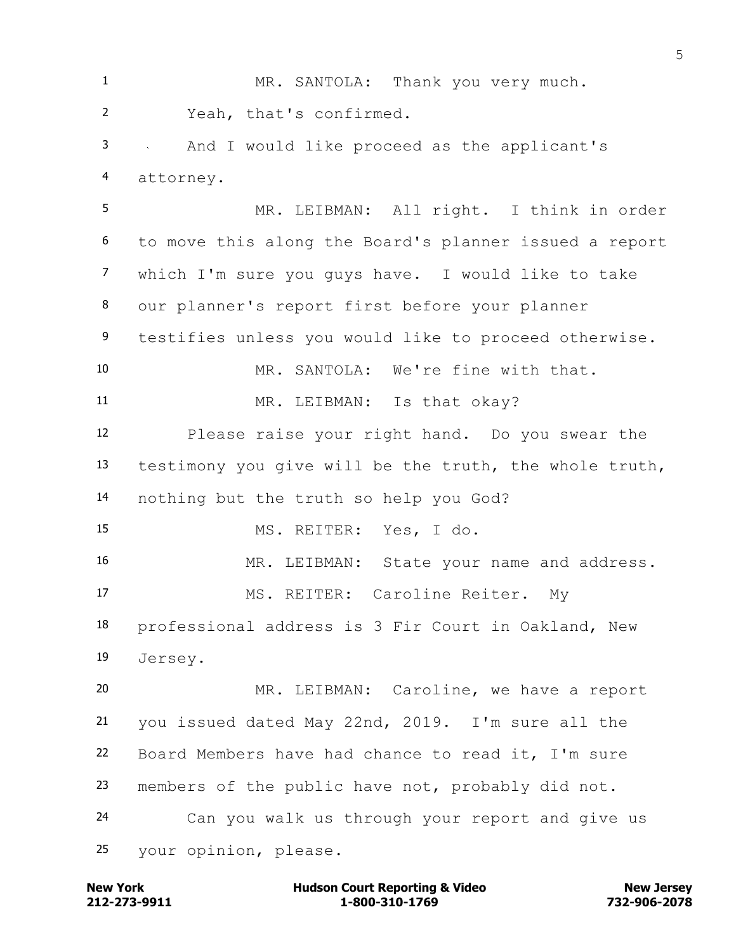1 MR. SANTOLA: Thank you very much. Yeah, that's confirmed. And I would like proceed as the applicant's attorney. MR. LEIBMAN: All right. I think in order to move this along the Board's planner issued a report which I'm sure you guys have. I would like to take our planner's report first before your planner testifies unless you would like to proceed otherwise. MR. SANTOLA: We're fine with that. 11 MR. LEIBMAN: Is that okay? Please raise your right hand. Do you swear the testimony you give will be the truth, the whole truth, nothing but the truth so help you God? MS. REITER: Yes, I do. 16 MR. LEIBMAN: State your name and address. MS. REITER: Caroline Reiter. My professional address is 3 Fir Court in Oakland, New Jersey. MR. LEIBMAN: Caroline, we have a report you issued dated May 22nd, 2019. I'm sure all the Board Members have had chance to read it, I'm sure members of the public have not, probably did not. Can you walk us through your report and give us your opinion, please.

**212-273-9911 1-800-310-1769 732-906-2078 New York Communist Court Reporting & Video New Jersey Rew Jersey**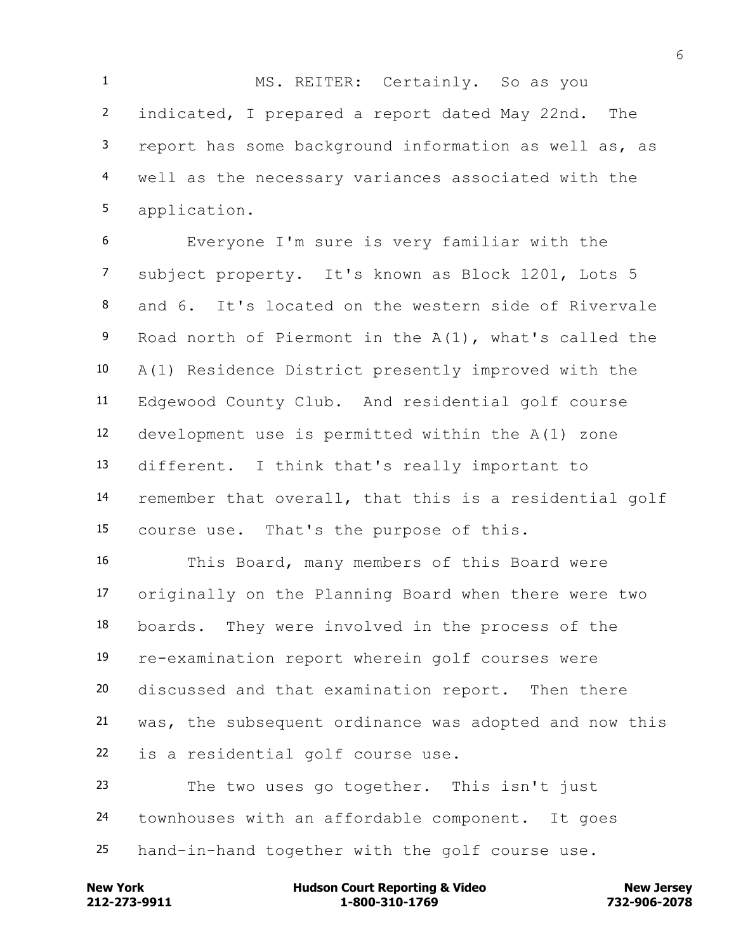MS. REITER: Certainly. So as you indicated, I prepared a report dated May 22nd. The report has some background information as well as, as well as the necessary variances associated with the application.

 Everyone I'm sure is very familiar with the subject property. It's known as Block 1201, Lots 5 and 6. It's located on the western side of Rivervale Road north of Piermont in the A(1), what's called the A(1) Residence District presently improved with the Edgewood County Club. And residential golf course development use is permitted within the A(1) zone different. I think that's really important to remember that overall, that this is a residential golf course use. That's the purpose of this.

 This Board, many members of this Board were originally on the Planning Board when there were two boards. They were involved in the process of the re-examination report wherein golf courses were discussed and that examination report. Then there was, the subsequent ordinance was adopted and now this is a residential golf course use. The two uses go together. This isn't just

townhouses with an affordable component. It goes

hand-in-hand together with the golf course use.

**212-273-9911 1-800-310-1769 732-906-2078 New York Communist Court Reporting & Video New Jersey Rew Jersey**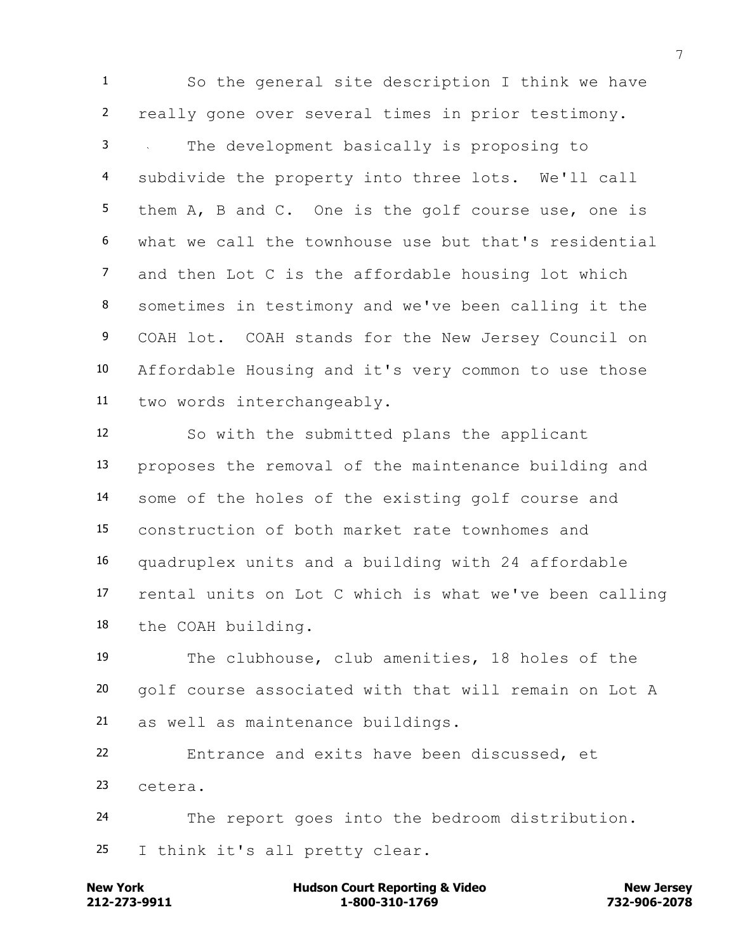So the general site description I think we have really gone over several times in prior testimony. The development basically is proposing to subdivide the property into three lots. We'll call them A, B and C. One is the golf course use, one is what we call the townhouse use but that's residential and then Lot C is the affordable housing lot which sometimes in testimony and we've been calling it the COAH lot. COAH stands for the New Jersey Council on Affordable Housing and it's very common to use those two words interchangeably.

 So with the submitted plans the applicant proposes the removal of the maintenance building and some of the holes of the existing golf course and construction of both market rate townhomes and quadruplex units and a building with 24 affordable rental units on Lot C which is what we've been calling the COAH building.

 The clubhouse, club amenities, 18 holes of the golf course associated with that will remain on Lot A as well as maintenance buildings.

 Entrance and exits have been discussed, et cetera.

 The report goes into the bedroom distribution. I think it's all pretty clear.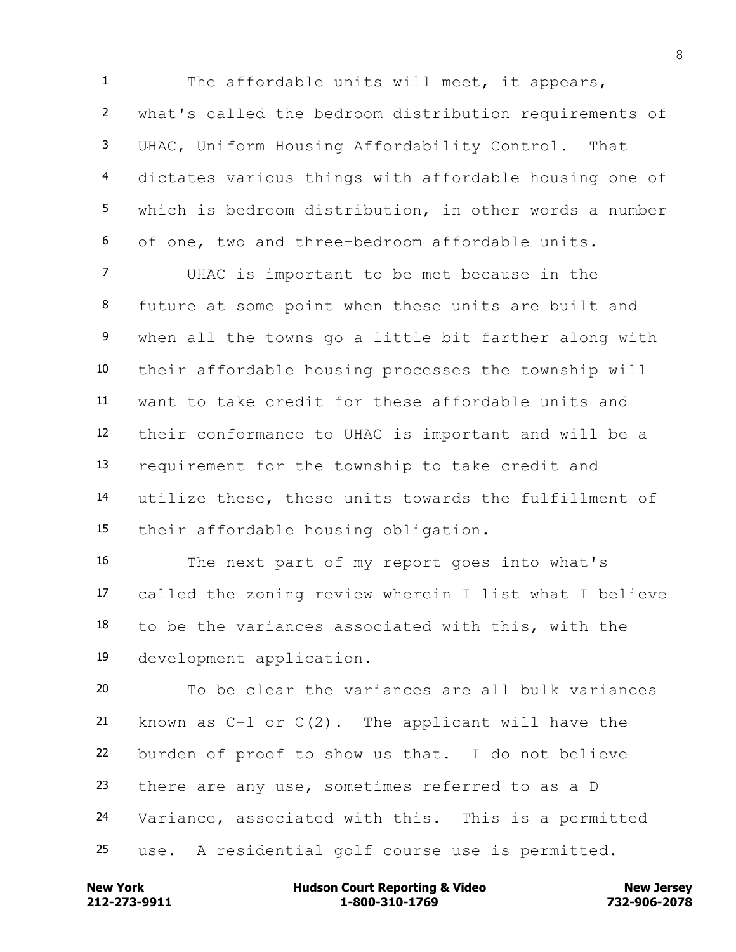1 The affordable units will meet, it appears, what's called the bedroom distribution requirements of UHAC, Uniform Housing Affordability Control. That dictates various things with affordable housing one of which is bedroom distribution, in other words a number of one, two and three-bedroom affordable units.

 UHAC is important to be met because in the future at some point when these units are built and 9 when all the towns go a little bit farther along with their affordable housing processes the township will want to take credit for these affordable units and their conformance to UHAC is important and will be a requirement for the township to take credit and utilize these, these units towards the fulfillment of their affordable housing obligation.

 The next part of my report goes into what's called the zoning review wherein I list what I believe to be the variances associated with this, with the development application.

 To be clear the variances are all bulk variances 21 known as  $C-1$  or  $C(2)$ . The applicant will have the burden of proof to show us that. I do not believe there are any use, sometimes referred to as a D Variance, associated with this. This is a permitted use. A residential golf course use is permitted.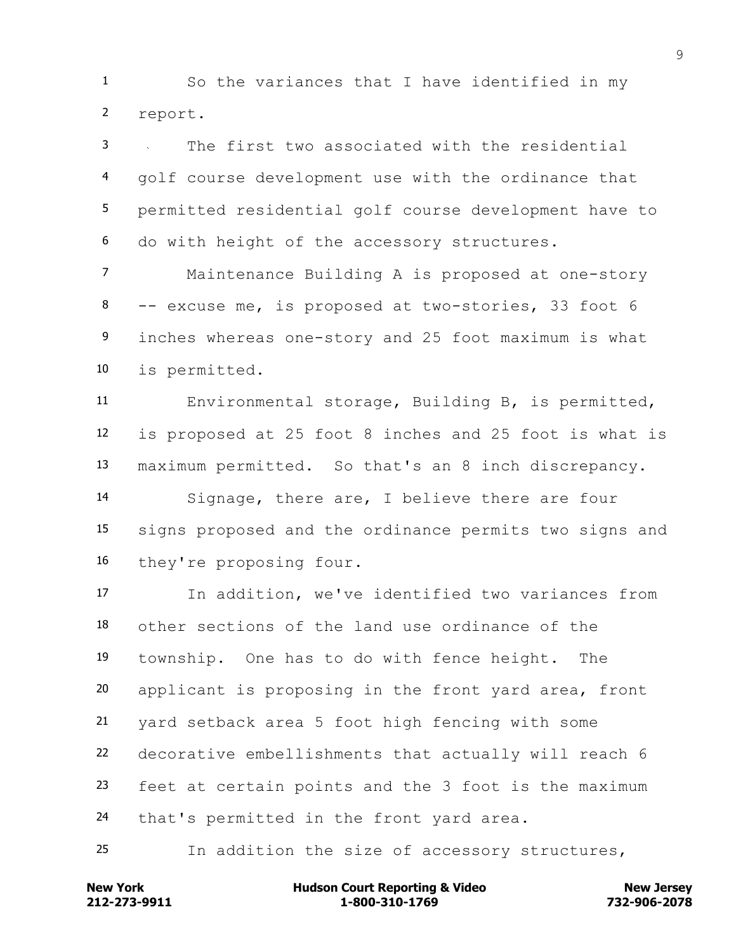So the variances that I have identified in my report.

 The first two associated with the residential golf course development use with the ordinance that permitted residential golf course development have to do with height of the accessory structures.

 Maintenance Building A is proposed at one-story -- excuse me, is proposed at two-stories, 33 foot 6 inches whereas one-story and 25 foot maximum is what is permitted.

 Environmental storage, Building B, is permitted, is proposed at 25 foot 8 inches and 25 foot is what is maximum permitted. So that's an 8 inch discrepancy.

 Signage, there are, I believe there are four signs proposed and the ordinance permits two signs and they're proposing four.

 In addition, we've identified two variances from other sections of the land use ordinance of the township. One has to do with fence height. The applicant is proposing in the front yard area, front yard setback area 5 foot high fencing with some decorative embellishments that actually will reach 6 feet at certain points and the 3 foot is the maximum that's permitted in the front yard area.

In addition the size of accessory structures,

**212-273-9911 1-800-310-1769 732-906-2078 New York Communist Court Reporting & Video New Jersey Rew Jersey**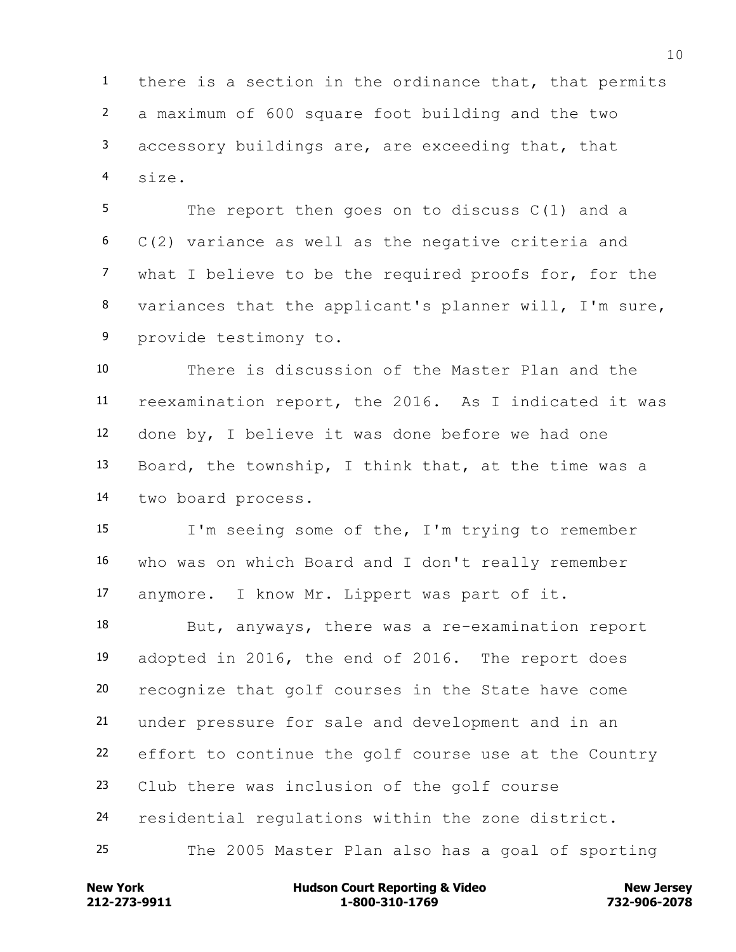there is a section in the ordinance that, that permits a maximum of 600 square foot building and the two accessory buildings are, are exceeding that, that size.

 The report then goes on to discuss C(1) and a C(2) variance as well as the negative criteria and what I believe to be the required proofs for, for the variances that the applicant's planner will, I'm sure, provide testimony to.

 There is discussion of the Master Plan and the reexamination report, the 2016. As I indicated it was done by, I believe it was done before we had one Board, the township, I think that, at the time was a two board process.

 I'm seeing some of the, I'm trying to remember who was on which Board and I don't really remember anymore. I know Mr. Lippert was part of it.

 But, anyways, there was a re-examination report adopted in 2016, the end of 2016. The report does recognize that golf courses in the State have come under pressure for sale and development and in an effort to continue the golf course use at the Country Club there was inclusion of the golf course residential regulations within the zone district. The 2005 Master Plan also has a goal of sporting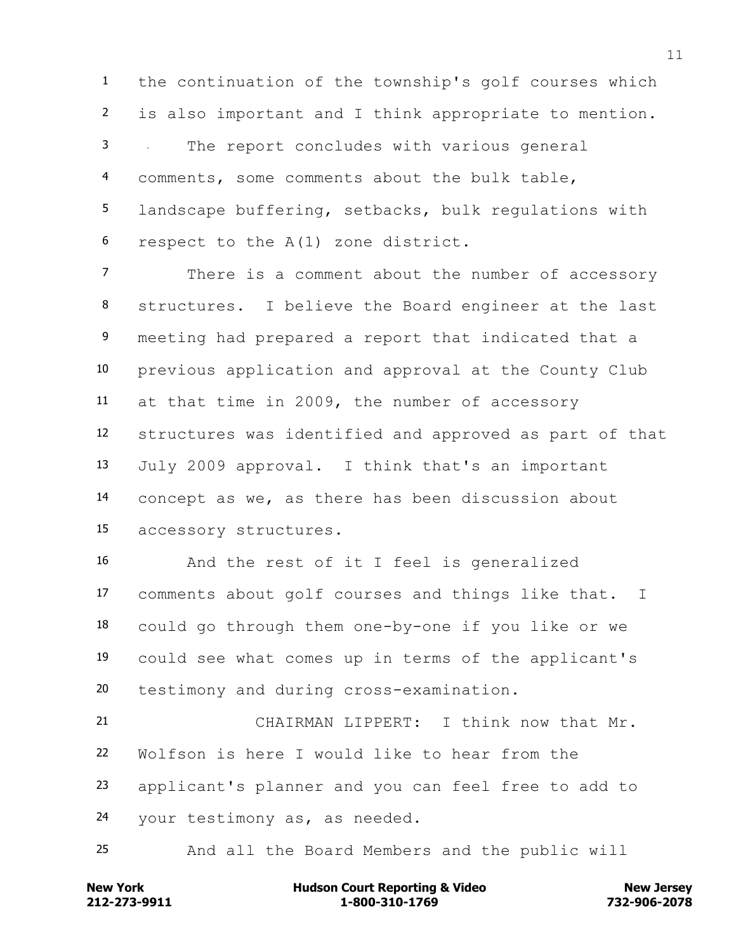the continuation of the township's golf courses which is also important and I think appropriate to mention. The report concludes with various general comments, some comments about the bulk table, landscape buffering, setbacks, bulk regulations with respect to the A(1) zone district.

 There is a comment about the number of accessory structures. I believe the Board engineer at the last meeting had prepared a report that indicated that a previous application and approval at the County Club at that time in 2009, the number of accessory structures was identified and approved as part of that July 2009 approval. I think that's an important concept as we, as there has been discussion about accessory structures.

 And the rest of it I feel is generalized comments about golf courses and things like that. I could go through them one-by-one if you like or we could see what comes up in terms of the applicant's testimony and during cross-examination.

 CHAIRMAN LIPPERT: I think now that Mr. Wolfson is here I would like to hear from the applicant's planner and you can feel free to add to your testimony as, as needed.

And all the Board Members and the public will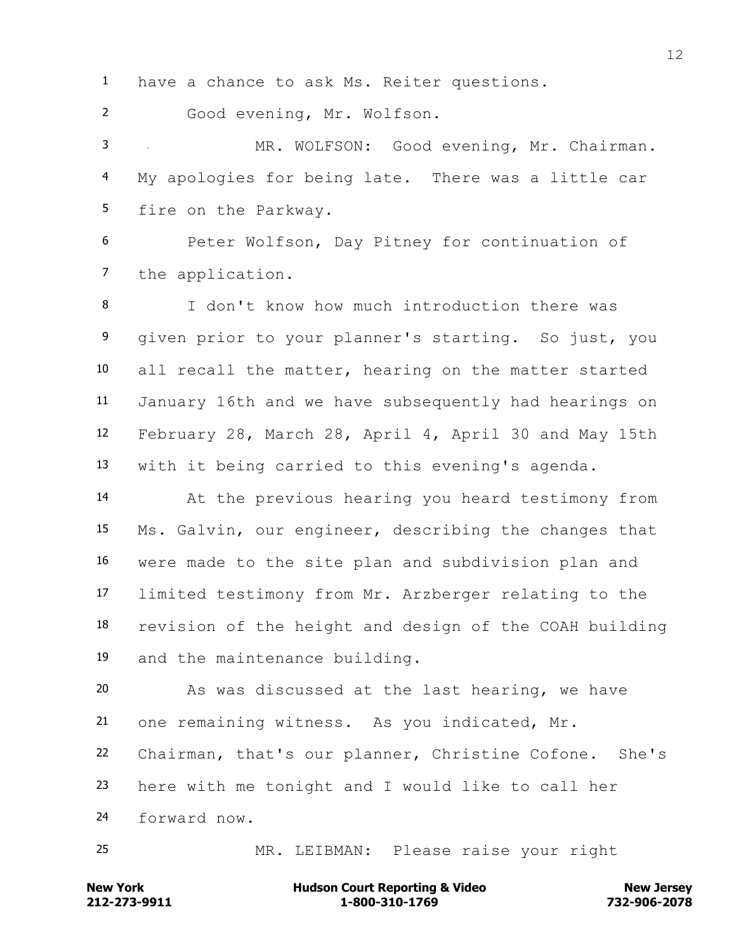have a chance to ask Ms. Reiter questions.

Good evening, Mr. Wolfson.

 MR. WOLFSON: Good evening, Mr. Chairman. My apologies for being late. There was a little car fire on the Parkway.

 Peter Wolfson, Day Pitney for continuation of the application.

 I don't know how much introduction there was given prior to your planner's starting. So just, you all recall the matter, hearing on the matter started January 16th and we have subsequently had hearings on February 28, March 28, April 4, April 30 and May 15th with it being carried to this evening's agenda.

 At the previous hearing you heard testimony from Ms. Galvin, our engineer, describing the changes that were made to the site plan and subdivision plan and limited testimony from Mr. Arzberger relating to the revision of the height and design of the COAH building and the maintenance building.

 As was discussed at the last hearing, we have one remaining witness. As you indicated, Mr.

Chairman, that's our planner, Christine Cofone. She's

here with me tonight and I would like to call her

forward now.

MR. LEIBMAN: Please raise your right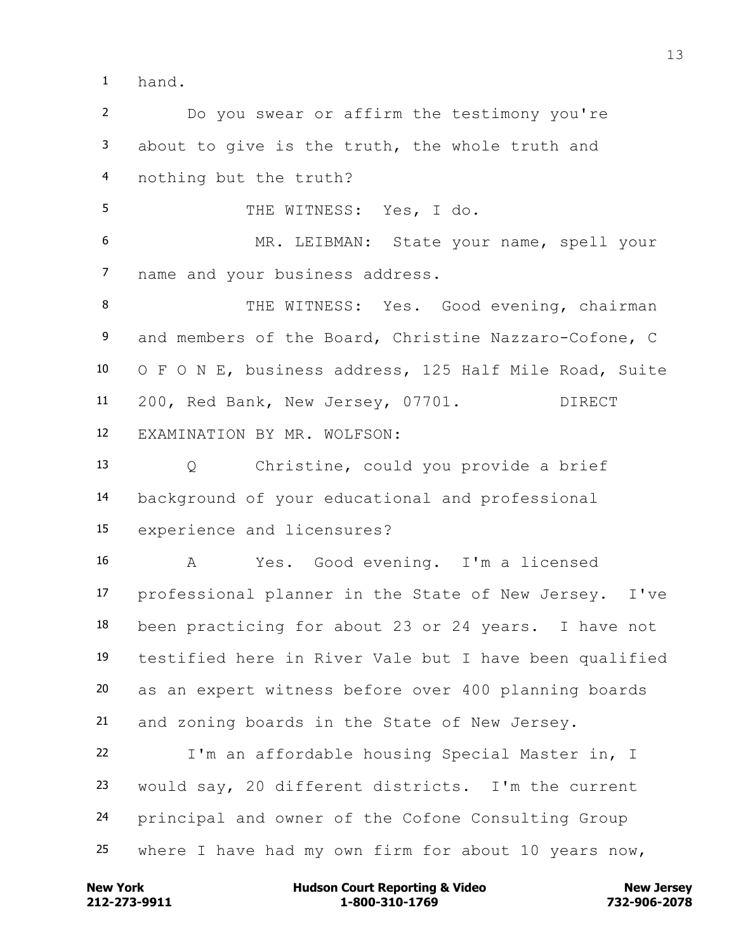hand.

 Do you swear or affirm the testimony you're about to give is the truth, the whole truth and nothing but the truth?

THE WITNESS: Yes, I do.

 MR. LEIBMAN: State your name, spell your name and your business address.

8 THE WITNESS: Yes. Good evening, chairman and members of the Board, Christine Nazzaro-Cofone, C O F O N E, business address, 125 Half Mile Road, Suite 200, Red Bank, New Jersey, 07701. DIRECT EXAMINATION BY MR. WOLFSON:

 Q Christine, could you provide a brief background of your educational and professional experience and licensures?

 A Yes. Good evening. I'm a licensed professional planner in the State of New Jersey. I've been practicing for about 23 or 24 years. I have not testified here in River Vale but I have been qualified as an expert witness before over 400 planning boards and zoning boards in the State of New Jersey.

 I'm an affordable housing Special Master in, I would say, 20 different districts. I'm the current principal and owner of the Cofone Consulting Group where I have had my own firm for about 10 years now,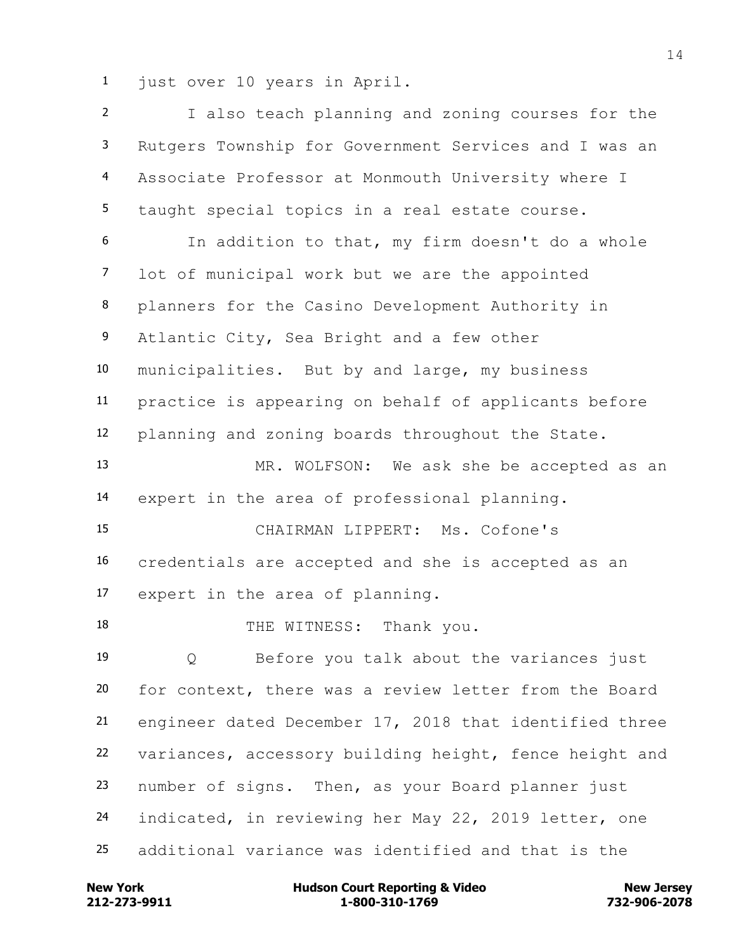just over 10 years in April.

 I also teach planning and zoning courses for the Rutgers Township for Government Services and I was an Associate Professor at Monmouth University where I taught special topics in a real estate course. In addition to that, my firm doesn't do a whole lot of municipal work but we are the appointed planners for the Casino Development Authority in Atlantic City, Sea Bright and a few other municipalities. But by and large, my business practice is appearing on behalf of applicants before planning and zoning boards throughout the State. MR. WOLFSON: We ask she be accepted as an expert in the area of professional planning. CHAIRMAN LIPPERT: Ms. Cofone's credentials are accepted and she is accepted as an expert in the area of planning. 18 THE WITNESS: Thank you. Q Before you talk about the variances just for context, there was a review letter from the Board engineer dated December 17, 2018 that identified three variances, accessory building height, fence height and number of signs. Then, as your Board planner just indicated, in reviewing her May 22, 2019 letter, one additional variance was identified and that is the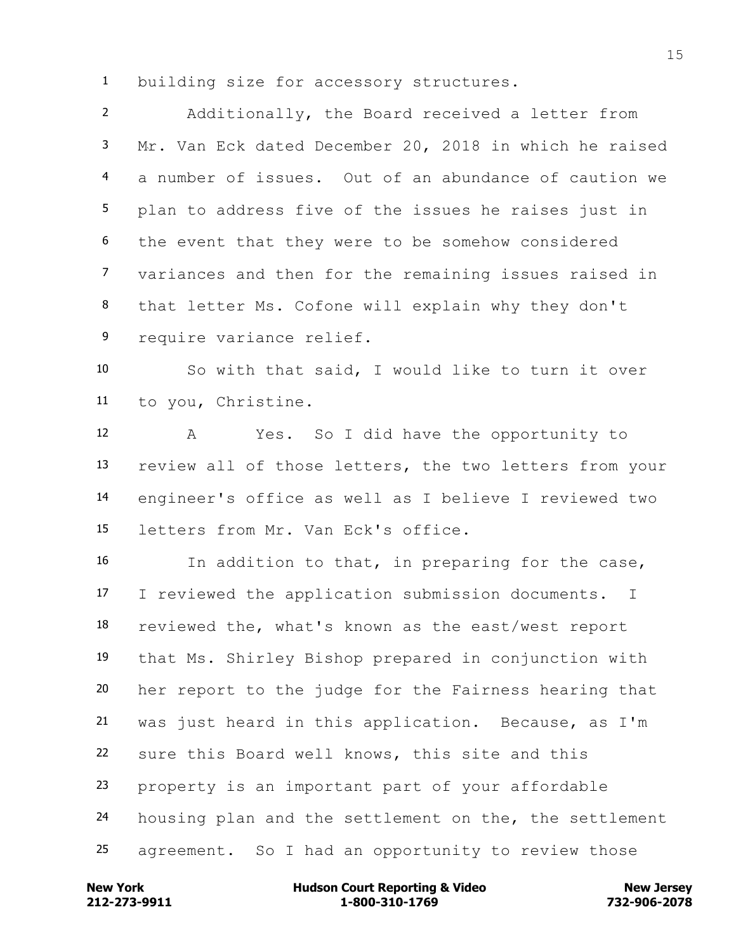building size for accessory structures.

 Additionally, the Board received a letter from Mr. Van Eck dated December 20, 2018 in which he raised a number of issues. Out of an abundance of caution we plan to address five of the issues he raises just in the event that they were to be somehow considered variances and then for the remaining issues raised in that letter Ms. Cofone will explain why they don't require variance relief.

 So with that said, I would like to turn it over to you, Christine.

 A Yes. So I did have the opportunity to review all of those letters, the two letters from your engineer's office as well as I believe I reviewed two letters from Mr. Van Eck's office.

 In addition to that, in preparing for the case, I reviewed the application submission documents. I reviewed the, what's known as the east/west report that Ms. Shirley Bishop prepared in conjunction with her report to the judge for the Fairness hearing that was just heard in this application. Because, as I'm sure this Board well knows, this site and this property is an important part of your affordable housing plan and the settlement on the, the settlement agreement. So I had an opportunity to review those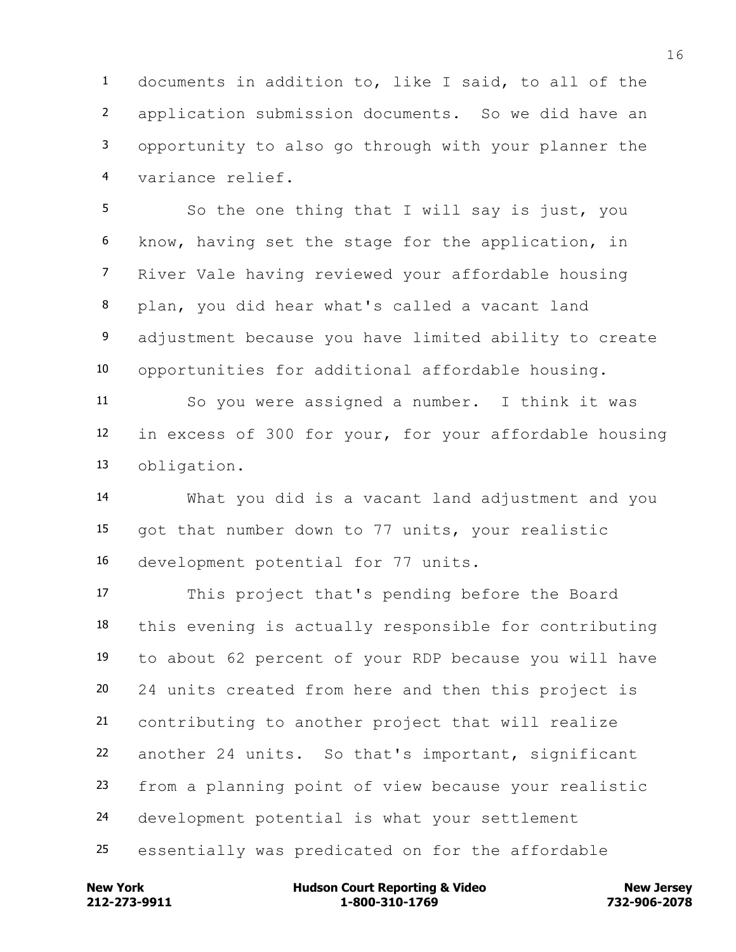documents in addition to, like I said, to all of the application submission documents. So we did have an opportunity to also go through with your planner the variance relief.

5 So the one thing that I will say is just, you know, having set the stage for the application, in River Vale having reviewed your affordable housing plan, you did hear what's called a vacant land adjustment because you have limited ability to create opportunities for additional affordable housing.

 So you were assigned a number. I think it was in excess of 300 for your, for your affordable housing obligation.

 What you did is a vacant land adjustment and you got that number down to 77 units, your realistic development potential for 77 units.

 This project that's pending before the Board this evening is actually responsible for contributing to about 62 percent of your RDP because you will have 24 units created from here and then this project is contributing to another project that will realize another 24 units. So that's important, significant from a planning point of view because your realistic development potential is what your settlement essentially was predicated on for the affordable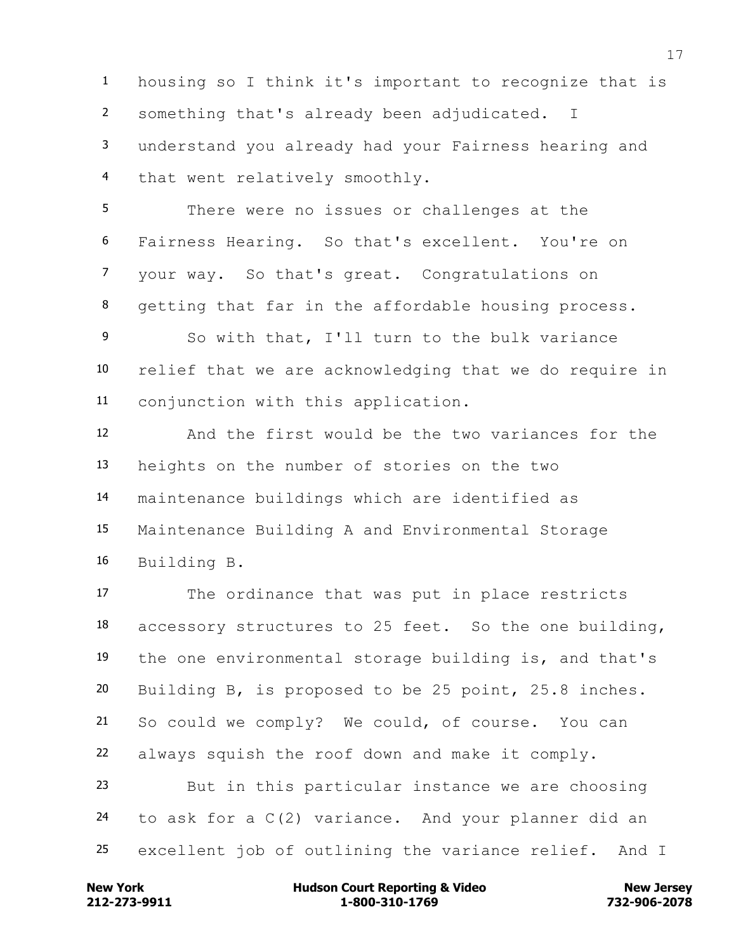housing so I think it's important to recognize that is something that's already been adjudicated. I understand you already had your Fairness hearing and that went relatively smoothly.

 There were no issues or challenges at the Fairness Hearing. So that's excellent. You're on your way. So that's great. Congratulations on getting that far in the affordable housing process.

 So with that, I'll turn to the bulk variance relief that we are acknowledging that we do require in conjunction with this application.

 And the first would be the two variances for the heights on the number of stories on the two maintenance buildings which are identified as Maintenance Building A and Environmental Storage Building B.

 The ordinance that was put in place restricts accessory structures to 25 feet. So the one building, the one environmental storage building is, and that's Building B, is proposed to be 25 point, 25.8 inches. So could we comply? We could, of course. You can always squish the roof down and make it comply. But in this particular instance we are choosing to ask for a C(2) variance. And your planner did an excellent job of outlining the variance relief. And I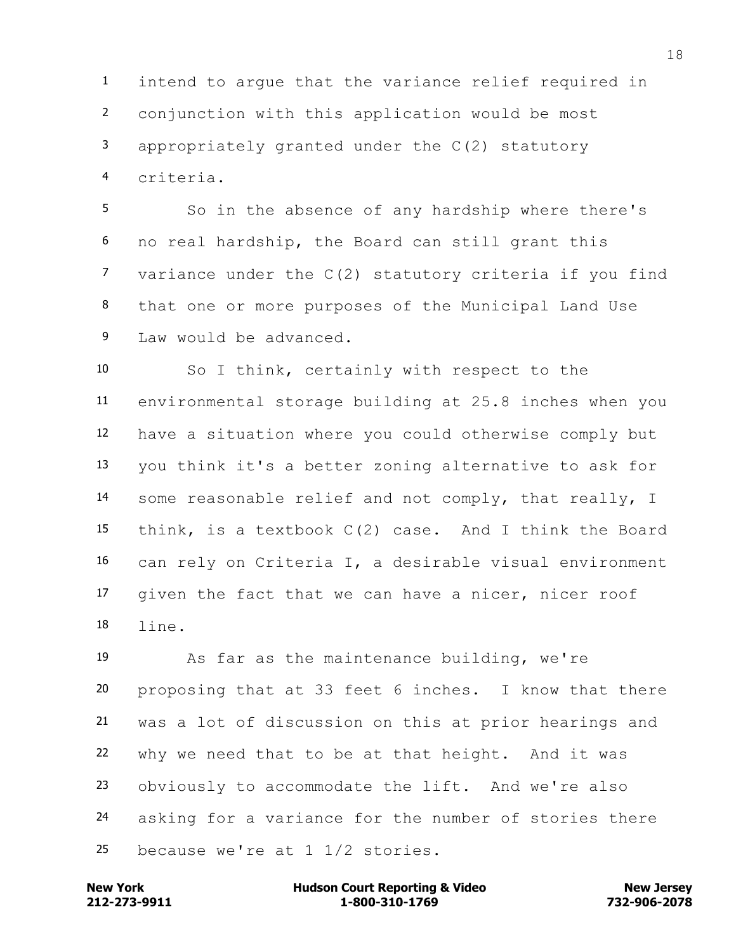intend to argue that the variance relief required in conjunction with this application would be most appropriately granted under the C(2) statutory criteria.

 So in the absence of any hardship where there's no real hardship, the Board can still grant this variance under the C(2) statutory criteria if you find that one or more purposes of the Municipal Land Use Law would be advanced.

 So I think, certainly with respect to the environmental storage building at 25.8 inches when you have a situation where you could otherwise comply but you think it's a better zoning alternative to ask for some reasonable relief and not comply, that really, I think, is a textbook C(2) case. And I think the Board can rely on Criteria I, a desirable visual environment given the fact that we can have a nicer, nicer roof line.

 As far as the maintenance building, we're proposing that at 33 feet 6 inches. I know that there was a lot of discussion on this at prior hearings and why we need that to be at that height. And it was obviously to accommodate the lift. And we're also asking for a variance for the number of stories there because we're at 1 1/2 stories.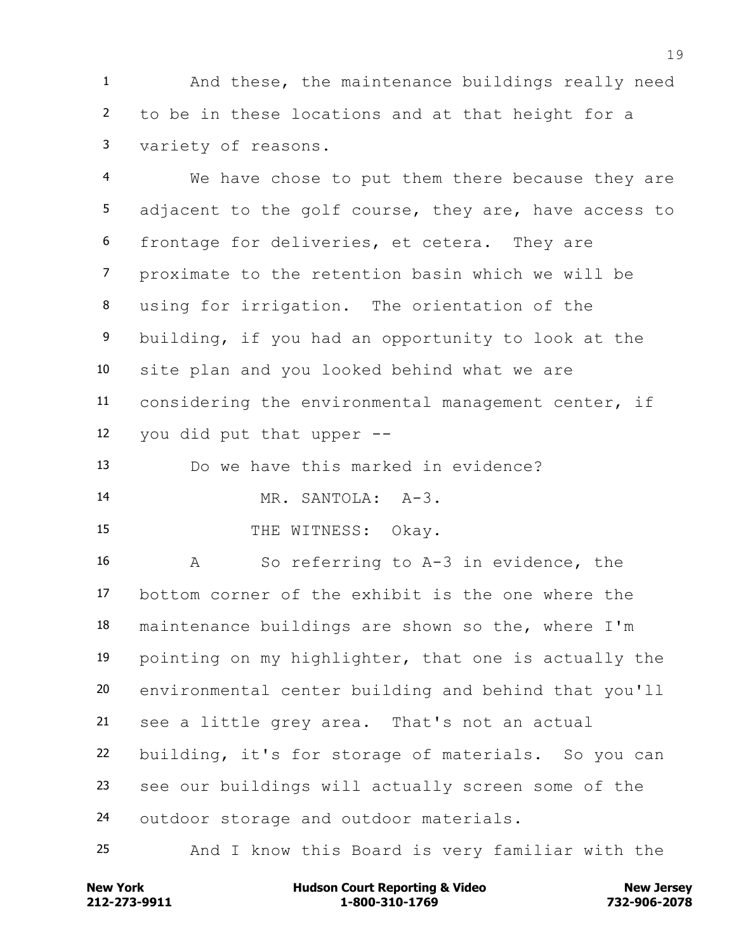And these, the maintenance buildings really need to be in these locations and at that height for a variety of reasons.

 We have chose to put them there because they are adjacent to the golf course, they are, have access to frontage for deliveries, et cetera. They are proximate to the retention basin which we will be using for irrigation. The orientation of the building, if you had an opportunity to look at the site plan and you looked behind what we are considering the environmental management center, if you did put that upper --

Do we have this marked in evidence?

MR. SANTOLA: A-3.

15 THE WITNESS: Okay.

 A So referring to A-3 in evidence, the bottom corner of the exhibit is the one where the maintenance buildings are shown so the, where I'm pointing on my highlighter, that one is actually the environmental center building and behind that you'll see a little grey area. That's not an actual building, it's for storage of materials. So you can see our buildings will actually screen some of the outdoor storage and outdoor materials.

And I know this Board is very familiar with the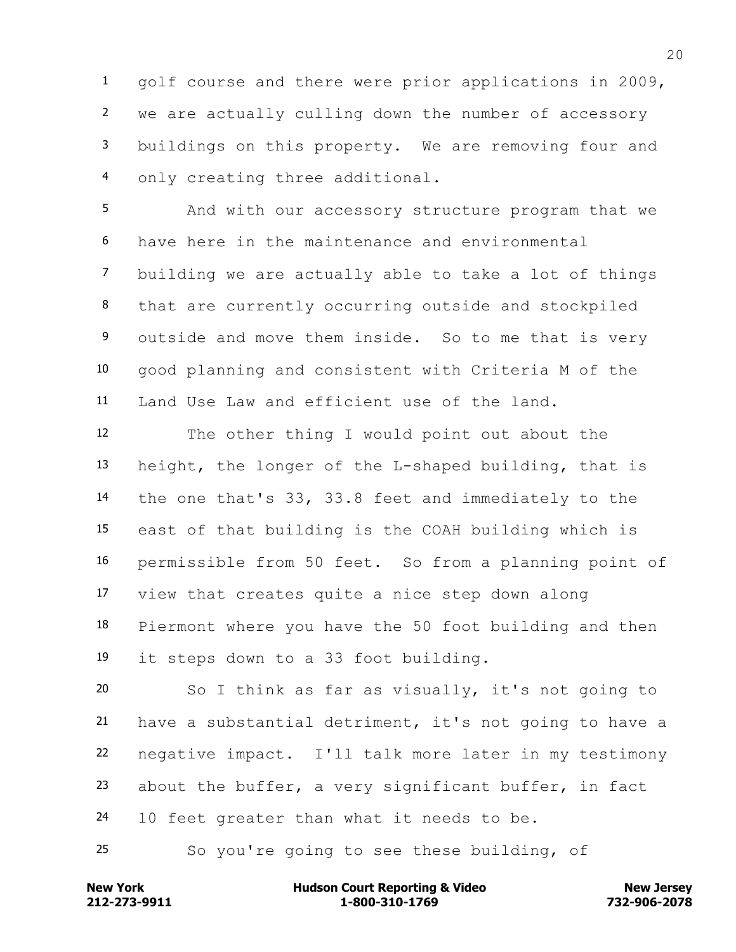golf course and there were prior applications in 2009, we are actually culling down the number of accessory buildings on this property. We are removing four and only creating three additional.

 And with our accessory structure program that we have here in the maintenance and environmental building we are actually able to take a lot of things that are currently occurring outside and stockpiled outside and move them inside. So to me that is very good planning and consistent with Criteria M of the Land Use Law and efficient use of the land.

 The other thing I would point out about the height, the longer of the L-shaped building, that is the one that's 33, 33.8 feet and immediately to the east of that building is the COAH building which is permissible from 50 feet. So from a planning point of view that creates quite a nice step down along Piermont where you have the 50 foot building and then it steps down to a 33 foot building.

 So I think as far as visually, it's not going to have a substantial detriment, it's not going to have a negative impact. I'll talk more later in my testimony about the buffer, a very significant buffer, in fact 24 10 feet greater than what it needs to be.

So you're going to see these building, of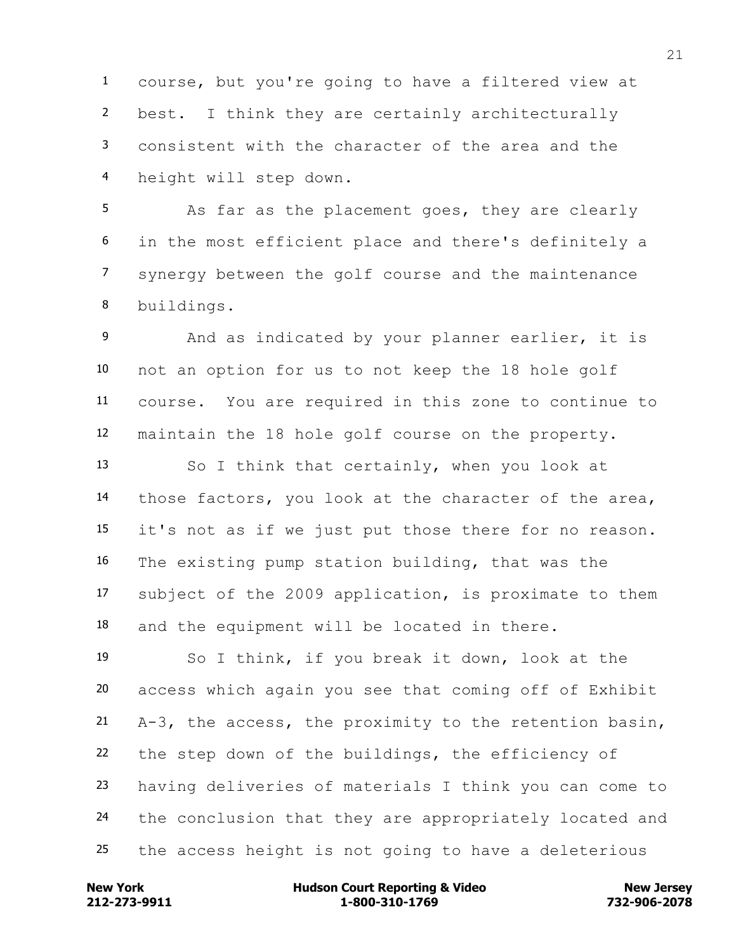course, but you're going to have a filtered view at best. I think they are certainly architecturally consistent with the character of the area and the height will step down.

 As far as the placement goes, they are clearly in the most efficient place and there's definitely a synergy between the golf course and the maintenance buildings.

 And as indicated by your planner earlier, it is not an option for us to not keep the 18 hole golf course. You are required in this zone to continue to maintain the 18 hole golf course on the property.

 So I think that certainly, when you look at those factors, you look at the character of the area, it's not as if we just put those there for no reason. The existing pump station building, that was the subject of the 2009 application, is proximate to them and the equipment will be located in there.

 So I think, if you break it down, look at the access which again you see that coming off of Exhibit A-3, the access, the proximity to the retention basin, the step down of the buildings, the efficiency of having deliveries of materials I think you can come to 24 the conclusion that they are appropriately located and the access height is not going to have a deleterious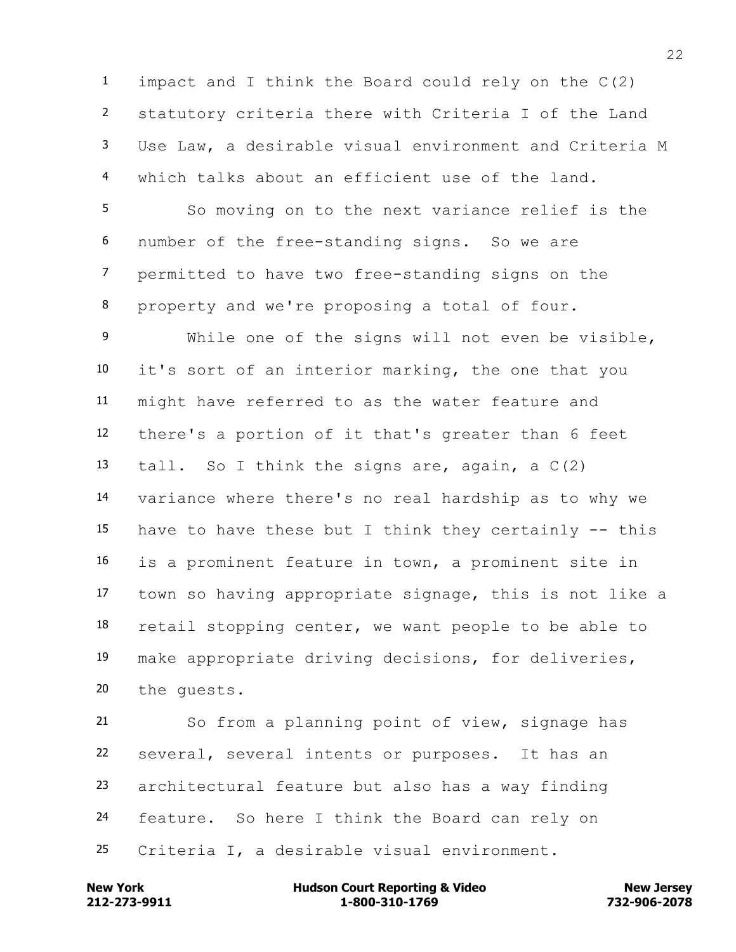impact and I think the Board could rely on the C(2) statutory criteria there with Criteria I of the Land Use Law, a desirable visual environment and Criteria M which talks about an efficient use of the land.

 So moving on to the next variance relief is the number of the free-standing signs. So we are permitted to have two free-standing signs on the property and we're proposing a total of four.

 While one of the signs will not even be visible, it's sort of an interior marking, the one that you might have referred to as the water feature and there's a portion of it that's greater than 6 feet 13 tall. So I think the signs are, again, a  $C(2)$  variance where there's no real hardship as to why we 15 have to have these but I think they certainly  $-$ - this is a prominent feature in town, a prominent site in town so having appropriate signage, this is not like a retail stopping center, we want people to be able to make appropriate driving decisions, for deliveries, the guests.

 So from a planning point of view, signage has several, several intents or purposes. It has an architectural feature but also has a way finding feature. So here I think the Board can rely on Criteria I, a desirable visual environment.

**212-273-9911 1-800-310-1769 732-906-2078 New York Communist Court Reporting & Video New Jersey Rew Jersey**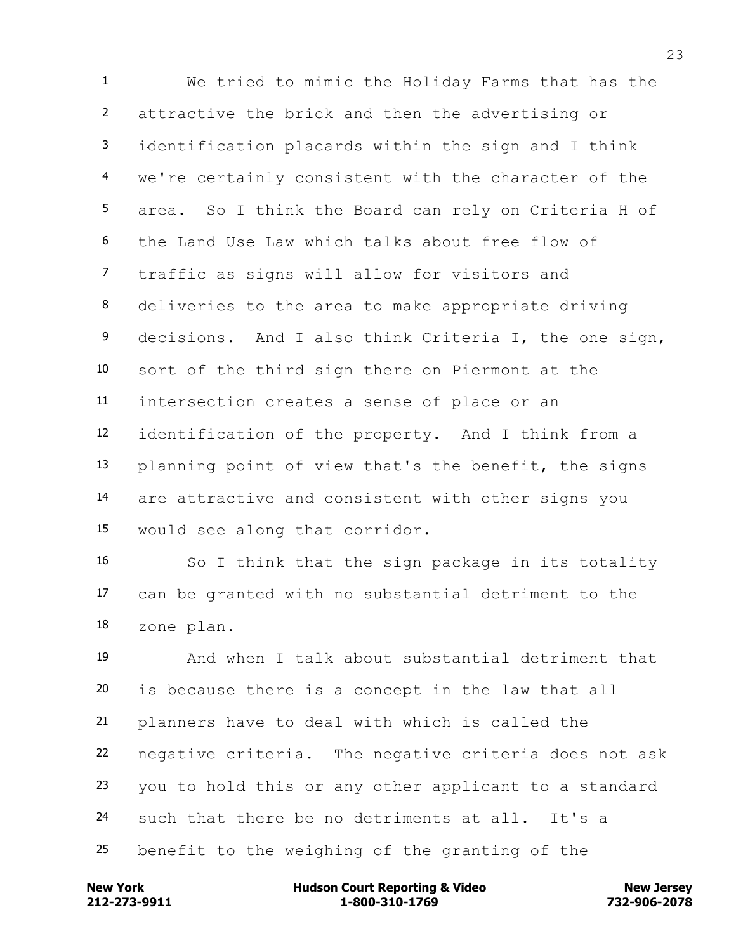We tried to mimic the Holiday Farms that has the attractive the brick and then the advertising or identification placards within the sign and I think we're certainly consistent with the character of the area. So I think the Board can rely on Criteria H of the Land Use Law which talks about free flow of traffic as signs will allow for visitors and deliveries to the area to make appropriate driving decisions. And I also think Criteria I, the one sign, sort of the third sign there on Piermont at the intersection creates a sense of place or an identification of the property. And I think from a planning point of view that's the benefit, the signs are attractive and consistent with other signs you would see along that corridor.

 So I think that the sign package in its totality can be granted with no substantial detriment to the zone plan.

 And when I talk about substantial detriment that is because there is a concept in the law that all planners have to deal with which is called the negative criteria. The negative criteria does not ask you to hold this or any other applicant to a standard such that there be no detriments at all. It's a benefit to the weighing of the granting of the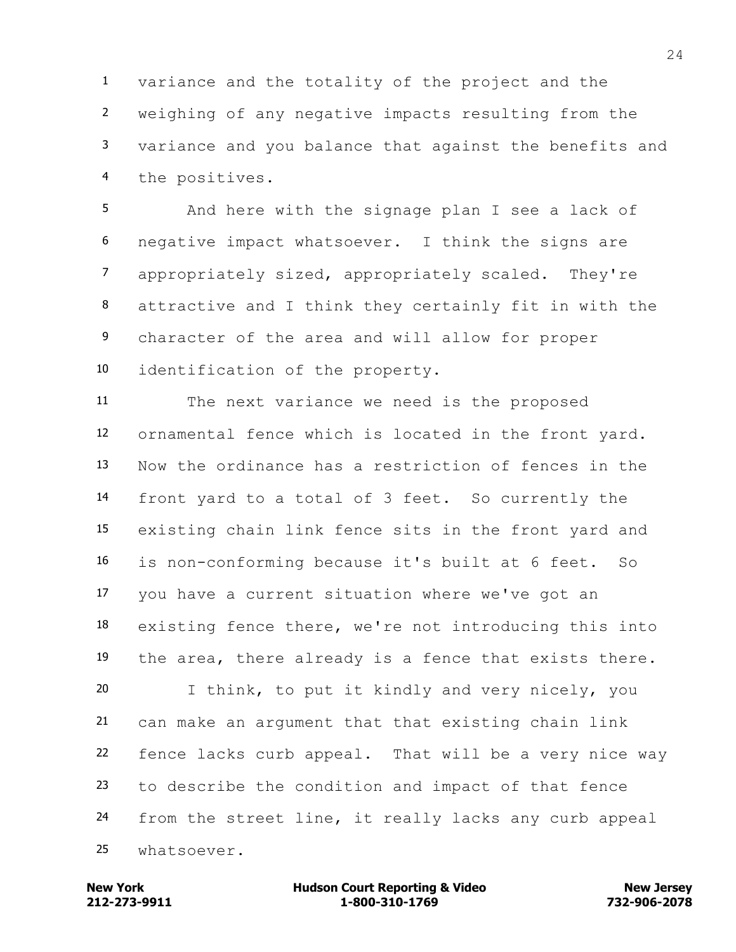variance and the totality of the project and the weighing of any negative impacts resulting from the variance and you balance that against the benefits and the positives.

 And here with the signage plan I see a lack of negative impact whatsoever. I think the signs are appropriately sized, appropriately scaled. They're attractive and I think they certainly fit in with the character of the area and will allow for proper identification of the property.

 The next variance we need is the proposed ornamental fence which is located in the front yard. Now the ordinance has a restriction of fences in the front yard to a total of 3 feet. So currently the existing chain link fence sits in the front yard and is non-conforming because it's built at 6 feet. So you have a current situation where we've got an existing fence there, we're not introducing this into the area, there already is a fence that exists there. I think, to put it kindly and very nicely, you can make an argument that that existing chain link fence lacks curb appeal. That will be a very nice way to describe the condition and impact of that fence from the street line, it really lacks any curb appeal whatsoever.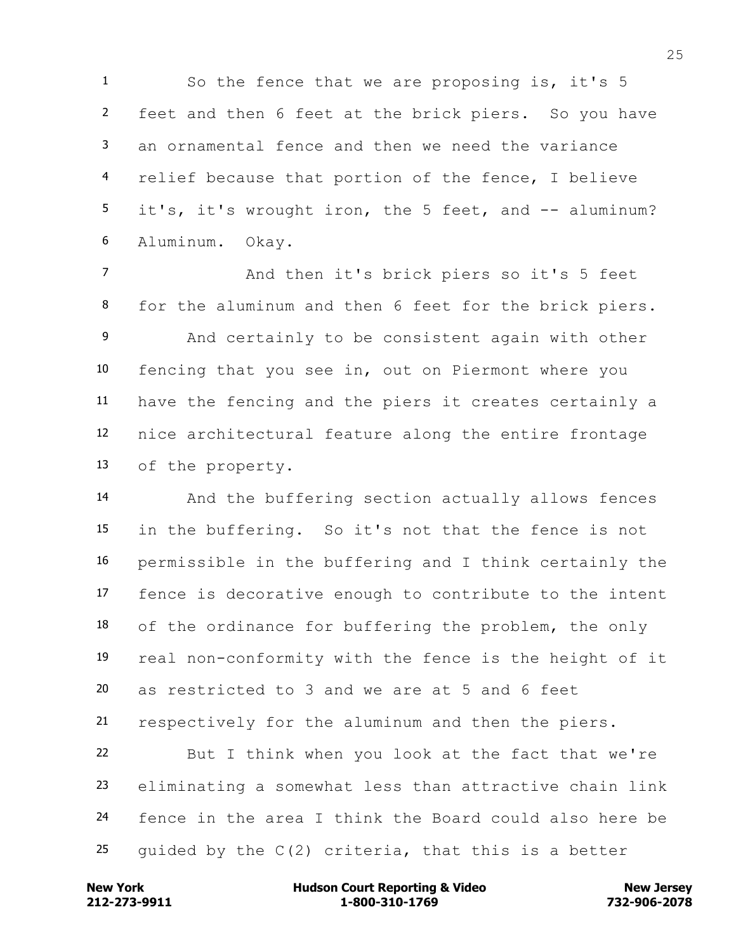So the fence that we are proposing is, it's 5 feet and then 6 feet at the brick piers. So you have an ornamental fence and then we need the variance relief because that portion of the fence, I believe 5 it's, it's wrought iron, the 5 feet, and -- aluminum? Aluminum. Okay.

 And then it's brick piers so it's 5 feet for the aluminum and then 6 feet for the brick piers. And certainly to be consistent again with other fencing that you see in, out on Piermont where you have the fencing and the piers it creates certainly a nice architectural feature along the entire frontage of the property.

 And the buffering section actually allows fences in the buffering. So it's not that the fence is not permissible in the buffering and I think certainly the fence is decorative enough to contribute to the intent 18 of the ordinance for buffering the problem, the only real non-conformity with the fence is the height of it as restricted to 3 and we are at 5 and 6 feet respectively for the aluminum and then the piers. But I think when you look at the fact that we're

 eliminating a somewhat less than attractive chain link fence in the area I think the Board could also here be 25 quided by the  $C(2)$  criteria, that this is a better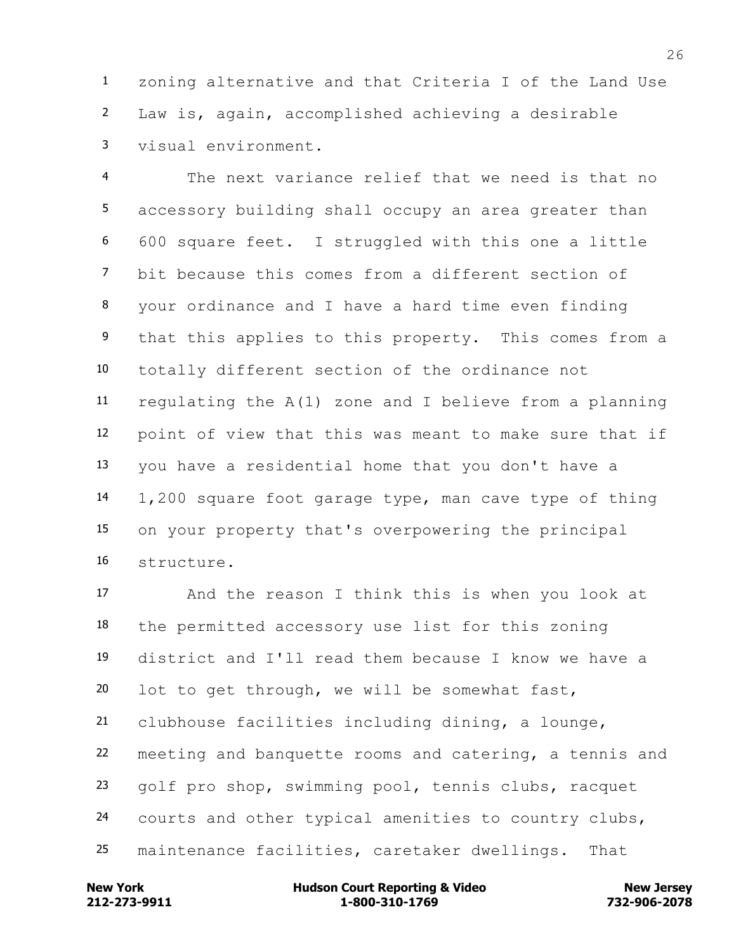zoning alternative and that Criteria I of the Land Use Law is, again, accomplished achieving a desirable visual environment.

 The next variance relief that we need is that no accessory building shall occupy an area greater than 600 square feet. I struggled with this one a little bit because this comes from a different section of your ordinance and I have a hard time even finding that this applies to this property. This comes from a totally different section of the ordinance not regulating the A(1) zone and I believe from a planning point of view that this was meant to make sure that if you have a residential home that you don't have a 1,200 square foot garage type, man cave type of thing on your property that's overpowering the principal structure.

 And the reason I think this is when you look at the permitted accessory use list for this zoning district and I'll read them because I know we have a lot to get through, we will be somewhat fast, clubhouse facilities including dining, a lounge, meeting and banquette rooms and catering, a tennis and golf pro shop, swimming pool, tennis clubs, racquet courts and other typical amenities to country clubs, maintenance facilities, caretaker dwellings. That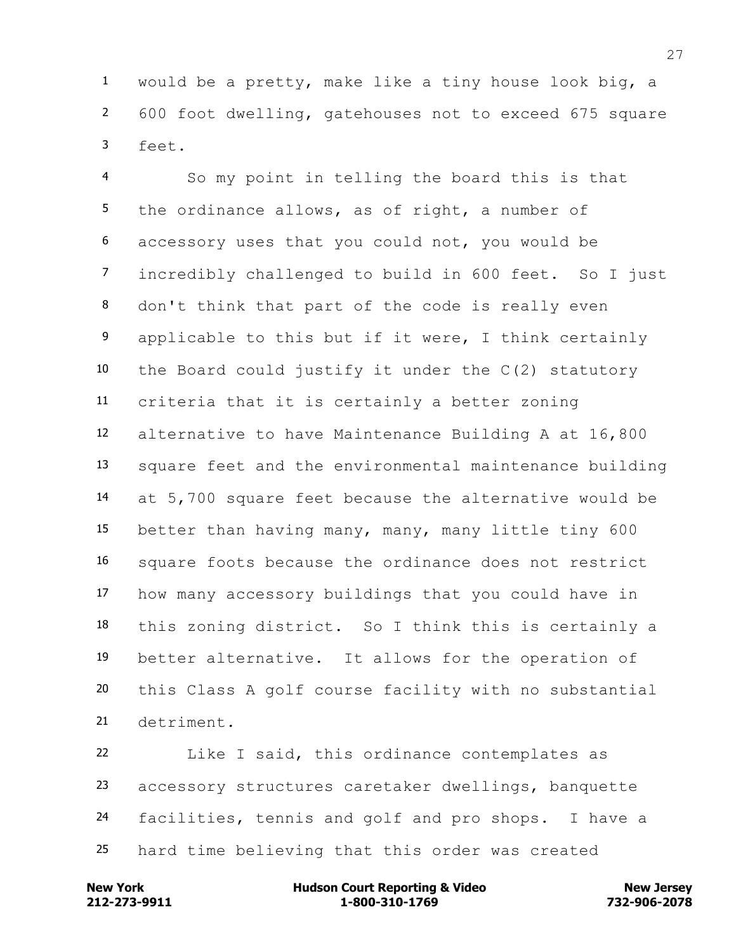would be a pretty, make like a tiny house look big, a 600 foot dwelling, gatehouses not to exceed 675 square feet.

 So my point in telling the board this is that 5 the ordinance allows, as of right, a number of accessory uses that you could not, you would be incredibly challenged to build in 600 feet. So I just don't think that part of the code is really even applicable to this but if it were, I think certainly the Board could justify it under the C(2) statutory criteria that it is certainly a better zoning alternative to have Maintenance Building A at 16,800 square feet and the environmental maintenance building at 5,700 square feet because the alternative would be better than having many, many, many little tiny 600 square foots because the ordinance does not restrict how many accessory buildings that you could have in this zoning district. So I think this is certainly a better alternative. It allows for the operation of this Class A golf course facility with no substantial detriment.

 Like I said, this ordinance contemplates as accessory structures caretaker dwellings, banquette facilities, tennis and golf and pro shops. I have a hard time believing that this order was created

**212-273-9911 1-800-310-1769 732-906-2078 New York Communist Court Reporting & Video New Jersey Rew Jersey**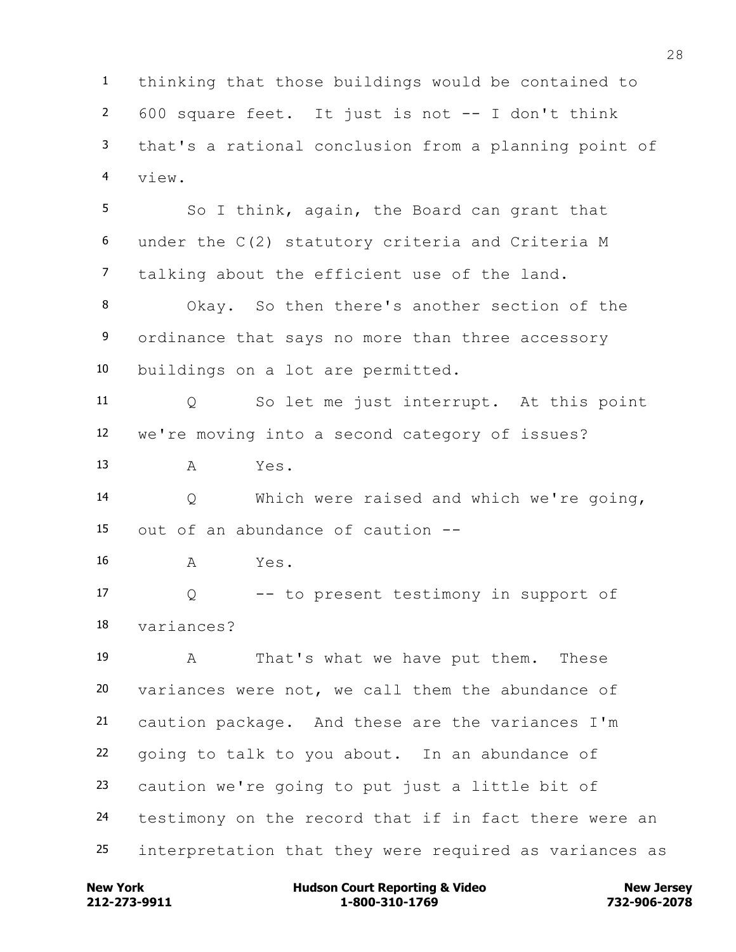thinking that those buildings would be contained to 600 square feet. It just is not -- I don't think that's a rational conclusion from a planning point of view.

5 So I think, again, the Board can grant that under the C(2) statutory criteria and Criteria M talking about the efficient use of the land.

 Okay. So then there's another section of the ordinance that says no more than three accessory buildings on a lot are permitted.

 Q So let me just interrupt. At this point we're moving into a second category of issues?

A Yes.

 Q Which were raised and which we're going, out of an abundance of caution --

A Yes.

 Q -- to present testimony in support of variances?

 A That's what we have put them. These variances were not, we call them the abundance of caution package. And these are the variances I'm going to talk to you about. In an abundance of caution we're going to put just a little bit of testimony on the record that if in fact there were an interpretation that they were required as variances as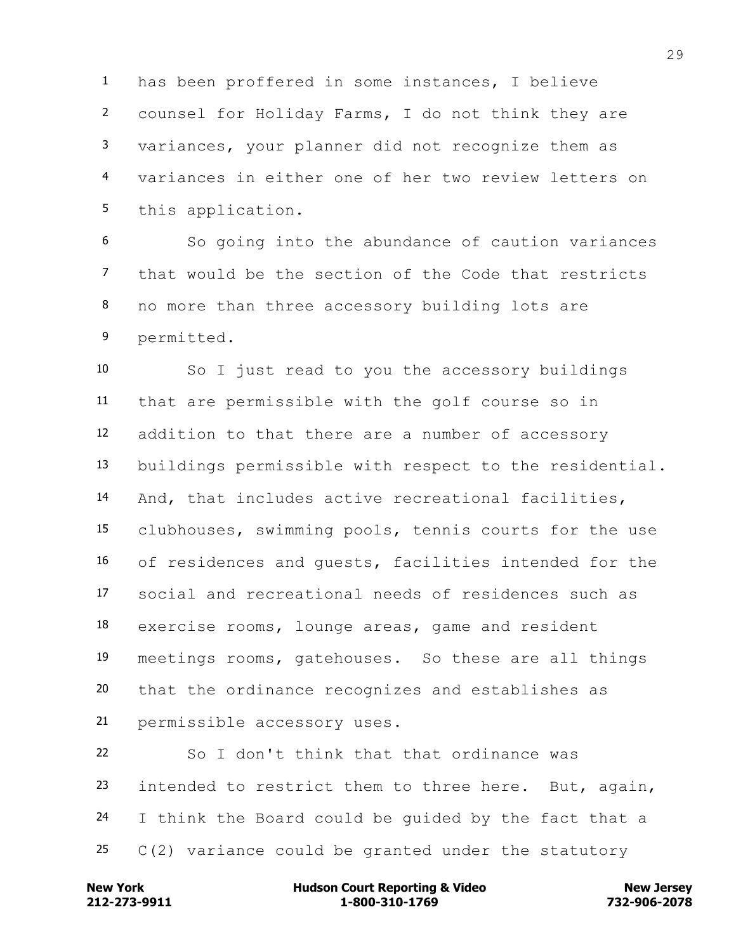has been proffered in some instances, I believe counsel for Holiday Farms, I do not think they are variances, your planner did not recognize them as variances in either one of her two review letters on this application.

 So going into the abundance of caution variances that would be the section of the Code that restricts no more than three accessory building lots are permitted.

 So I just read to you the accessory buildings that are permissible with the golf course so in addition to that there are a number of accessory buildings permissible with respect to the residential. And, that includes active recreational facilities, clubhouses, swimming pools, tennis courts for the use of residences and guests, facilities intended for the social and recreational needs of residences such as exercise rooms, lounge areas, game and resident meetings rooms, gatehouses. So these are all things that the ordinance recognizes and establishes as permissible accessory uses.

 So I don't think that that ordinance was 23 intended to restrict them to three here. But, again, I think the Board could be guided by the fact that a  $C(2)$  variance could be granted under the statutory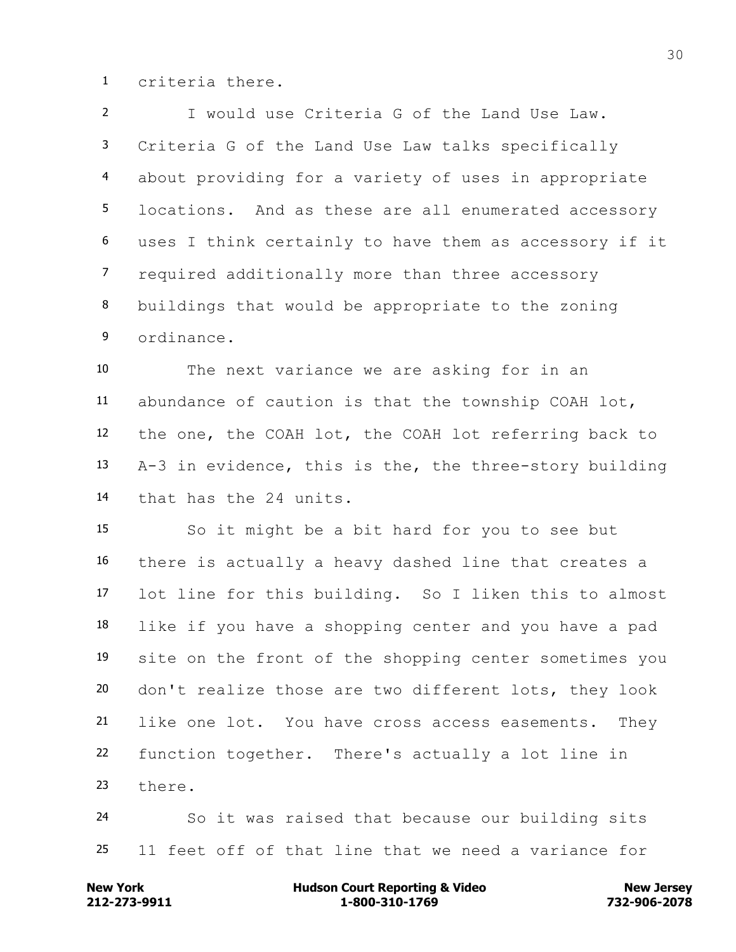criteria there.

 I would use Criteria G of the Land Use Law. Criteria G of the Land Use Law talks specifically about providing for a variety of uses in appropriate locations. And as these are all enumerated accessory uses I think certainly to have them as accessory if it required additionally more than three accessory buildings that would be appropriate to the zoning ordinance.

 The next variance we are asking for in an abundance of caution is that the township COAH lot, the one, the COAH lot, the COAH lot referring back to A-3 in evidence, this is the, the three-story building that has the 24 units.

 So it might be a bit hard for you to see but there is actually a heavy dashed line that creates a lot line for this building. So I liken this to almost like if you have a shopping center and you have a pad site on the front of the shopping center sometimes you don't realize those are two different lots, they look like one lot. You have cross access easements. They function together. There's actually a lot line in there.

 So it was raised that because our building sits 11 feet off of that line that we need a variance for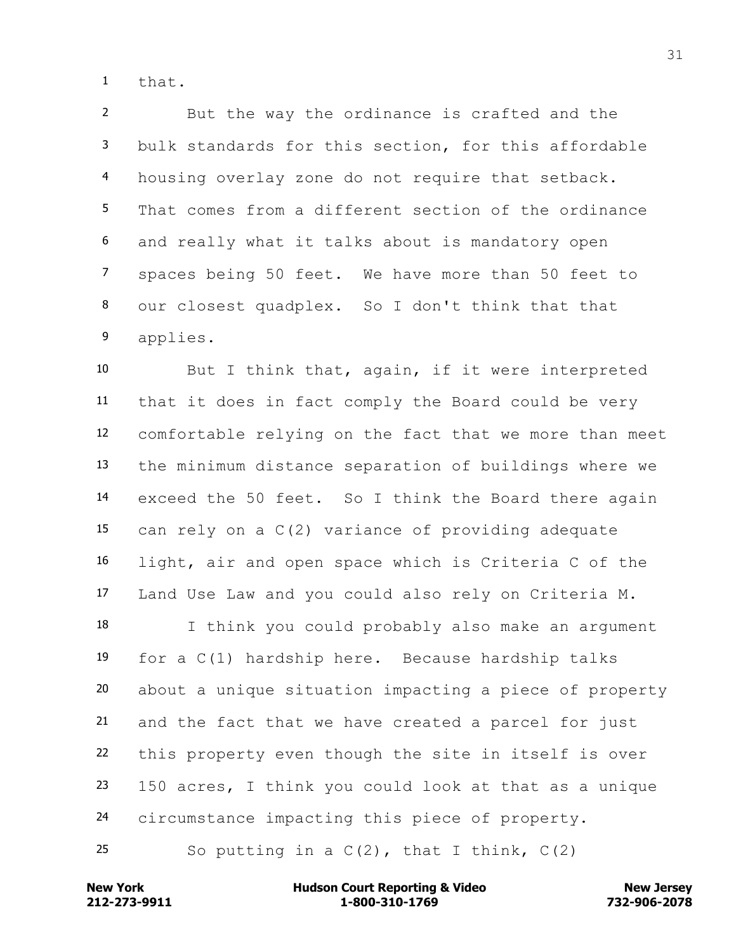that.

 But the way the ordinance is crafted and the bulk standards for this section, for this affordable housing overlay zone do not require that setback. That comes from a different section of the ordinance and really what it talks about is mandatory open spaces being 50 feet. We have more than 50 feet to our closest quadplex. So I don't think that that applies.

 But I think that, again, if it were interpreted that it does in fact comply the Board could be very comfortable relying on the fact that we more than meet the minimum distance separation of buildings where we exceed the 50 feet. So I think the Board there again can rely on a C(2) variance of providing adequate light, air and open space which is Criteria C of the Land Use Law and you could also rely on Criteria M.

 I think you could probably also make an argument for a C(1) hardship here. Because hardship talks about a unique situation impacting a piece of property and the fact that we have created a parcel for just this property even though the site in itself is over 150 acres, I think you could look at that as a unique circumstance impacting this piece of property.

25 So putting in a  $C(2)$ , that I think,  $C(2)$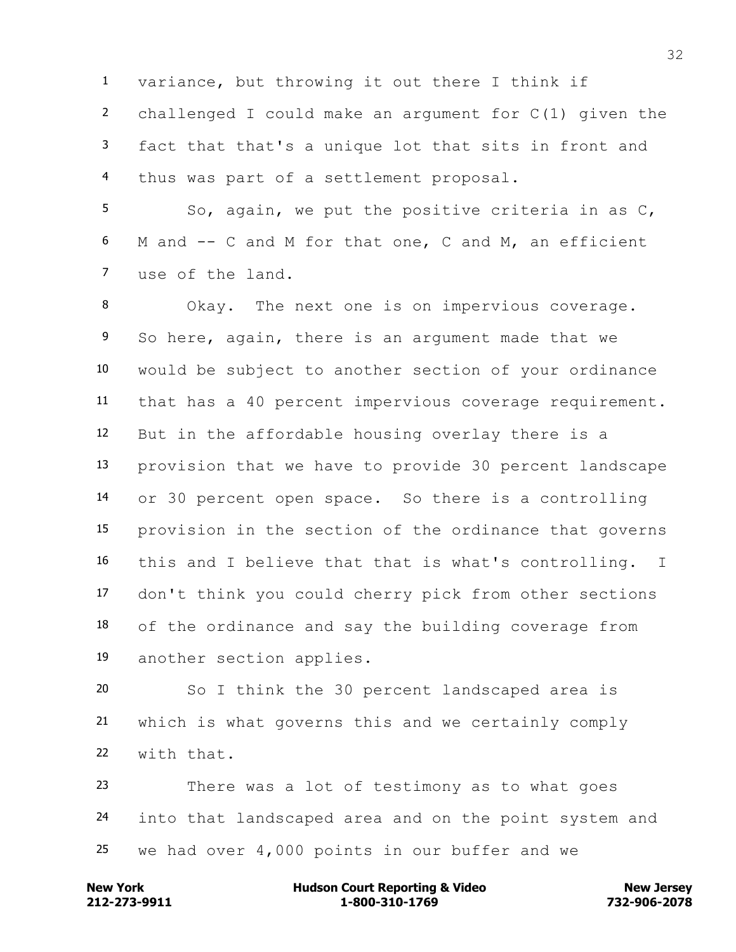variance, but throwing it out there I think if challenged I could make an argument for C(1) given the fact that that's a unique lot that sits in front and thus was part of a settlement proposal.

 So, again, we put the positive criteria in as C, M and -- C and M for that one, C and M, an efficient use of the land.

 Okay. The next one is on impervious coverage. So here, again, there is an argument made that we would be subject to another section of your ordinance that has a 40 percent impervious coverage requirement. But in the affordable housing overlay there is a provision that we have to provide 30 percent landscape or 30 percent open space. So there is a controlling provision in the section of the ordinance that governs this and I believe that that is what's controlling. I don't think you could cherry pick from other sections of the ordinance and say the building coverage from another section applies.

 So I think the 30 percent landscaped area is which is what governs this and we certainly comply with that.

 There was a lot of testimony as to what goes into that landscaped area and on the point system and we had over 4,000 points in our buffer and we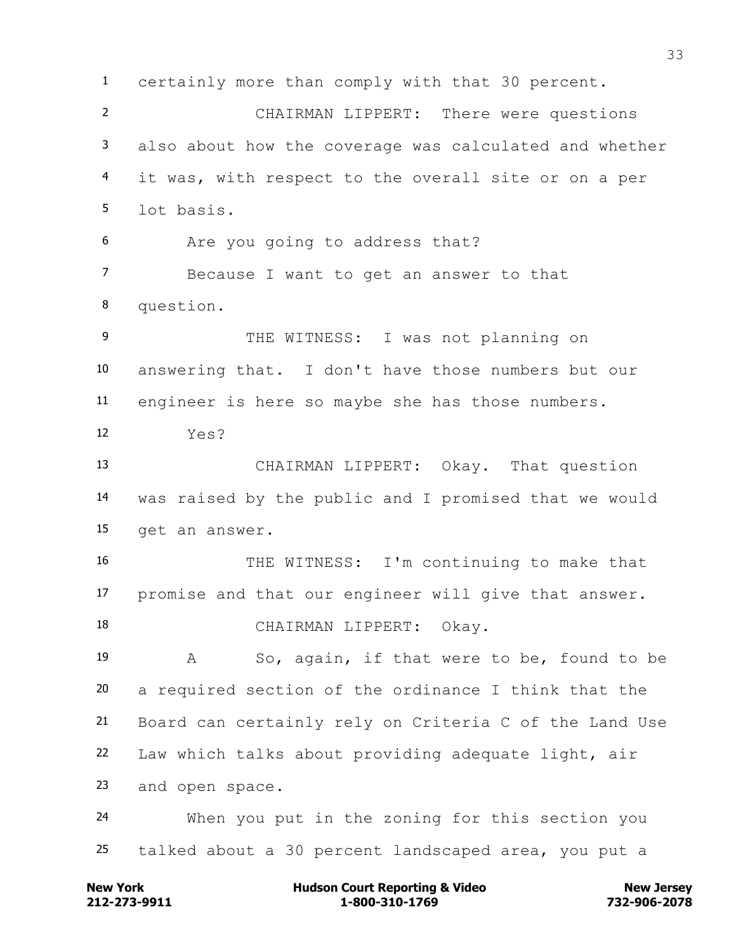certainly more than comply with that 30 percent. CHAIRMAN LIPPERT: There were questions also about how the coverage was calculated and whether it was, with respect to the overall site or on a per lot basis. Are you going to address that? Because I want to get an answer to that question. 9 THE WITNESS: I was not planning on answering that. I don't have those numbers but our engineer is here so maybe she has those numbers. Yes? CHAIRMAN LIPPERT: Okay. That question was raised by the public and I promised that we would get an answer. THE WITNESS: I'm continuing to make that promise and that our engineer will give that answer. 18 CHAIRMAN LIPPERT: Okay. A So, again, if that were to be, found to be a required section of the ordinance I think that the Board can certainly rely on Criteria C of the Land Use Law which talks about providing adequate light, air and open space. When you put in the zoning for this section you talked about a 30 percent landscaped area, you put a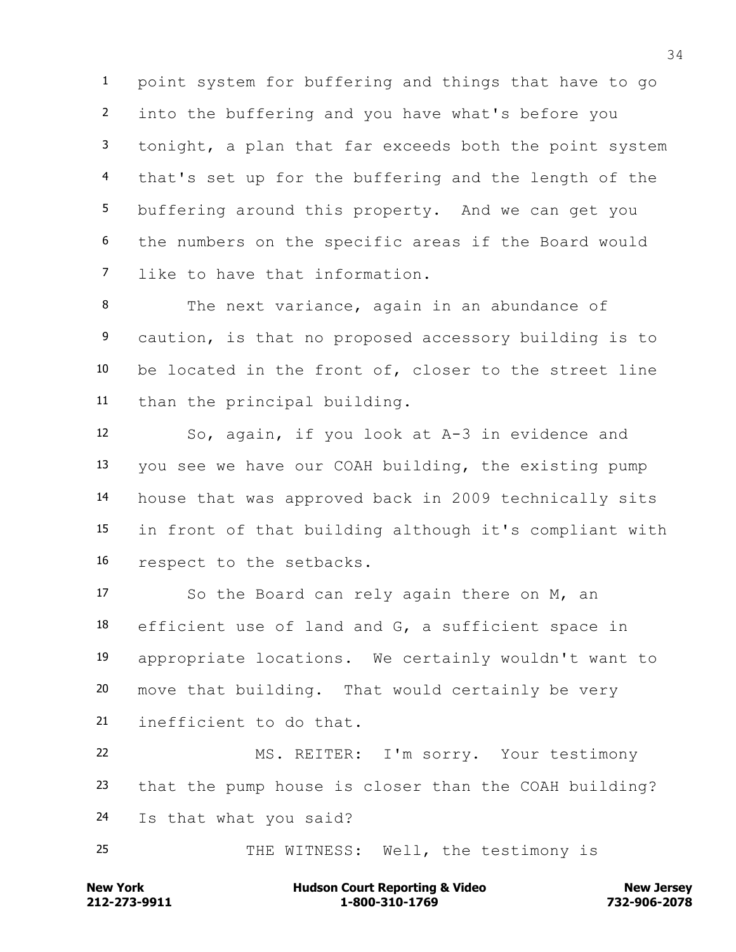point system for buffering and things that have to go into the buffering and you have what's before you tonight, a plan that far exceeds both the point system that's set up for the buffering and the length of the buffering around this property. And we can get you the numbers on the specific areas if the Board would like to have that information.

 The next variance, again in an abundance of caution, is that no proposed accessory building is to be located in the front of, closer to the street line than the principal building.

 So, again, if you look at A-3 in evidence and you see we have our COAH building, the existing pump house that was approved back in 2009 technically sits in front of that building although it's compliant with respect to the setbacks.

 So the Board can rely again there on M, an efficient use of land and G, a sufficient space in appropriate locations. We certainly wouldn't want to move that building. That would certainly be very inefficient to do that.

 MS. REITER: I'm sorry. Your testimony that the pump house is closer than the COAH building? Is that what you said?

THE WITNESS: Well, the testimony is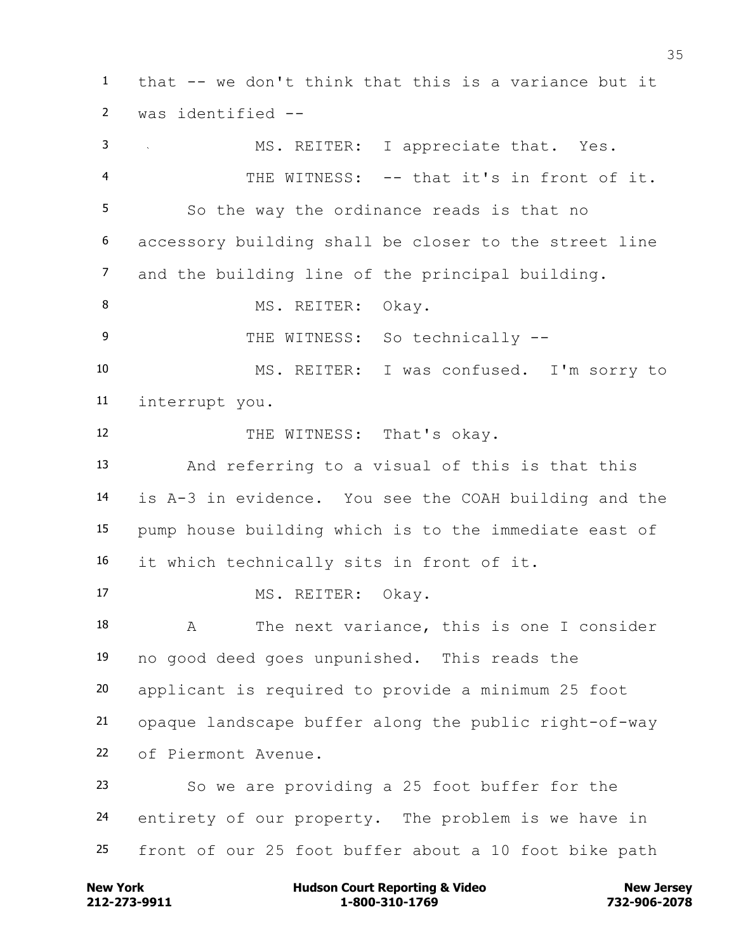that -- we don't think that this is a variance but it was identified -- MS. REITER: I appreciate that. Yes. THE WITNESS: -- that it's in front of it. So the way the ordinance reads is that no accessory building shall be closer to the street line and the building line of the principal building. 8 MS. REITER: Okay. 9 THE WITNESS: So technically -- MS. REITER: I was confused. I'm sorry to interrupt you. 12 THE WITNESS: That's okay. And referring to a visual of this is that this is A-3 in evidence. You see the COAH building and the pump house building which is to the immediate east of it which technically sits in front of it. 17 MS. REITER: Okay. A The next variance, this is one I consider no good deed goes unpunished. This reads the applicant is required to provide a minimum 25 foot opaque landscape buffer along the public right-of-way of Piermont Avenue. So we are providing a 25 foot buffer for the entirety of our property. The problem is we have in front of our 25 foot buffer about a 10 foot bike path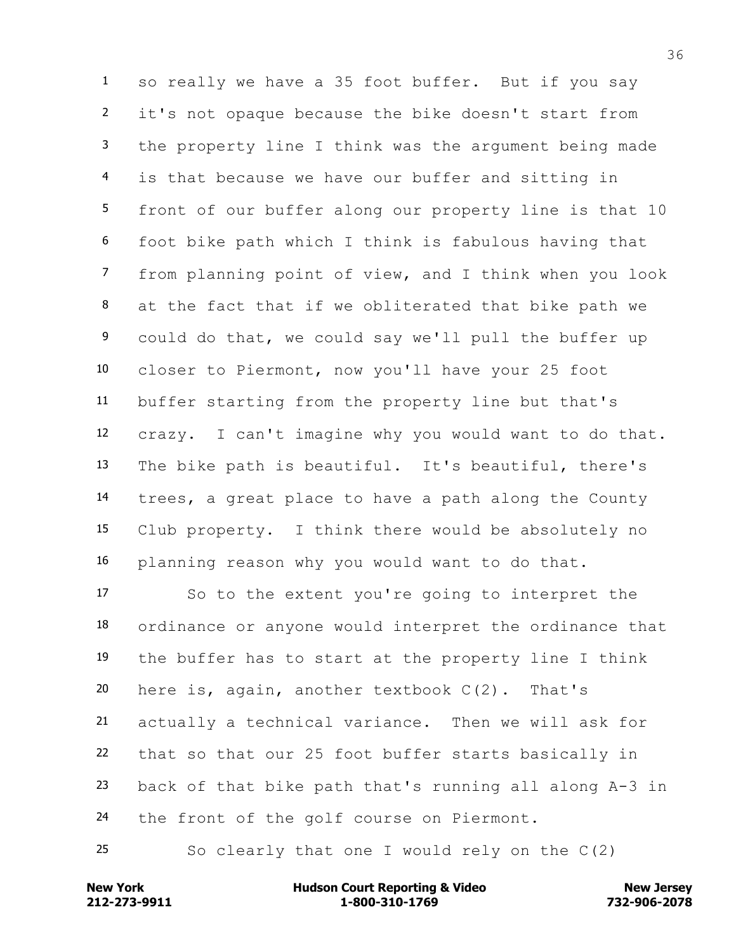so really we have a 35 foot buffer. But if you say it's not opaque because the bike doesn't start from the property line I think was the argument being made is that because we have our buffer and sitting in front of our buffer along our property line is that 10 foot bike path which I think is fabulous having that from planning point of view, and I think when you look at the fact that if we obliterated that bike path we could do that, we could say we'll pull the buffer up closer to Piermont, now you'll have your 25 foot buffer starting from the property line but that's crazy. I can't imagine why you would want to do that. The bike path is beautiful. It's beautiful, there's trees, a great place to have a path along the County Club property. I think there would be absolutely no planning reason why you would want to do that.

 So to the extent you're going to interpret the ordinance or anyone would interpret the ordinance that the buffer has to start at the property line I think here is, again, another textbook C(2). That's actually a technical variance. Then we will ask for that so that our 25 foot buffer starts basically in back of that bike path that's running all along A-3 in 24 the front of the golf course on Piermont.

So clearly that one I would rely on the C(2)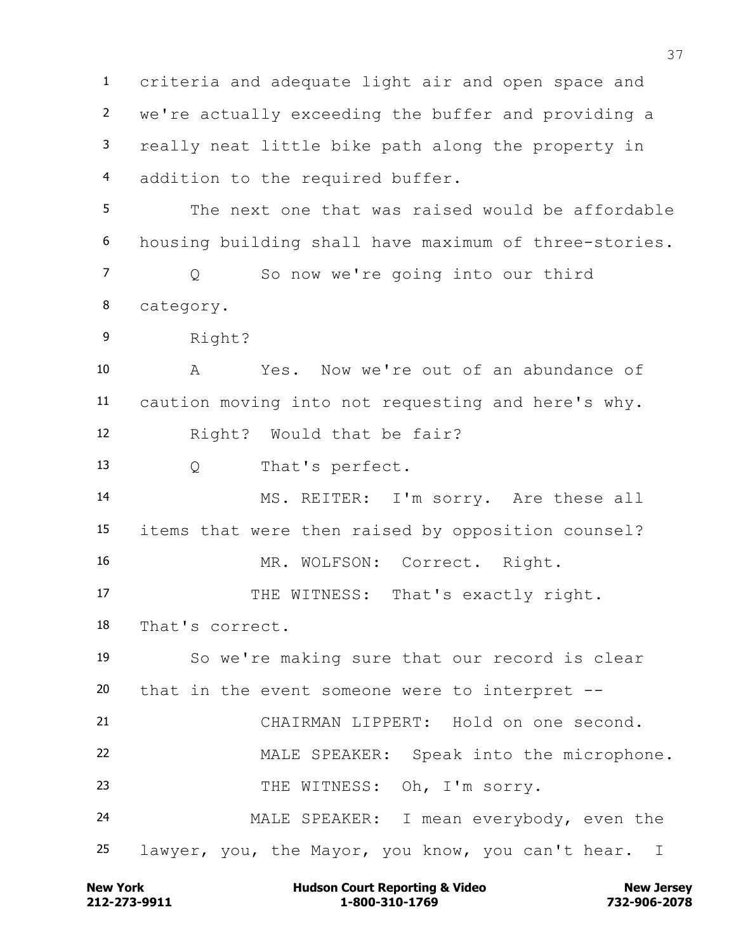criteria and adequate light air and open space and we're actually exceeding the buffer and providing a really neat little bike path along the property in addition to the required buffer. The next one that was raised would be affordable

housing building shall have maximum of three-stories.

 Q So now we're going into our third category.

Right?

 A Yes. Now we're out of an abundance of caution moving into not requesting and here's why. Right? Would that be fair?

Q That's perfect.

 MS. REITER: I'm sorry. Are these all items that were then raised by opposition counsel? 16 MR. WOLFSON: Correct. Right.

17 THE WITNESS: That's exactly right.

That's correct.

 So we're making sure that our record is clear that in the event someone were to interpret --

 CHAIRMAN LIPPERT: Hold on one second. MALE SPEAKER: Speak into the microphone. 23 THE WITNESS: Oh, I'm sorry.

 MALE SPEAKER: I mean everybody, even the lawyer, you, the Mayor, you know, you can't hear. I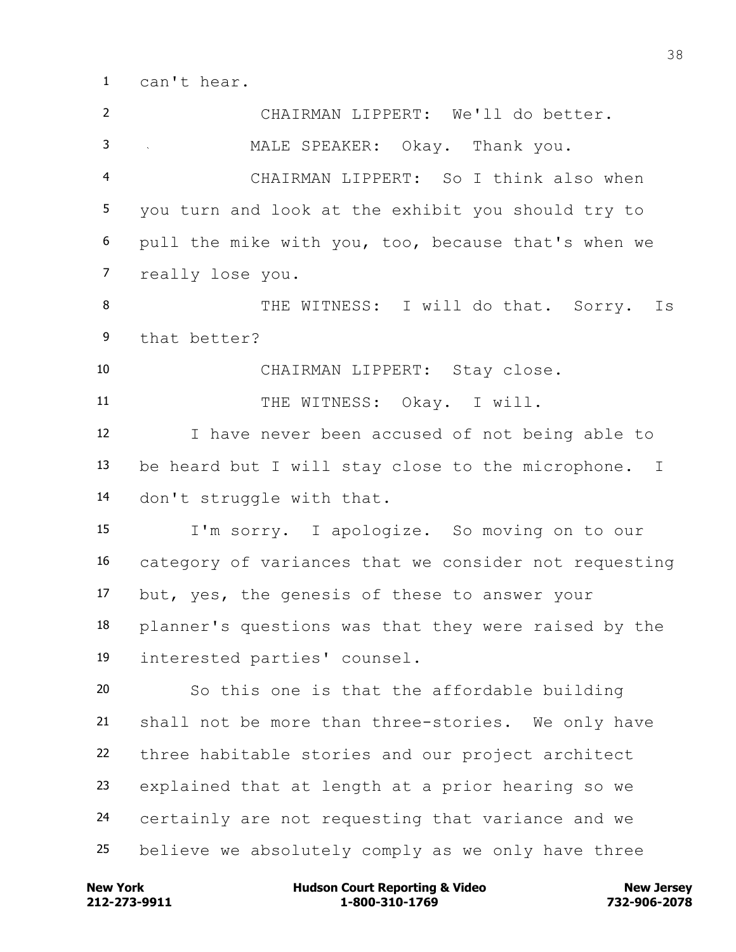can't hear.

| $\overline{2}$ | CHAIRMAN LIPPERT: We'll do better.                    |
|----------------|-------------------------------------------------------|
| 3              | MALE SPEAKER: Okay. Thank you.                        |
| $\overline{4}$ | CHAIRMAN LIPPERT: So I think also when                |
| 5              | you turn and look at the exhibit you should try to    |
| 6              | pull the mike with you, too, because that's when we   |
| $\overline{7}$ | really lose you.                                      |
| 8              | THE WITNESS: I will do that. Sorry.<br>Is             |
| 9              | that better?                                          |
| 10             | CHAIRMAN LIPPERT: Stay close.                         |
| 11             | THE WITNESS: Okay. I will.                            |
| 12             | I have never been accused of not being able to        |
| 13             | be heard but I will stay close to the microphone. I   |
| 14             | don't struggle with that.                             |
| 15             | I'm sorry. I apologize. So moving on to our           |
| 16             | category of variances that we consider not requesting |
| 17             | but, yes, the genesis of these to answer your         |
| 18             | planner's questions was that they were raised by the  |
| 19             | interested parties' counsel.                          |
| 20             | So this one is that the affordable building           |
| 21             | shall not be more than three-stories. We only have    |
| 22             | three habitable stories and our project architect     |
| 23             | explained that at length at a prior hearing so we     |
| 24             | certainly are not requesting that variance and we     |
| 25             | believe we absolutely comply as we only have three    |

**212-273-9911 1-800-310-1769 732-906-2078 New York Hudson Court Reporting & Video New Jersey**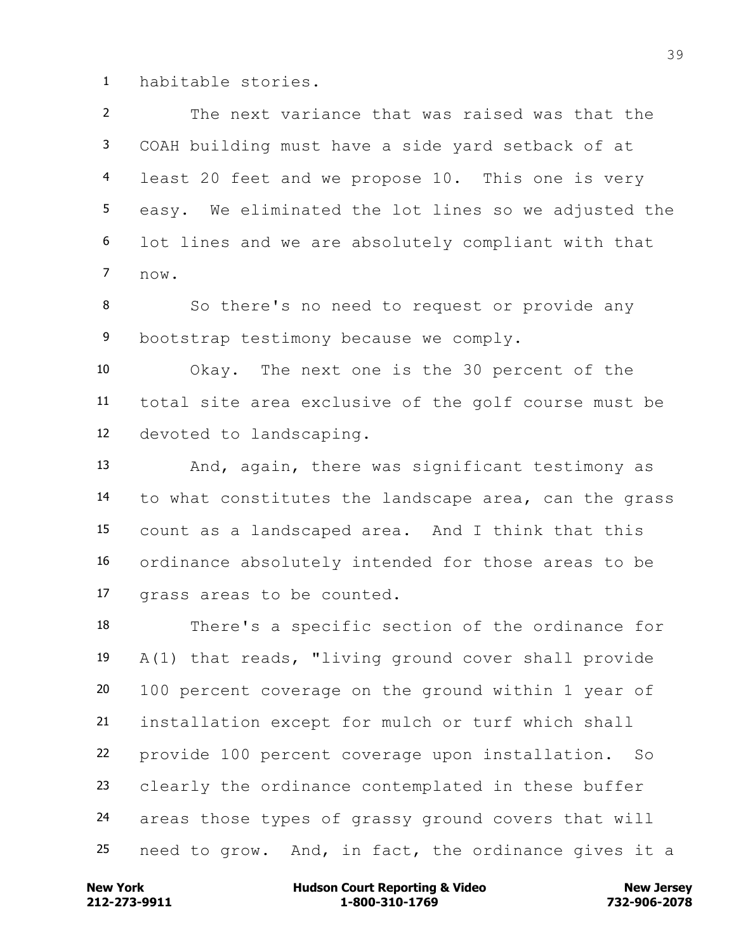habitable stories.

 The next variance that was raised was that the COAH building must have a side yard setback of at least 20 feet and we propose 10. This one is very easy. We eliminated the lot lines so we adjusted the lot lines and we are absolutely compliant with that now.

 So there's no need to request or provide any bootstrap testimony because we comply.

 Okay. The next one is the 30 percent of the total site area exclusive of the golf course must be devoted to landscaping.

 And, again, there was significant testimony as to what constitutes the landscape area, can the grass count as a landscaped area. And I think that this ordinance absolutely intended for those areas to be grass areas to be counted.

 There's a specific section of the ordinance for A(1) that reads, "living ground cover shall provide 100 percent coverage on the ground within 1 year of installation except for mulch or turf which shall provide 100 percent coverage upon installation. So clearly the ordinance contemplated in these buffer areas those types of grassy ground covers that will need to grow. And, in fact, the ordinance gives it a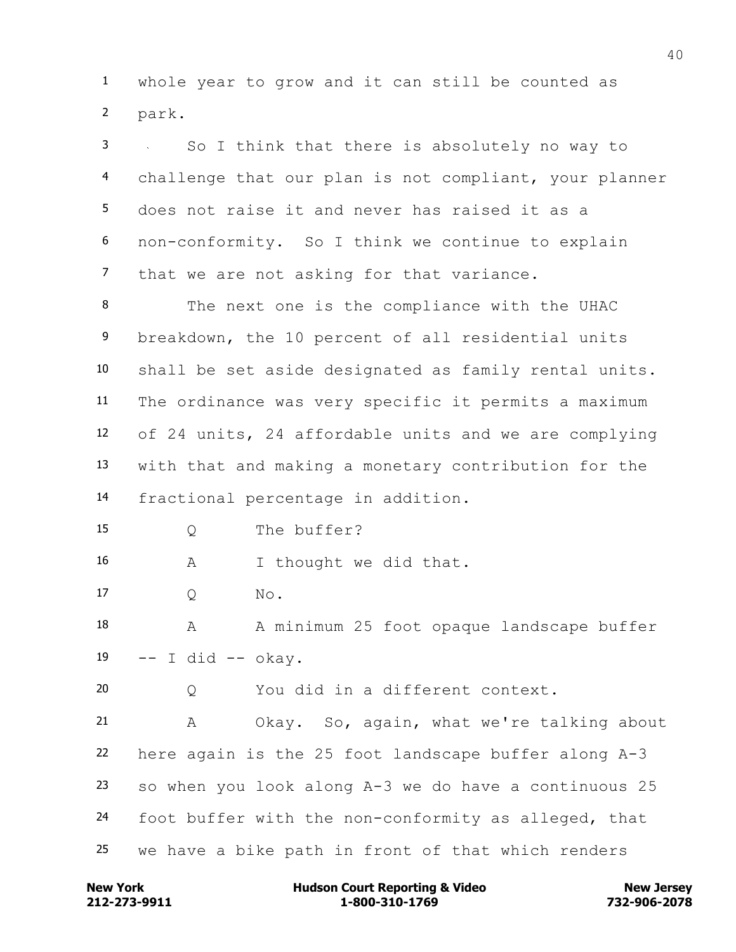whole year to grow and it can still be counted as park.

 So I think that there is absolutely no way to challenge that our plan is not compliant, your planner does not raise it and never has raised it as a non-conformity. So I think we continue to explain that we are not asking for that variance.

 The next one is the compliance with the UHAC breakdown, the 10 percent of all residential units shall be set aside designated as family rental units. The ordinance was very specific it permits a maximum of 24 units, 24 affordable units and we are complying with that and making a monetary contribution for the fractional percentage in addition.

Q The buffer?

A I thought we did that.

Q No.

18 A A minimum 25 foot opaque landscape buffer -- I did -- okay.

Q You did in a different context.

 A Okay. So, again, what we're talking about here again is the 25 foot landscape buffer along A-3 so when you look along A-3 we do have a continuous 25 foot buffer with the non-conformity as alleged, that we have a bike path in front of that which renders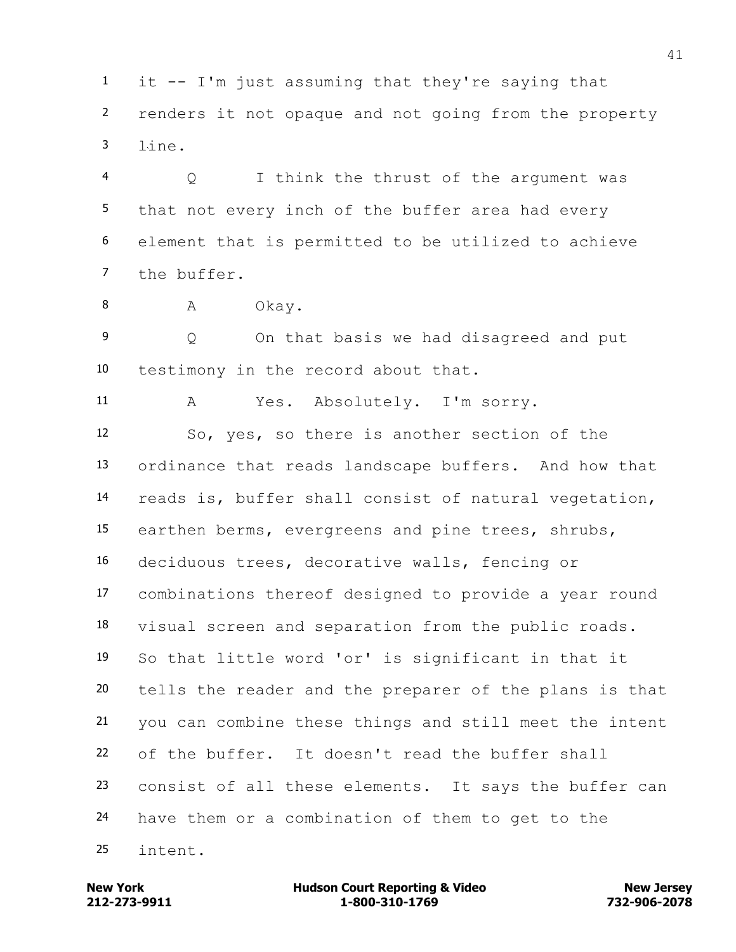it -- I'm just assuming that they're saying that renders it not opaque and not going from the property line.

 Q I think the thrust of the argument was that not every inch of the buffer area had every element that is permitted to be utilized to achieve the buffer.

8 A Okay.

 Q On that basis we had disagreed and put testimony in the record about that.

A Yes. Absolutely. I'm sorry.

 So, yes, so there is another section of the ordinance that reads landscape buffers. And how that reads is, buffer shall consist of natural vegetation, earthen berms, evergreens and pine trees, shrubs, deciduous trees, decorative walls, fencing or combinations thereof designed to provide a year round visual screen and separation from the public roads. So that little word 'or' is significant in that it tells the reader and the preparer of the plans is that you can combine these things and still meet the intent of the buffer. It doesn't read the buffer shall consist of all these elements. It says the buffer can have them or a combination of them to get to the intent.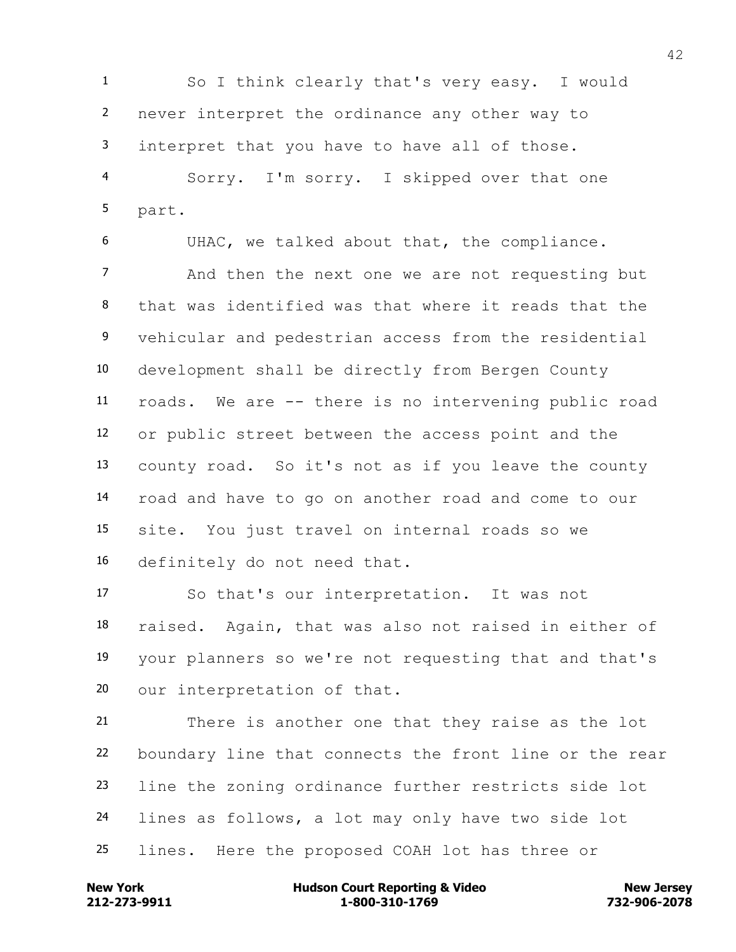So I think clearly that's very easy. I would never interpret the ordinance any other way to interpret that you have to have all of those.

 Sorry. I'm sorry. I skipped over that one part.

 UHAC, we talked about that, the compliance. And then the next one we are not requesting but that was identified was that where it reads that the vehicular and pedestrian access from the residential development shall be directly from Bergen County roads. We are -- there is no intervening public road or public street between the access point and the county road. So it's not as if you leave the county road and have to go on another road and come to our site. You just travel on internal roads so we definitely do not need that.

 So that's our interpretation. It was not raised. Again, that was also not raised in either of your planners so we're not requesting that and that's our interpretation of that.

 There is another one that they raise as the lot boundary line that connects the front line or the rear line the zoning ordinance further restricts side lot lines as follows, a lot may only have two side lot lines. Here the proposed COAH lot has three or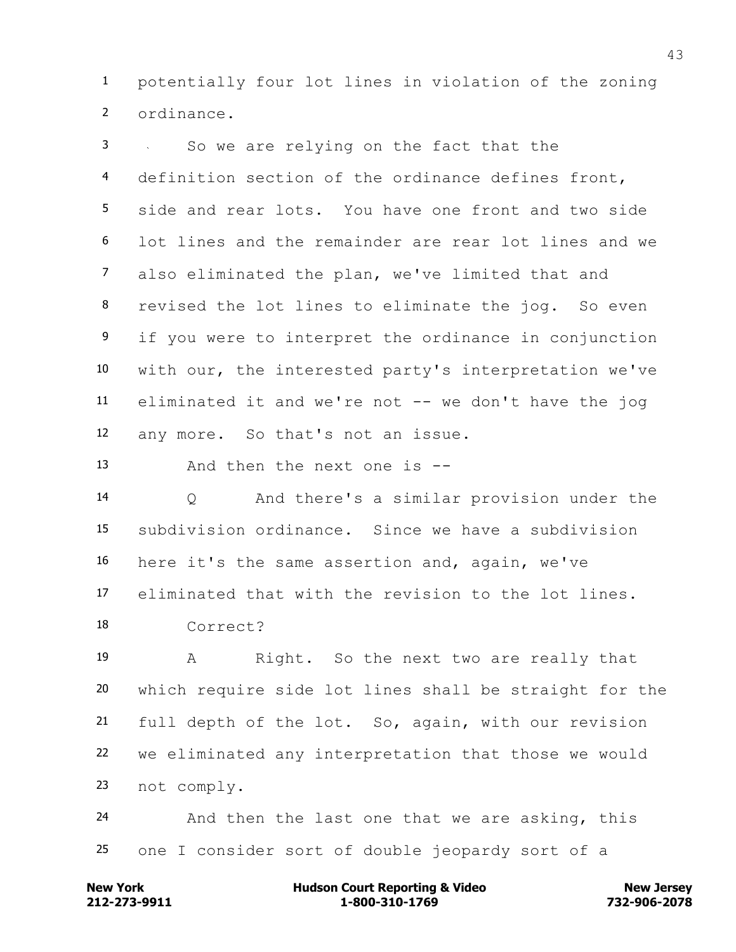potentially four lot lines in violation of the zoning ordinance.

 So we are relying on the fact that the definition section of the ordinance defines front, side and rear lots. You have one front and two side lot lines and the remainder are rear lot lines and we also eliminated the plan, we've limited that and revised the lot lines to eliminate the jog. So even 9 if you were to interpret the ordinance in conjunction with our, the interested party's interpretation we've eliminated it and we're not -- we don't have the jog any more. So that's not an issue.

And then the next one is --

 Q And there's a similar provision under the subdivision ordinance. Since we have a subdivision here it's the same assertion and, again, we've eliminated that with the revision to the lot lines. Correct?

 A Right. So the next two are really that which require side lot lines shall be straight for the full depth of the lot. So, again, with our revision we eliminated any interpretation that those we would not comply.

 And then the last one that we are asking, this one I consider sort of double jeopardy sort of a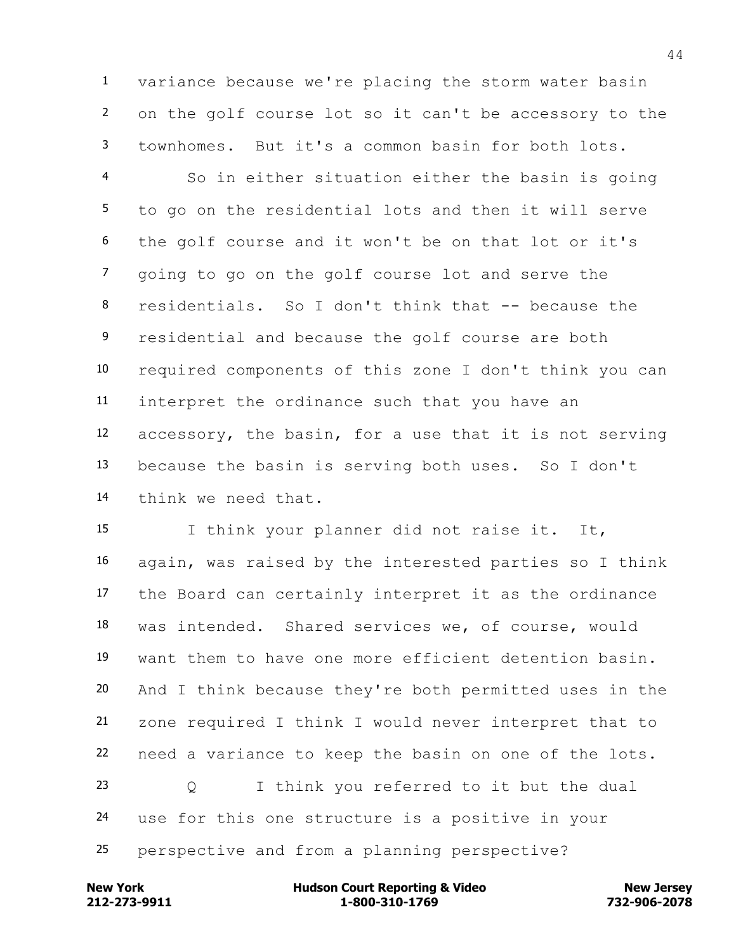variance because we're placing the storm water basin on the golf course lot so it can't be accessory to the townhomes. But it's a common basin for both lots.

 So in either situation either the basin is going to go on the residential lots and then it will serve the golf course and it won't be on that lot or it's going to go on the golf course lot and serve the residentials. So I don't think that -- because the 9 residential and because the golf course are both required components of this zone I don't think you can interpret the ordinance such that you have an accessory, the basin, for a use that it is not serving because the basin is serving both uses. So I don't think we need that.

 I think your planner did not raise it. It, again, was raised by the interested parties so I think the Board can certainly interpret it as the ordinance was intended. Shared services we, of course, would want them to have one more efficient detention basin. And I think because they're both permitted uses in the zone required I think I would never interpret that to need a variance to keep the basin on one of the lots. Q I think you referred to it but the dual use for this one structure is a positive in your perspective and from a planning perspective?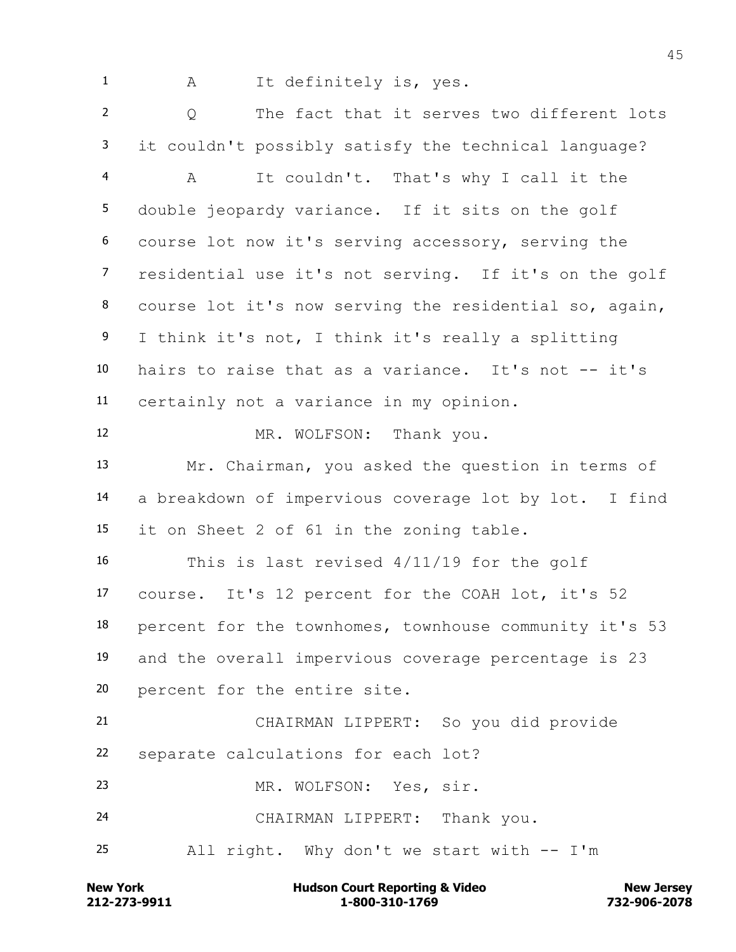1 A It definitely is, yes.

 Q The fact that it serves two different lots it couldn't possibly satisfy the technical language?

 A It couldn't. That's why I call it the double jeopardy variance. If it sits on the golf course lot now it's serving accessory, serving the residential use it's not serving. If it's on the golf course lot it's now serving the residential so, again, I think it's not, I think it's really a splitting hairs to raise that as a variance. It's not -- it's certainly not a variance in my opinion.

12 MR. WOLFSON: Thank you. Mr. Chairman, you asked the question in terms of a breakdown of impervious coverage lot by lot. I find it on Sheet 2 of 61 in the zoning table.

 This is last revised 4/11/19 for the golf course. It's 12 percent for the COAH lot, it's 52 percent for the townhomes, townhouse community it's 53 and the overall impervious coverage percentage is 23 percent for the entire site.

 CHAIRMAN LIPPERT: So you did provide separate calculations for each lot?

MR. WOLFSON: Yes, sir.

CHAIRMAN LIPPERT: Thank you.

All right. Why don't we start with -- I'm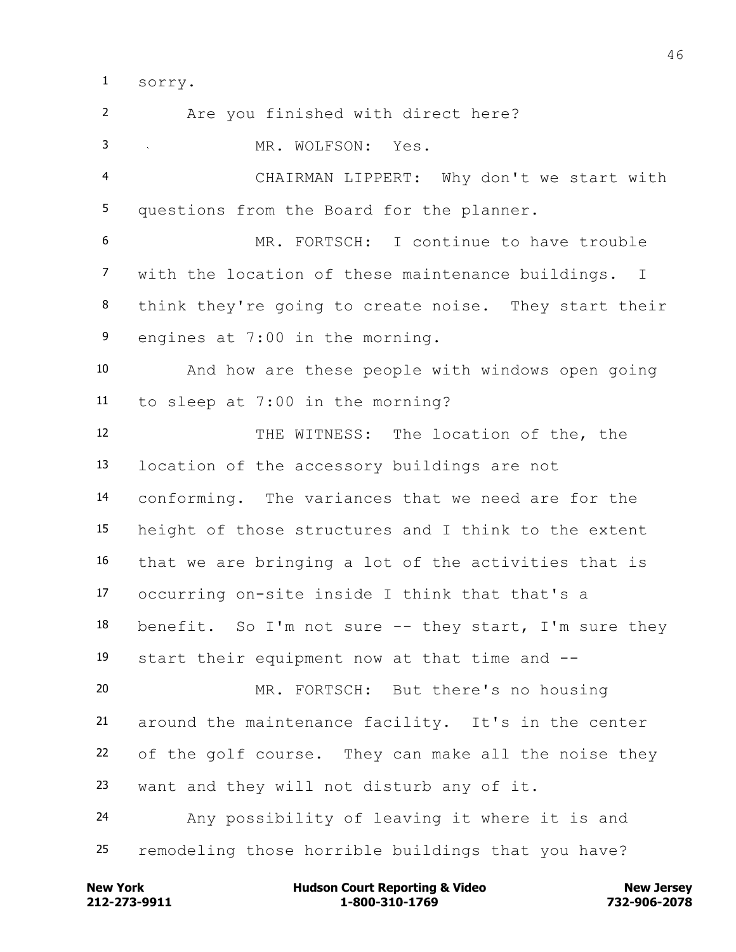sorry.

 Are you finished with direct here? MR. WOLFSON: Yes. CHAIRMAN LIPPERT: Why don't we start with questions from the Board for the planner. MR. FORTSCH: I continue to have trouble with the location of these maintenance buildings. I think they're going to create noise. They start their engines at 7:00 in the morning. And how are these people with windows open going to sleep at 7:00 in the morning? THE WITNESS: The location of the, the location of the accessory buildings are not conforming. The variances that we need are for the height of those structures and I think to the extent that we are bringing a lot of the activities that is occurring on-site inside I think that that's a benefit. So I'm not sure -- they start, I'm sure they start their equipment now at that time and -- MR. FORTSCH: But there's no housing around the maintenance facility. It's in the center of the golf course. They can make all the noise they want and they will not disturb any of it. Any possibility of leaving it where it is and remodeling those horrible buildings that you have?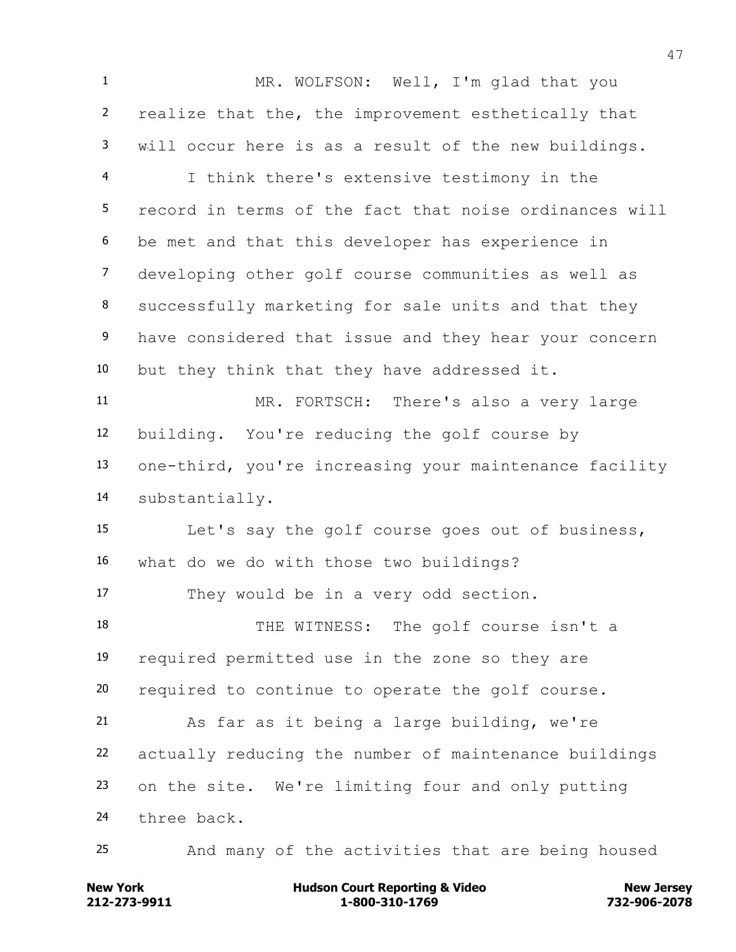MR. WOLFSON: Well, I'm glad that you realize that the, the improvement esthetically that will occur here is as a result of the new buildings. I think there's extensive testimony in the record in terms of the fact that noise ordinances will be met and that this developer has experience in developing other golf course communities as well as successfully marketing for sale units and that they 9 have considered that issue and they hear your concern but they think that they have addressed it. MR. FORTSCH: There's also a very large building. You're reducing the golf course by one-third, you're increasing your maintenance facility substantially. Let's say the golf course goes out of business, what do we do with those two buildings? They would be in a very odd section. THE WITNESS: The golf course isn't a required permitted use in the zone so they are required to continue to operate the golf course. As far as it being a large building, we're actually reducing the number of maintenance buildings on the site. We're limiting four and only putting three back. And many of the activities that are being housed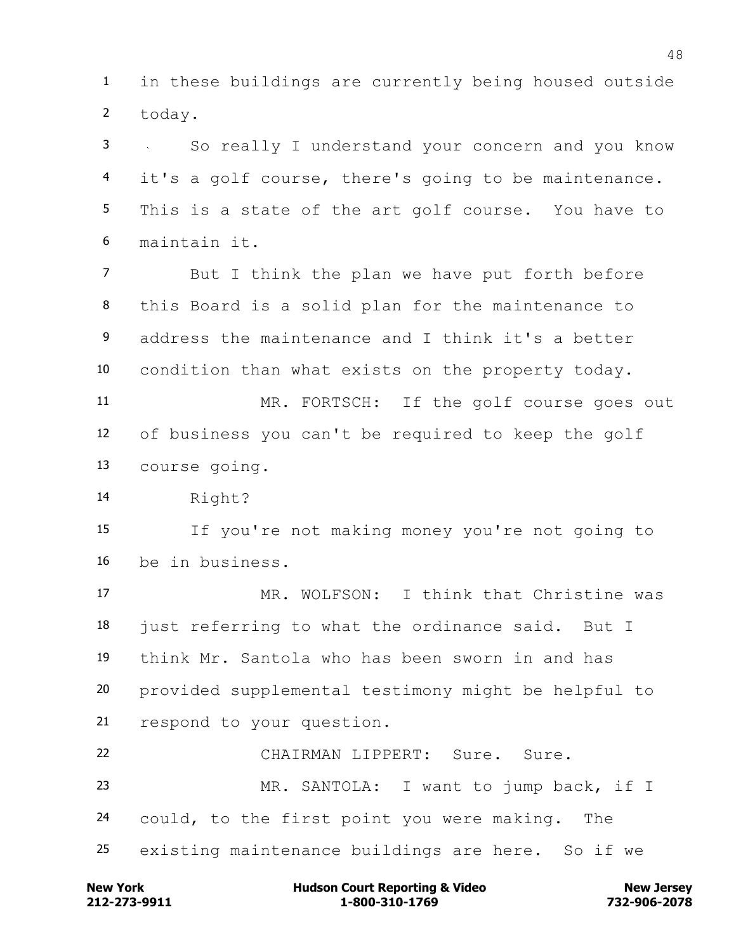in these buildings are currently being housed outside today.

 So really I understand your concern and you know it's a golf course, there's going to be maintenance. This is a state of the art golf course. You have to maintain it.

 But I think the plan we have put forth before this Board is a solid plan for the maintenance to address the maintenance and I think it's a better condition than what exists on the property today.

 MR. FORTSCH: If the golf course goes out of business you can't be required to keep the golf course going.

Right?

 If you're not making money you're not going to be in business.

 MR. WOLFSON: I think that Christine was just referring to what the ordinance said. But I think Mr. Santola who has been sworn in and has provided supplemental testimony might be helpful to respond to your question.

 CHAIRMAN LIPPERT: Sure. Sure. MR. SANTOLA: I want to jump back, if I could, to the first point you were making. The existing maintenance buildings are here. So if we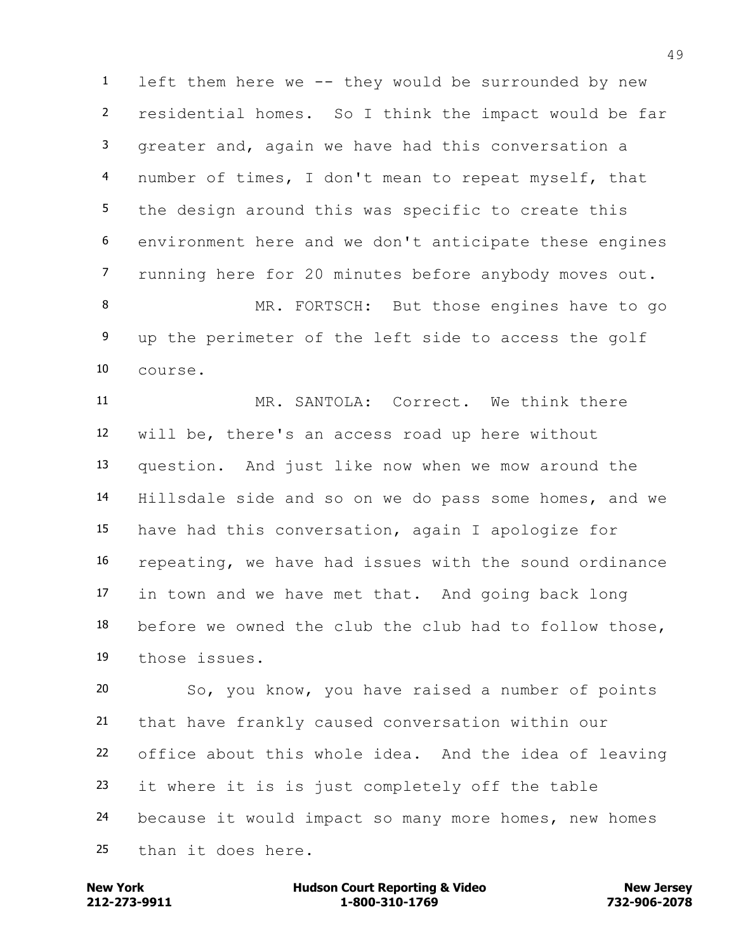left them here we -- they would be surrounded by new residential homes. So I think the impact would be far greater and, again we have had this conversation a number of times, I don't mean to repeat myself, that the design around this was specific to create this environment here and we don't anticipate these engines running here for 20 minutes before anybody moves out.

8 MR. FORTSCH: But those engines have to go up the perimeter of the left side to access the golf course.

 MR. SANTOLA: Correct. We think there will be, there's an access road up here without question. And just like now when we mow around the Hillsdale side and so on we do pass some homes, and we have had this conversation, again I apologize for repeating, we have had issues with the sound ordinance in town and we have met that. And going back long before we owned the club the club had to follow those, those issues.

 So, you know, you have raised a number of points that have frankly caused conversation within our office about this whole idea. And the idea of leaving it where it is is just completely off the table because it would impact so many more homes, new homes than it does here.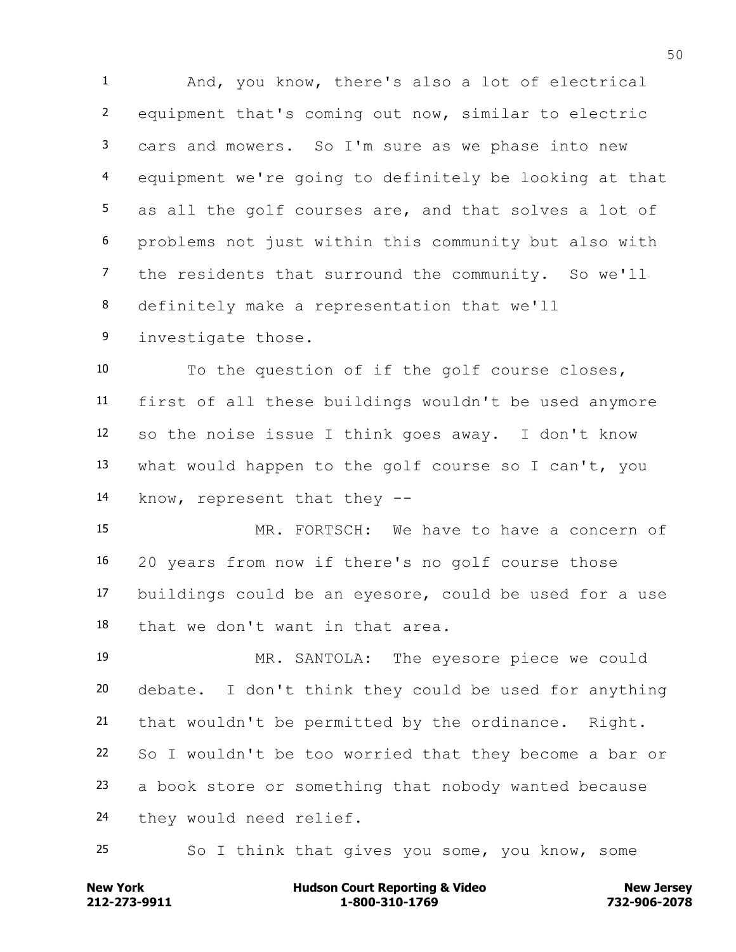And, you know, there's also a lot of electrical equipment that's coming out now, similar to electric cars and mowers. So I'm sure as we phase into new equipment we're going to definitely be looking at that as all the golf courses are, and that solves a lot of problems not just within this community but also with 7 the residents that surround the community. So we'll definitely make a representation that we'll

investigate those.

 To the question of if the golf course closes, first of all these buildings wouldn't be used anymore so the noise issue I think goes away. I don't know what would happen to the golf course so I can't, you know, represent that they --

 MR. FORTSCH: We have to have a concern of 20 years from now if there's no golf course those buildings could be an eyesore, could be used for a use that we don't want in that area.

 MR. SANTOLA: The eyesore piece we could debate. I don't think they could be used for anything that wouldn't be permitted by the ordinance. Right. So I wouldn't be too worried that they become a bar or a book store or something that nobody wanted because they would need relief.

So I think that gives you some, you know, some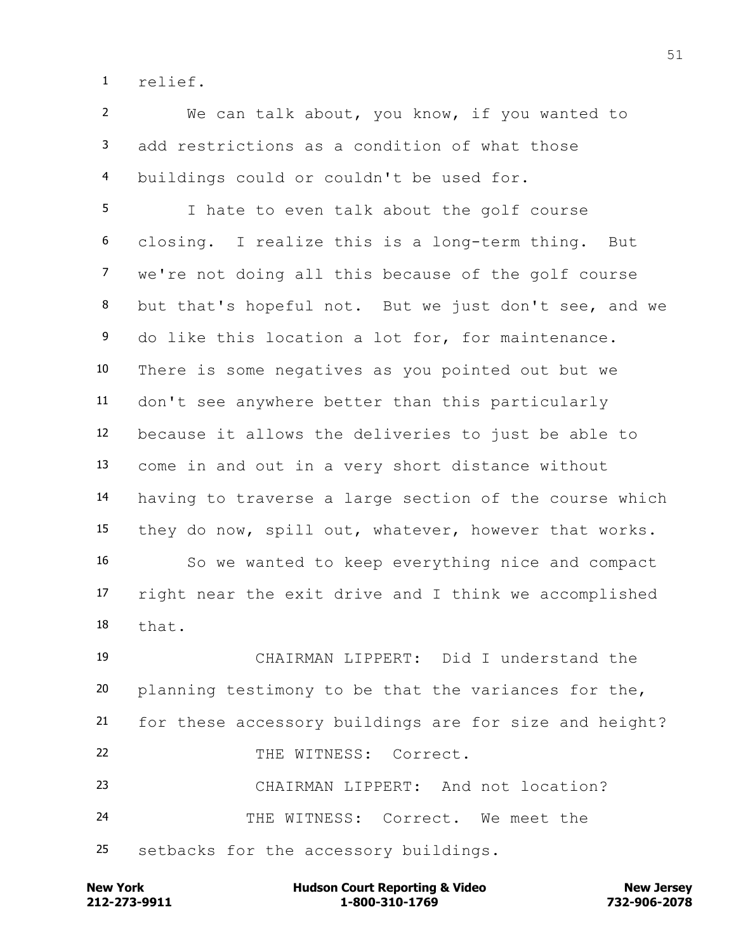relief.

 We can talk about, you know, if you wanted to add restrictions as a condition of what those buildings could or couldn't be used for.

 I hate to even talk about the golf course closing. I realize this is a long-term thing. But we're not doing all this because of the golf course but that's hopeful not. But we just don't see, and we do like this location a lot for, for maintenance. There is some negatives as you pointed out but we don't see anywhere better than this particularly because it allows the deliveries to just be able to come in and out in a very short distance without having to traverse a large section of the course which they do now, spill out, whatever, however that works. So we wanted to keep everything nice and compact right near the exit drive and I think we accomplished that.

 CHAIRMAN LIPPERT: Did I understand the planning testimony to be that the variances for the, for these accessory buildings are for size and height? 22 THE WITNESS: Correct. CHAIRMAN LIPPERT: And not location? THE WITNESS: Correct. We meet the setbacks for the accessory buildings.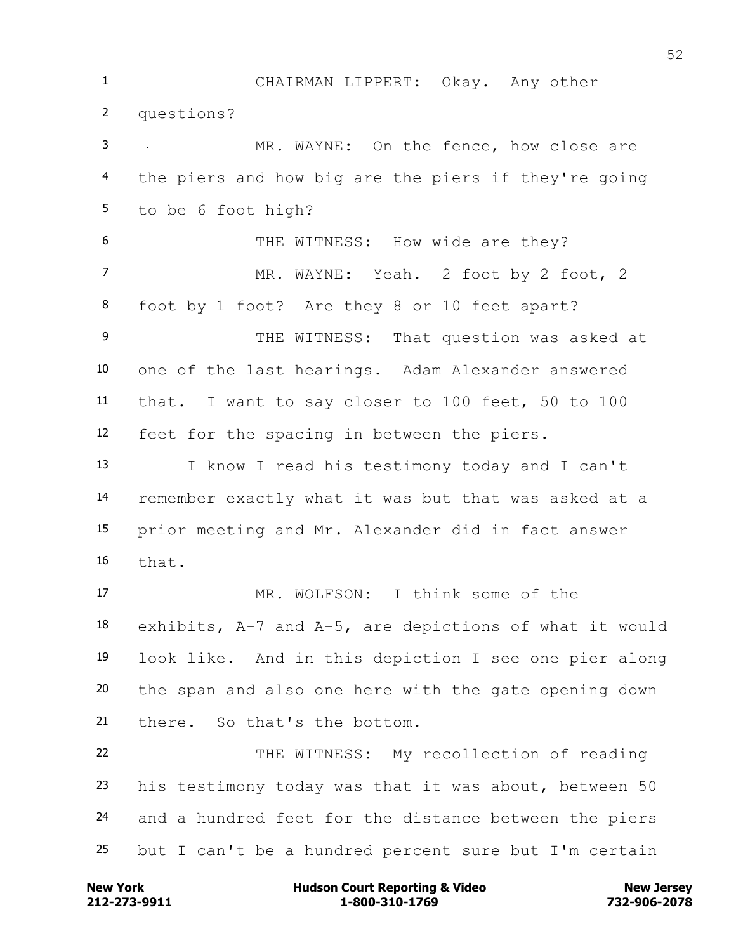CHAIRMAN LIPPERT: Okay. Any other questions? MR. WAYNE: On the fence, how close are the piers and how big are the piers if they're going to be 6 foot high? 6 THE WITNESS: How wide are they? 7 MR. WAYNE: Yeah. 2 foot by 2 foot, 2 foot by 1 foot? Are they 8 or 10 feet apart? 9 THE WITNESS: That question was asked at one of the last hearings. Adam Alexander answered that. I want to say closer to 100 feet, 50 to 100 feet for the spacing in between the piers. I know I read his testimony today and I can't remember exactly what it was but that was asked at a prior meeting and Mr. Alexander did in fact answer that. MR. WOLFSON: I think some of the exhibits, A-7 and A-5, are depictions of what it would look like. And in this depiction I see one pier along the span and also one here with the gate opening down there. So that's the bottom. THE WITNESS: My recollection of reading his testimony today was that it was about, between 50 and a hundred feet for the distance between the piers but I can't be a hundred percent sure but I'm certain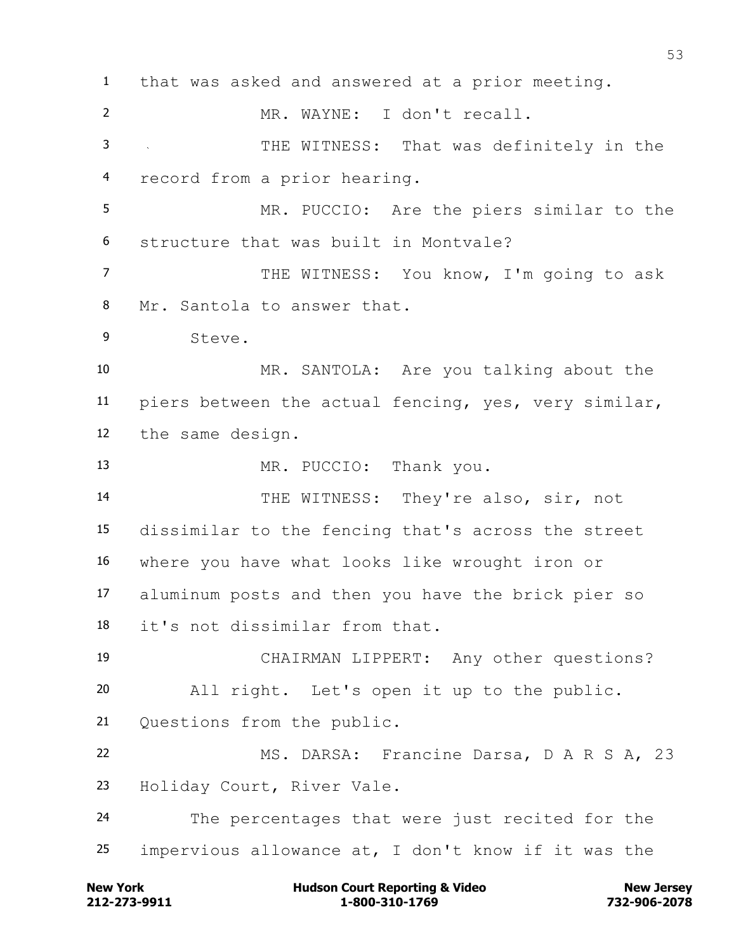that was asked and answered at a prior meeting. MR. WAYNE: I don't recall. THE WITNESS: That was definitely in the record from a prior hearing. MR. PUCCIO: Are the piers similar to the structure that was built in Montvale? THE WITNESS: You know, I'm going to ask Mr. Santola to answer that. Steve. MR. SANTOLA: Are you talking about the piers between the actual fencing, yes, very similar, the same design. 13 MR. PUCCIO: Thank you. 14 THE WITNESS: They're also, sir, not dissimilar to the fencing that's across the street where you have what looks like wrought iron or aluminum posts and then you have the brick pier so it's not dissimilar from that. CHAIRMAN LIPPERT: Any other questions? All right. Let's open it up to the public. Questions from the public. MS. DARSA: Francine Darsa, D A R S A, 23 Holiday Court, River Vale. The percentages that were just recited for the impervious allowance at, I don't know if it was the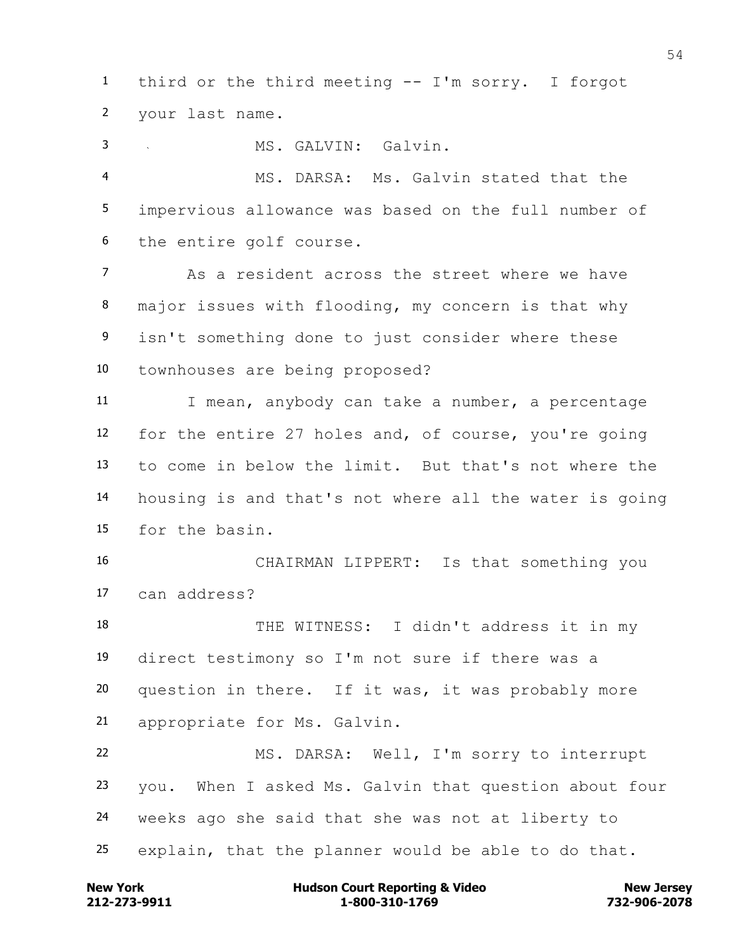third or the third meeting -- I'm sorry. I forgot your last name.

MS. GALVIN: Galvin.

 MS. DARSA: Ms. Galvin stated that the impervious allowance was based on the full number of the entire golf course.

 As a resident across the street where we have major issues with flooding, my concern is that why isn't something done to just consider where these townhouses are being proposed?

11 I mean, anybody can take a number, a percentage for the entire 27 holes and, of course, you're going to come in below the limit. But that's not where the housing is and that's not where all the water is going for the basin.

 CHAIRMAN LIPPERT: Is that something you can address?

 THE WITNESS: I didn't address it in my direct testimony so I'm not sure if there was a question in there. If it was, it was probably more appropriate for Ms. Galvin.

 MS. DARSA: Well, I'm sorry to interrupt you. When I asked Ms. Galvin that question about four weeks ago she said that she was not at liberty to explain, that the planner would be able to do that.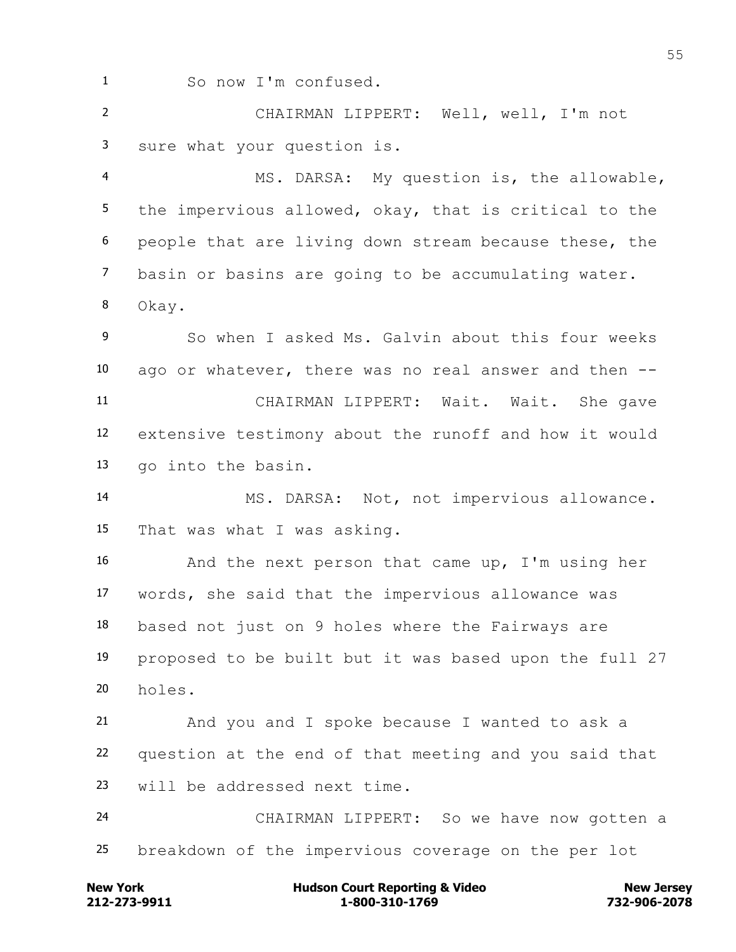So now I'm confused.

 CHAIRMAN LIPPERT: Well, well, I'm not sure what your question is.

 MS. DARSA: My question is, the allowable, the impervious allowed, okay, that is critical to the people that are living down stream because these, the basin or basins are going to be accumulating water. Okay.

 So when I asked Ms. Galvin about this four weeks ago or whatever, there was no real answer and then -- CHAIRMAN LIPPERT: Wait. Wait. She gave extensive testimony about the runoff and how it would go into the basin.

 MS. DARSA: Not, not impervious allowance. That was what I was asking.

 And the next person that came up, I'm using her words, she said that the impervious allowance was based not just on 9 holes where the Fairways are proposed to be built but it was based upon the full 27 holes.

 And you and I spoke because I wanted to ask a question at the end of that meeting and you said that will be addressed next time.

 CHAIRMAN LIPPERT: So we have now gotten a breakdown of the impervious coverage on the per lot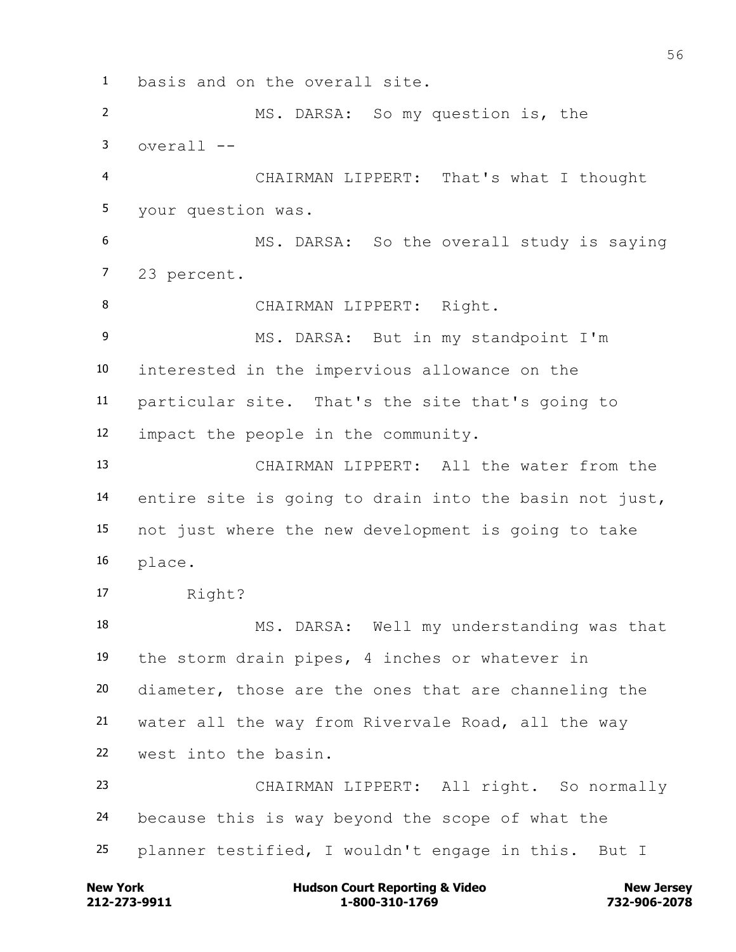basis and on the overall site. MS. DARSA: So my question is, the overall  $-$  CHAIRMAN LIPPERT: That's what I thought your question was. MS. DARSA: So the overall study is saying 23 percent. 8 CHAIRMAN LIPPERT: Right. MS. DARSA: But in my standpoint I'm interested in the impervious allowance on the particular site. That's the site that's going to impact the people in the community. CHAIRMAN LIPPERT: All the water from the entire site is going to drain into the basin not just, not just where the new development is going to take place. Right? MS. DARSA: Well my understanding was that the storm drain pipes, 4 inches or whatever in diameter, those are the ones that are channeling the water all the way from Rivervale Road, all the way west into the basin. CHAIRMAN LIPPERT: All right. So normally because this is way beyond the scope of what the planner testified, I wouldn't engage in this. But I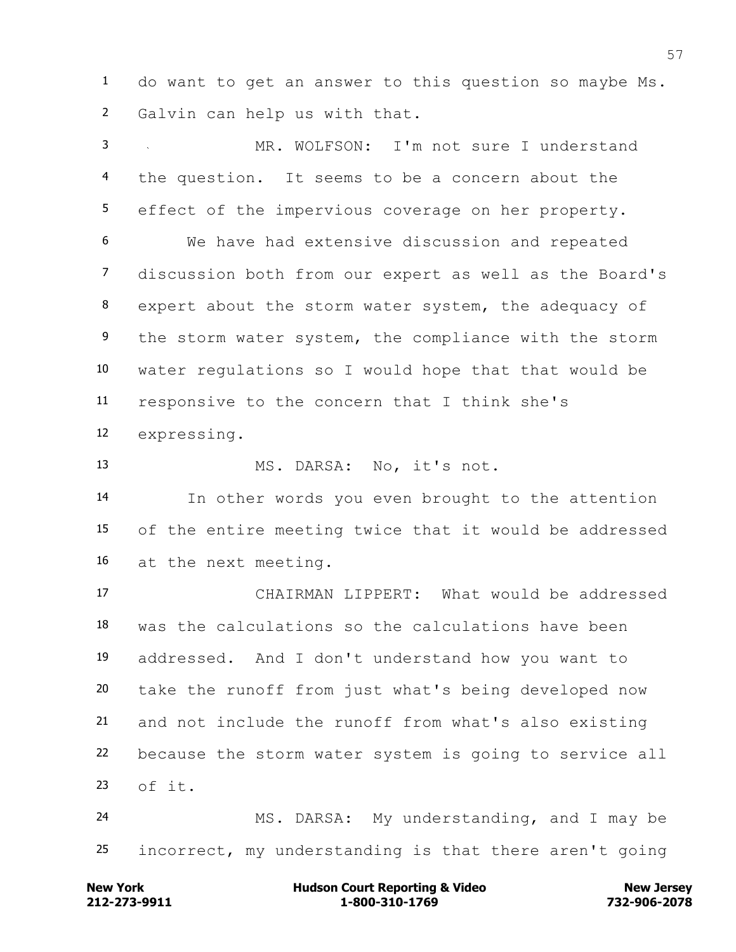do want to get an answer to this question so maybe Ms. Galvin can help us with that.

 MR. WOLFSON: I'm not sure I understand the question. It seems to be a concern about the effect of the impervious coverage on her property. We have had extensive discussion and repeated discussion both from our expert as well as the Board's expert about the storm water system, the adequacy of the storm water system, the compliance with the storm water regulations so I would hope that that would be responsive to the concern that I think she's expressing. MS. DARSA: No, it's not. In other words you even brought to the attention of the entire meeting twice that it would be addressed at the next meeting. CHAIRMAN LIPPERT: What would be addressed was the calculations so the calculations have been addressed. And I don't understand how you want to take the runoff from just what's being developed now and not include the runoff from what's also existing because the storm water system is going to service all of it. MS. DARSA: My understanding, and I may be

**212-273-9911 1-800-310-1769 732-906-2078 New York Communist Court Reporting & Video New Jersey Rew Jersey** 

incorrect, my understanding is that there aren't going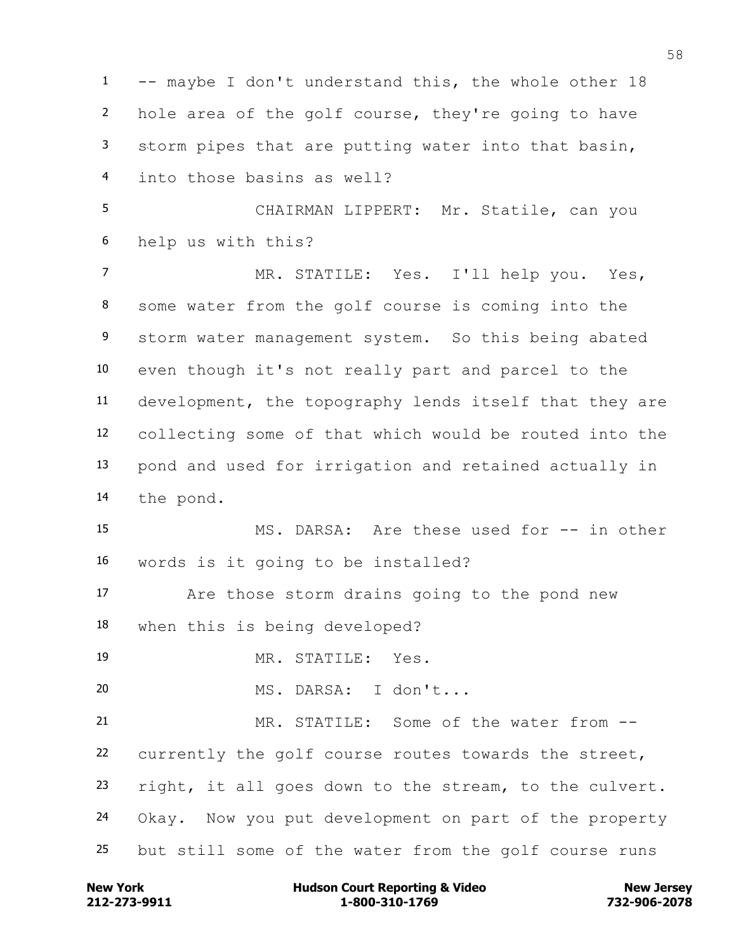1 -- maybe I don't understand this, the whole other 18 hole area of the golf course, they're going to have storm pipes that are putting water into that basin, into those basins as well? CHAIRMAN LIPPERT: Mr. Statile, can you help us with this? MR. STATILE: Yes. I'll help you. Yes, some water from the golf course is coming into the storm water management system. So this being abated even though it's not really part and parcel to the development, the topography lends itself that they are collecting some of that which would be routed into the pond and used for irrigation and retained actually in the pond. MS. DARSA: Are these used for -- in other words is it going to be installed? Are those storm drains going to the pond new when this is being developed? MR. STATILE: Yes. MS. DARSA: I don't... MR. STATILE: Some of the water from -- currently the golf course routes towards the street, right, it all goes down to the stream, to the culvert. Okay. Now you put development on part of the property but still some of the water from the golf course runs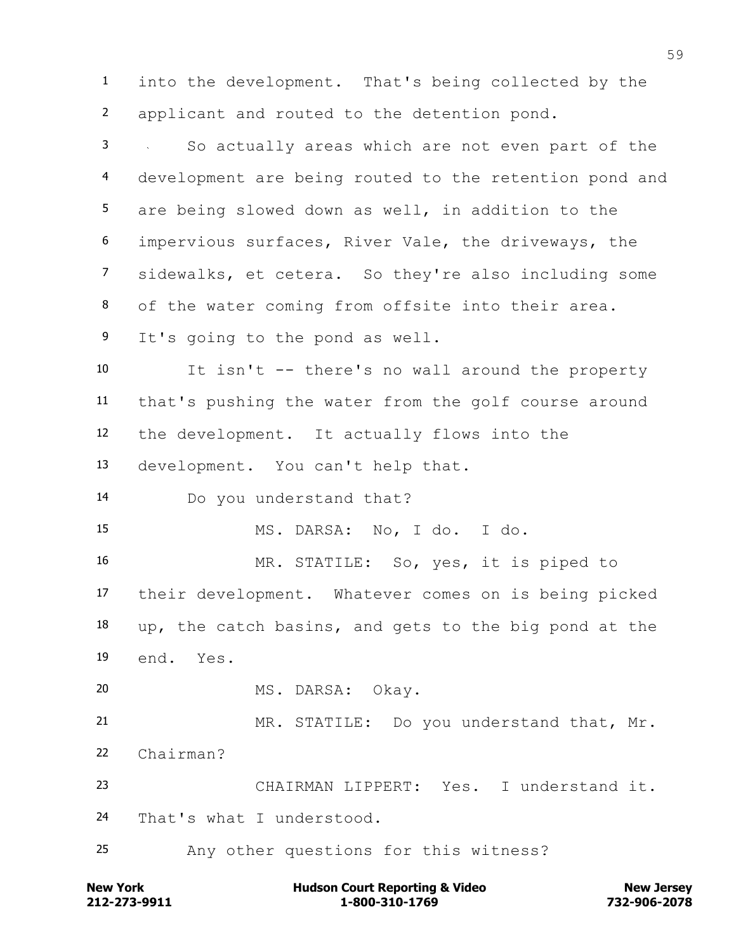into the development. That's being collected by the applicant and routed to the detention pond.

 So actually areas which are not even part of the development are being routed to the retention pond and are being slowed down as well, in addition to the impervious surfaces, River Vale, the driveways, the sidewalks, et cetera. So they're also including some of the water coming from offsite into their area. It's going to the pond as well.

 It isn't -- there's no wall around the property that's pushing the water from the golf course around the development. It actually flows into the development. You can't help that.

Do you understand that?

MS. DARSA: No, I do. I do.

 MR. STATILE: So, yes, it is piped to their development. Whatever comes on is being picked up, the catch basins, and gets to the big pond at the end. Yes.

MS. DARSA: Okay.

 MR. STATILE: Do you understand that, Mr. Chairman?

 CHAIRMAN LIPPERT: Yes. I understand it. That's what I understood.

Any other questions for this witness?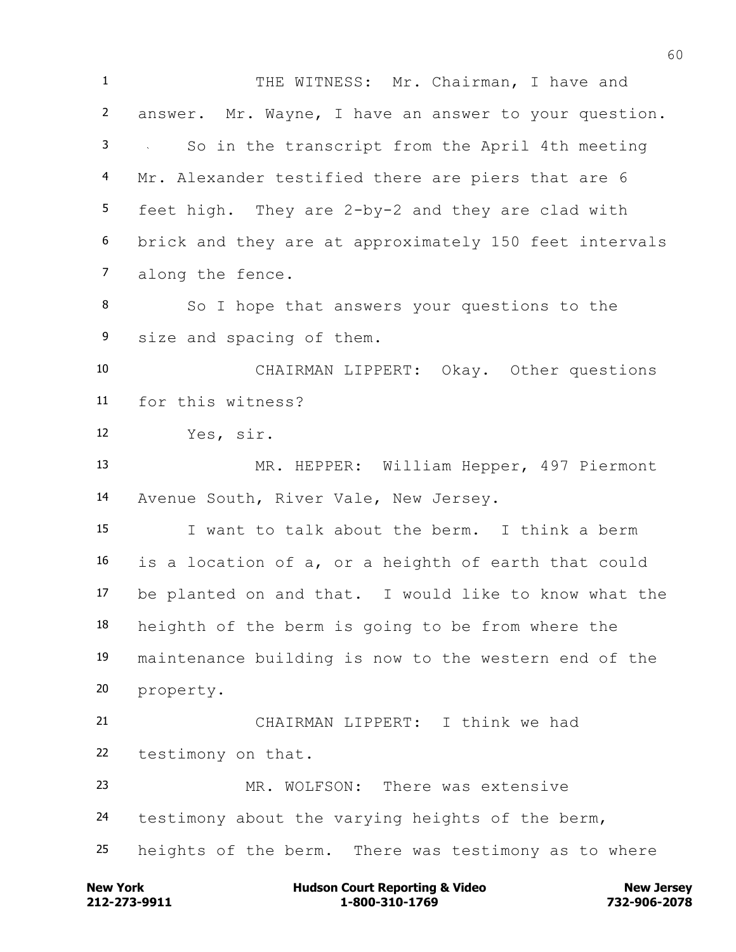1 THE WITNESS: Mr. Chairman, I have and answer. Mr. Wayne, I have an answer to your question. So in the transcript from the April 4th meeting Mr. Alexander testified there are piers that are 6 feet high. They are 2-by-2 and they are clad with brick and they are at approximately 150 feet intervals along the fence. So I hope that answers your questions to the size and spacing of them. CHAIRMAN LIPPERT: Okay. Other questions for this witness? Yes, sir. MR. HEPPER: William Hepper, 497 Piermont Avenue South, River Vale, New Jersey. I want to talk about the berm. I think a berm is a location of a, or a heighth of earth that could be planted on and that. I would like to know what the heighth of the berm is going to be from where the maintenance building is now to the western end of the property. CHAIRMAN LIPPERT: I think we had testimony on that. MR. WOLFSON: There was extensive testimony about the varying heights of the berm, heights of the berm. There was testimony as to where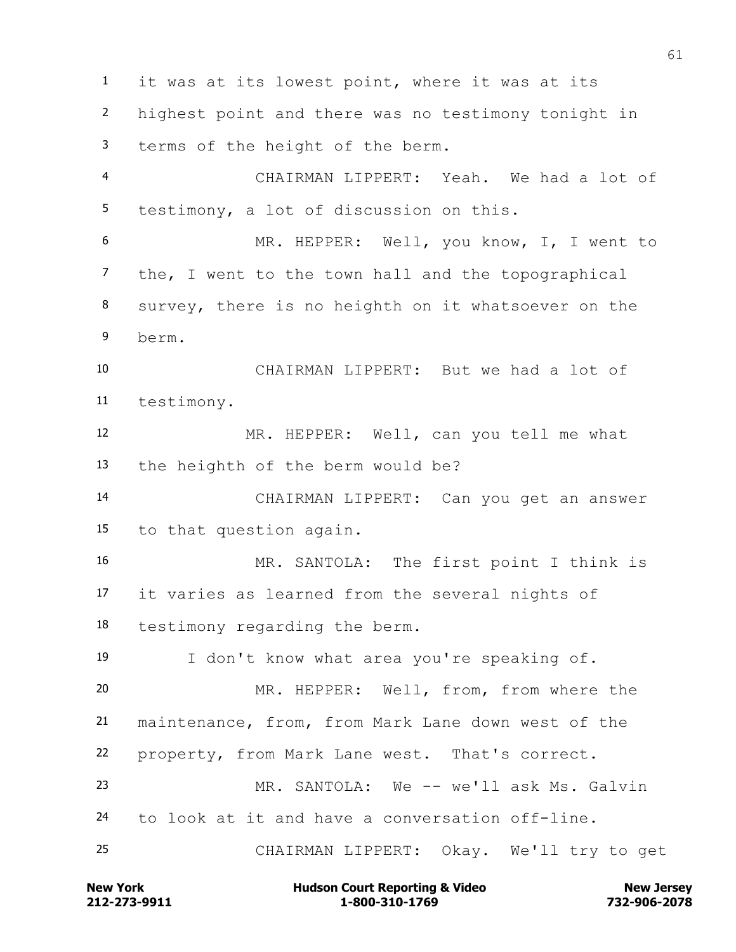it was at its lowest point, where it was at its highest point and there was no testimony tonight in terms of the height of the berm. CHAIRMAN LIPPERT: Yeah. We had a lot of testimony, a lot of discussion on this. MR. HEPPER: Well, you know, I, I went to the, I went to the town hall and the topographical survey, there is no heighth on it whatsoever on the berm. CHAIRMAN LIPPERT: But we had a lot of testimony. MR. HEPPER: Well, can you tell me what the heighth of the berm would be? CHAIRMAN LIPPERT: Can you get an answer to that question again. MR. SANTOLA: The first point I think is it varies as learned from the several nights of testimony regarding the berm. I don't know what area you're speaking of. MR. HEPPER: Well, from, from where the maintenance, from, from Mark Lane down west of the property, from Mark Lane west. That's correct. MR. SANTOLA: We -- we'll ask Ms. Galvin to look at it and have a conversation off-line. CHAIRMAN LIPPERT: Okay. We'll try to get

**212-273-9911 1-800-310-1769 732-906-2078 New York Communist Court Reporting & Video New Jersey Rew Jersey**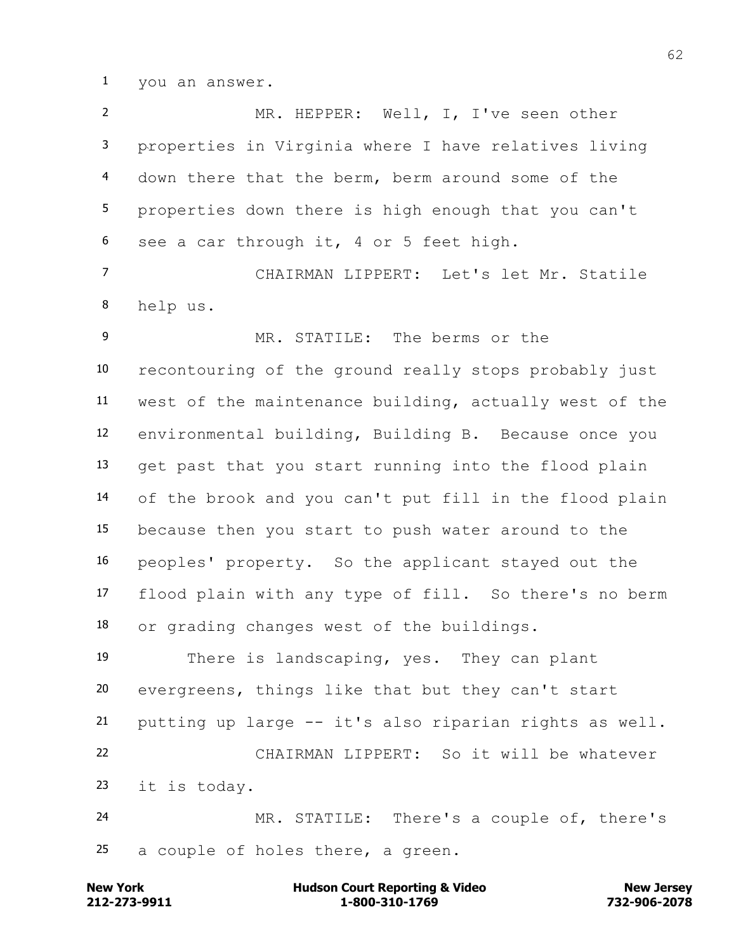you an answer.

 MR. HEPPER: Well, I, I've seen other properties in Virginia where I have relatives living down there that the berm, berm around some of the properties down there is high enough that you can't see a car through it, 4 or 5 feet high. CHAIRMAN LIPPERT: Let's let Mr. Statile help us. MR. STATILE: The berms or the recontouring of the ground really stops probably just west of the maintenance building, actually west of the environmental building, Building B. Because once you get past that you start running into the flood plain of the brook and you can't put fill in the flood plain because then you start to push water around to the peoples' property. So the applicant stayed out the flood plain with any type of fill. So there's no berm or grading changes west of the buildings. There is landscaping, yes. They can plant evergreens, things like that but they can't start putting up large -- it's also riparian rights as well. CHAIRMAN LIPPERT: So it will be whatever it is today. MR. STATILE: There's a couple of, there's a couple of holes there, a green.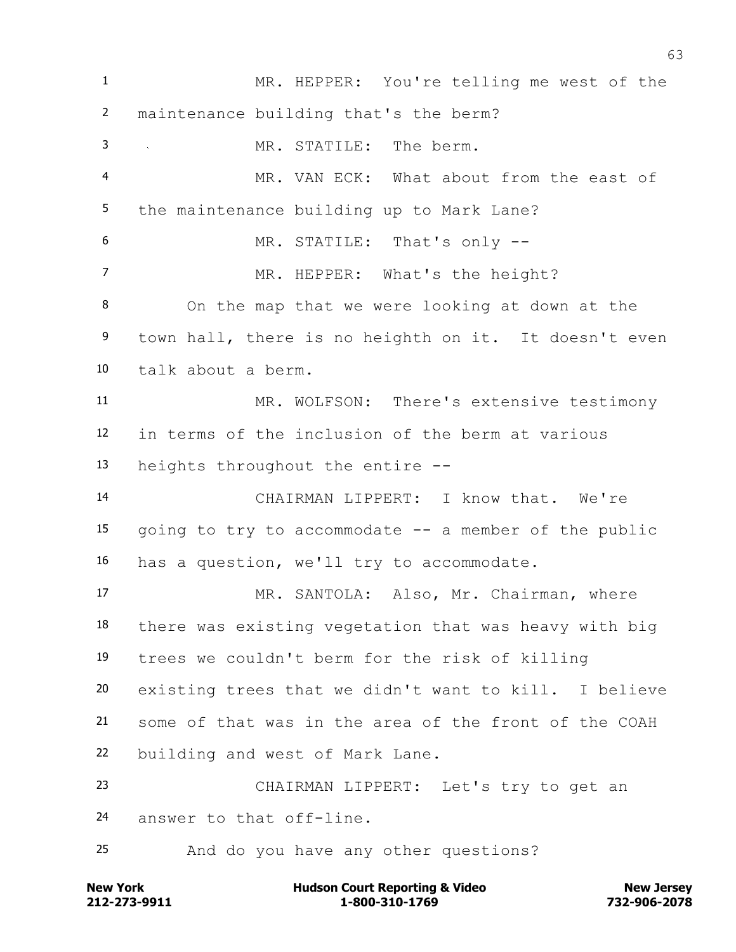MR. HEPPER: You're telling me west of the maintenance building that's the berm? MR. STATILE: The berm. MR. VAN ECK: What about from the east of the maintenance building up to Mark Lane? MR. STATILE: That's only -- 7 MR. HEPPER: What's the height? On the map that we were looking at down at the town hall, there is no heighth on it. It doesn't even talk about a berm. MR. WOLFSON: There's extensive testimony in terms of the inclusion of the berm at various heights throughout the entire -- CHAIRMAN LIPPERT: I know that. We're going to try to accommodate -- a member of the public has a question, we'll try to accommodate. MR. SANTOLA: Also, Mr. Chairman, where there was existing vegetation that was heavy with big trees we couldn't berm for the risk of killing existing trees that we didn't want to kill. I believe some of that was in the area of the front of the COAH building and west of Mark Lane. CHAIRMAN LIPPERT: Let's try to get an answer to that off-line. And do you have any other questions?

**212-273-9911 1-800-310-1769 732-906-2078 New York Communist Court Reporting & Video New Jersey Rew Jersey**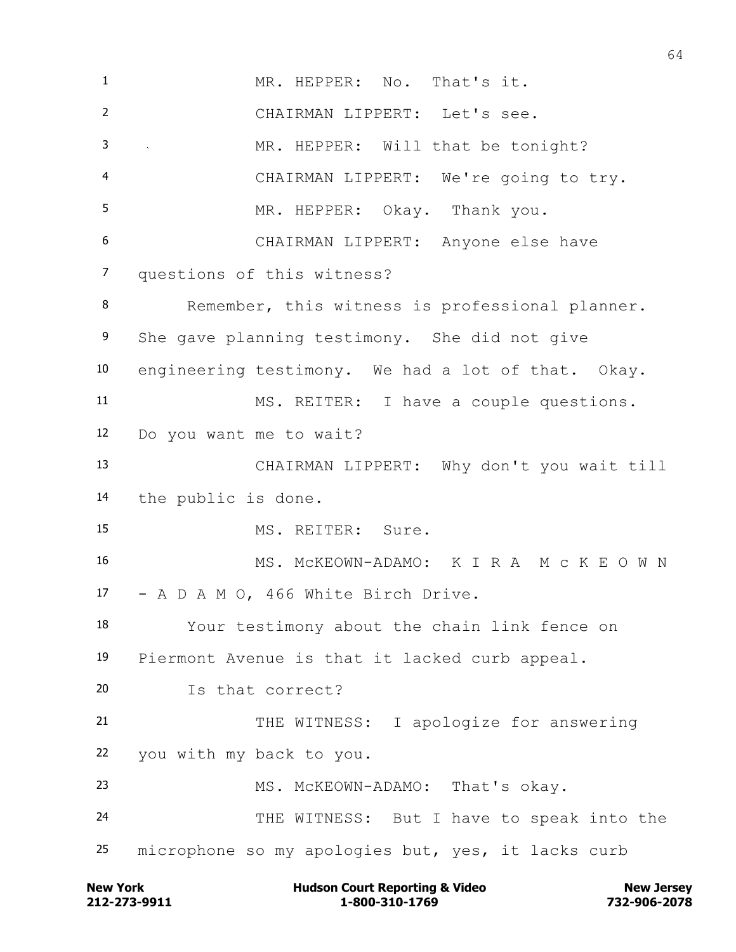MR. HEPPER: No. That's it. CHAIRMAN LIPPERT: Let's see. 3 MR. HEPPER: Will that be tonight? CHAIRMAN LIPPERT: We're going to try. MR. HEPPER: Okay. Thank you. CHAIRMAN LIPPERT: Anyone else have questions of this witness? 8 Remember, this witness is professional planner. She gave planning testimony. She did not give engineering testimony. We had a lot of that. Okay. MS. REITER: I have a couple questions. Do you want me to wait? CHAIRMAN LIPPERT: Why don't you wait till the public is done. MS. REITER: Sure. MS. McKEOWN-ADAMO: K I R A M c K E O W N - A D A M O, 466 White Birch Drive. Your testimony about the chain link fence on Piermont Avenue is that it lacked curb appeal. Is that correct? 21 THE WITNESS: I apologize for answering you with my back to you. MS. McKEOWN-ADAMO: That's okay. THE WITNESS: But I have to speak into the microphone so my apologies but, yes, it lacks curb

**212-273-9911 1-800-310-1769 732-906-2078 New York Communist Court Reporting & Video New Jersey Rew Jersey**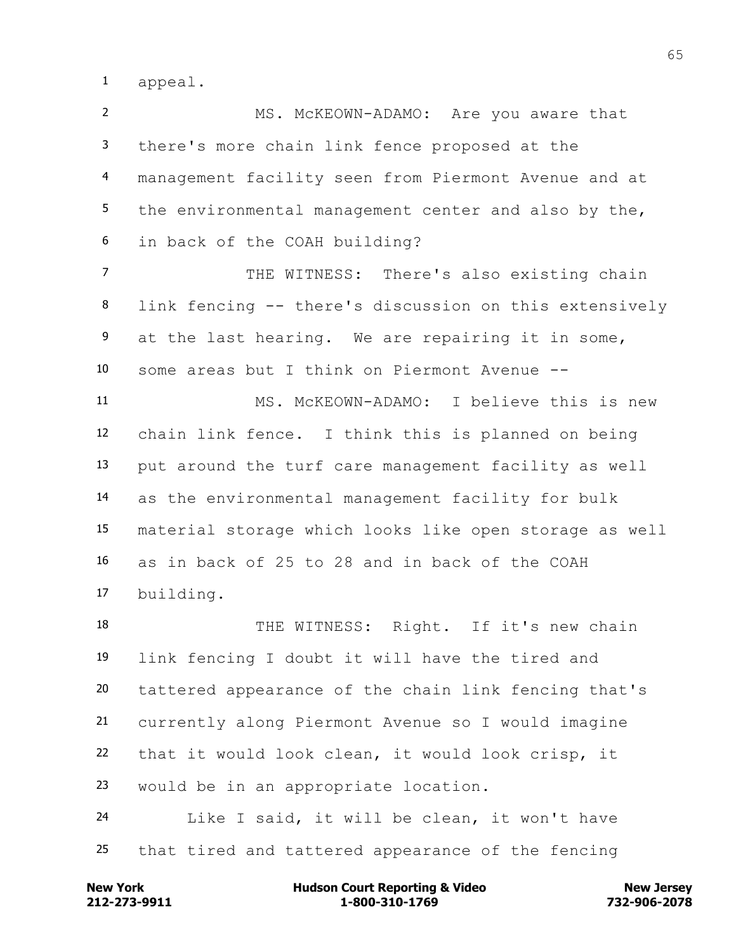appeal.

 MS. McKEOWN-ADAMO: Are you aware that there's more chain link fence proposed at the management facility seen from Piermont Avenue and at the environmental management center and also by the, in back of the COAH building? 7 THE WITNESS: There's also existing chain link fencing -- there's discussion on this extensively at the last hearing. We are repairing it in some, some areas but I think on Piermont Avenue -- MS. McKEOWN-ADAMO: I believe this is new chain link fence. I think this is planned on being put around the turf care management facility as well as the environmental management facility for bulk material storage which looks like open storage as well as in back of 25 to 28 and in back of the COAH building. THE WITNESS: Right. If it's new chain link fencing I doubt it will have the tired and tattered appearance of the chain link fencing that's currently along Piermont Avenue so I would imagine that it would look clean, it would look crisp, it would be in an appropriate location.

 Like I said, it will be clean, it won't have that tired and tattered appearance of the fencing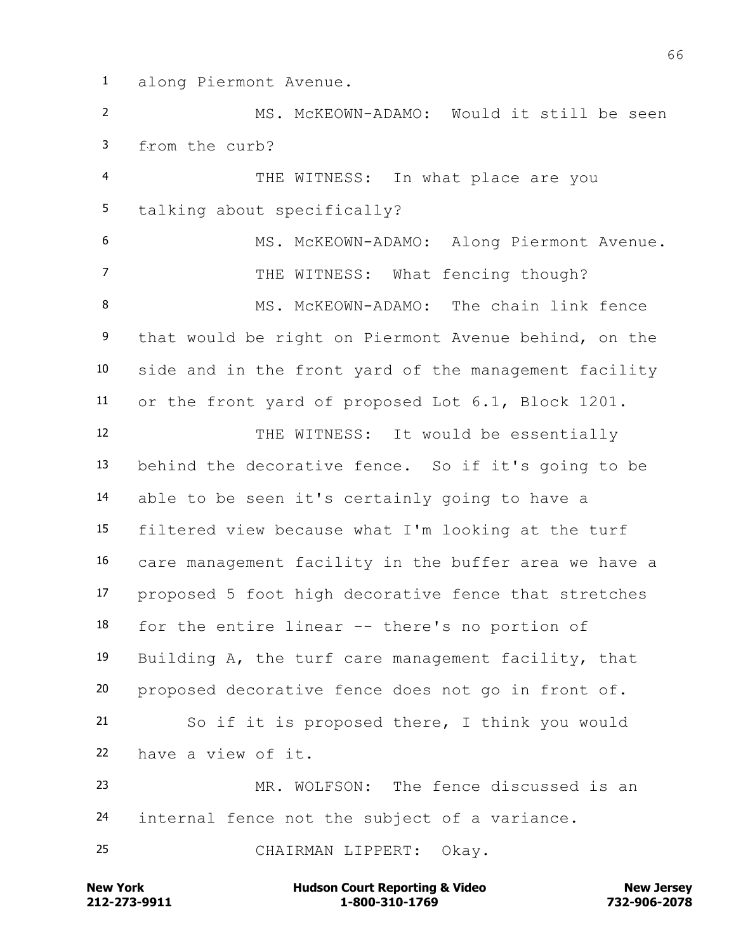along Piermont Avenue.

 MS. McKEOWN-ADAMO: Would it still be seen from the curb?

 THE WITNESS: In what place are you talking about specifically? MS. McKEOWN-ADAMO: Along Piermont Avenue. 7 THE WITNESS: What fencing though? 8 MS. McKEOWN-ADAMO: The chain link fence that would be right on Piermont Avenue behind, on the side and in the front yard of the management facility or the front yard of proposed Lot 6.1, Block 1201.

12 THE WITNESS: It would be essentially behind the decorative fence. So if it's going to be able to be seen it's certainly going to have a filtered view because what I'm looking at the turf care management facility in the buffer area we have a proposed 5 foot high decorative fence that stretches for the entire linear -- there's no portion of Building A, the turf care management facility, that proposed decorative fence does not go in front of. So if it is proposed there, I think you would have a view of it. MR. WOLFSON: The fence discussed is an

internal fence not the subject of a variance.

CHAIRMAN LIPPERT: Okay.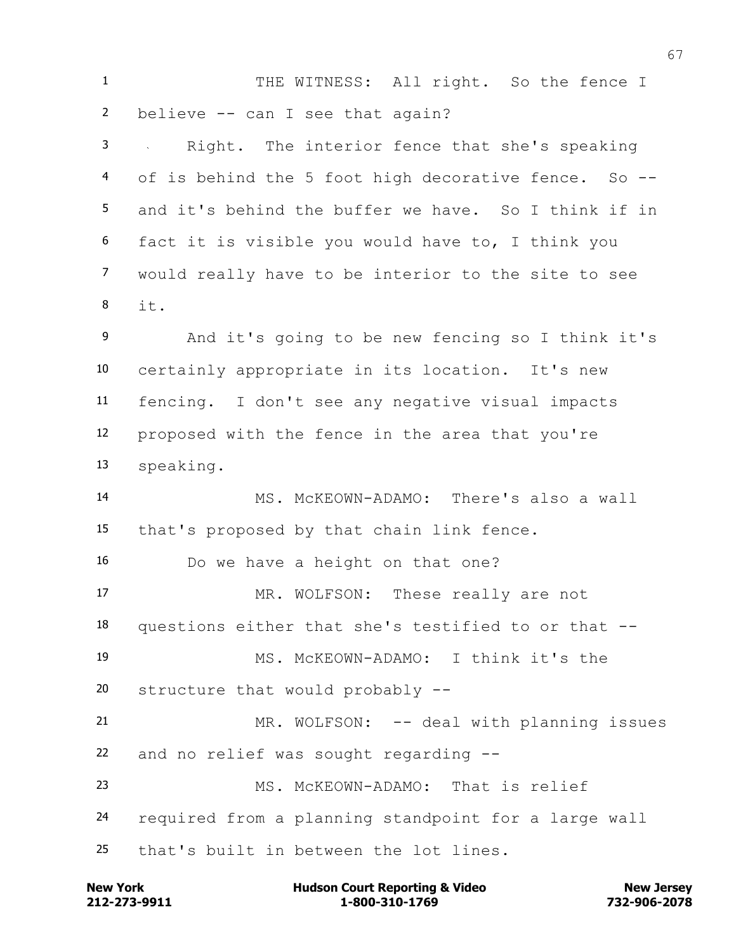1 THE WITNESS: All right. So the fence I believe -- can I see that again? Right. The interior fence that she's speaking of is behind the 5 foot high decorative fence. So -- and it's behind the buffer we have. So I think if in fact it is visible you would have to, I think you would really have to be interior to the site to see it. And it's going to be new fencing so I think it's certainly appropriate in its location. It's new fencing. I don't see any negative visual impacts proposed with the fence in the area that you're speaking. MS. McKEOWN-ADAMO: There's also a wall that's proposed by that chain link fence. Do we have a height on that one? MR. WOLFSON: These really are not questions either that she's testified to or that -- MS. McKEOWN-ADAMO: I think it's the structure that would probably -- 21 MR. WOLFSON: -- deal with planning issues and no relief was sought regarding -- MS. McKEOWN-ADAMO: That is relief required from a planning standpoint for a large wall that's built in between the lot lines.

**212-273-9911 1-800-310-1769 732-906-2078 New York Communist Court Reporting & Video New Jersey Rew Jersey**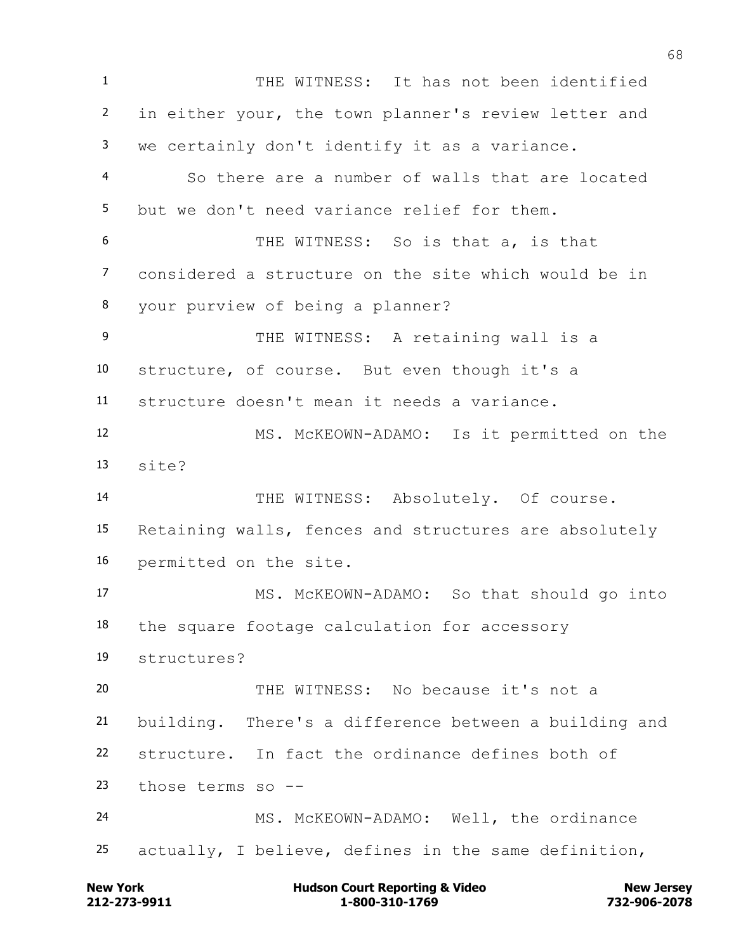THE WITNESS: It has not been identified in either your, the town planner's review letter and we certainly don't identify it as a variance. So there are a number of walls that are located but we don't need variance relief for them. THE WITNESS: So is that a, is that considered a structure on the site which would be in your purview of being a planner? 9 THE WITNESS: A retaining wall is a structure, of course. But even though it's a structure doesn't mean it needs a variance. MS. McKEOWN-ADAMO: Is it permitted on the site? 14 THE WITNESS: Absolutely. Of course. Retaining walls, fences and structures are absolutely permitted on the site. MS. McKEOWN-ADAMO: So that should go into the square footage calculation for accessory structures? THE WITNESS: No because it's not a building. There's a difference between a building and structure. In fact the ordinance defines both of those terms so -- MS. McKEOWN-ADAMO: Well, the ordinance actually, I believe, defines in the same definition,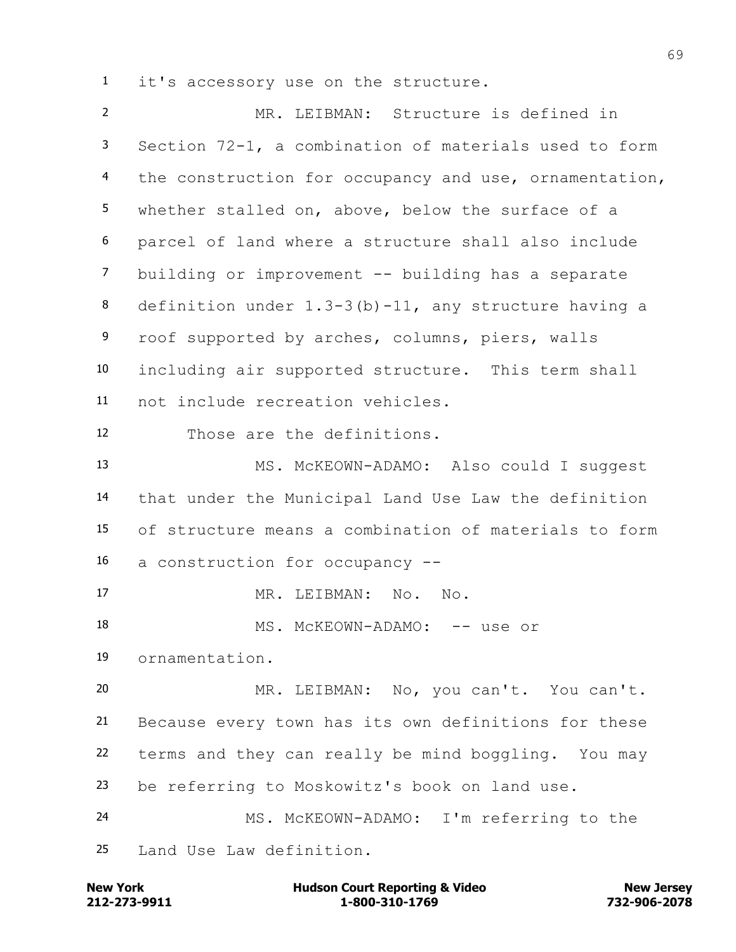it's accessory use on the structure.

 MR. LEIBMAN: Structure is defined in Section 72-1, a combination of materials used to form the construction for occupancy and use, ornamentation, whether stalled on, above, below the surface of a parcel of land where a structure shall also include building or improvement -- building has a separate definition under 1.3-3(b)-11, any structure having a roof supported by arches, columns, piers, walls including air supported structure. This term shall not include recreation vehicles. Those are the definitions. MS. McKEOWN-ADAMO: Also could I suggest that under the Municipal Land Use Law the definition of structure means a combination of materials to form a construction for occupancy -- MR. LEIBMAN: No. No. 18 MS. McKEOWN-ADAMO: -- use or ornamentation. MR. LEIBMAN: No, you can't. You can't. Because every town has its own definitions for these terms and they can really be mind boggling. You may be referring to Moskowitz's book on land use. MS. McKEOWN-ADAMO: I'm referring to the Land Use Law definition.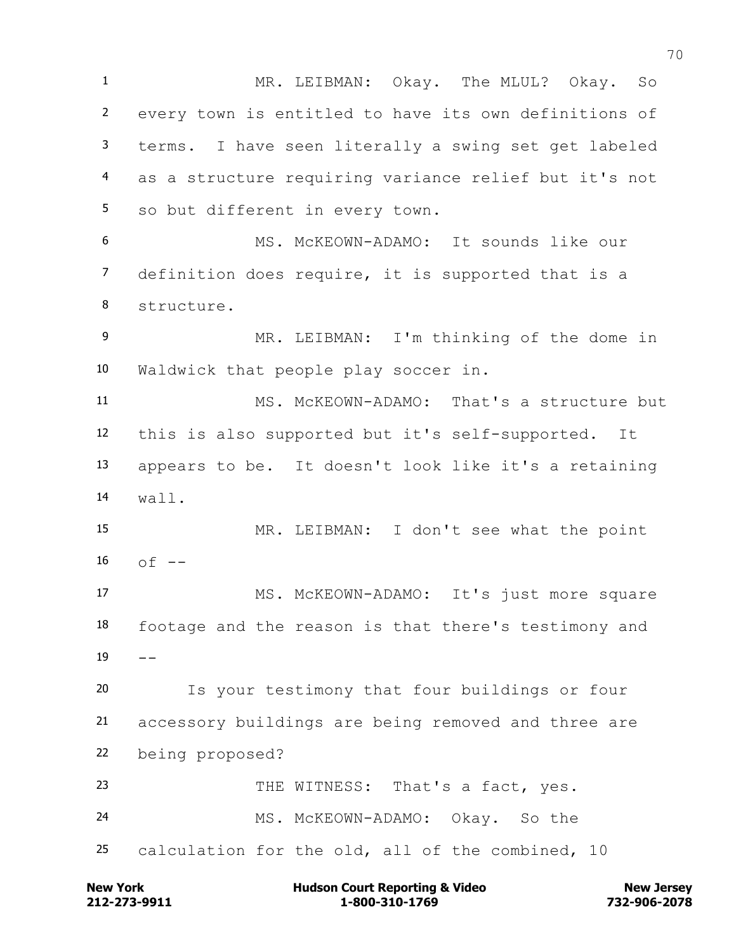MR. LEIBMAN: Okay. The MLUL? Okay. So every town is entitled to have its own definitions of terms. I have seen literally a swing set get labeled as a structure requiring variance relief but it's not so but different in every town. MS. McKEOWN-ADAMO: It sounds like our definition does require, it is supported that is a structure. MR. LEIBMAN: I'm thinking of the dome in Waldwick that people play soccer in. MS. McKEOWN-ADAMO: That's a structure but this is also supported but it's self-supported. It appears to be. It doesn't look like it's a retaining wall. MR. LEIBMAN: I don't see what the point  $of - -$  MS. McKEOWN-ADAMO: It's just more square footage and the reason is that there's testimony and  $19 - -$  Is your testimony that four buildings or four accessory buildings are being removed and three are being proposed? 23 THE WITNESS: That's a fact, yes. MS. McKEOWN-ADAMO: Okay. So the calculation for the old, all of the combined, 10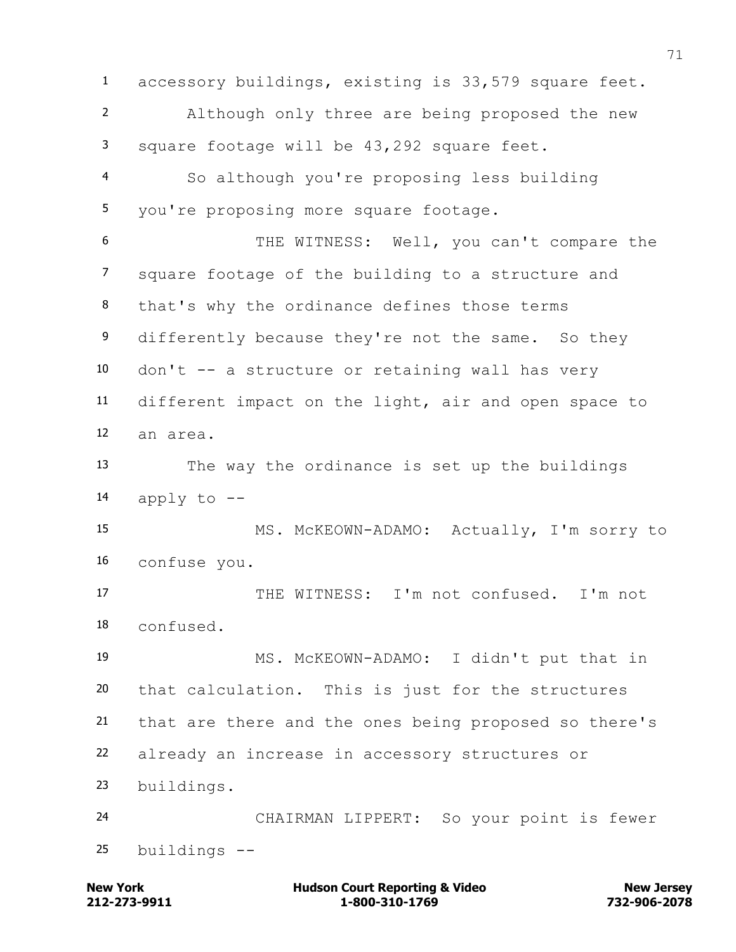accessory buildings, existing is 33,579 square feet. Although only three are being proposed the new square footage will be 43,292 square feet. So although you're proposing less building you're proposing more square footage. THE WITNESS: Well, you can't compare the square footage of the building to a structure and that's why the ordinance defines those terms 9 differently because they're not the same. So they don't -- a structure or retaining wall has very different impact on the light, air and open space to an area. The way the ordinance is set up the buildings 14 apply to  $-$  MS. McKEOWN-ADAMO: Actually, I'm sorry to confuse you. THE WITNESS: I'm not confused. I'm not confused. MS. McKEOWN-ADAMO: I didn't put that in that calculation. This is just for the structures that are there and the ones being proposed so there's already an increase in accessory structures or buildings. CHAIRMAN LIPPERT: So your point is fewer buildings --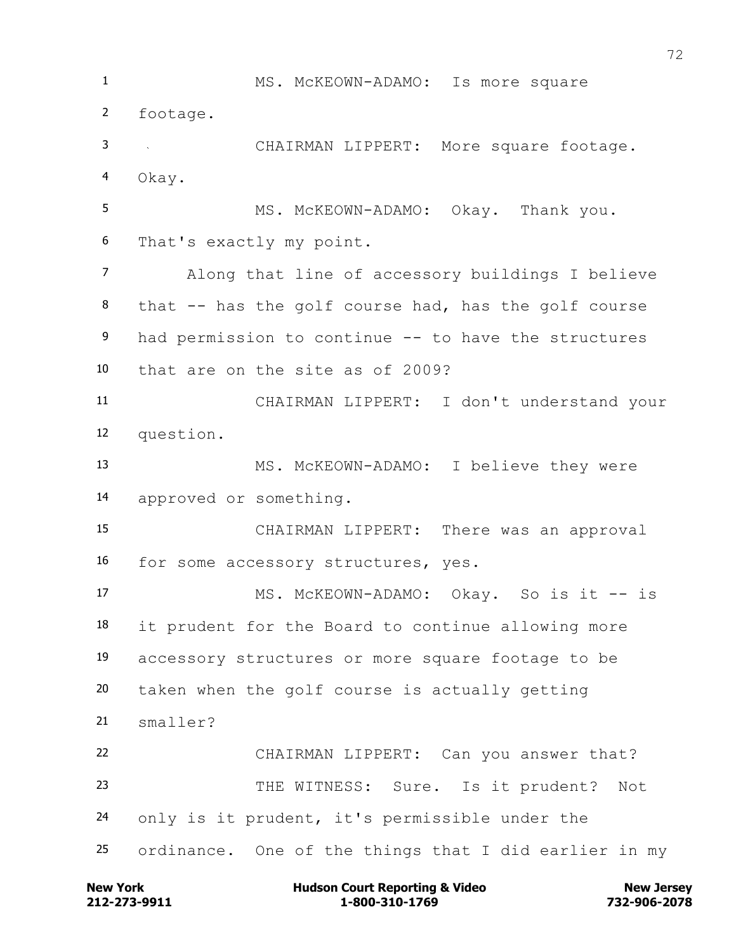1 MS. McKEOWN-ADAMO: Is more square footage. CHAIRMAN LIPPERT: More square footage. Okay. 5 MS. McKEOWN-ADAMO: Okay. Thank you. That's exactly my point. Along that line of accessory buildings I believe that -- has the golf course had, has the golf course had permission to continue -- to have the structures that are on the site as of 2009? CHAIRMAN LIPPERT: I don't understand your question. MS. McKEOWN-ADAMO: I believe they were approved or something. CHAIRMAN LIPPERT: There was an approval for some accessory structures, yes. 17 MS. McKEOWN-ADAMO: Okay. So is it -- is it prudent for the Board to continue allowing more accessory structures or more square footage to be taken when the golf course is actually getting smaller? CHAIRMAN LIPPERT: Can you answer that? THE WITNESS: Sure. Is it prudent? Not only is it prudent, it's permissible under the ordinance. One of the things that I did earlier in my

**212-273-9911 1-800-310-1769 732-906-2078 New York Communist Court Reporting & Video New Jersey Rew Jersey**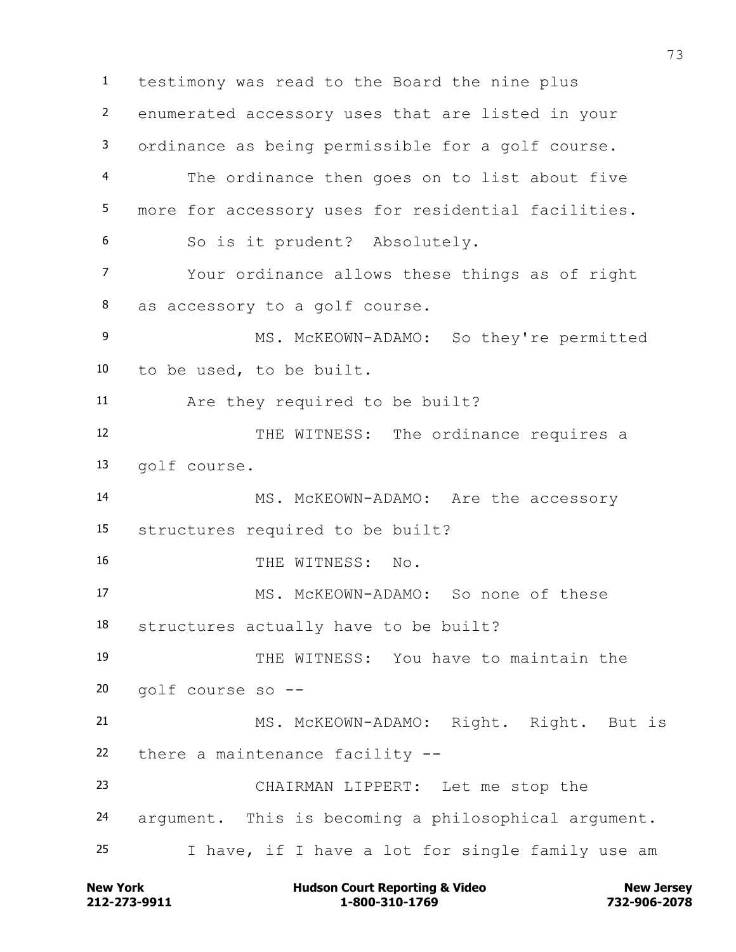testimony was read to the Board the nine plus enumerated accessory uses that are listed in your ordinance as being permissible for a golf course. The ordinance then goes on to list about five more for accessory uses for residential facilities. So is it prudent? Absolutely. Your ordinance allows these things as of right as accessory to a golf course. MS. McKEOWN-ADAMO: So they're permitted to be used, to be built. Are they required to be built? THE WITNESS: The ordinance requires a golf course. MS. McKEOWN-ADAMO: Are the accessory structures required to be built? 16 THE WITNESS: No. MS. McKEOWN-ADAMO: So none of these structures actually have to be built? THE WITNESS: You have to maintain the golf course so -- MS. McKEOWN-ADAMO: Right. Right. But is there a maintenance facility -- CHAIRMAN LIPPERT: Let me stop the argument. This is becoming a philosophical argument. I have, if I have a lot for single family use am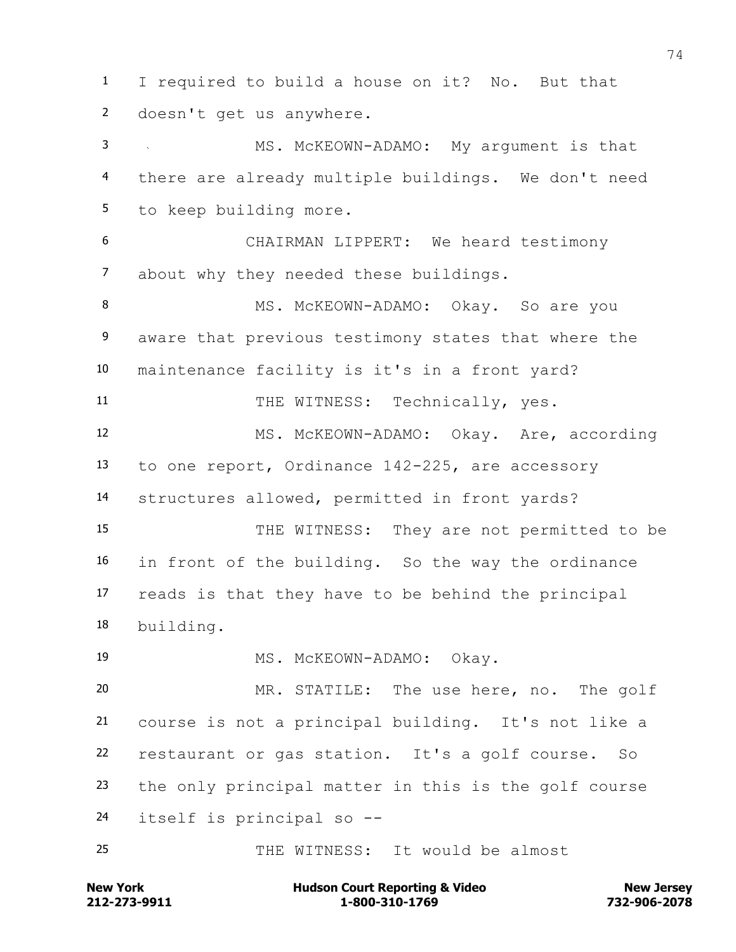I required to build a house on it? No. But that doesn't get us anywhere. MS. McKEOWN-ADAMO: My argument is that there are already multiple buildings. We don't need to keep building more. CHAIRMAN LIPPERT: We heard testimony about why they needed these buildings. 8 MS. McKEOWN-ADAMO: Okay. So are you aware that previous testimony states that where the maintenance facility is it's in a front yard? 11 THE WITNESS: Technically, yes. MS. McKEOWN-ADAMO: Okay. Are, according to one report, Ordinance 142-225, are accessory structures allowed, permitted in front yards? THE WITNESS: They are not permitted to be in front of the building. So the way the ordinance reads is that they have to be behind the principal building. MS. McKEOWN-ADAMO: Okay. MR. STATILE: The use here, no. The golf course is not a principal building. It's not like a restaurant or gas station. It's a golf course. So the only principal matter in this is the golf course itself is principal so -- THE WITNESS: It would be almost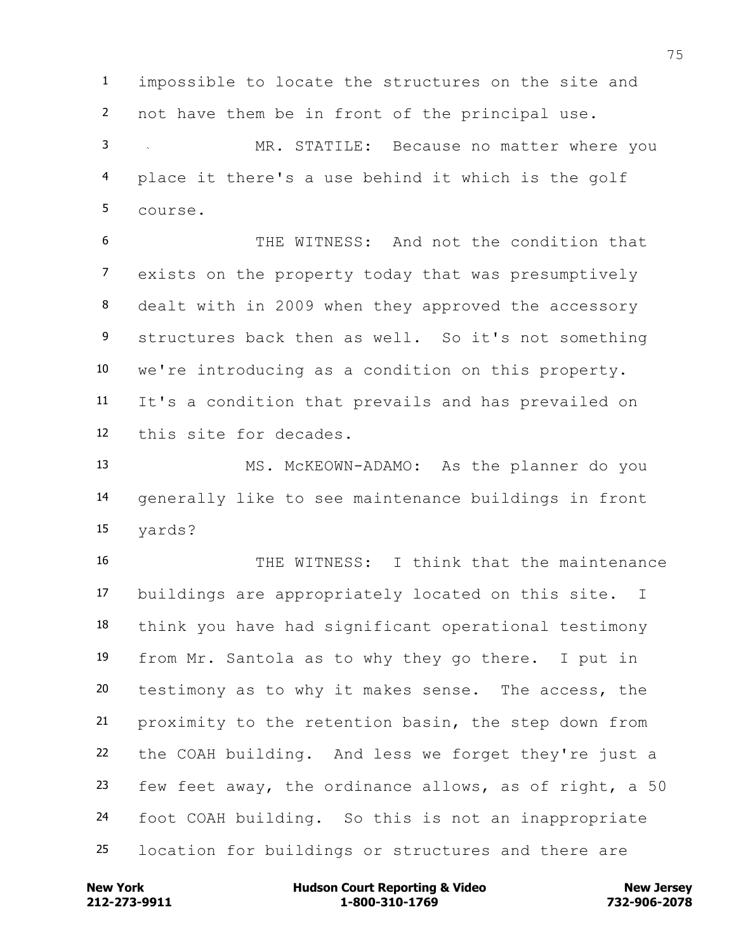impossible to locate the structures on the site and not have them be in front of the principal use.

 MR. STATILE: Because no matter where you place it there's a use behind it which is the golf course.

 THE WITNESS: And not the condition that exists on the property today that was presumptively dealt with in 2009 when they approved the accessory structures back then as well. So it's not something we're introducing as a condition on this property. It's a condition that prevails and has prevailed on this site for decades.

 MS. McKEOWN-ADAMO: As the planner do you generally like to see maintenance buildings in front yards?

 THE WITNESS: I think that the maintenance buildings are appropriately located on this site. I think you have had significant operational testimony from Mr. Santola as to why they go there. I put in testimony as to why it makes sense. The access, the proximity to the retention basin, the step down from the COAH building. And less we forget they're just a few feet away, the ordinance allows, as of right, a 50 foot COAH building. So this is not an inappropriate location for buildings or structures and there are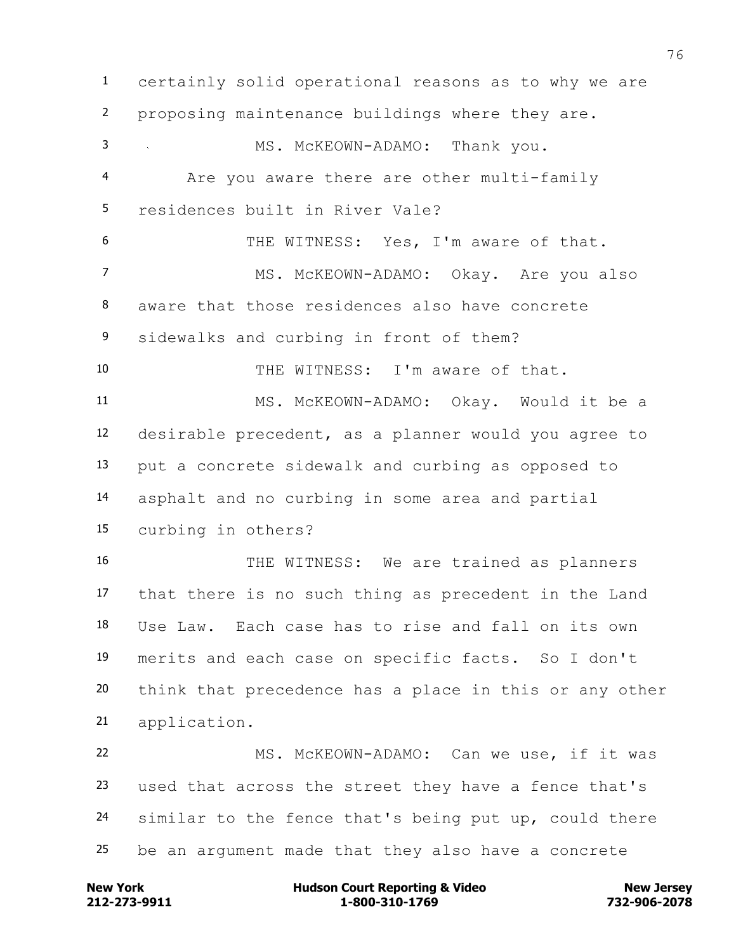certainly solid operational reasons as to why we are proposing maintenance buildings where they are. 3 MS. McKEOWN-ADAMO: Thank you. Are you aware there are other multi-family residences built in River Vale? THE WITNESS: Yes, I'm aware of that. 7 MS. McKEOWN-ADAMO: Okay. Are you also aware that those residences also have concrete sidewalks and curbing in front of them? THE WITNESS: I'm aware of that. MS. McKEOWN-ADAMO: Okay. Would it be a desirable precedent, as a planner would you agree to put a concrete sidewalk and curbing as opposed to asphalt and no curbing in some area and partial curbing in others? 16 THE WITNESS: We are trained as planners that there is no such thing as precedent in the Land Use Law. Each case has to rise and fall on its own merits and each case on specific facts. So I don't think that precedence has a place in this or any other application. MS. McKEOWN-ADAMO: Can we use, if it was used that across the street they have a fence that's 24 similar to the fence that's being put up, could there be an argument made that they also have a concrete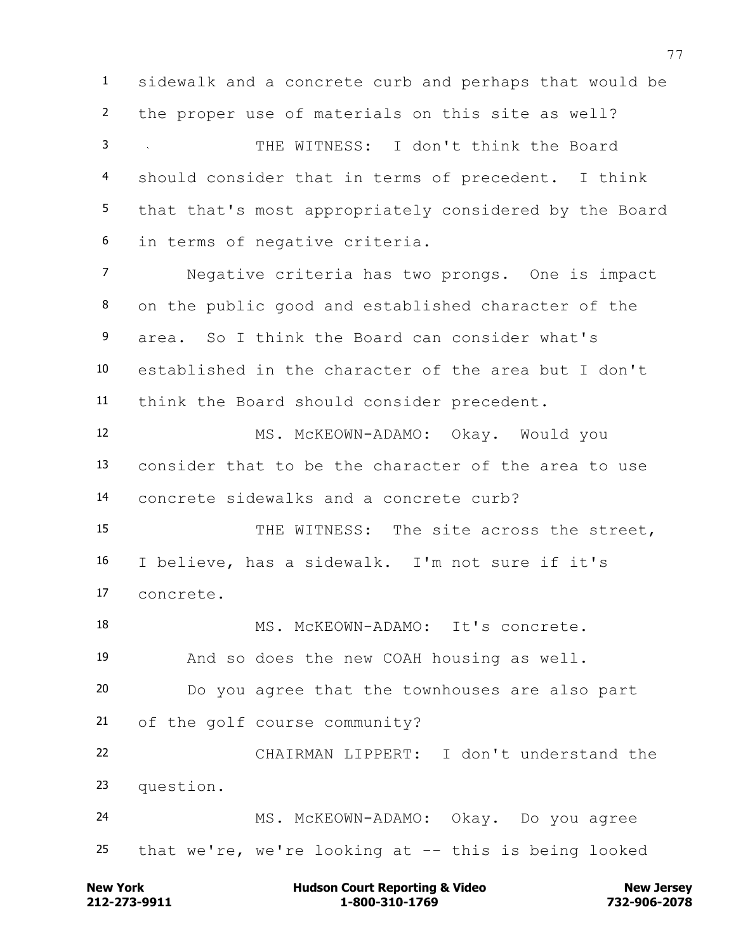sidewalk and a concrete curb and perhaps that would be the proper use of materials on this site as well?

 THE WITNESS: I don't think the Board should consider that in terms of precedent. I think that that's most appropriately considered by the Board in terms of negative criteria.

 Negative criteria has two prongs. One is impact on the public good and established character of the area. So I think the Board can consider what's established in the character of the area but I don't think the Board should consider precedent.

 MS. McKEOWN-ADAMO: Okay. Would you consider that to be the character of the area to use concrete sidewalks and a concrete curb?

15 THE WITNESS: The site across the street, I believe, has a sidewalk. I'm not sure if it's concrete.

18 MS. McKEOWN-ADAMO: It's concrete. And so does the new COAH housing as well. Do you agree that the townhouses are also part of the golf course community? CHAIRMAN LIPPERT: I don't understand the question.

 MS. McKEOWN-ADAMO: Okay. Do you agree that we're, we're looking at -- this is being looked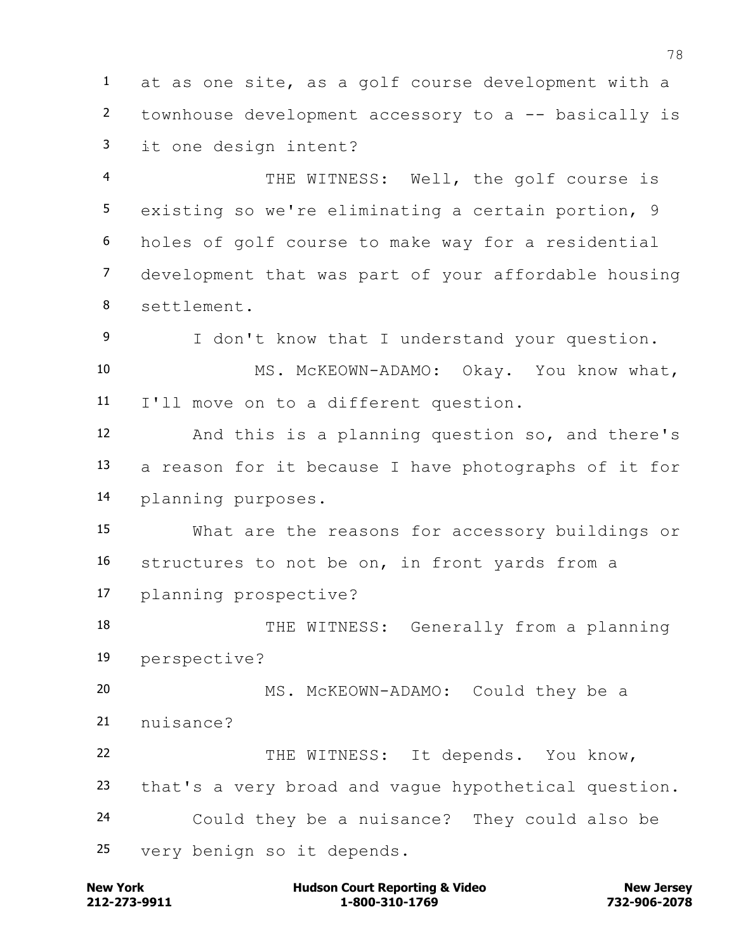at as one site, as a golf course development with a townhouse development accessory to a -- basically is it one design intent?

 THE WITNESS: Well, the golf course is existing so we're eliminating a certain portion, 9 holes of golf course to make way for a residential development that was part of your affordable housing settlement.

 I don't know that I understand your question. MS. McKEOWN-ADAMO: Okay. You know what, I'll move on to a different question.

 And this is a planning question so, and there's a reason for it because I have photographs of it for planning purposes.

 What are the reasons for accessory buildings or structures to not be on, in front yards from a planning prospective?

18 THE WITNESS: Generally from a planning perspective?

 MS. McKEOWN-ADAMO: Could they be a 21 nuisance?

 THE WITNESS: It depends. You know, that's a very broad and vague hypothetical question. Could they be a nuisance? They could also be very benign so it depends.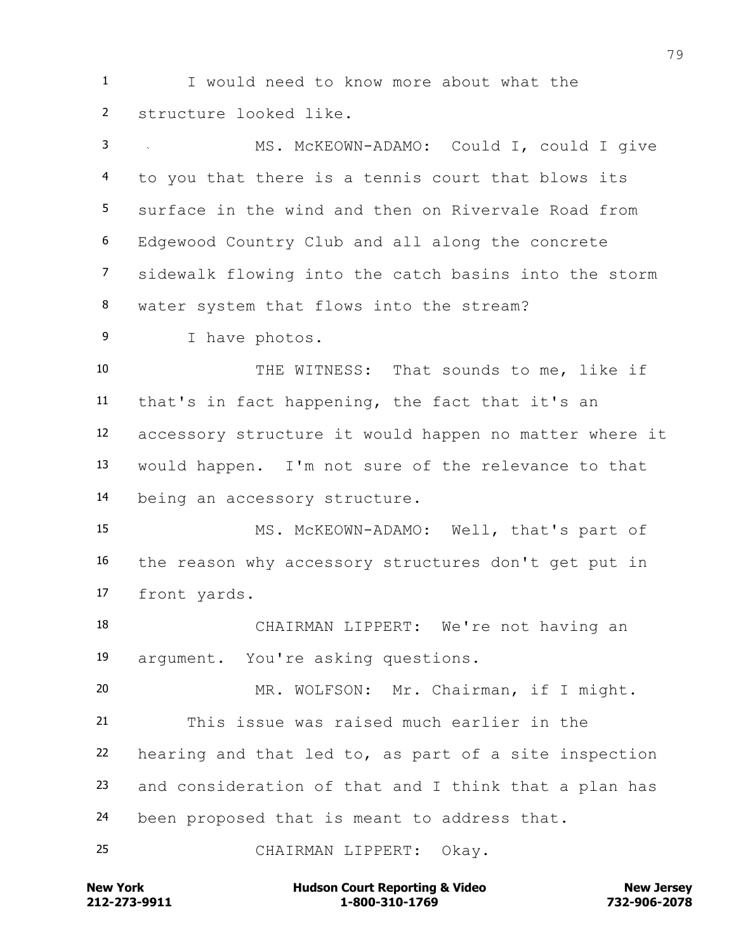I would need to know more about what the structure looked like.

 MS. McKEOWN-ADAMO: Could I, could I give to you that there is a tennis court that blows its surface in the wind and then on Rivervale Road from Edgewood Country Club and all along the concrete sidewalk flowing into the catch basins into the storm water system that flows into the stream?

I have photos.

 THE WITNESS: That sounds to me, like if that's in fact happening, the fact that it's an accessory structure it would happen no matter where it would happen. I'm not sure of the relevance to that being an accessory structure.

 MS. McKEOWN-ADAMO: Well, that's part of the reason why accessory structures don't get put in front yards.

 CHAIRMAN LIPPERT: We're not having an argument. You're asking questions.

 MR. WOLFSON: Mr. Chairman, if I might. This issue was raised much earlier in the hearing and that led to, as part of a site inspection and consideration of that and I think that a plan has been proposed that is meant to address that.

CHAIRMAN LIPPERT: Okay.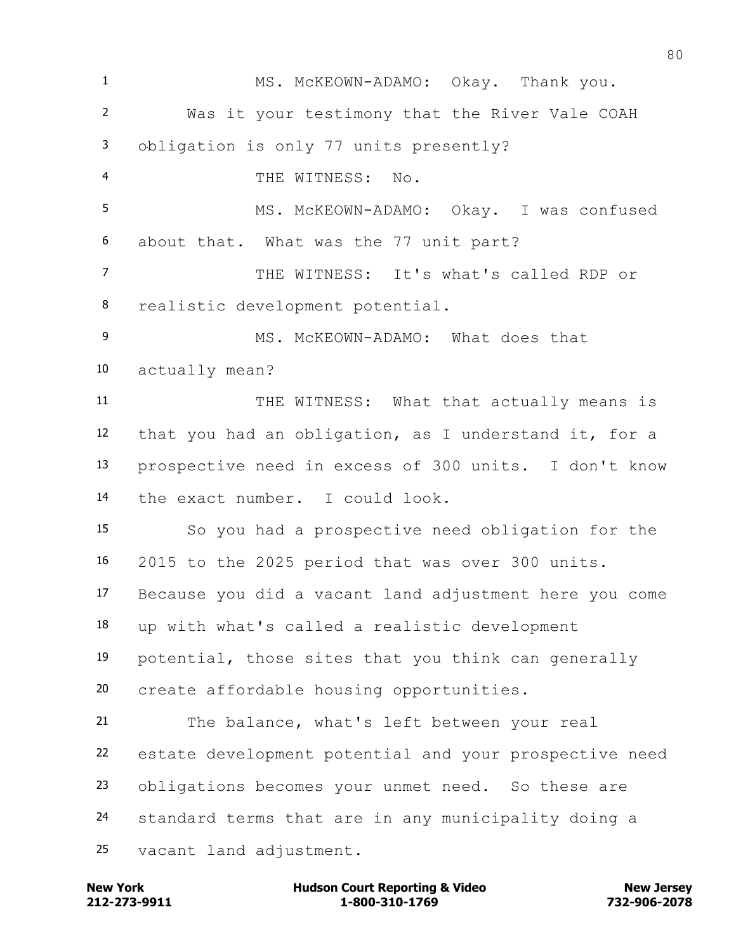MS. McKEOWN-ADAMO: Okay. Thank you. Was it your testimony that the River Vale COAH obligation is only 77 units presently? THE WITNESS: No. MS. McKEOWN-ADAMO: Okay. I was confused about that. What was the 77 unit part? THE WITNESS: It's what's called RDP or realistic development potential. 9 MS. McKEOWN-ADAMO: What does that actually mean? THE WITNESS: What that actually means is that you had an obligation, as I understand it, for a prospective need in excess of 300 units. I don't know the exact number. I could look. So you had a prospective need obligation for the 2015 to the 2025 period that was over 300 units. Because you did a vacant land adjustment here you come up with what's called a realistic development potential, those sites that you think can generally create affordable housing opportunities. The balance, what's left between your real estate development potential and your prospective need obligations becomes your unmet need. So these are standard terms that are in any municipality doing a vacant land adjustment.

**212-273-9911 1-800-310-1769 732-906-2078 New York Communist Court Reporting & Video New Jersey Rew Jersey**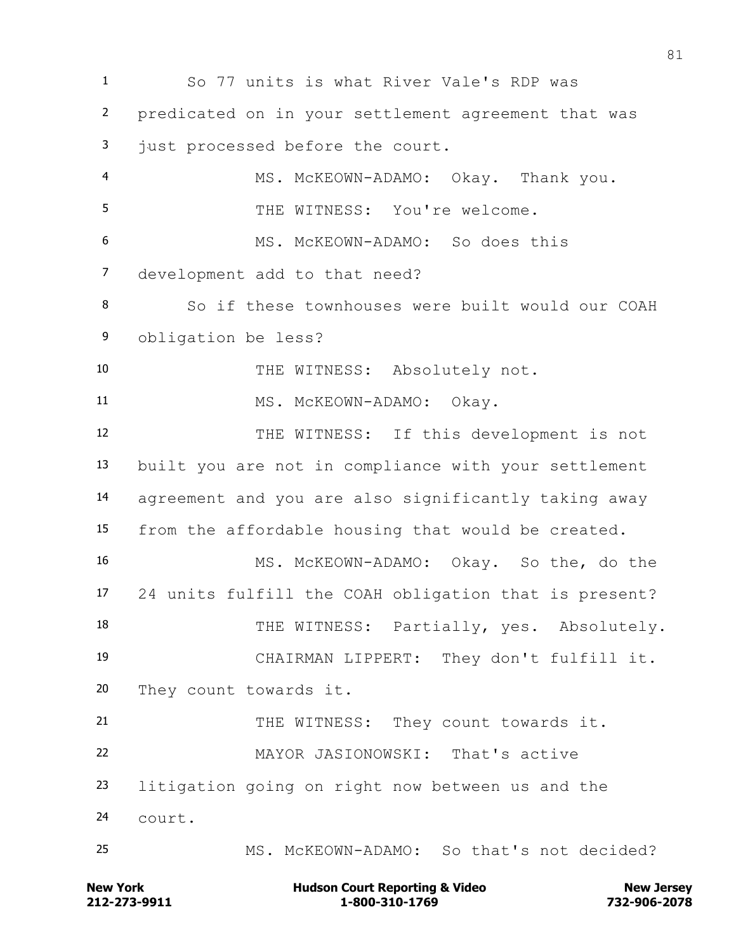So 77 units is what River Vale's RDP was predicated on in your settlement agreement that was 3 just processed before the court. MS. McKEOWN-ADAMO: Okay. Thank you. THE WITNESS: You're welcome. MS. McKEOWN-ADAMO: So does this development add to that need? So if these townhouses were built would our COAH obligation be less? 10 THE WITNESS: Absolutely not. 11 MS. McKEOWN-ADAMO: Okay. THE WITNESS: If this development is not built you are not in compliance with your settlement agreement and you are also significantly taking away from the affordable housing that would be created. MS. McKEOWN-ADAMO: Okay. So the, do the 24 units fulfill the COAH obligation that is present? 18 THE WITNESS: Partially, yes. Absolutely. CHAIRMAN LIPPERT: They don't fulfill it. They count towards it. 21 THE WITNESS: They count towards it. MAYOR JASIONOWSKI: That's active litigation going on right now between us and the court. MS. McKEOWN-ADAMO: So that's not decided?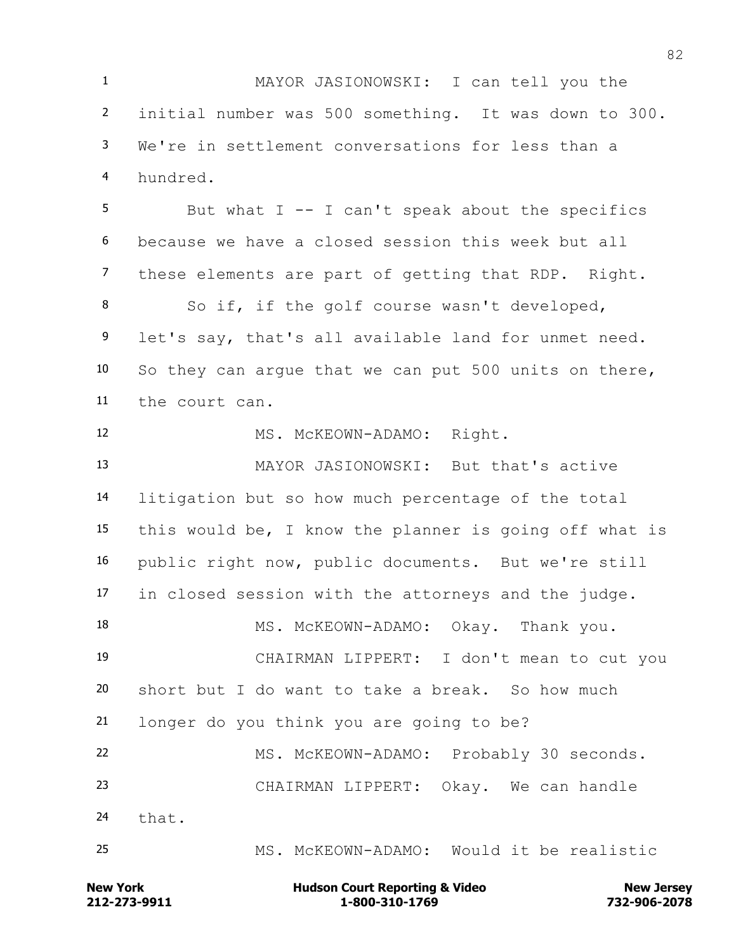MAYOR JASIONOWSKI: I can tell you the initial number was 500 something. It was down to 300. We're in settlement conversations for less than a hundred. But what I -- I can't speak about the specifics because we have a closed session this week but all these elements are part of getting that RDP. Right. So if, if the golf course wasn't developed, let's say, that's all available land for unmet need. So they can argue that we can put 500 units on there, the court can. MS. McKEOWN-ADAMO: Right. MAYOR JASIONOWSKI: But that's active litigation but so how much percentage of the total this would be, I know the planner is going off what is public right now, public documents. But we're still in closed session with the attorneys and the judge. 18 MS. McKEOWN-ADAMO: Okay. Thank you. CHAIRMAN LIPPERT: I don't mean to cut you short but I do want to take a break. So how much longer do you think you are going to be? MS. McKEOWN-ADAMO: Probably 30 seconds. CHAIRMAN LIPPERT: Okay. We can handle that.

MS. McKEOWN-ADAMO: Would it be realistic

**212-273-9911 1-800-310-1769 732-906-2078 New York Communist Court Reporting & Video New Jersey Rew Jersey**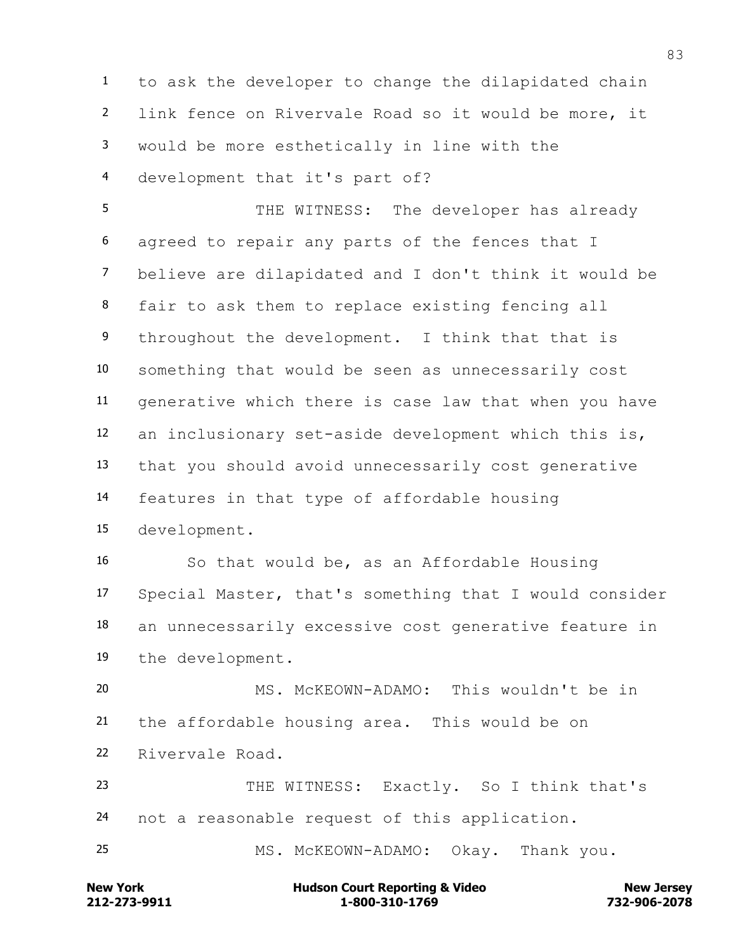to ask the developer to change the dilapidated chain link fence on Rivervale Road so it would be more, it would be more esthetically in line with the development that it's part of?

 THE WITNESS: The developer has already agreed to repair any parts of the fences that I believe are dilapidated and I don't think it would be fair to ask them to replace existing fencing all 9 throughout the development. I think that that is something that would be seen as unnecessarily cost generative which there is case law that when you have an inclusionary set-aside development which this is, that you should avoid unnecessarily cost generative features in that type of affordable housing development.

 So that would be, as an Affordable Housing Special Master, that's something that I would consider an unnecessarily excessive cost generative feature in the development.

 MS. McKEOWN-ADAMO: This wouldn't be in the affordable housing area. This would be on Rivervale Road.

 THE WITNESS: Exactly. So I think that's not a reasonable request of this application.

MS. McKEOWN-ADAMO: Okay. Thank you.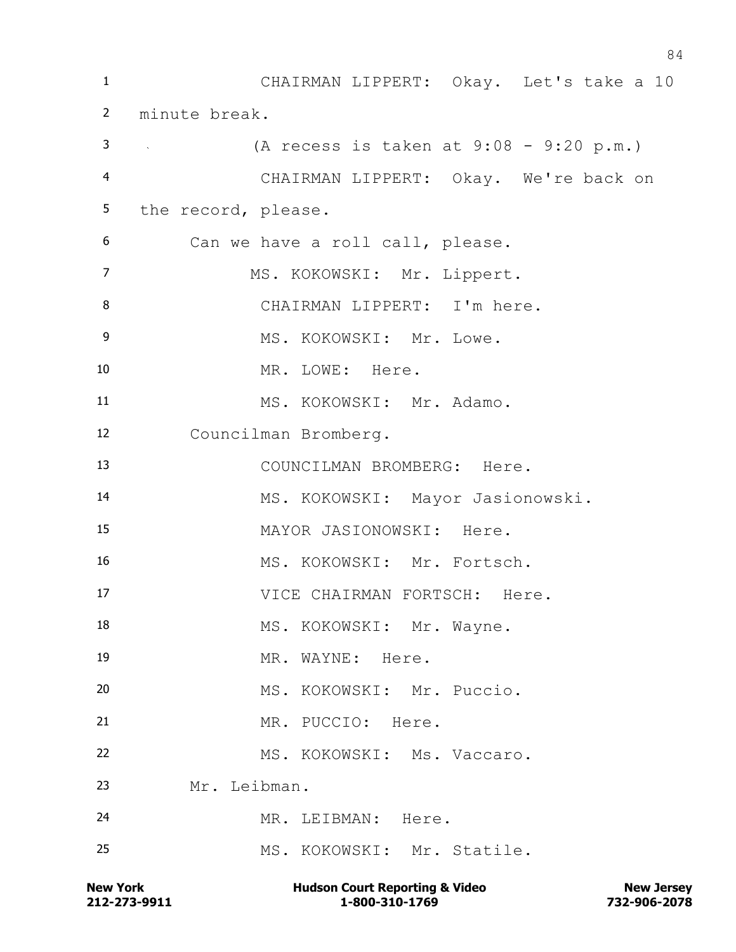CHAIRMAN LIPPERT: Okay. Let's take a 10 minute break. (A recess is taken at 9:08 - 9:20 p.m.) CHAIRMAN LIPPERT: Okay. We're back on the record, please. Can we have a roll call, please. 7 MS. KOKOWSKI: Mr. Lippert. CHAIRMAN LIPPERT: I'm here. 9 MS. KOKOWSKI: Mr. Lowe. 10 MR. LOWE: Here. 11 MS. KOKOWSKI: Mr. Adamo. Councilman Bromberg. COUNCILMAN BROMBERG: Here. MS. KOKOWSKI: Mayor Jasionowski. MAYOR JASIONOWSKI: Here. MS. KOKOWSKI: Mr. Fortsch. 17 VICE CHAIRMAN FORTSCH: Here. 18 MS. KOKOWSKI: Mr. Wayne. 19 MR. WAYNE: Here. MS. KOKOWSKI: Mr. Puccio. MR. PUCCIO: Here. MS. KOKOWSKI: Ms. Vaccaro. Mr. Leibman. MR. LEIBMAN: Here. MS. KOKOWSKI: Mr. Statile.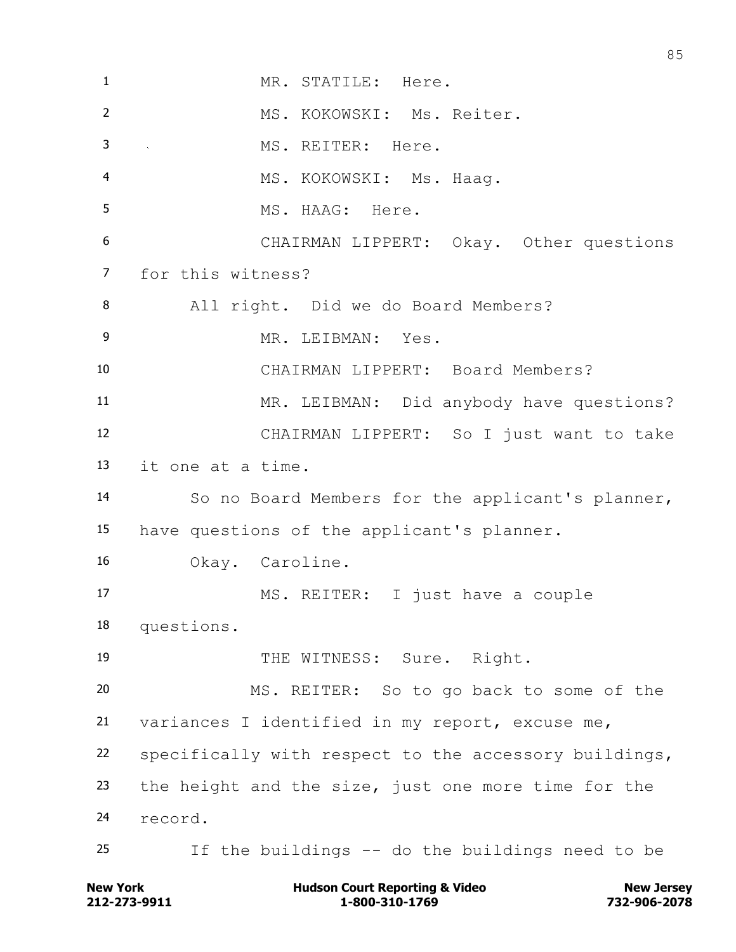MR. STATILE: Here. MS. KOKOWSKI: Ms. Reiter. MS. REITER: Here. MS. KOKOWSKI: Ms. Haag. MS. HAAG: Here. CHAIRMAN LIPPERT: Okay. Other questions for this witness? All right. Did we do Board Members? MR. LEIBMAN: Yes. CHAIRMAN LIPPERT: Board Members? MR. LEIBMAN: Did anybody have questions? CHAIRMAN LIPPERT: So I just want to take it one at a time. So no Board Members for the applicant's planner, have questions of the applicant's planner. Okay. Caroline. MS. REITER: I just have a couple questions. 19 THE WITNESS: Sure. Right. MS. REITER: So to go back to some of the variances I identified in my report, excuse me, specifically with respect to the accessory buildings, the height and the size, just one more time for the record. If the buildings -- do the buildings need to be

**212-273-9911 1-800-310-1769 732-906-2078 New York Communist Court Reporting & Video New Jersey Rew Jersey**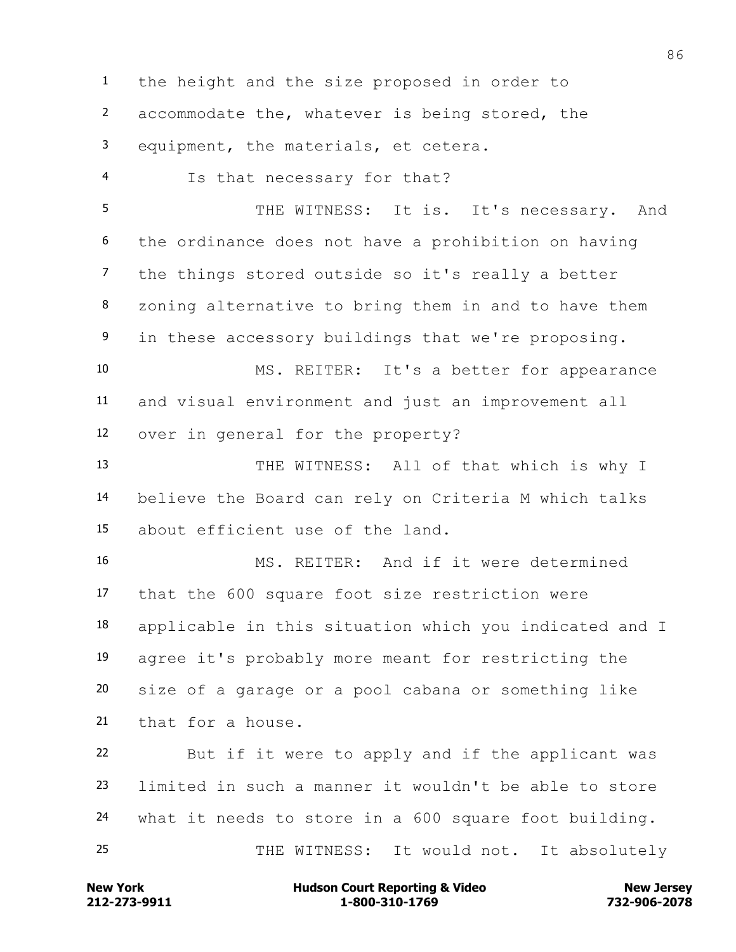the height and the size proposed in order to accommodate the, whatever is being stored, the equipment, the materials, et cetera. Is that necessary for that? 5 THE WITNESS: It is. It's necessary. And the ordinance does not have a prohibition on having the things stored outside so it's really a better zoning alternative to bring them in and to have them in these accessory buildings that we're proposing. MS. REITER: It's a better for appearance and visual environment and just an improvement all over in general for the property? 13 THE WITNESS: All of that which is why I believe the Board can rely on Criteria M which talks about efficient use of the land. MS. REITER: And if it were determined that the 600 square foot size restriction were applicable in this situation which you indicated and I agree it's probably more meant for restricting the size of a garage or a pool cabana or something like that for a house. But if it were to apply and if the applicant was limited in such a manner it wouldn't be able to store what it needs to store in a 600 square foot building. THE WITNESS: It would not. It absolutely

**212-273-9911 1-800-310-1769 732-906-2078 New York Communist Court Reporting & Video New Jersey Rew Jersey**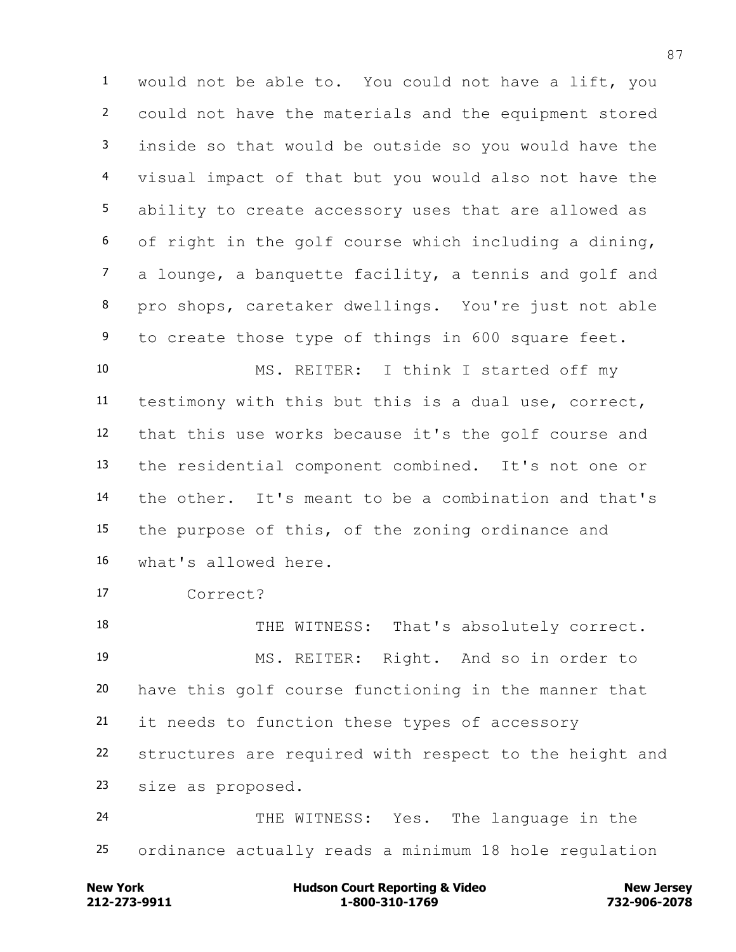would not be able to. You could not have a lift, you could not have the materials and the equipment stored inside so that would be outside so you would have the visual impact of that but you would also not have the ability to create accessory uses that are allowed as of right in the golf course which including a dining, a lounge, a banquette facility, a tennis and golf and pro shops, caretaker dwellings. You're just not able to create those type of things in 600 square feet. MS. REITER: I think I started off my

 testimony with this but this is a dual use, correct, that this use works because it's the golf course and the residential component combined. It's not one or the other. It's meant to be a combination and that's the purpose of this, of the zoning ordinance and what's allowed here.

Correct?

18 THE WITNESS: That's absolutely correct. MS. REITER: Right. And so in order to have this golf course functioning in the manner that it needs to function these types of accessory structures are required with respect to the height and size as proposed. THE WITNESS: Yes. The language in the

ordinance actually reads a minimum 18 hole regulation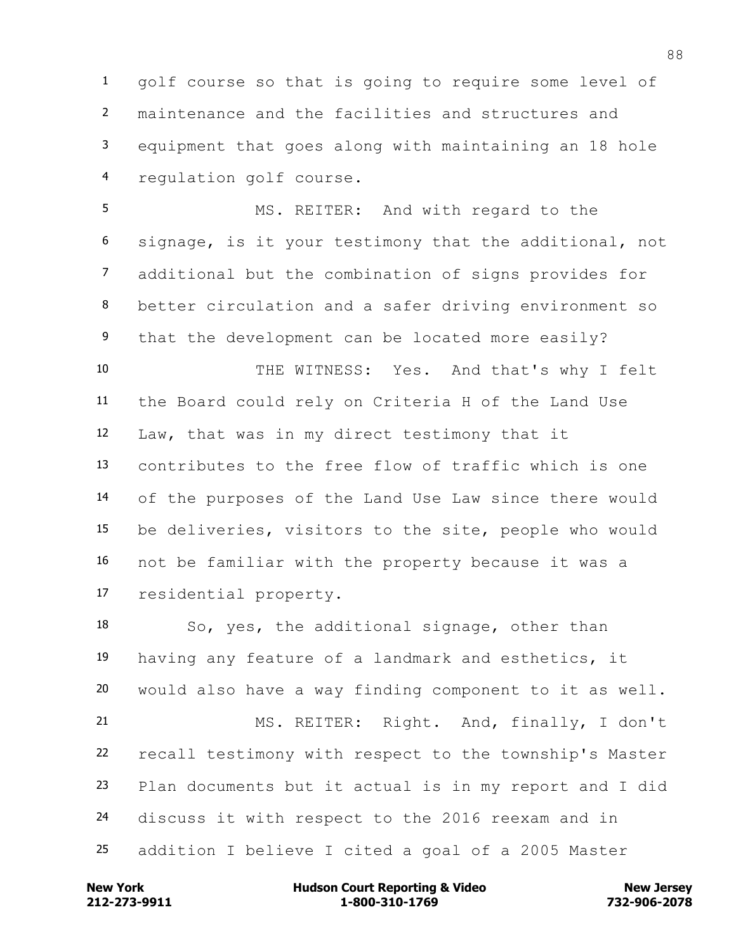golf course so that is going to require some level of maintenance and the facilities and structures and equipment that goes along with maintaining an 18 hole regulation golf course.

 MS. REITER: And with regard to the signage, is it your testimony that the additional, not additional but the combination of signs provides for better circulation and a safer driving environment so that the development can be located more easily? THE WITNESS: Yes. And that's why I felt the Board could rely on Criteria H of the Land Use Law, that was in my direct testimony that it contributes to the free flow of traffic which is one of the purposes of the Land Use Law since there would be deliveries, visitors to the site, people who would not be familiar with the property because it was a residential property.

 So, yes, the additional signage, other than having any feature of a landmark and esthetics, it would also have a way finding component to it as well. MS. REITER: Right. And, finally, I don't recall testimony with respect to the township's Master Plan documents but it actual is in my report and I did discuss it with respect to the 2016 reexam and in addition I believe I cited a goal of a 2005 Master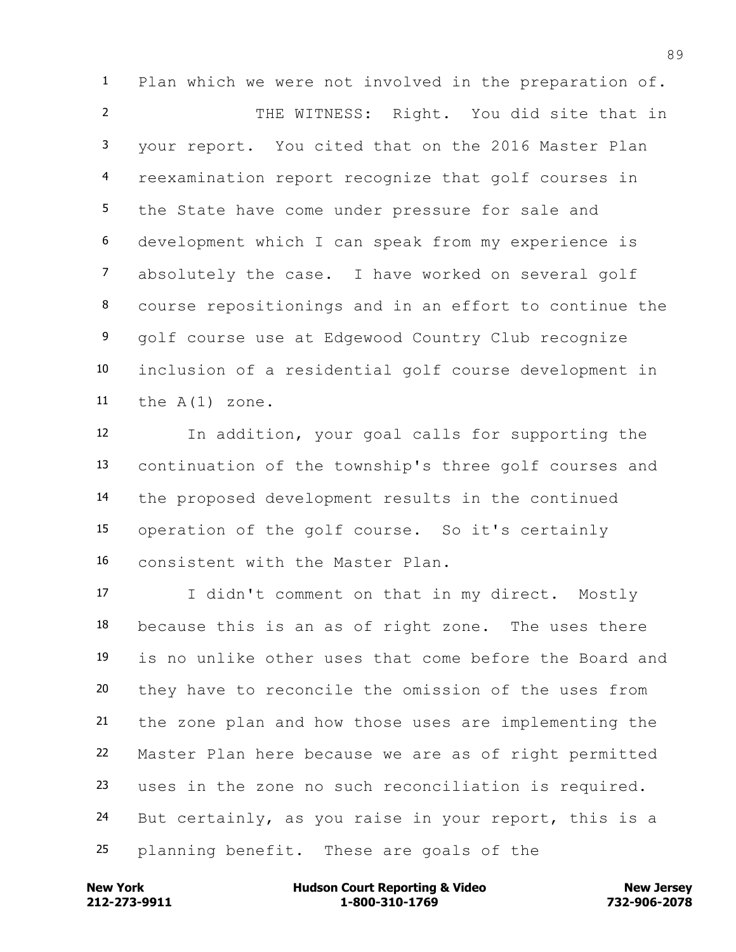Plan which we were not involved in the preparation of. THE WITNESS: Right. You did site that in your report. You cited that on the 2016 Master Plan reexamination report recognize that golf courses in the State have come under pressure for sale and development which I can speak from my experience is absolutely the case. I have worked on several golf course repositionings and in an effort to continue the golf course use at Edgewood Country Club recognize inclusion of a residential golf course development in the A(1) zone.

 In addition, your goal calls for supporting the continuation of the township's three golf courses and the proposed development results in the continued operation of the golf course. So it's certainly consistent with the Master Plan.

 I didn't comment on that in my direct. Mostly because this is an as of right zone. The uses there is no unlike other uses that come before the Board and they have to reconcile the omission of the uses from the zone plan and how those uses are implementing the Master Plan here because we are as of right permitted uses in the zone no such reconciliation is required. But certainly, as you raise in your report, this is a planning benefit. These are goals of the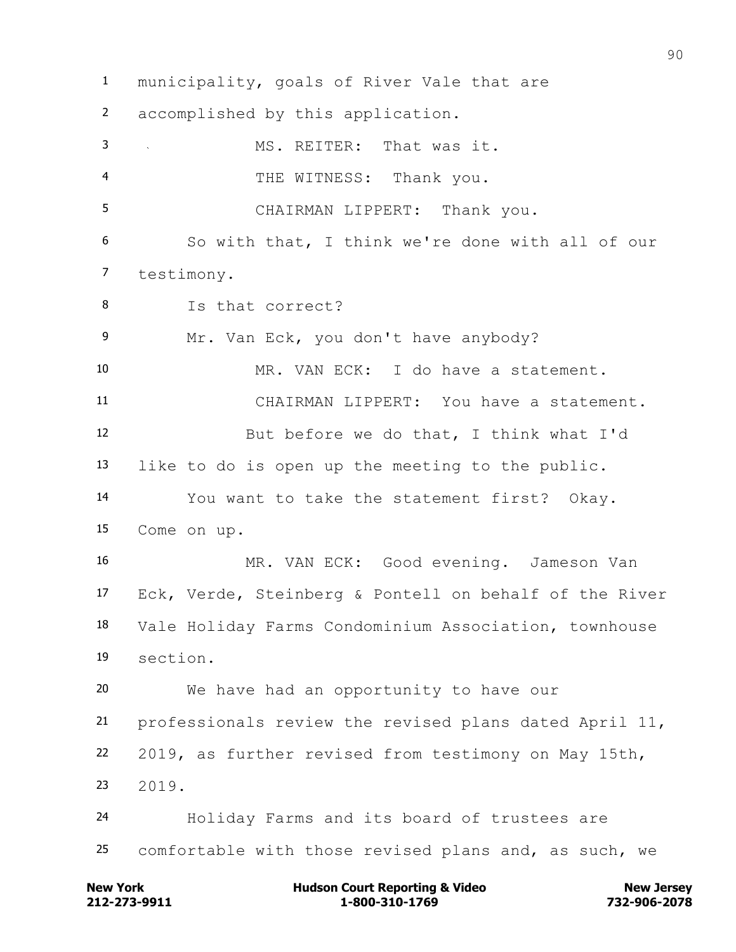municipality, goals of River Vale that are accomplished by this application. MS. REITER: That was it. THE WITNESS: Thank you. CHAIRMAN LIPPERT: Thank you. So with that, I think we're done with all of our testimony. Is that correct? Mr. Van Eck, you don't have anybody? MR. VAN ECK: I do have a statement. CHAIRMAN LIPPERT: You have a statement. But before we do that, I think what I'd like to do is open up the meeting to the public. You want to take the statement first? Okay. Come on up. MR. VAN ECK: Good evening. Jameson Van Eck, Verde, Steinberg & Pontell on behalf of the River Vale Holiday Farms Condominium Association, townhouse section. We have had an opportunity to have our professionals review the revised plans dated April 11, 2019, as further revised from testimony on May 15th, 2019. Holiday Farms and its board of trustees are comfortable with those revised plans and, as such, we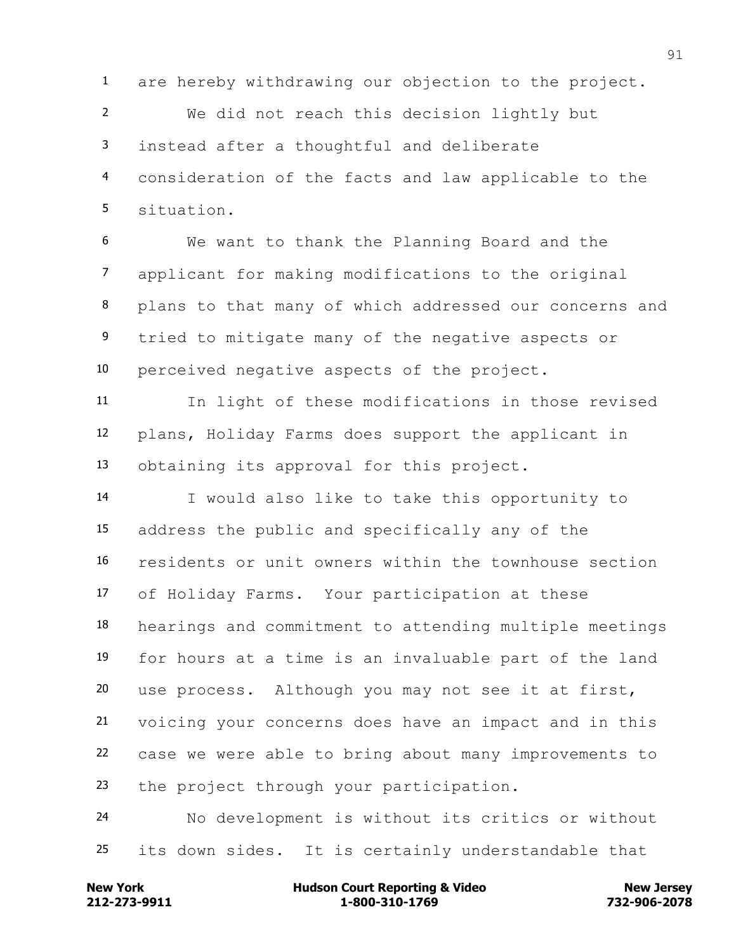are hereby withdrawing our objection to the project.

 We did not reach this decision lightly but instead after a thoughtful and deliberate consideration of the facts and law applicable to the situation.

 We want to thank the Planning Board and the applicant for making modifications to the original plans to that many of which addressed our concerns and tried to mitigate many of the negative aspects or perceived negative aspects of the project.

 In light of these modifications in those revised plans, Holiday Farms does support the applicant in obtaining its approval for this project.

 I would also like to take this opportunity to address the public and specifically any of the residents or unit owners within the townhouse section of Holiday Farms. Your participation at these hearings and commitment to attending multiple meetings for hours at a time is an invaluable part of the land use process. Although you may not see it at first, voicing your concerns does have an impact and in this case we were able to bring about many improvements to 23 the project through your participation.

 No development is without its critics or without its down sides. It is certainly understandable that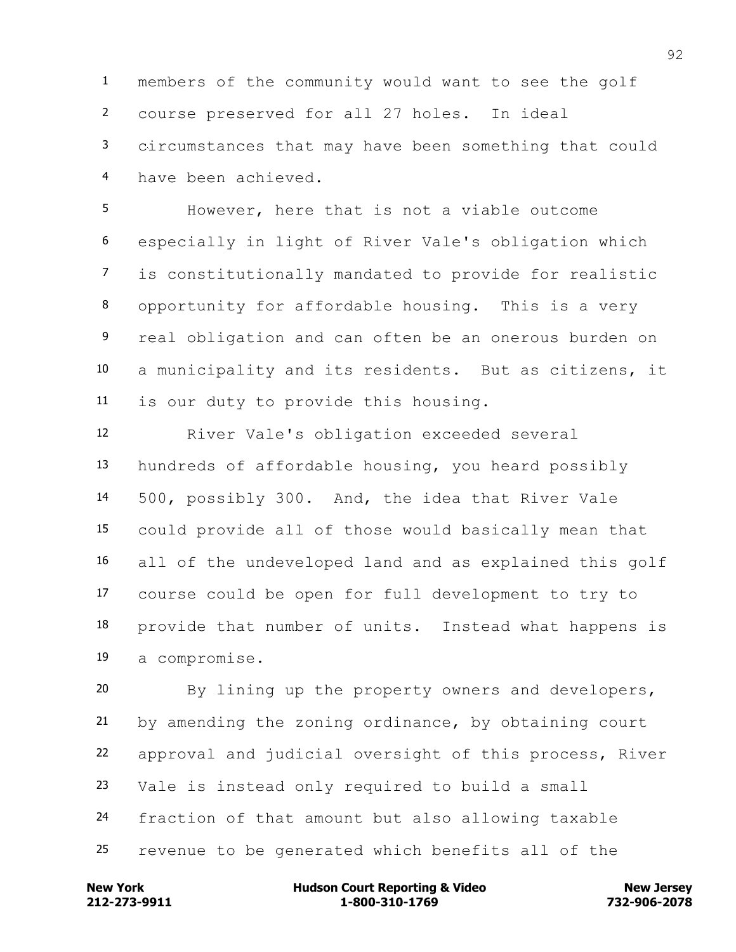members of the community would want to see the golf course preserved for all 27 holes. In ideal circumstances that may have been something that could have been achieved.

 However, here that is not a viable outcome especially in light of River Vale's obligation which is constitutionally mandated to provide for realistic opportunity for affordable housing. This is a very real obligation and can often be an onerous burden on a municipality and its residents. But as citizens, it is our duty to provide this housing.

 River Vale's obligation exceeded several hundreds of affordable housing, you heard possibly 500, possibly 300. And, the idea that River Vale could provide all of those would basically mean that all of the undeveloped land and as explained this golf course could be open for full development to try to provide that number of units. Instead what happens is a compromise.

 By lining up the property owners and developers, by amending the zoning ordinance, by obtaining court approval and judicial oversight of this process, River Vale is instead only required to build a small fraction of that amount but also allowing taxable revenue to be generated which benefits all of the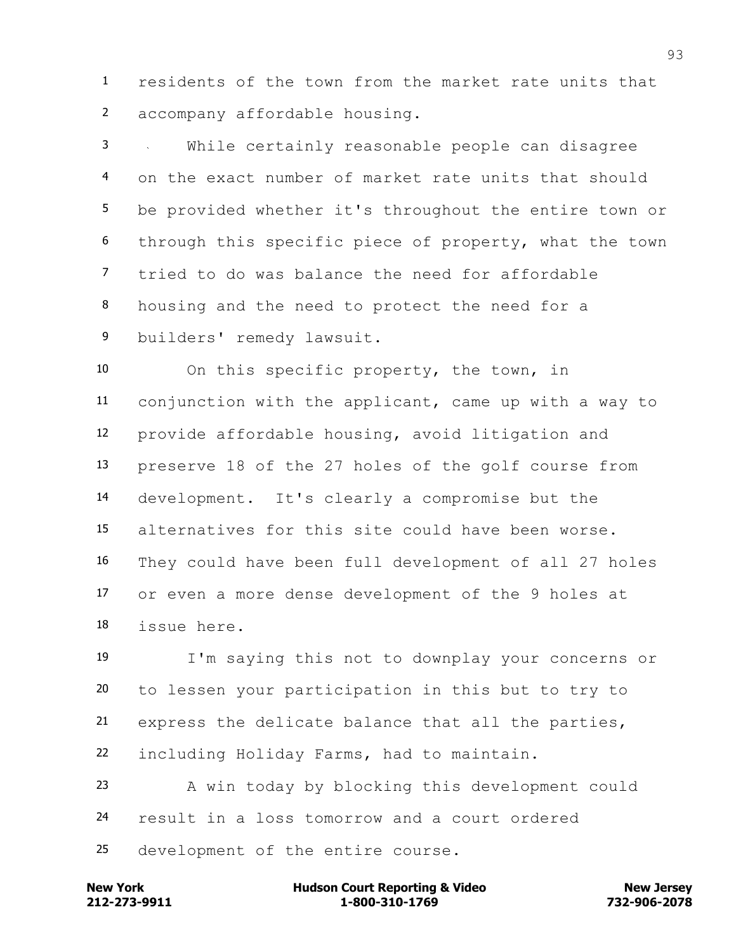residents of the town from the market rate units that accompany affordable housing.

 While certainly reasonable people can disagree on the exact number of market rate units that should be provided whether it's throughout the entire town or through this specific piece of property, what the town tried to do was balance the need for affordable housing and the need to protect the need for a builders' remedy lawsuit.

 On this specific property, the town, in conjunction with the applicant, came up with a way to provide affordable housing, avoid litigation and preserve 18 of the 27 holes of the golf course from development. It's clearly a compromise but the alternatives for this site could have been worse. They could have been full development of all 27 holes or even a more dense development of the 9 holes at issue here.

 I'm saying this not to downplay your concerns or to lessen your participation in this but to try to express the delicate balance that all the parties, including Holiday Farms, had to maintain.

 A win today by blocking this development could result in a loss tomorrow and a court ordered development of the entire course.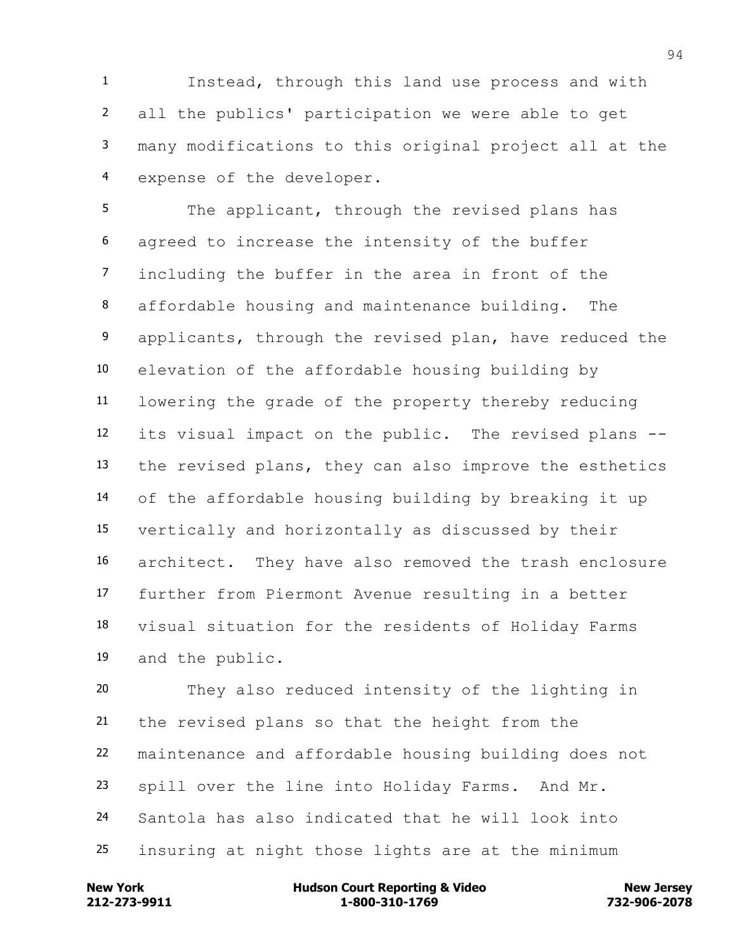Instead, through this land use process and with all the publics' participation we were able to get many modifications to this original project all at the expense of the developer.

5 The applicant, through the revised plans has agreed to increase the intensity of the buffer including the buffer in the area in front of the affordable housing and maintenance building. The 9 applicants, through the revised plan, have reduced the elevation of the affordable housing building by lowering the grade of the property thereby reducing its visual impact on the public. The revised plans -- the revised plans, they can also improve the esthetics of the affordable housing building by breaking it up vertically and horizontally as discussed by their architect. They have also removed the trash enclosure further from Piermont Avenue resulting in a better visual situation for the residents of Holiday Farms and the public.

 They also reduced intensity of the lighting in the revised plans so that the height from the maintenance and affordable housing building does not spill over the line into Holiday Farms. And Mr. Santola has also indicated that he will look into insuring at night those lights are at the minimum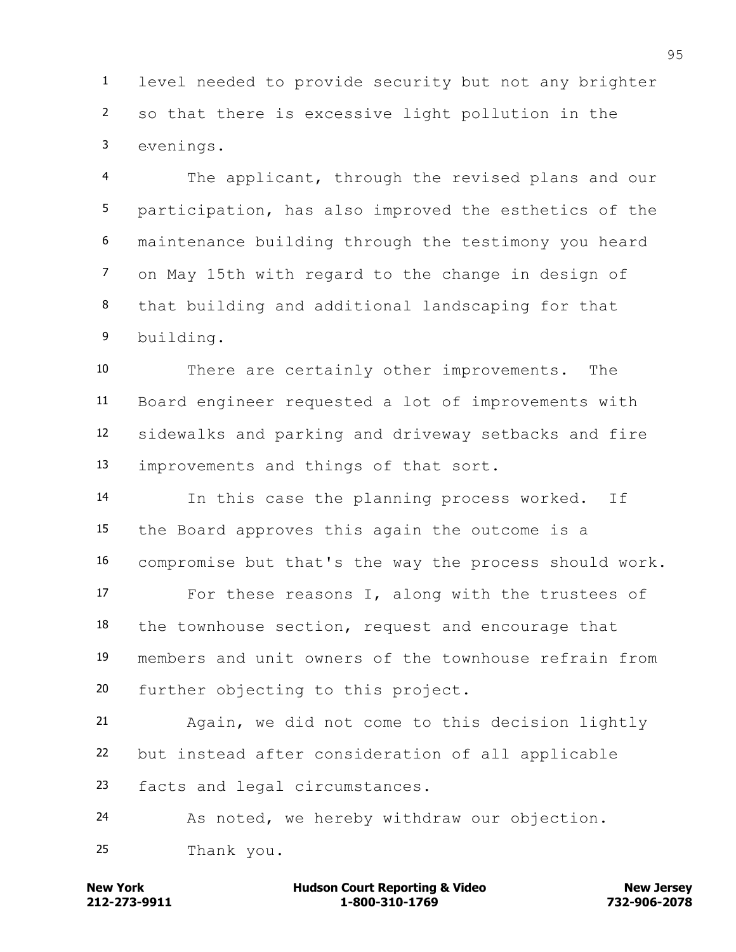level needed to provide security but not any brighter so that there is excessive light pollution in the evenings.

 The applicant, through the revised plans and our participation, has also improved the esthetics of the maintenance building through the testimony you heard on May 15th with regard to the change in design of that building and additional landscaping for that building.

 There are certainly other improvements. The Board engineer requested a lot of improvements with sidewalks and parking and driveway setbacks and fire improvements and things of that sort.

 In this case the planning process worked. If the Board approves this again the outcome is a compromise but that's the way the process should work.

 For these reasons I, along with the trustees of the townhouse section, request and encourage that members and unit owners of the townhouse refrain from further objecting to this project.

 Again, we did not come to this decision lightly but instead after consideration of all applicable facts and legal circumstances.

As noted, we hereby withdraw our objection.

Thank you.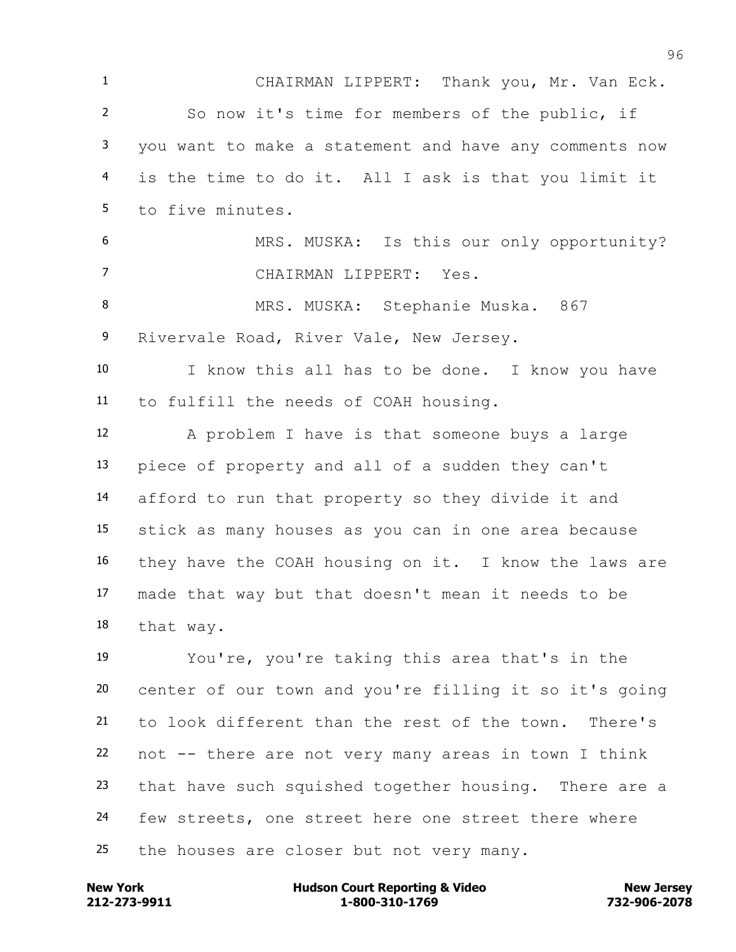CHAIRMAN LIPPERT: Thank you, Mr. Van Eck. So now it's time for members of the public, if you want to make a statement and have any comments now is the time to do it. All I ask is that you limit it to five minutes. MRS. MUSKA: Is this our only opportunity? CHAIRMAN LIPPERT: Yes. 8 MRS. MUSKA: Stephanie Muska. 867 9 Rivervale Road, River Vale, New Jersey. I know this all has to be done. I know you have to fulfill the needs of COAH housing. A problem I have is that someone buys a large piece of property and all of a sudden they can't afford to run that property so they divide it and stick as many houses as you can in one area because they have the COAH housing on it. I know the laws are made that way but that doesn't mean it needs to be that way. You're, you're taking this area that's in the center of our town and you're filling it so it's going to look different than the rest of the town. There's not -- there are not very many areas in town I think that have such squished together housing. There are a few streets, one street here one street there where 25 the houses are closer but not very many.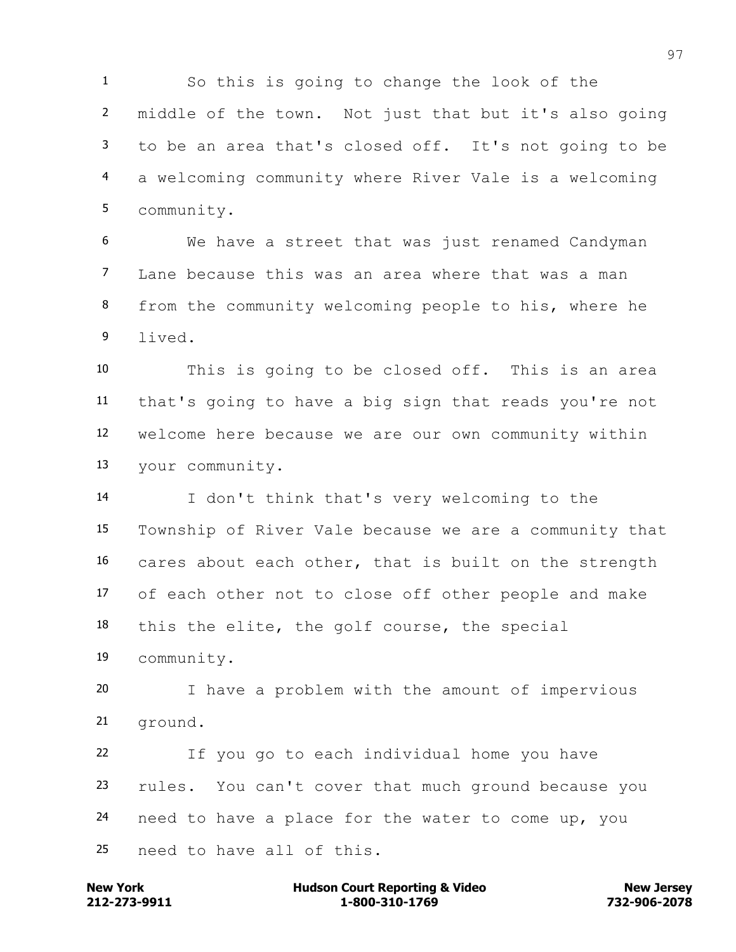So this is going to change the look of the middle of the town. Not just that but it's also going to be an area that's closed off. It's not going to be a welcoming community where River Vale is a welcoming community.

 We have a street that was just renamed Candyman Lane because this was an area where that was a man from the community welcoming people to his, where he lived.

 This is going to be closed off. This is an area that's going to have a big sign that reads you're not welcome here because we are our own community within your community.

 I don't think that's very welcoming to the Township of River Vale because we are a community that cares about each other, that is built on the strength of each other not to close off other people and make this the elite, the golf course, the special

community.

 I have a problem with the amount of impervious ground.

 If you go to each individual home you have rules. You can't cover that much ground because you need to have a place for the water to come up, you need to have all of this.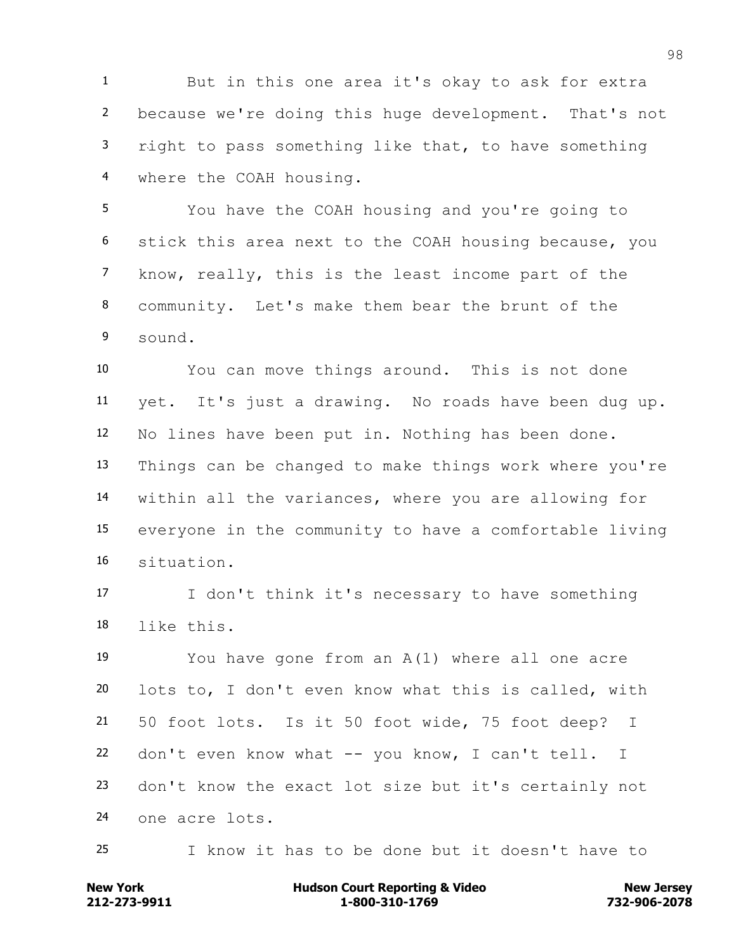But in this one area it's okay to ask for extra because we're doing this huge development. That's not right to pass something like that, to have something where the COAH housing.

 You have the COAH housing and you're going to stick this area next to the COAH housing because, you know, really, this is the least income part of the community. Let's make them bear the brunt of the sound.

 You can move things around. This is not done yet. It's just a drawing. No roads have been dug up. No lines have been put in. Nothing has been done. Things can be changed to make things work where you're within all the variances, where you are allowing for everyone in the community to have a comfortable living situation.

 I don't think it's necessary to have something like this.

 You have gone from an A(1) where all one acre lots to, I don't even know what this is called, with 50 foot lots. Is it 50 foot wide, 75 foot deep? I don't even know what -- you know, I can't tell. I don't know the exact lot size but it's certainly not one acre lots.

I know it has to be done but it doesn't have to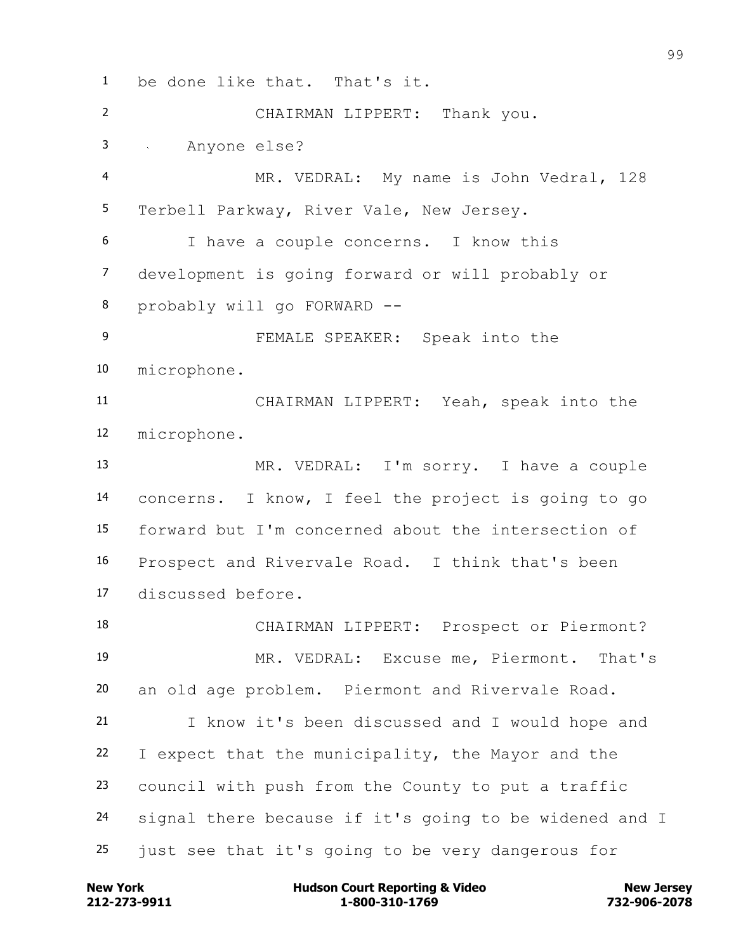be done like that. That's it. CHAIRMAN LIPPERT: Thank you. Anyone else? MR. VEDRAL: My name is John Vedral, 128 Terbell Parkway, River Vale, New Jersey. I have a couple concerns. I know this development is going forward or will probably or probably will go FORWARD -- FEMALE SPEAKER: Speak into the microphone. CHAIRMAN LIPPERT: Yeah, speak into the microphone. MR. VEDRAL: I'm sorry. I have a couple concerns. I know, I feel the project is going to go forward but I'm concerned about the intersection of Prospect and Rivervale Road. I think that's been discussed before. CHAIRMAN LIPPERT: Prospect or Piermont? MR. VEDRAL: Excuse me, Piermont. That's an old age problem. Piermont and Rivervale Road. I know it's been discussed and I would hope and I expect that the municipality, the Mayor and the council with push from the County to put a traffic signal there because if it's going to be widened and I just see that it's going to be very dangerous for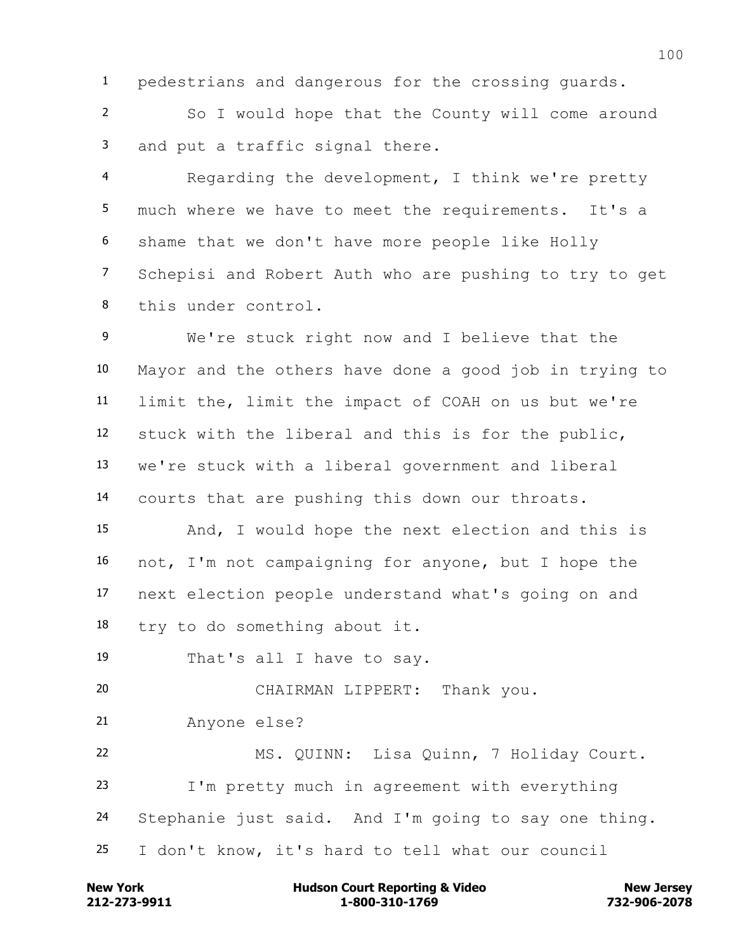pedestrians and dangerous for the crossing guards.

 So I would hope that the County will come around and put a traffic signal there.

 Regarding the development, I think we're pretty much where we have to meet the requirements. It's a shame that we don't have more people like Holly Schepisi and Robert Auth who are pushing to try to get this under control.

 We're stuck right now and I believe that the Mayor and the others have done a good job in trying to limit the, limit the impact of COAH on us but we're stuck with the liberal and this is for the public, we're stuck with a liberal government and liberal courts that are pushing this down our throats.

 And, I would hope the next election and this is not, I'm not campaigning for anyone, but I hope the next election people understand what's going on and try to do something about it.

That's all I have to say.

CHAIRMAN LIPPERT: Thank you.

Anyone else?

 MS. QUINN: Lisa Quinn, 7 Holiday Court. I'm pretty much in agreement with everything Stephanie just said. And I'm going to say one thing. I don't know, it's hard to tell what our council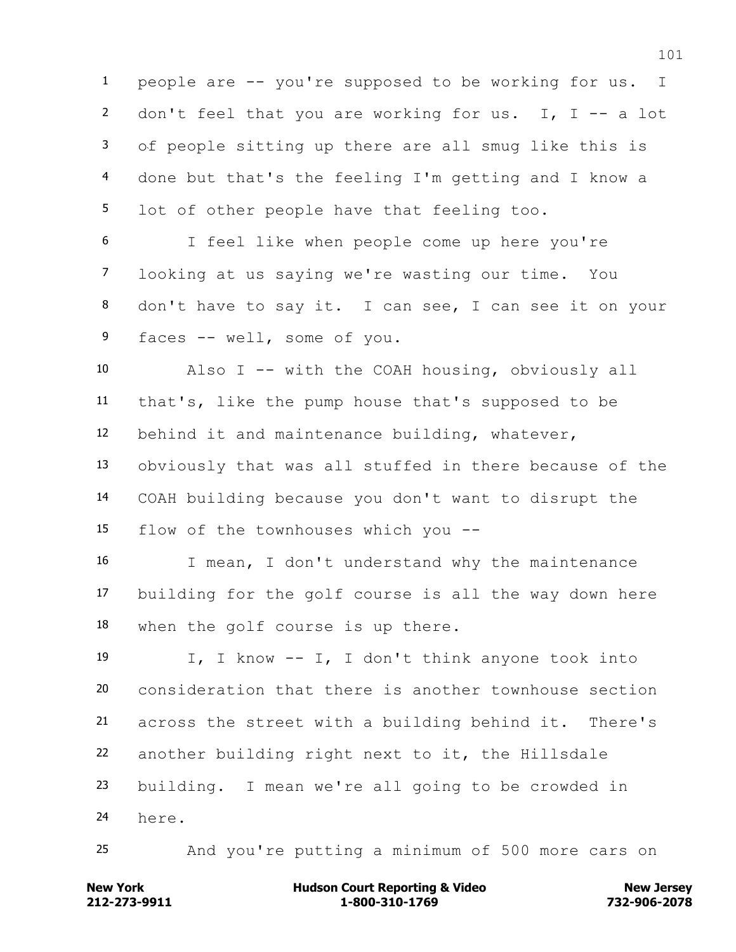people are -- you're supposed to be working for us. I 2 don't feel that you are working for us. I, I  $-$  a lot of people sitting up there are all smug like this is done but that's the feeling I'm getting and I know a lot of other people have that feeling too.

 I feel like when people come up here you're looking at us saying we're wasting our time. You don't have to say it. I can see, I can see it on your faces -- well, some of you.

 Also I -- with the COAH housing, obviously all that's, like the pump house that's supposed to be behind it and maintenance building, whatever, obviously that was all stuffed in there because of the COAH building because you don't want to disrupt the flow of the townhouses which you --

 I mean, I don't understand why the maintenance building for the golf course is all the way down here when the golf course is up there.

 I, I know -- I, I don't think anyone took into consideration that there is another townhouse section across the street with a building behind it. There's another building right next to it, the Hillsdale building. I mean we're all going to be crowded in here.

And you're putting a minimum of 500 more cars on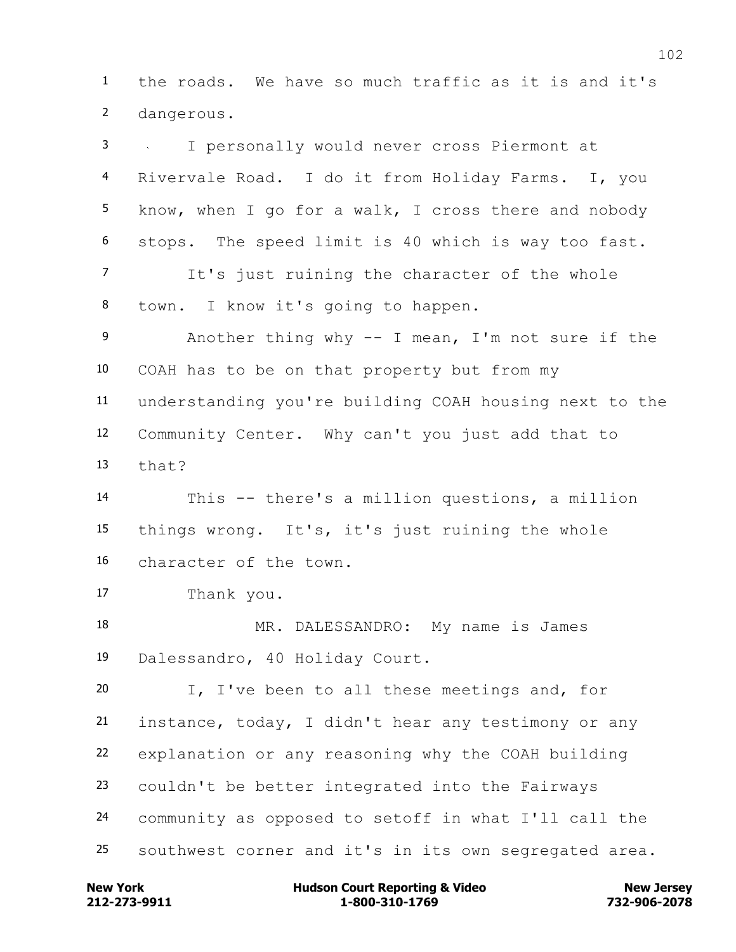the roads. We have so much traffic as it is and it's dangerous.

 I personally would never cross Piermont at Rivervale Road. I do it from Holiday Farms. I, you know, when I go for a walk, I cross there and nobody stops. The speed limit is 40 which is way too fast. It's just ruining the character of the whole town. I know it's going to happen. Another thing why -- I mean, I'm not sure if the COAH has to be on that property but from my understanding you're building COAH housing next to the Community Center. Why can't you just add that to that? This -- there's a million questions, a million things wrong. It's, it's just ruining the whole character of the town. Thank you. MR. DALESSANDRO: My name is James Dalessandro, 40 Holiday Court. I, I've been to all these meetings and, for instance, today, I didn't hear any testimony or any explanation or any reasoning why the COAH building couldn't be better integrated into the Fairways community as opposed to setoff in what I'll call the southwest corner and it's in its own segregated area.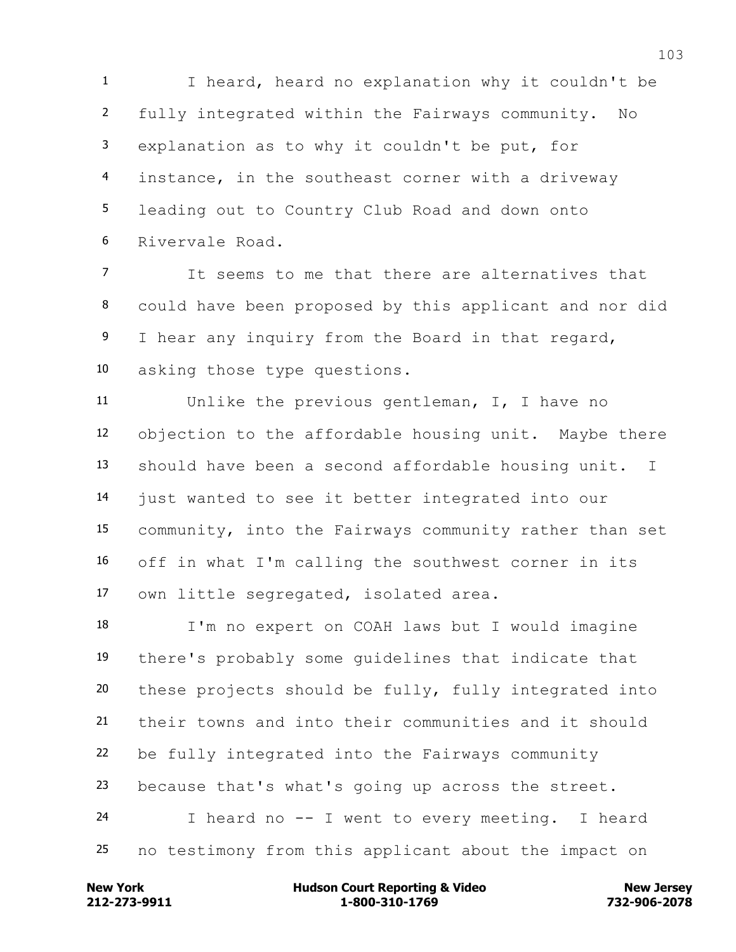I heard, heard no explanation why it couldn't be fully integrated within the Fairways community. No explanation as to why it couldn't be put, for instance, in the southeast corner with a driveway leading out to Country Club Road and down onto Rivervale Road.

 It seems to me that there are alternatives that could have been proposed by this applicant and nor did 9 I hear any inquiry from the Board in that regard, asking those type questions.

 Unlike the previous gentleman, I, I have no objection to the affordable housing unit. Maybe there should have been a second affordable housing unit. I just wanted to see it better integrated into our community, into the Fairways community rather than set off in what I'm calling the southwest corner in its own little segregated, isolated area.

 I'm no expert on COAH laws but I would imagine there's probably some guidelines that indicate that these projects should be fully, fully integrated into their towns and into their communities and it should be fully integrated into the Fairways community because that's what's going up across the street. I heard no -- I went to every meeting. I heard no testimony from this applicant about the impact on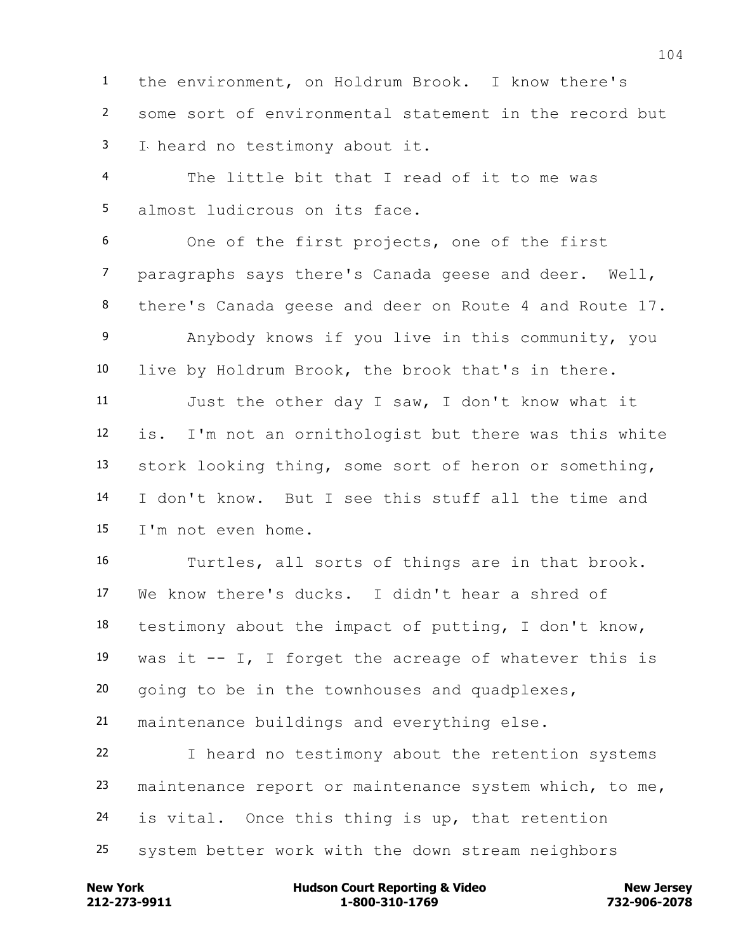the environment, on Holdrum Brook. I know there's some sort of environmental statement in the record but I heard no testimony about it.

 The little bit that I read of it to me was almost ludicrous on its face.

 One of the first projects, one of the first paragraphs says there's Canada geese and deer. Well, there's Canada geese and deer on Route 4 and Route 17. Anybody knows if you live in this community, you live by Holdrum Brook, the brook that's in there. Just the other day I saw, I don't know what it is. I'm not an ornithologist but there was this white stork looking thing, some sort of heron or something, I don't know. But I see this stuff all the time and I'm not even home.

 Turtles, all sorts of things are in that brook. We know there's ducks. I didn't hear a shred of testimony about the impact of putting, I don't know, 19 was it  $-$  I, I forget the acreage of whatever this is going to be in the townhouses and quadplexes, maintenance buildings and everything else.

 I heard no testimony about the retention systems maintenance report or maintenance system which, to me, is vital. Once this thing is up, that retention system better work with the down stream neighbors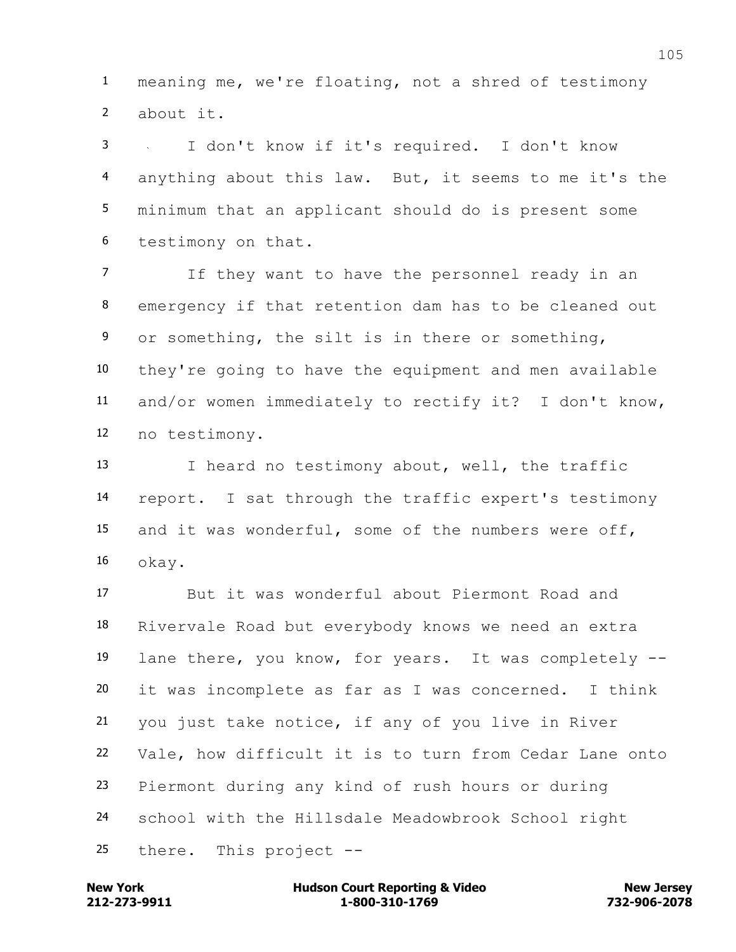meaning me, we're floating, not a shred of testimony about it.

 I don't know if it's required. I don't know anything about this law. But, it seems to me it's the minimum that an applicant should do is present some testimony on that.

 If they want to have the personnel ready in an emergency if that retention dam has to be cleaned out or something, the silt is in there or something, they're going to have the equipment and men available and/or women immediately to rectify it? I don't know, no testimony.

 I heard no testimony about, well, the traffic report. I sat through the traffic expert's testimony and it was wonderful, some of the numbers were off, okay.

 But it was wonderful about Piermont Road and Rivervale Road but everybody knows we need an extra lane there, you know, for years. It was completely -- it was incomplete as far as I was concerned. I think you just take notice, if any of you live in River Vale, how difficult it is to turn from Cedar Lane onto Piermont during any kind of rush hours or during school with the Hillsdale Meadowbrook School right there. This project --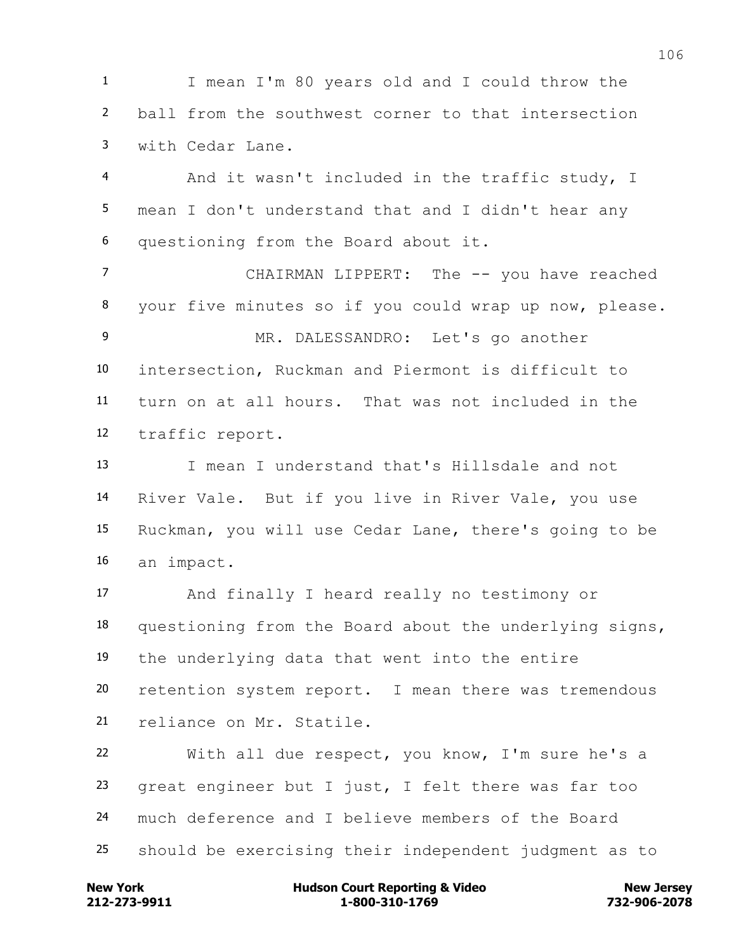I mean I'm 80 years old and I could throw the ball from the southwest corner to that intersection with Cedar Lane.

 And it wasn't included in the traffic study, I mean I don't understand that and I didn't hear any questioning from the Board about it.

 CHAIRMAN LIPPERT: The -- you have reached your five minutes so if you could wrap up now, please. MR. DALESSANDRO: Let's go another intersection, Ruckman and Piermont is difficult to turn on at all hours. That was not included in the traffic report.

 I mean I understand that's Hillsdale and not River Vale. But if you live in River Vale, you use Ruckman, you will use Cedar Lane, there's going to be an impact.

 And finally I heard really no testimony or questioning from the Board about the underlying signs, the underlying data that went into the entire retention system report. I mean there was tremendous reliance on Mr. Statile.

 With all due respect, you know, I'm sure he's a great engineer but I just, I felt there was far too much deference and I believe members of the Board should be exercising their independent judgment as to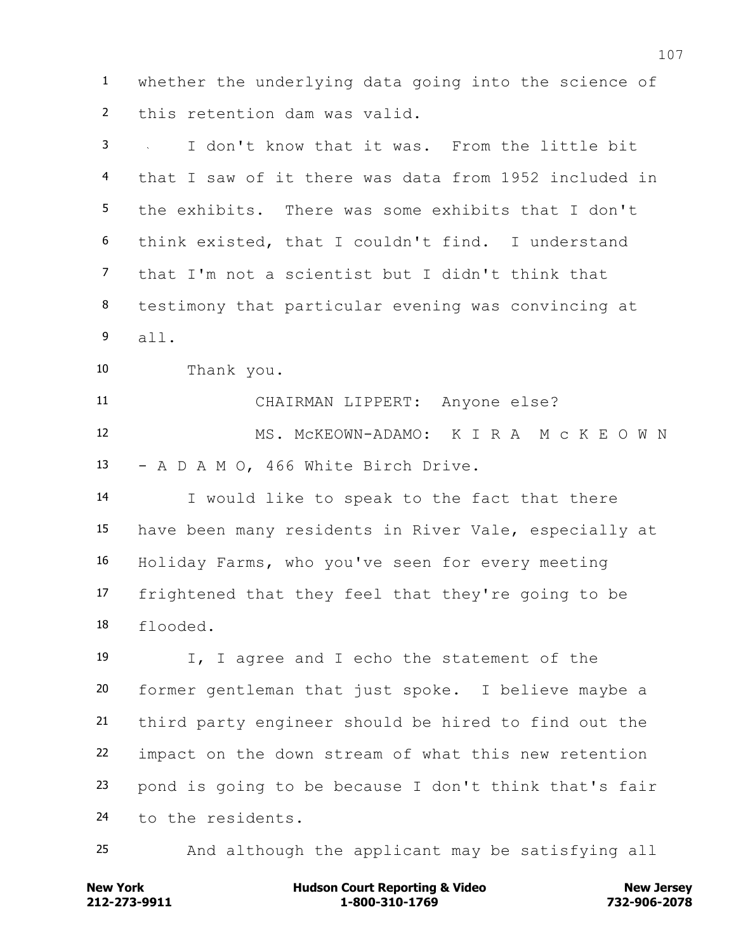whether the underlying data going into the science of this retention dam was valid.

 I don't know that it was. From the little bit that I saw of it there was data from 1952 included in the exhibits. There was some exhibits that I don't think existed, that I couldn't find. I understand that I'm not a scientist but I didn't think that testimony that particular evening was convincing at all. Thank you. CHAIRMAN LIPPERT: Anyone else? MS. McKEOWN-ADAMO: K I R A M c K E O W N - A D A M O, 466 White Birch Drive. I would like to speak to the fact that there have been many residents in River Vale, especially at Holiday Farms, who you've seen for every meeting frightened that they feel that they're going to be flooded. I, I agree and I echo the statement of the former gentleman that just spoke. I believe maybe a third party engineer should be hired to find out the impact on the down stream of what this new retention pond is going to be because I don't think that's fair to the residents. And although the applicant may be satisfying all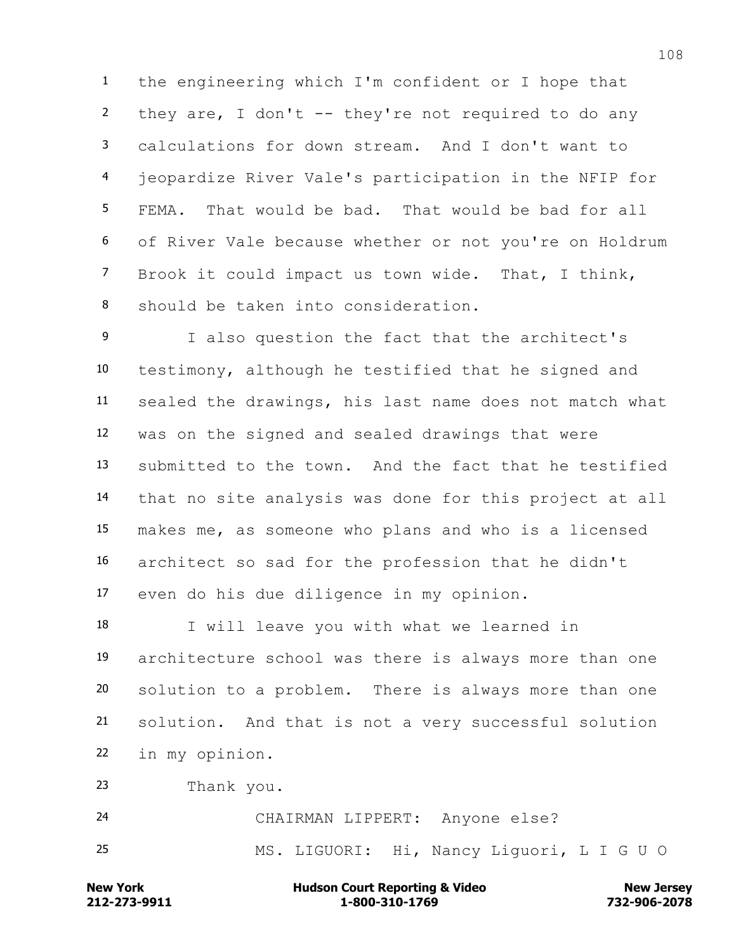the engineering which I'm confident or I hope that they are, I don't -- they're not required to do any calculations for down stream. And I don't want to jeopardize River Vale's participation in the NFIP for FEMA. That would be bad. That would be bad for all of River Vale because whether or not you're on Holdrum Brook it could impact us town wide. That, I think, should be taken into consideration.

 I also question the fact that the architect's testimony, although he testified that he signed and sealed the drawings, his last name does not match what was on the signed and sealed drawings that were submitted to the town. And the fact that he testified that no site analysis was done for this project at all makes me, as someone who plans and who is a licensed architect so sad for the profession that he didn't even do his due diligence in my opinion.

 I will leave you with what we learned in architecture school was there is always more than one solution to a problem. There is always more than one solution. And that is not a very successful solution in my opinion.

Thank you.

 CHAIRMAN LIPPERT: Anyone else? MS. LIGUORI: Hi, Nancy Liguori, L I G U O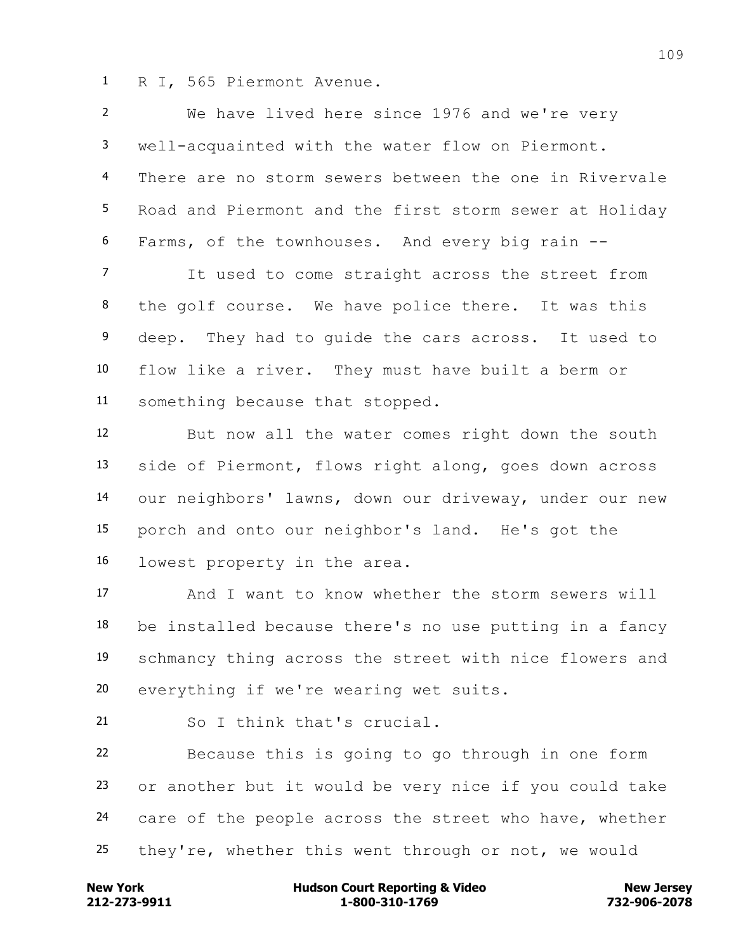R I, 565 Piermont Avenue.

 We have lived here since 1976 and we're very well-acquainted with the water flow on Piermont. There are no storm sewers between the one in Rivervale Road and Piermont and the first storm sewer at Holiday Farms, of the townhouses. And every big rain --

 It used to come straight across the street from the golf course. We have police there. It was this deep. They had to guide the cars across. It used to flow like a river. They must have built a berm or something because that stopped.

 But now all the water comes right down the south side of Piermont, flows right along, goes down across our neighbors' lawns, down our driveway, under our new porch and onto our neighbor's land. He's got the lowest property in the area.

 And I want to know whether the storm sewers will be installed because there's no use putting in a fancy schmancy thing across the street with nice flowers and everything if we're wearing wet suits.

So I think that's crucial.

 Because this is going to go through in one form or another but it would be very nice if you could take care of the people across the street who have, whether they're, whether this went through or not, we would

**212-273-9911 1-800-310-1769 732-906-2078 New York Communist Court Reporting & Video New Jersey Rew Jersey**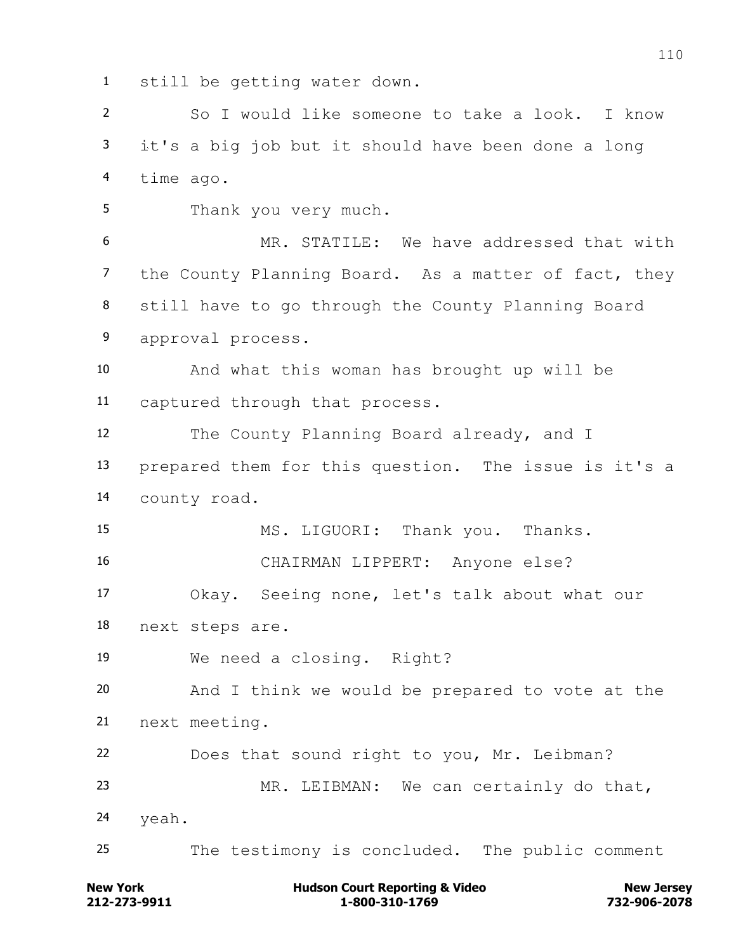still be getting water down.

 So I would like someone to take a look. I know it's a big job but it should have been done a long time ago.

Thank you very much.

 MR. STATILE: We have addressed that with the County Planning Board. As a matter of fact, they still have to go through the County Planning Board approval process.

 And what this woman has brought up will be captured through that process.

 The County Planning Board already, and I prepared them for this question. The issue is it's a county road.

MS. LIGUORI: Thank you. Thanks.

CHAIRMAN LIPPERT: Anyone else?

 Okay. Seeing none, let's talk about what our next steps are.

We need a closing. Right?

 And I think we would be prepared to vote at the next meeting.

Does that sound right to you, Mr. Leibman?

 MR. LEIBMAN: We can certainly do that, yeah.

The testimony is concluded. The public comment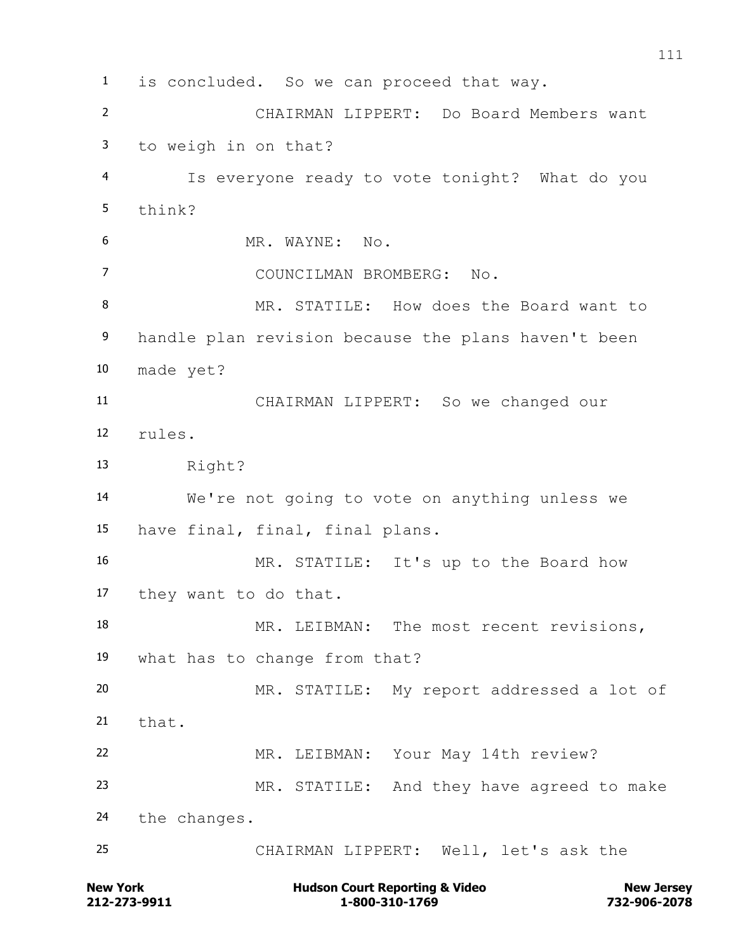is concluded. So we can proceed that way. CHAIRMAN LIPPERT: Do Board Members want to weigh in on that? Is everyone ready to vote tonight? What do you think? MR. WAYNE: No. COUNCILMAN BROMBERG: No. 8 MR. STATILE: How does the Board want to handle plan revision because the plans haven't been made yet? CHAIRMAN LIPPERT: So we changed our rules. Right? We're not going to vote on anything unless we have final, final, final plans. MR. STATILE: It's up to the Board how they want to do that. 18 MR. LEIBMAN: The most recent revisions, what has to change from that? MR. STATILE: My report addressed a lot of  $21 + hat.$  MR. LEIBMAN: Your May 14th review? MR. STATILE: And they have agreed to make the changes. CHAIRMAN LIPPERT: Well, let's ask the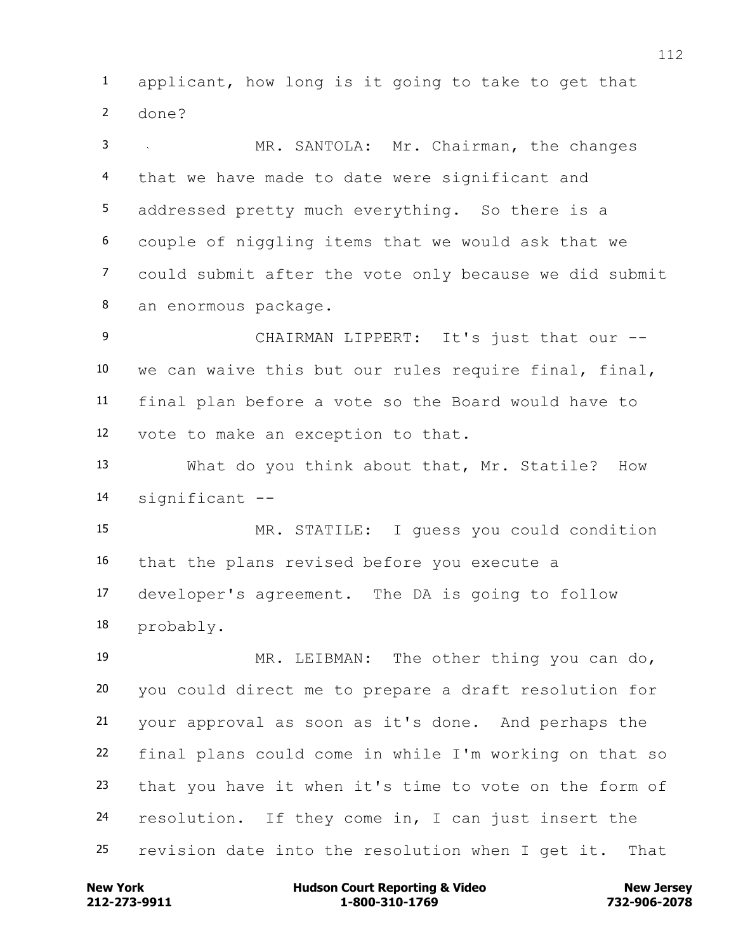applicant, how long is it going to take to get that done?

 MR. SANTOLA: Mr. Chairman, the changes that we have made to date were significant and addressed pretty much everything. So there is a couple of niggling items that we would ask that we could submit after the vote only because we did submit an enormous package.

9 CHAIRMAN LIPPERT: It's just that our -- we can waive this but our rules require final, final, final plan before a vote so the Board would have to vote to make an exception to that.

 What do you think about that, Mr. Statile? How significant --

 MR. STATILE: I guess you could condition that the plans revised before you execute a developer's agreement. The DA is going to follow probably.

 MR. LEIBMAN: The other thing you can do, you could direct me to prepare a draft resolution for your approval as soon as it's done. And perhaps the final plans could come in while I'm working on that so that you have it when it's time to vote on the form of resolution. If they come in, I can just insert the revision date into the resolution when I get it. That

**212-273-9911 1-800-310-1769 732-906-2078 New York Communist Court Reporting & Video New Jersey Rew Jersey**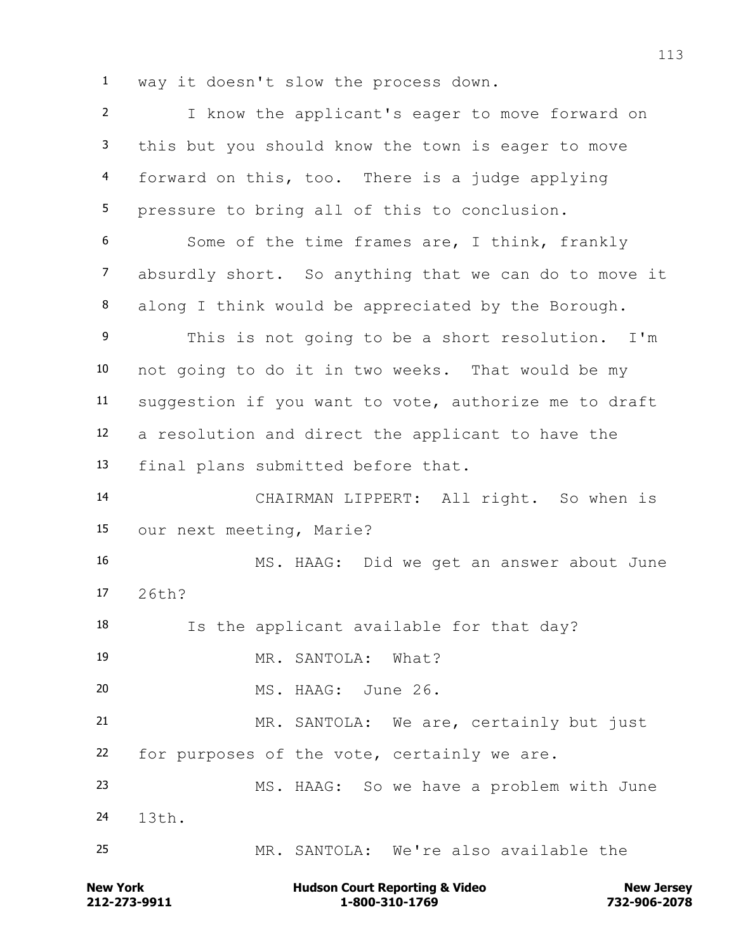way it doesn't slow the process down.

 I know the applicant's eager to move forward on this but you should know the town is eager to move forward on this, too. There is a judge applying pressure to bring all of this to conclusion. Some of the time frames are, I think, frankly absurdly short. So anything that we can do to move it along I think would be appreciated by the Borough. This is not going to be a short resolution. I'm not going to do it in two weeks. That would be my suggestion if you want to vote, authorize me to draft a resolution and direct the applicant to have the final plans submitted before that. CHAIRMAN LIPPERT: All right. So when is our next meeting, Marie? MS. HAAG: Did we get an answer about June 26th? Is the applicant available for that day? MR. SANTOLA: What? MS. HAAG: June 26. MR. SANTOLA: We are, certainly but just for purposes of the vote, certainly we are. MS. HAAG: So we have a problem with June 13th. MR. SANTOLA: We're also available the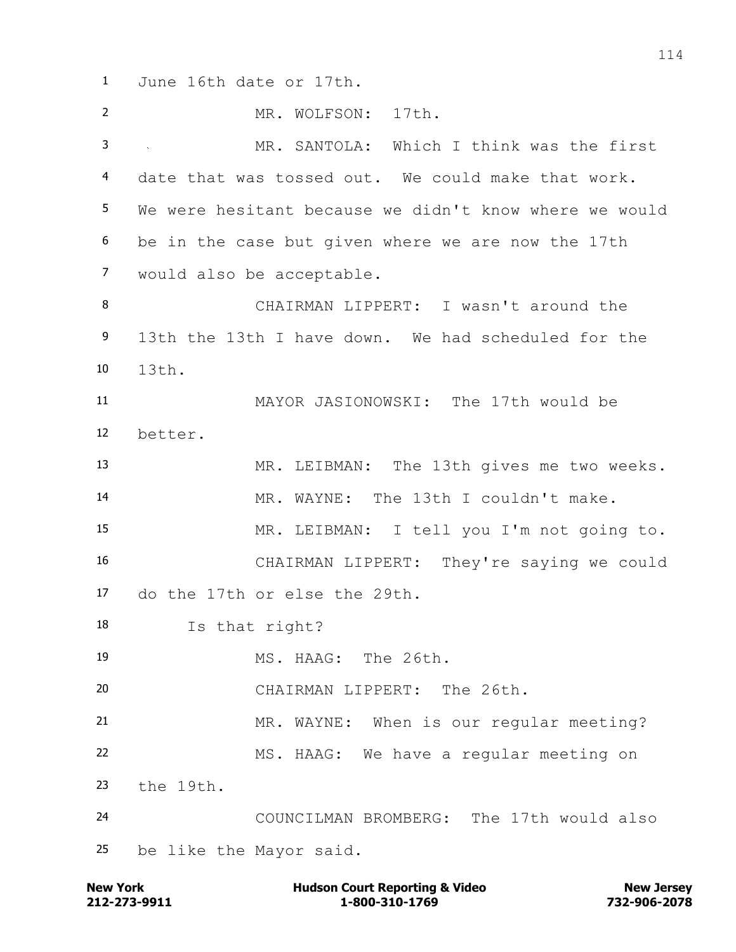June 16th date or 17th. MR. WOLFSON: 17th. MR. SANTOLA: Which I think was the first date that was tossed out. We could make that work. We were hesitant because we didn't know where we would be in the case but given where we are now the 17th would also be acceptable. CHAIRMAN LIPPERT: I wasn't around the 13th the 13th I have down. We had scheduled for the 13th. MAYOR JASIONOWSKI: The 17th would be better. MR. LEIBMAN: The 13th gives me two weeks. MR. WAYNE: The 13th I couldn't make. MR. LEIBMAN: I tell you I'm not going to. CHAIRMAN LIPPERT: They're saying we could do the 17th or else the 29th. Is that right? MS. HAAG: The 26th. CHAIRMAN LIPPERT: The 26th. MR. WAYNE: When is our regular meeting? MS. HAAG: We have a regular meeting on the 19th. COUNCILMAN BROMBERG: The 17th would also be like the Mayor said.

**212-273-9911 1-800-310-1769 732-906-2078 New York Communist Court Reporting & Video New Jersey Rew Jersey**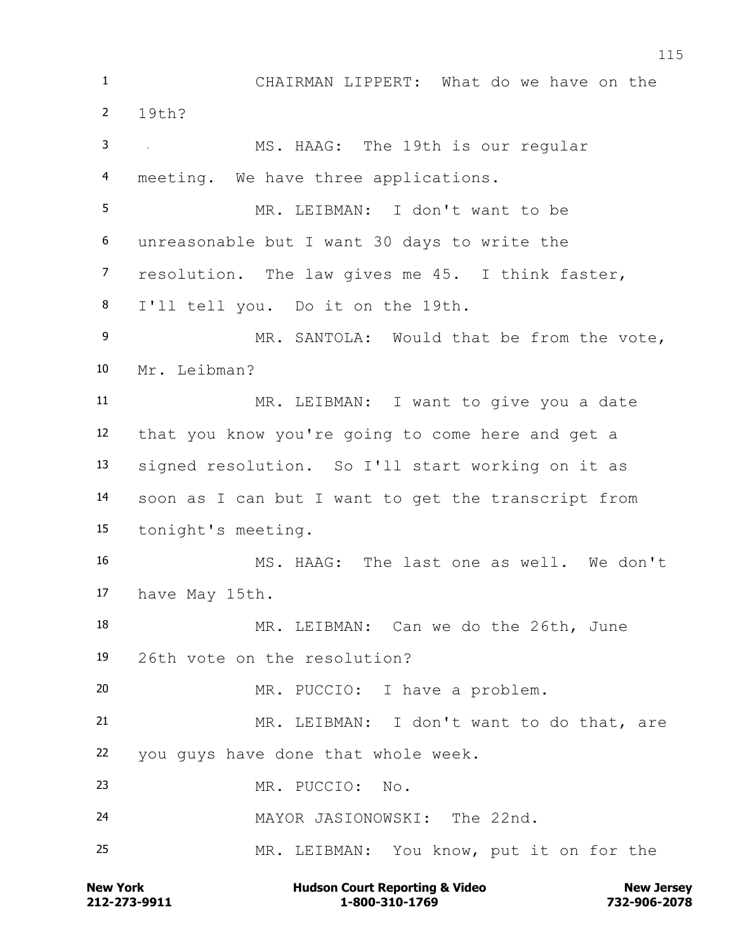CHAIRMAN LIPPERT: What do we have on the 19th? MS. HAAG: The 19th is our regular meeting. We have three applications. MR. LEIBMAN: I don't want to be unreasonable but I want 30 days to write the resolution. The law gives me 45. I think faster, I'll tell you. Do it on the 19th. MR. SANTOLA: Would that be from the vote, Mr. Leibman? MR. LEIBMAN: I want to give you a date that you know you're going to come here and get a signed resolution. So I'll start working on it as soon as I can but I want to get the transcript from tonight's meeting. MS. HAAG: The last one as well. We don't have May 15th. MR. LEIBMAN: Can we do the 26th, June 26th vote on the resolution? MR. PUCCIO: I have a problem. MR. LEIBMAN: I don't want to do that, are you guys have done that whole week. MR. PUCCIO: No. MAYOR JASIONOWSKI: The 22nd. MR. LEIBMAN: You know, put it on for the

**212-273-9911 1-800-310-1769 732-906-2078 New York Communist Court Reporting & Video New Jersey Rew Jersey**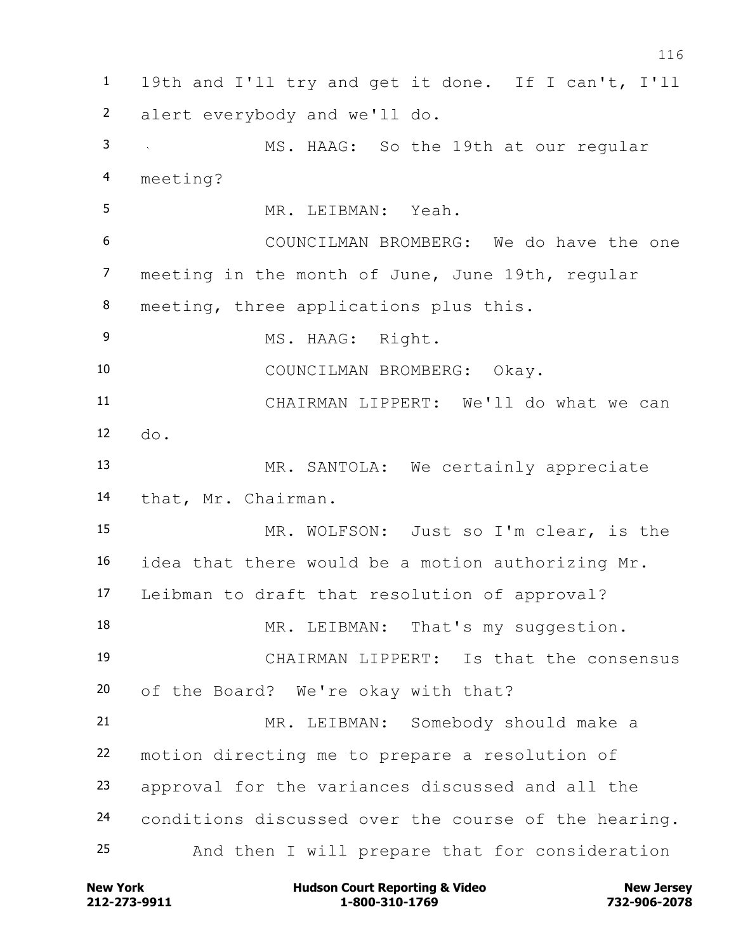19th and I'll try and get it done. If I can't, I'll alert everybody and we'll do. MS. HAAG: So the 19th at our regular meeting? MR. LEIBMAN: Yeah. COUNCILMAN BROMBERG: We do have the one 7 meeting in the month of June, June 19th, regular meeting, three applications plus this. 9 MS. HAAG: Right. COUNCILMAN BROMBERG: Okay. CHAIRMAN LIPPERT: We'll do what we can do. MR. SANTOLA: We certainly appreciate that, Mr. Chairman. MR. WOLFSON: Just so I'm clear, is the idea that there would be a motion authorizing Mr. Leibman to draft that resolution of approval? 18 MR. LEIBMAN: That's my suggestion. CHAIRMAN LIPPERT: Is that the consensus of the Board? We're okay with that? MR. LEIBMAN: Somebody should make a motion directing me to prepare a resolution of approval for the variances discussed and all the conditions discussed over the course of the hearing. And then I will prepare that for consideration

**212-273-9911 1-800-310-1769 732-906-2078 New York Communist Court Reporting & Video New Jersey Rew Jersey**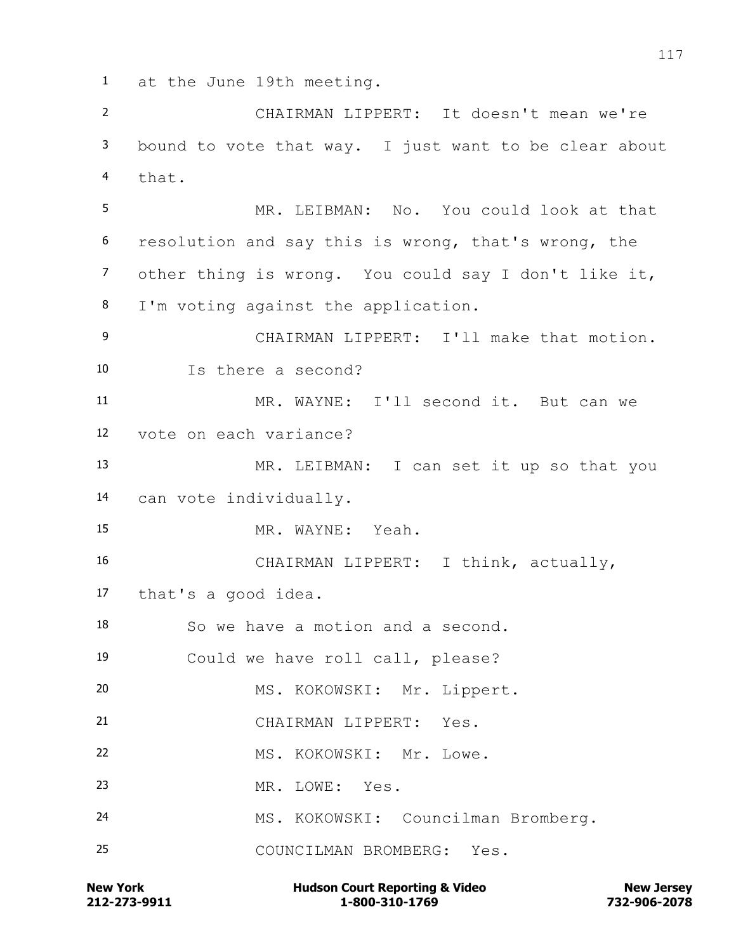at the June 19th meeting.

 CHAIRMAN LIPPERT: It doesn't mean we're bound to vote that way. I just want to be clear about that.

 MR. LEIBMAN: No. You could look at that resolution and say this is wrong, that's wrong, the other thing is wrong. You could say I don't like it, I'm voting against the application.

 CHAIRMAN LIPPERT: I'll make that motion. Is there a second?

 MR. WAYNE: I'll second it. But can we vote on each variance?

 MR. LEIBMAN: I can set it up so that you can vote individually.

MR. WAYNE: Yeah.

 CHAIRMAN LIPPERT: I think, actually, that's a good idea.

So we have a motion and a second.

Could we have roll call, please?

MS. KOKOWSKI: Mr. Lippert.

CHAIRMAN LIPPERT: Yes.

22 MS. KOKOWSKI: Mr. Lowe.

MR. LOWE: Yes.

MS. KOKOWSKI: Councilman Bromberg.

COUNCILMAN BROMBERG: Yes.

**212-273-9911 1-800-310-1769 732-906-2078 New York Communist Court Reporting & Video New Jersey Rew Jersey**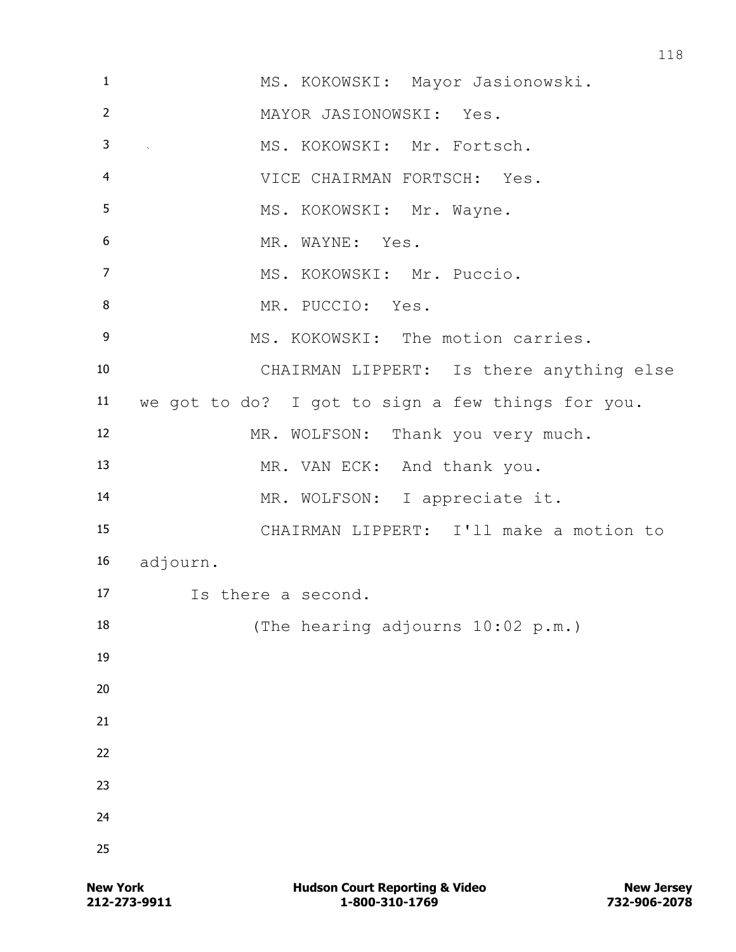| $\mathbf{1}$   | MS. KOKOWSKI: Mayor Jasionowski.                  |
|----------------|---------------------------------------------------|
| $\overline{2}$ | MAYOR JASIONOWSKI: Yes.                           |
| 3              | MS. KOKOWSKI: Mr. Fortsch.<br>$\sim 10^{-11}$     |
| $\overline{4}$ | VICE CHAIRMAN FORTSCH: Yes.                       |
| 5              | MS. KOKOWSKI: Mr. Wayne.                          |
| 6              | MR. WAYNE: Yes.                                   |
| $\overline{7}$ | MS. KOKOWSKI: Mr. Puccio.                         |
| 8              | MR. PUCCIO: Yes.                                  |
| 9              | MS. KOKOWSKI: The motion carries.                 |
| 10             | CHAIRMAN LIPPERT: Is there anything else          |
| 11             | we got to do? I got to sign a few things for you. |
| 12             | MR. WOLFSON: Thank you very much.                 |
| 13             | MR. VAN ECK: And thank you.                       |
| 14             | MR. WOLFSON: I appreciate it.                     |
| 15             | CHAIRMAN LIPPERT: I'll make a motion to           |
| 16             | adjourn.                                          |
| 17             | Is there a second.                                |
| 18             | (The hearing adjourns 10:02 p.m.)                 |
| 19             |                                                   |
| 20             |                                                   |
| 21             |                                                   |
| 22             |                                                   |
| 23             |                                                   |
| 24             |                                                   |
| 25             |                                                   |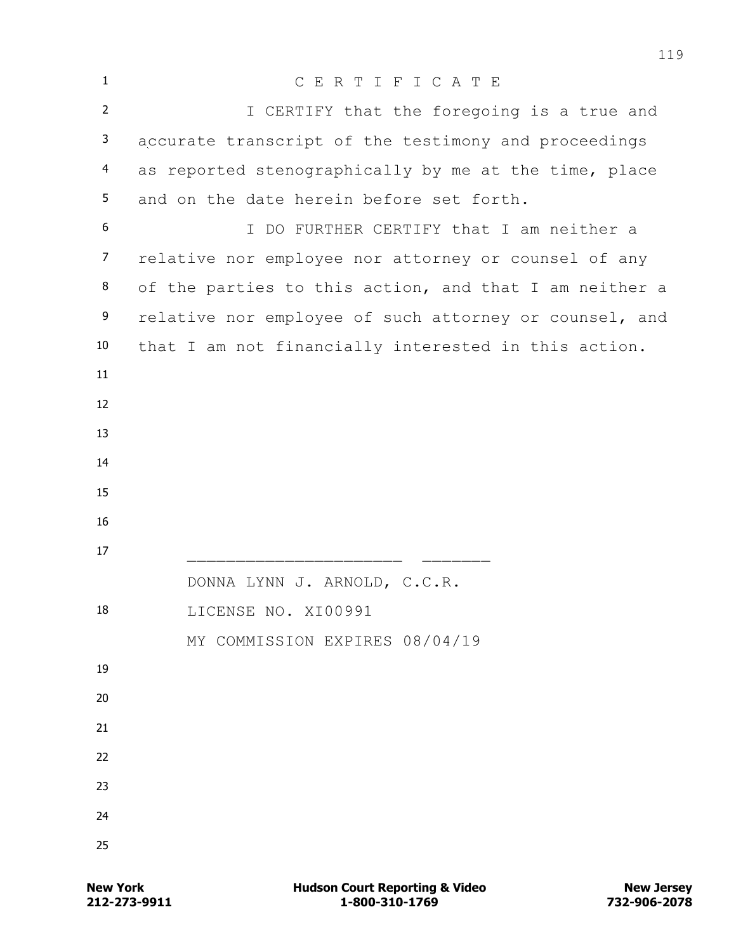| $\mathbf{1}$   | CERTIFICATE                                            |
|----------------|--------------------------------------------------------|
| $\overline{2}$ | I CERTIFY that the foregoing is a true and             |
| 3              | accurate transcript of the testimony and proceedings   |
| $\overline{4}$ | as reported stenographically by me at the time, place  |
| 5              | and on the date herein before set forth.               |
| 6              | I DO FURTHER CERTIFY that I am neither a               |
| $\overline{7}$ | relative nor employee nor attorney or counsel of any   |
| 8              | of the parties to this action, and that I am neither a |
| 9              | relative nor employee of such attorney or counsel, and |
| 10             | that I am not financially interested in this action.   |
| 11             |                                                        |
| 12             |                                                        |
| 13             |                                                        |
| 14             |                                                        |
| 15             |                                                        |
| 16             |                                                        |
| 17             |                                                        |
|                | DONNA LYNN J. ARNOLD, C.C.R.                           |
| 18             | LICENSE NO. XI00991                                    |
| 19             | MY COMMISSION EXPIRES 08/04/19                         |
| 20             |                                                        |
| 21             |                                                        |
| 22             |                                                        |
| 23             |                                                        |
| 24             |                                                        |
| 25             |                                                        |
|                |                                                        |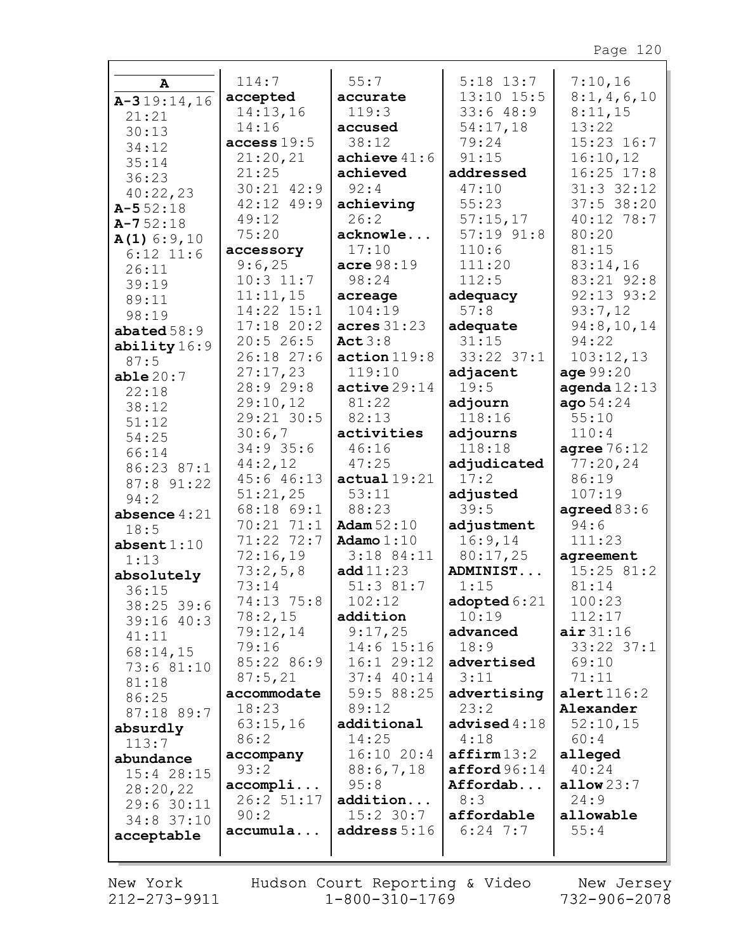| A                            | 114:7               | 55:7           | $5:18$ 13:7             | 7:10,16        |
|------------------------------|---------------------|----------------|-------------------------|----------------|
| $A-319:14,16$                | accepted            | accurate       | 13:10 15:5              | 8:1,4,6,10     |
| 21:21                        | 14:13,16            | 119:3          | 33:648:9                | 8:11,15        |
| 30:13                        | 14:16               | accused        | 54:17,18                | 13:22          |
|                              | access 19:5         | 38:12          | 79:24                   | $15:23$ $16:7$ |
| 34:12                        | 21:20,21            | achieve $41:6$ | 91:15                   | 16:10,12       |
| 35:14<br>36:23               | 21:25               | achieved       | addressed               | $16:25$ $17:8$ |
|                              | 30:21 42:9          | 92:4           | 47:10                   | $31:3$ $32:12$ |
| 40:22,23<br>$A - 552:18$     | 42:12 49:9          | achieving      | 55:23                   | $37:5$ 38:20   |
| $A - 752:18$                 | 49:12               | 26:2           | 57:15,17                | $40:12$ 78:7   |
|                              | 75:20               | acknowle       | $57:19$ $91:8$          | 80:20          |
| $A(1)$ 6:9,10<br>$6:12$ 11:6 | accessory           | 17:10          | 110:6                   | 81:15          |
| 26:11                        | 9:6,25              | acre 98:19     | 111:20                  | 83:14,16       |
| 39:19                        | $10:3$ 11:7         | 98:24          | 112:5                   | 83:21 92:8     |
| 89:11                        | 11:11,15            | acreage        | adequacy                | $92:13$ $93:2$ |
| 98:19                        | 14:22 15:1          | 104:19         | 57:8                    | 93:7,12        |
| abated $58:9$                | $17:18$ 20:2        | acres 31:23    | adequate                | 94:8,10,14     |
|                              | 20:526:5            | Act $3:8$      | 31:15                   | 94:22          |
| ability16:9<br>87:5          | 26:18 27:6          | action 119:8   | 33:22 37:1              | 103:12,13      |
| able20:7                     | 27:17,23            | 119:10         | adjacent                | age 99:20      |
| 22:18                        | 28:9 29:8           | active 29:14   | 19:5                    | agenda $12:13$ |
| 38:12                        | 29:10,12            | 81:22          | adjourn                 | aqo 54:24      |
| 51:12                        | 29:21 30:5          | 82:13          | 118:16                  | 55:10          |
| 54:25                        | 30:6,7              | activities     | adjourns                | 110:4          |
| 66:14                        | $34:9$ 35:6         | 46:16          | 118:18                  | agree $76:12$  |
| 86:23 87:1                   | 44:2,12             | 47:25          | adjudicated             | 77:20,24       |
| 87:8 91:22                   | 45:6 46:13          | actual19:21    | 17:2                    | 86:19          |
| 94:2                         | 51:21,25            | 53:11          | adjusted                | 107:19         |
| absence $4:21$               | 68:18 69:1          | 88:23          | 39:5                    | agreed $83:6$  |
| 18:5                         | 70:21 71:1          | Adam $52:10$   | adjustment              | 94:6           |
| absent $1:10$                | 71:22 72:7          | Adamo $1:10$   | 16:9,14                 | 111:23         |
| 1:13                         | 72:16,19            | $3:18$ 84:11   | 80:17,25                | agreement      |
| absolutely                   | 73:2,5,8            | add11:23       | ADMINIST                | 15:25 81:2     |
| 36:15                        | 73:14               | 51:3 81:7      | 1:15                    | 81:14          |
| 38:25 39:6                   | 74:13 75:8          | 102:12         | adopted $6:21$          | 100:23         |
| $39:16$ 40:3                 | $78:2$ , 15         | addition       | 10:19                   | 112:17         |
| 41:11                        | 79:12,14            | 9:17,25        | advanced                | air 31:16      |
| 68:14,15                     | 79:16               | $14:6$ 15:16   | 18:9                    | $33:22$ $37:1$ |
| 73:6 81:10                   | 85:22 86:9          | 16:129:12      | advertised              | 69:10          |
| 81:18                        | 87:5,21             | $37:4$ 40:14   | 3:11                    | 71:11          |
| 86:25                        | accommodate         | 59:5 88:25     | advertising             | alert $116:2$  |
| 87:18 89:7                   | 18:23               | 89:12          | 23:2                    | Alexander      |
| absurdly                     | 63:15,16            | additional     | advised $4:18$          | 52:10,15       |
| 113:7                        | 86:2                | 14:25          | 4:18                    | 60:4           |
| abundance                    | accompany           | 16:1020:4      | affirm13:2              | alleged        |
| $15:4$ 28:15                 | 93:2                | 88:6,7,18      | $\texttt{afford} 96:14$ | 40:24          |
| 28:20,22                     | $\texttt{accompli}$ | 95:8           | Affordab                | allow23:7      |
| 29:6 30:11                   | 26:2 51:17          | addition       | 8:3                     | 24:9           |
| 34:8 37:10                   | 90:2                | $15:2$ 30:7    | affordable              | allowable      |
| acceptable                   | accumula            | address 5:16   | $6:24$ 7:7              | 55:4           |
|                              |                     |                |                         |                |

New York 212-273-9911 Hudson Court Reporting & Video<br>1-800-310-1769

New Jersey 732-906-2078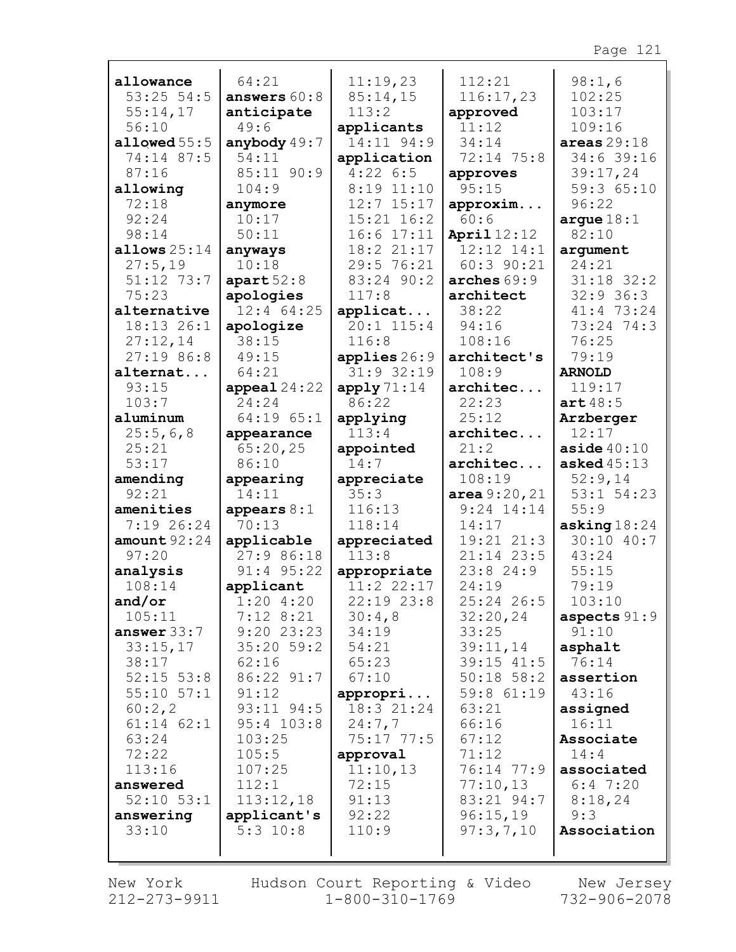| allowance           | 64:21                   | 11:19,23               | 112:21              | 98:1,6                      |
|---------------------|-------------------------|------------------------|---------------------|-----------------------------|
| $53:25$ 54:5        | answers $60:8$          | 85:14,15               | 116:17,23           | 102:25                      |
| 55:14,17            | anticipate              | 113:2                  | approved            | 103:17                      |
| 56:10               | 49:6                    | applicants             | 11:12               | 109:16                      |
| allowed $55:5$      | anybody $49:7$<br>54:11 | 14:11 94:9             | 34:14<br>72:14 75:8 | areas $29:18$<br>34:6 39:16 |
| 74:14 87:5<br>87:16 | 85:11 90:9              | application<br>4:226:5 |                     |                             |
|                     | 104:9                   | $8:19$ 11:10           | approves<br>95:15   | 39:17,24<br>59:3 65:10      |
| allowing<br>72:18   |                         | $12:7$ $15:17$         | approxim            | 96:22                       |
| 92:24               | anymore<br>10:17        | $15:21$ $16:2$         | 60:6                | arque $18:1$                |
| 98:14               | 50:11                   | $16:6$ $17:11$         | April $12:12$       | 82:10                       |
| allows $25:14$      | anyways                 | 18:2 21:17             | $12:12$ $14:1$      | argument                    |
| 27:5,19             | 10:18                   | 29:5 76:21             | $60:3$ 90:21        | 24:21                       |
| 51:12 73:7          | apart 52:8              | 83:24 90:2             | arches $69:9$       | $31:18$ $32:2$              |
| 75:23               | apologies               | 117:8                  | architect           | $32:9$ 36:3                 |
| alternative         | $12:4$ 64:25            | applicat               | 38:22               | 41:4 73:24                  |
| 18:13 26:1          | apologize               | $20:1$ 115:4           | 94:16               | 73:24 74:3                  |
| 27:12,14            | 38:15                   | 116:8                  | 108:16              | 76:25                       |
| 27:1986:8           | 49:15                   | applies $26:9$         | architect's         | 79:19                       |
| alternat            | 64:21                   | $31:9$ $32:19$         | 108:9               | <b>ARNOLD</b>               |
| 93:15               | $append124:22$          | apply71:14             | architec            | 119:17                      |
| 103:7               | 24:24                   | 86:22                  | 22:23               | art48:5                     |
| aluminum            | 64:19 65:1              | applying               | 25:12               | Arzberger                   |
| 25:5,6,8            | appearance              | 113:4                  | architec            | 12:17                       |
| 25:21               | 65:20,25                | appointed              | 21:2                | aside $40:10$               |
| 53:17               | 86:10                   | 14:7                   | architec            | asked $45:13$               |
| amending            | appearing               | appreciate             | 108:19              | 52:9,14                     |
| 92:21               | 14:11                   | 35:3                   | area 9:20, 21       | 53:1 54:23                  |
| amenities           | appears $8:1$           | 116:13                 | $9:24$ 14:14        | 55:9                        |
| $7:19$ 26:24        | 70:13                   | 118:14                 | 14:17               | asking $18:24$              |
| amount $92:24$      | applicable              | appreciated            | 19:21 21:3          | 30:10 40:7                  |
| 97:20               | 27:986:18               | 113:8                  | $21:14$ 23:5        | 43:24                       |
| analysis            | $91:4$ $95:22$          | appropriate            | 23:824:9            | 55:15                       |
| 108:14              | applicant               | $11:2$ $22:17$         | 24:19               | 79:19                       |
| and/or              | 1:204:20                | $22:19$ $23:8$         | 25:24 26:5          | 103:10                      |
| 105:11              | $7:12$ $8:21$           | 30:4,8                 | 32:20,24            | aspects $91:9$              |
| answer $33:7$       | $9:20$ 23:23            | 34:19                  | 33:25               | 91:10                       |
| 33:15,17            | $35:20$ 59:2            | 54:21                  | 39:11,14            | asphalt                     |
| 38:17               | 62:16                   | 65:23                  | 39:15 41:5          | 76:14                       |
| $52:15$ $53:8$      | 86:22 91:7              | 67:10                  | $50:18$ 58:2        | assertion                   |
| $55:10$ $57:1$      | 91:12                   | appropri               | 59:8 61:19          | 43:16                       |
| 60:2,2              | 93:11 94:5              | 18:3 21:24             | 63:21               | assigned                    |
| $61:14$ $62:1$      | $95:4$ 103:8            | 24:7,7                 | 66:16               | 16:11                       |
| 63:24               | 103:25                  | $75:17$ $77:5$         | 67:12               | Associate                   |
| 72:22               | 105:5                   | approval               | 71:12               | 14:4                        |
| 113:16              | 107:25                  | 11:10,13               | 76:14 77:9          | associated                  |
| answered            | 112:1                   | 72:15                  | 77:10,13            | $6:4$ 7:20                  |
| $52:10$ $53:1$      | 113:12,18               | 91:13                  | 83:21 94:7          | 8:18,24                     |
| answering           | applicant's             | 92:22                  | 96:15,19            | 9:3                         |
| 33:10               | $5:3$ 10:8              | 110:9                  | 97:3,7,10           | Association                 |
|                     |                         |                        |                     |                             |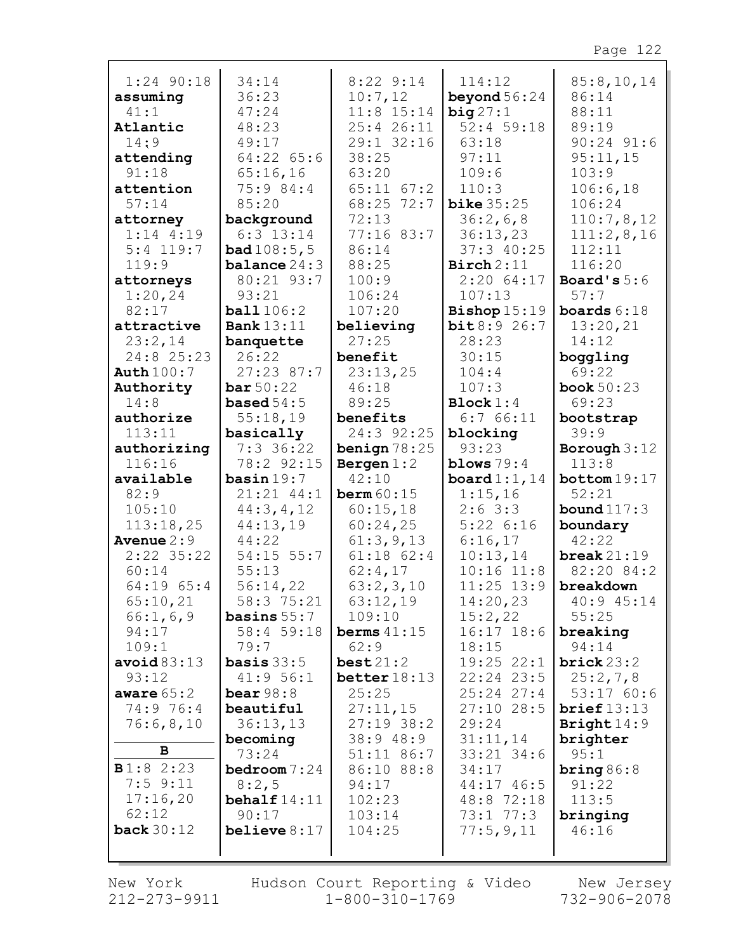| $1:24$ 90:18      | 34:14                 | $8:22$ 9:14    | 114:12                       | 85:8,10,14     |
|-------------------|-----------------------|----------------|------------------------------|----------------|
| assuming          | 36:23                 | 10:7,12        | beyond $56:24$               | 86:14          |
| 41:1              | 47:24                 | $11:8$ 15:14   | big27:1                      | 88:11          |
| Atlantic          | 48:23                 | 25:4 26:11     | 52:4 59:18                   | 89:19          |
| 14:9              | 49:17                 | 29:1 32:16     | 63:18                        | $90:24$ $91:6$ |
| attending         | $64:22$ $65:6$        | 38:25          | 97:11                        | 95:11,15       |
| 91:18             | 65:16,16              | 63:20          | 109:6                        | 103:9          |
| attention         | 75:9 84:4             | $65:11$ $67:2$ | 110:3                        | 106:6,18       |
| 57:14             | 85:20                 | 68:25 72:7     | bike $35:25$                 | 106:24         |
| attorney          | background            | 72:13          | 36:2,6,8                     | 110:7,8,12     |
| $1:14$ 4:19       | $6:3$ 13:14           | 77:16 83:7     | 36:13,23                     | 111:2,8,16     |
| $5:4$ 119:7       | bad108:5,5            | 86:14          | 37:3 40:25                   | 112:11         |
| 119:9             | <b>balance</b> $24:3$ | 88:25          | $\text{Birch} 2:11$          | 116:20         |
| attorneys         | 80:21 93:7            | 100:9          | 2:2064:17                    | Board's $5:6$  |
| 1:20,24           | 93:21                 | 106:24         | 107:13                       | 57:7           |
| 82:17             | ball106:2             | 107:20         |                              | boards $6:18$  |
| attractive        | <b>Bank</b> 13:11     | believing      | Bishop $15:19$<br>bit8:926:7 | 13:20,21       |
| 23:2,14           |                       | 27:25          | 28:23                        | 14:12          |
| 24:8 25:23        | banquette<br>26:22    | benefit        | 30:15                        | boggling       |
|                   | $27:23$ 87:7          |                | 104:4                        | 69:22          |
| <b>Auth</b> 100:7 |                       | 23:13,25       |                              |                |
| Authority         | bar 50:22             | 46:18          | 107:3                        | book $50:23$   |
| 14:8              | based $54:5$          | 89:25          | Block 1:4                    | 69:23          |
| authorize         | 55:18,19              | benefits       | 6:766:11                     | bootstrap      |
| 113:11            | basically             | 24:3 92:25     | blocking                     | 39:9           |
| authorizing       | $7:3$ 36:22           | benign $78:25$ | 93:23                        | Borough $3:12$ |
|                   |                       |                |                              |                |
| 116:16            | 78:2 92:15            | Bergen $1:2$   | blows $79:4$                 | 113:8          |
| available         | basin 19:7            | 42:10          | board $1:1,14$               | bottom 19:17   |
| 82:9              | 21:21 44:1            | berm $60:15$   | 1:15,16                      | 52:21          |
| 105:10            | 44:3, 4, 12           | 60:15,18       | $2:6$ 3:3                    | bound $117:3$  |
| 113:18,25         | 44:13,19              | 60:24,25       | 5:226:16                     | boundary       |
| Avenue $2:9$      | 44:22                 | 61:3,9,13      | 6:16,17                      | 42:22          |
| $2:22$ 35:22      | $54:15$ $55:7$        | $61:18$ $62:4$ | 10:13,14                     | break $21:19$  |
| 60:14             | 55:13                 | 62:4,17        | $10:16$ $11:8$               | 82:20 84:2     |
| 64:19 65:4        | 56:14,22              | 63:2,3,10      | $11:25$ $13:9$               | breakdown      |
| 65:10,21          | 58:3 75:21            | 63:12,19       | 14:20,23                     | $40:9$ $45:14$ |
| 66:1, 6, 9        | <b>basins</b> $55:7$  | 109:10         | 15:2,22                      | 55:25          |
| 94:17             | 58:4 59:18            | berms $41:15$  | $16:17$ 18:6                 | breaking       |
| 109:1             | 79:7                  | 62:9           | 18:15                        | 94:14          |
| avoid $83:13$     | <b>basis</b> $33:5$   | best21:2       | $19:25$ $22:1$               | brick 23:2     |
| 93:12             | 41:956:1              | better $18:13$ | $22:24$ $23:5$               | 25:2,7,8       |
| aware $65:2$      | bear $98:8$           | 25:25          | $25:24$ $27:4$               | 53:1760:6      |
| 74:9 76:4         | beautiful             | 27:11,15       | $27:10$ 28:5                 | brief 13:13    |
| 76:6,8,10         | 36:13,13              | $27:19$ 38:2   | 29:24                        | Bright $14:9$  |
|                   | becoming              | 38:948:9       | 31:11,14                     | brighter       |
| $\mathbf{B}$      | 73:24                 | $51:11$ 86:7   | 33:21 34:6                   | 95:1           |
| B1:82::23         | bedroom 7:24          | 86:10 88:8     | 34:17                        | bring $86:8$   |
| $7:5$ 9:11        | 8:2,5                 | 94:17          | 44:17 46:5                   | 91:22          |
| 17:16,20          | behalf $14:11$        | 102:23         | 48:8 72:18                   | 113:5          |
| 62:12             | 90:17                 | 103:14         | $73:1$ $77:3$                | bringing       |
| back $30:12$      | belice 8:17           | 104:25         | 77:5,9,11                    | 46:16          |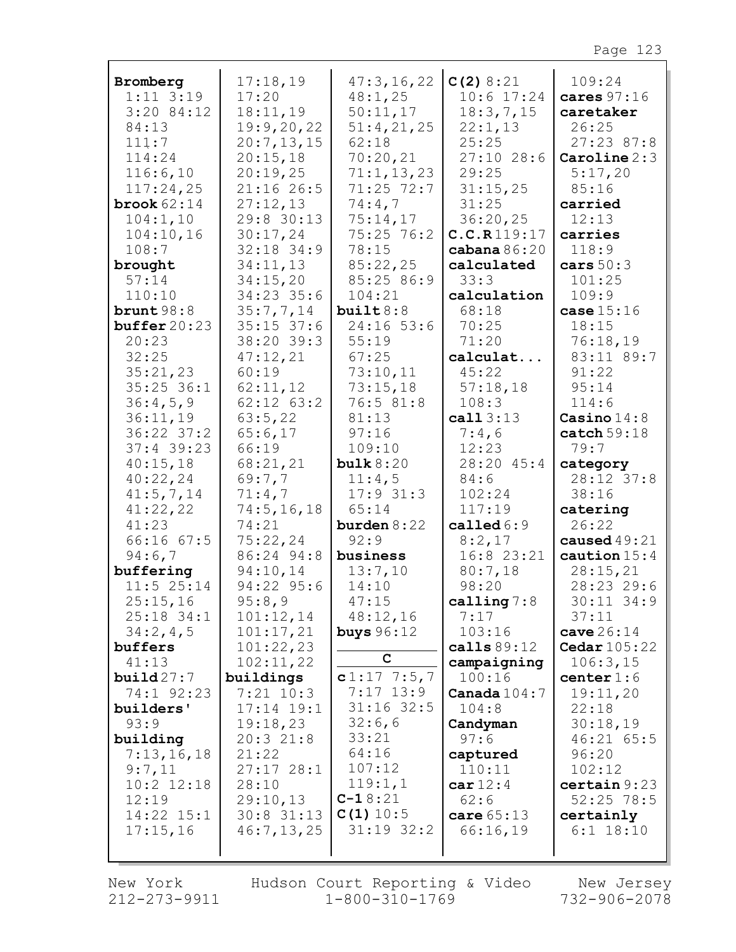|                           | 17:18,19       |                       |                           |                         |
|---------------------------|----------------|-----------------------|---------------------------|-------------------------|
| Bromberg<br>$1:11$ $3:19$ | 17:20          | 47:3,16,22<br>48:1,25 | C(2) 8:21<br>$10:6$ 17:24 | 109:24<br>cares $97:16$ |
| $3:20$ 84:12              | 18:11,19       | 50:11,17              | 18:3,7,15                 | caretaker               |
| 84:13                     | 19:9,20,22     | 51:4,21,25            | 22:1,13                   | 26:25                   |
| 111:7                     | 20:7,13,15     | 62:18                 | 25:25                     | $27:23$ 87:8            |
| 114:24                    | 20:15,18       | 70:20,21              | $27:10$ 28:6              | Caroline 2:3            |
| 116:6,10                  | 20:19,25       | 71:1, 13, 23          | 29:25                     | 5:17,20                 |
| 117:24,25                 | 21:16 26:5     | $71:25$ 72:7          | 31:15,25                  | 85:16                   |
| brook $62:14$             | 27:12,13       | 74:4,7                | 31:25                     | carried                 |
| 104:1,10                  | 29:8 30:13     | 75:14,17              | 36:20,25                  | 12:13                   |
| 104:10,16                 | 30:17,24       | 75:25 76:2            | C.C.R119:17               | carries                 |
| 108:7                     | 32:18 34:9     | 78:15                 | cabana $86:20$            | 118:9                   |
| brought                   | 34:11,13       | 85:22,25              | calculated                | cars $50:3$             |
| 57:14                     | 34:15,20       | 85:25 86:9            | 33:3                      | 101:25                  |
| 110:10                    | 34:23 35:6     | 104:21                | calculation               | 109:9                   |
| brunt $98:8$              | 35:7,7,14      | build8:8              | 68:18                     | case $15:16$            |
| buffer20:23               | $35:15$ 37:6   | 24:16 53:6            | 70:25                     | 18:15                   |
| 20:23                     | 38:20 39:3     | 55:19                 | 71:20                     | 76:18,19                |
| 32:25                     | 47:12,21       | 67:25                 | calculat                  | 83:11 89:7              |
| 35:21,23                  | 60:19          | 73:10,11              | 45:22                     | 91:22                   |
| $35:25$ 36:1              | 62:11,12       | 73:15,18              | 57:18,18                  | 95:14                   |
| 36:4,5,9                  | $62:12$ $63:2$ | 76:5 81:8             | 108:3                     | 114:6                   |
| 36:11,19                  | 63:5,22        | 81:13                 | cal13:13                  | Casino $14:8$           |
| $36:22$ $37:2$            | 65:6,17        | 97:16                 | 7:4,6                     | $\texttt{catch} 59:18$  |
| $37:4$ 39:23              | 66:19          | 109:10                | 12:23                     | 79:7                    |
| 40:15,18                  | 68:21,21       | bulk 8:20             | 28:20 45:4                | category                |
| 40:22,24                  | 69:7,7         | 11:4,5                | 84:6                      | 28:12 37:8              |
| 41:5,7,14                 | 71:4,7         | 17:931:3              | 102:24                    | 38:16                   |
| 41:22,22                  | 74:5, 16, 18   | 65:14                 | 117:19                    | catering                |
| 41:23                     | 74:21          | burden $8:22$         | called $6:9$              | 26:22                   |
| 66:1667:5                 | 75:22,24       | 92:9                  | 8:2,17                    | caused $49:21$          |
| 94:6,7                    | 86:24 94:8     | business              | 16:8 23:21                | caution $15:4$          |
| buffering                 | 94:10,14       | 13:7,10               | 80:7,18                   | 28:15,21                |
| $11:5$ 25:14              | 94:22 95:6     | 14:10                 | 98:20                     | 28:23 29:6              |
| 25:15,16                  | 95:8,9         | 47:15                 | calling $7:8$             | 30:11 34:9              |
| $25:18$ 34:1              | 101:12,14      | 48:12,16              | 7:17                      | 37:11                   |
| 34:2,4,5                  | 101:17,21      | buys $96:12$          | 103:16                    | cave $26:14$            |
| buffers                   | 101:22,23      |                       | calls $89:12$             | <b>Cedar</b> 105:22     |
| 41:13                     | 102:11,22      | C                     | campaigning               | 106:3,15                |
| build27:7                 | buildings      | $c1:17$ 7:5,7         | 100:16                    | center $1:6$            |
| 74:1 92:23                | $7:21$ 10:3    | $7:17$ 13:9           | Canada $104:7$            | 19:11,20                |
| builders'                 | $17:14$ $19:1$ | $31:16$ 32:5          | 104:8                     | 22:18                   |
| 93:9                      | 19:18,23       | 32:6,6                | Candyman                  | 30:18,19                |
| building                  | 20:321:8       | 33:21                 | 97:6                      | 46:21 65:5              |
| 7:13,16,18                | 21:22          | 64:16                 | captured                  | 96:20                   |
| 9:7,11                    | 27:1728:1      | 107:12                | 110:11                    | 102:12                  |
| $10:2$ $12:18$            | 28:10          | 119:1,1<br>$C-18:21$  | car12:4                   | certain 9:23            |
| 12:19                     | 29:10,13       | C(1) 10:5             | 62:6                      | $52:25$ 78:5            |
| $14:22$ $15:1$            | $30:8$ 31:13   | $31:19$ $32:2$        | care 65:13                | certainly               |
| 17:15,16                  | 46:7, 13, 25   |                       | 66:16,19                  | $6:1$ 18:10             |
|                           |                |                       |                           |                         |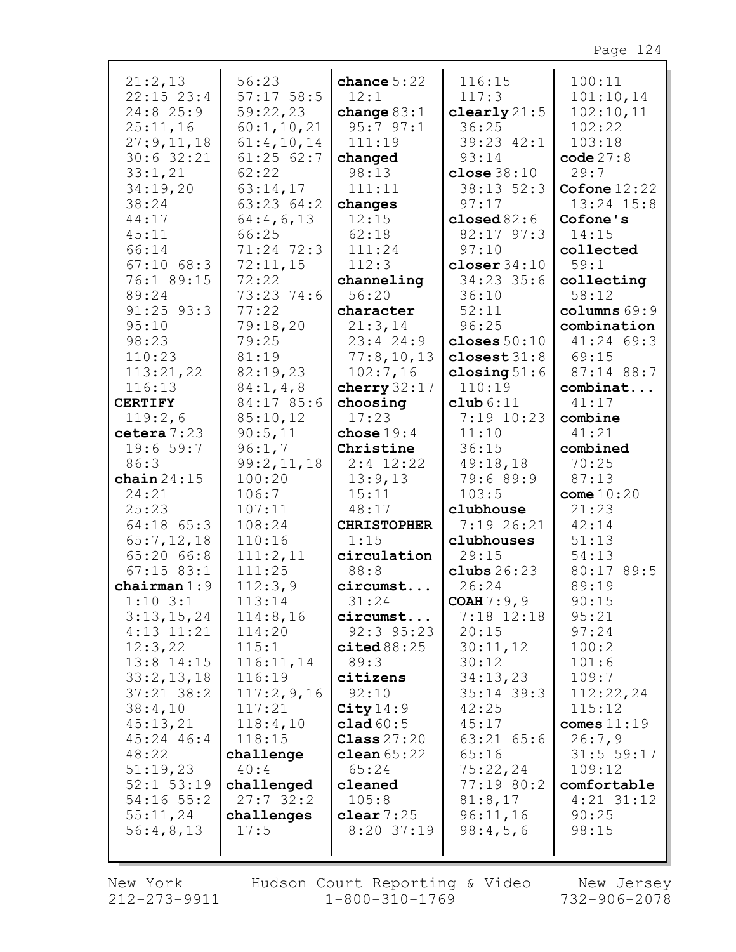| 21:2,13                        | 56:23                  | chance $5:22$         | 116:15                | 100:11                |
|--------------------------------|------------------------|-----------------------|-----------------------|-----------------------|
| $22:15$ $23:4$                 | $57:17$ 58:5           | 12:1                  | 117:3                 | 101:10,14             |
| 24:8 25:9                      | 59:22,23               | change $83:1$         | clearly $21:5$        | 102:10,11             |
| 25:11,16                       | 60:1, 10, 21           | 95:797:1              | 36:25                 | 102:22                |
| 27:9,11,18                     | 61:4,10,14             | 111:19                | 39:23 42:1            | 103:18                |
| $30:6$ 32:21                   | 61:2562:7              | changed               | 93:14                 | code $27:8$           |
| 33:1,21                        | 62:22                  | 98:13                 | close $38:10$         | 29:7                  |
| 34:19,20                       | 63:14,17               | 111:11                | 38:13 52:3            | Cofone $12:22$        |
| 38:24                          | 63:23 64:2             | changes               | 97:17                 | $13:24$ $15:8$        |
| 44:17                          | 64:4,6,13              | 12:15                 | closed $82:6$         | Cofone's              |
| 45:11                          | 66:25                  | 62:18                 | 82:17 97:3            | 14:15                 |
| 66:14                          | 71:24 72:3             | 111:24                | 97:10                 | collected             |
| $67:10$ $68:3$                 | 72:11,15               | 112:3                 | closer $34:10$        | 59:1                  |
| 76:1 89:15                     | 72:22                  | channeling            | 34:23 35:6            | collecting            |
| 89:24                          | 73:23 74:6             | 56:20                 | 36:10                 | 58:12                 |
| $91:25$ $93:3$                 | 77:22                  | character             | 52:11                 | colums 69:9           |
| 95:10                          | 79:18,20               | 21:3,14               | 96:25                 | combination           |
| 98:23                          | 79:25                  | 23:424:9              | closes $50:10$        | 41:24 69:3            |
| 110:23                         | 81:19                  | 77:8,10,13            | closest $31:8$        | 69:15                 |
| 113:21,22                      | 82:19,23               | 102:7,16              | closing $51:6$        | 87:14 88:7            |
| 116:13                         | 84:1, 4, 8             | cherry $32:17$        | 110:19                | combinat              |
| <b>CERTIFY</b>                 | 84:17 85:6             | choosing              | club 6:11             | 41:17                 |
| 119:2,6                        | 85:10,12               | 17:23                 | 7:19 10:23            | combine               |
| cetera 7:23                    | 90:5,11                | chose $19:4$          | 11:10                 | 41:21                 |
| 19:659:7                       | 96:1,7                 | Christine             | 36:15                 | combined              |
| 86:3                           | 99:2,11,18             | $2:4$ 12:22           | 49:18,18              | 70:25                 |
| chain $24:15$                  | 100:20                 | 13:9,13               | 79:6 89:9             | 87:13                 |
| 24:21                          | 106:7                  | 15:11                 | 103:5                 | come $10:20$          |
| 25:23                          | 107:11                 | 48:17                 | clubhouse             | 21:23                 |
| $64:18$ $65:3$                 | 108:24                 | <b>CHRISTOPHER</b>    | 7:19 26:21            | 42:14                 |
| 65:7,12,18                     | 110:16                 | 1:15                  | clubhouses            | 51:13                 |
| 65:20 66:8                     | 111:2,11               | circulation           | 29:15                 | 54:13                 |
| $67:15$ 83:1                   | 111:25                 | 88:8                  | clubs $26:23$         | 80:17 89:5            |
| chairman $1:9$                 | 112:3,9                | circumst              | 26:24                 | 89:19                 |
| $1:10$ 3:1                     | 113:14                 | 31:24                 | COAH 7:9,9            | 90:15                 |
| 3:13,15,24                     | 114:8,16               | circumst              | 7:18 12:18            | 95:21                 |
| $4:13$ $11:21$                 | 114:20                 | $92:3$ $95:23$        | 20:15                 | 97:24                 |
| 12:3,22                        | 115:1                  | $\texttt{cited}88:25$ | 30:11,12              | 100:2                 |
| $13:8$ $14:15$                 | 116:11,14              | 89:3                  | 30:12                 | 101:6                 |
| 33:2,13,18                     | 116:19                 | citizens              | 34:13,23              | 109:7                 |
| $37:21$ $38:2$                 | 117:2,9,16             | 92:10                 | $35:14$ 39:3          | 112:22,24             |
| 38:4,10                        | 117:21                 | City14:9              | 42:25                 | 115:12                |
| 45:13,21                       | 118:4,10               | clad $60:5$           | 45:17                 | comes $11:19$         |
| 45:24 46:4                     | 118:15                 | Class $27:20$         | $63:21$ $65:6$        | 26:7,9                |
| 48:22                          | challenge              | clean $65:22$         | 65:16                 | 31:5 59:17            |
| 51:19,23                       | 40:4                   | 65:24<br>cleaned      | 75:22,24              | 109:12<br>comfortable |
| $52:1$ $53:19$<br>$54:16$ 55:2 | challenged<br>27:732:2 | 105:8                 | 77:19 80:2<br>81:8,17 | $4:21$ 31:12          |
| 55:11,24                       |                        | clear $7:25$          | 96:11,16              | 90:25                 |
| 56:4,8,13                      | challenges<br>17:5     | $8:20$ 37:19          | 98:4,5,6              | 98:15                 |
|                                |                        |                       |                       |                       |
|                                |                        |                       |                       |                       |

New York 212-273-9911

 $\Gamma$ 

Hudson Court Reporting & Video  $1 - 800 - 310 - 1769$ 

New Jersey 732-906-2078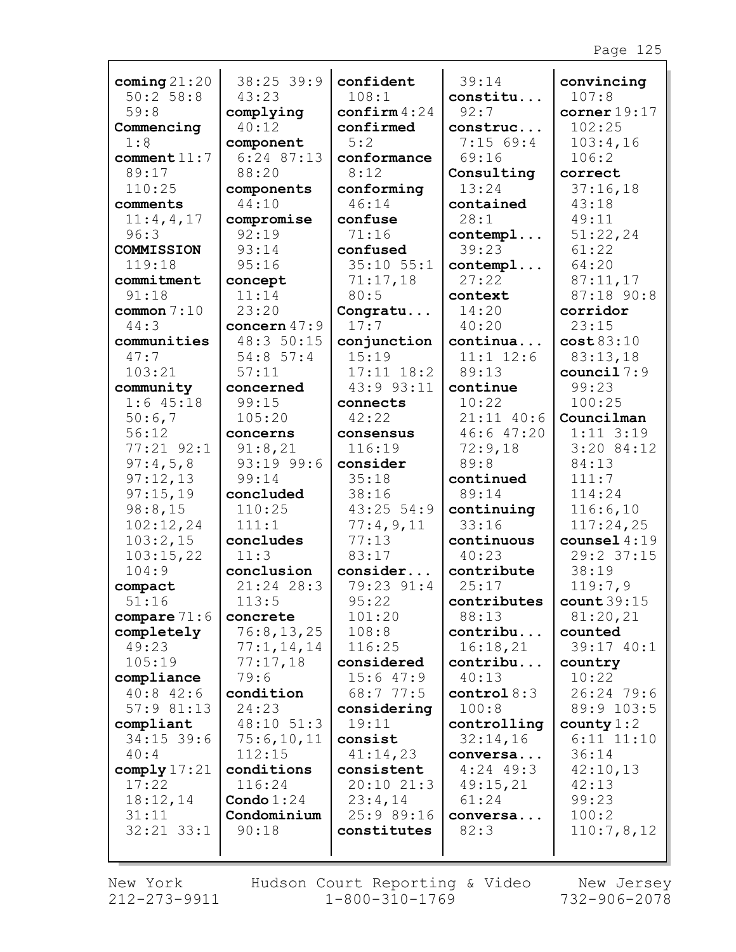| coming $21:20$    | 38:25 39:9          | confident              | 39:14             | convincing     |
|-------------------|---------------------|------------------------|-------------------|----------------|
| 50:2 58:8         | 43:23               | 108:1                  | constitu          | 107:8          |
| 59:8              | complying           | $\texttt{confirm}4:24$ | 92:7              | corner $19:17$ |
| Commencing        | 40:12               | confirmed              | construc          | 102:25         |
| 1:8               | component           | 5:2                    | 7:1569:4          | 103:4,16       |
| comment11:7       | $6:24$ 87:13        | conformance            | 69:16             | 106:2          |
| 89:17             | 88:20               | 8:12                   | Consulting        | correct        |
| 110:25            | components<br>44:10 | conforming<br>46:14    | 13:24             | 37:16,18       |
| comments          |                     |                        | contained<br>28:1 | 43:18<br>49:11 |
| 11:4,4,17<br>96:3 | compromise<br>92:19 | confuse<br>71:16       |                   | 51:22,24       |
| COMMISSION        | 93:14               | confused               | contempl<br>39:23 | 61:22          |
| 119:18            | 95:16               | $35:10$ $55:1$         | contempl          | 64:20          |
| commitment        | concept             | 71:17,18               | 27:22             | 87:11,17       |
| 91:18             | 11:14               | 80:5                   | context           | 87:18 90:8     |
| common $7:10$     | 23:20               |                        | 14:20             | corridor       |
| 44:3              | concern $47:9$      | Congratu<br>17:7       | 40:20             | 23:15          |
| communities       | 48:3 50:15          | conjunction            | continua          | cost83:10      |
| 47:7              | 54:8 57:4           | 15:19                  | $11:1$ $12:6$     | 83:13,18       |
| 103:21            | 57:11               | $17:11$ $18:2$         | 89:13             | council $7:9$  |
| community         | concerned           | 43:9 93:11             | continue          | 99:23          |
| $1:6$ 45:18       | 99:15               | connects               | 10:22             | 100:25         |
| 50:6,7            | 105:20              | 42:22                  | $21:11$ 40:6      | Councilman     |
| 56:12             | concerns            | consensus              | 46:647:20         | $1:11$ $3:19$  |
| 77:21 92:1        | 91:8,21             | 116:19                 | 72:9,18           | $3:20$ 84:12   |
| 97:4,5,8          | 93:19 99:6          | consider               | 89:8              | 84:13          |
| 97:12,13          | 99:14               | 35:18                  | continued         | 111:7          |
| 97:15,19          | concluded           | 38:16                  | 89:14             | 114:24         |
| 98:8,15           | 110:25              | $43:25$ 54:9           | continuing        | 116:6,10       |
| 102:12,24         | 111:1               | 77:4,9,11              | 33:16             | 117:24,25      |
| 103:2,15          | concludes           | 77:13                  | continuous        | counsel $4:19$ |
| 103:15,22         | 11:3                | 83:17                  | 40:23             | 29:2 37:15     |
| 104:9             | conclusion          | consider               | contribute        | 38:19          |
| compact           | 21:24 28:3          | 79:23 91:4             | 25:17             | 119:7,9        |
| 51:16             | 113:5               | 95:22                  | contributes       | count39:15     |
| compare $71:6$    | concrete            | 101:20                 | 88:13             | 81:20,21       |
| completely        | 76:8, 13, 25        | 108:8                  | contribu          | counted        |
| 49:23             | 77:1, 14, 14        | 116:25                 | 16:18,21          | 39:17 40:1     |
| 105:19            | 77:17,18            | considered             | contribu          | country        |
| compliance        | 79:6                | 15:647:9               | 40:13             | 10:22          |
| $40:8$ 42:6       | condition           | 68:7 77:5              | control 8:3       | 26:24 79:6     |
| 57:981:13         | 24:23               | considering            | 100:8             | 89:9 103:5     |
| compliant         | 48:10 51:3          | 19:11                  | controlling       | county $1:2$   |
| $34:15$ 39:6      | 75:6,10,11          | consist                | 32:14,16          | $6:11$ $11:10$ |
| 40:4              | 112:15              | 41:14,23               | conversa          | 36:14          |
| comply $17:21$    | conditions          | consistent             | $4:24$ 49:3       | 42:10,13       |
| 17:22             | 116:24              | 20:1021:3              | 49:15,21          | 42:13          |
| 18:12,14          | Condo $1:24$        | 23:4,14                | 61:24             | 99:23          |
| 31:11             | Condominium         | 25:9 89:16             | conversa          | 100:2          |
| $32:21$ $33:1$    | 90:18               | constitutes            | 82:3              | 110:7,8,12     |
|                   |                     |                        |                   |                |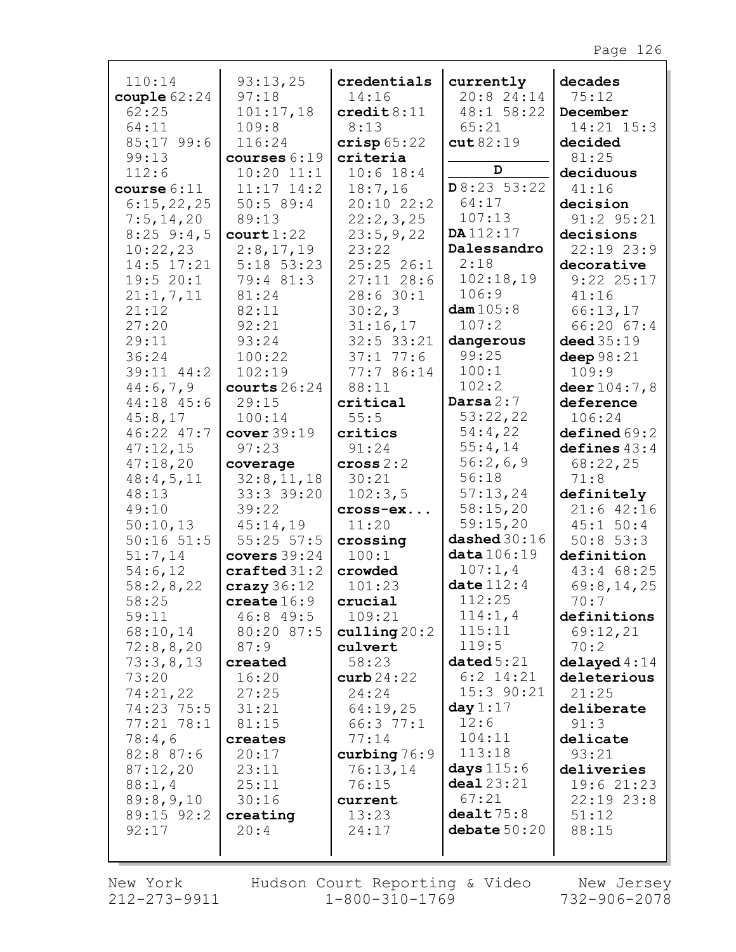| 110:14<br>couple $62:24$<br>62:25<br>64:11<br>85:17 99:6<br>99:13<br>112:6<br>course 6:11<br>6:15,22,25<br>7:5,14,20<br>$8:25$ 9:4,5 | 93:13,25<br>97:18<br>101:17,18<br>109:8<br>116:24<br>courses 6:19<br>$10:20$ $11:1$<br>$11:17$ $14:2$<br>50:589:4<br>89:13<br>court 1:22 | credentials<br>14:16<br>$\texttt{credit8:11}$<br>8:13<br>crisp 65:22<br>criteria<br>$10:6$ 18:4<br>18:7,16<br>20:10 22:2<br>22:2,3,25<br>23:5,9,22 | currently<br>20:8 24:14<br>48:1 58:22<br>65:21<br>cut82:19<br>D<br>D8:235:22<br>64:17<br>107:13<br>DA112:17 | decades<br>75:12<br>December<br>14:21 15:3<br>decided<br>81:25<br>deciduous<br>41:16<br>decision<br>91:2 95:21<br>decisions |
|--------------------------------------------------------------------------------------------------------------------------------------|------------------------------------------------------------------------------------------------------------------------------------------|----------------------------------------------------------------------------------------------------------------------------------------------------|-------------------------------------------------------------------------------------------------------------|-----------------------------------------------------------------------------------------------------------------------------|
| 10:22,23                                                                                                                             | 2:8,17,19                                                                                                                                | 23:22                                                                                                                                              | Dalessandro                                                                                                 | 22:19 23:9                                                                                                                  |
| 14:5 17:21                                                                                                                           | $5:18$ $53:23$                                                                                                                           | 25:2526:1                                                                                                                                          | 2:18                                                                                                        | decorative                                                                                                                  |
| 19:520:1                                                                                                                             | 79:4 81:3                                                                                                                                | $27:11$ 28:6                                                                                                                                       | 102:18,19                                                                                                   | $9:22$ 25:17                                                                                                                |
| 21:1, 7, 11                                                                                                                          | 81:24                                                                                                                                    | 28:630:1                                                                                                                                           | 106:9                                                                                                       | 41:16                                                                                                                       |
| 21:12                                                                                                                                | 82:11                                                                                                                                    | 30:2,3                                                                                                                                             | dam $105:8$                                                                                                 | 66:13,17                                                                                                                    |
| 27:20                                                                                                                                | 92:21                                                                                                                                    | 31:16,17                                                                                                                                           | 107:2                                                                                                       | 66:20 67:4                                                                                                                  |
| 29:11                                                                                                                                | 93:24                                                                                                                                    | 32:5 33:21                                                                                                                                         | dangerous                                                                                                   | deed $35:19$                                                                                                                |
| 36:24                                                                                                                                | 100:22                                                                                                                                   | 37:177:6                                                                                                                                           | 99:25                                                                                                       | deep $98:21$                                                                                                                |
| 39:11 44:2                                                                                                                           | 102:19                                                                                                                                   | 77:7 86:14                                                                                                                                         | 100:1                                                                                                       | 109:9                                                                                                                       |
| 44:6,7,9                                                                                                                             | courts $26:24$                                                                                                                           | 88:11                                                                                                                                              | 102:2                                                                                                       | deer 104:7,8                                                                                                                |
| 44:18 45:6                                                                                                                           | 29:15                                                                                                                                    | critical                                                                                                                                           | Darsa $2:7$                                                                                                 | deference                                                                                                                   |
| 45:8,17                                                                                                                              | 100:14                                                                                                                                   | 55:5                                                                                                                                               | 53:22,22                                                                                                    | 106:24                                                                                                                      |
| 46:22 47:7                                                                                                                           | cover 39:19                                                                                                                              | critics                                                                                                                                            | 54:4,22                                                                                                     | defined69:2                                                                                                                 |
| 47:12,15                                                                                                                             | 97:23                                                                                                                                    | 91:24                                                                                                                                              | 55:4,14                                                                                                     | defines $43:4$                                                                                                              |
| 47:18,20<br>48:4,5,11<br>48:13<br>49:10<br>50:10,13<br>$50:16$ $51:5$<br>51:7,14                                                     | coverage<br>32:8,11,18<br>33:3 39:20<br>39:22<br>45:14,19<br>$55:25$ $57:5$                                                              | cross 2:2<br>30:21<br>102:3,5<br>cross-ex<br>11:20<br>crossing<br>100:1                                                                            | 56:2,6,9<br>56:18<br>57:13,24<br>58:15,20<br>59:15,20<br>dashed 30:16<br>data 106:19                        | 68:22,25<br>71:8<br>definitely<br>$21:6$ 42:16<br>45:1 50:4<br>$50:8$ 53:3<br>definition                                    |
| 54:6,12<br>58:2,8,22<br>58:25<br>59:11<br>68:10,14<br>72:8,8,20<br>73:3,8,13                                                         | covers $39:24$<br>$\texttt{craffed} 31:2$<br>$c$ razy 36:12<br>create $16:9$<br>46:8 49:5<br>80:20 87:5<br>87:9<br>created               | crowded<br>101:23<br>crucial<br>109:21<br>culling 20:2<br>culvert<br>58:23                                                                         | 107:1,4<br>date $112:4$<br>112:25<br>114:1,4<br>115:11<br>119:5<br>dataed5:21                               | 43:4 68:25<br>69:8,14,25<br>70:7<br>definitions<br>69:12,21<br>70:2<br>delayed 4:14                                         |
| 73:20                                                                                                                                | 16:20                                                                                                                                    | $\texttt{curb}\,24:22$                                                                                                                             | $6:2$ 14:21                                                                                                 | deleterious                                                                                                                 |
| 74:21,22                                                                                                                             | 27:25                                                                                                                                    | 24:24                                                                                                                                              | 15:3 90:21                                                                                                  | 21:25                                                                                                                       |
| 74:23 75:5                                                                                                                           | 31:21                                                                                                                                    | 64:19,25                                                                                                                                           | day $1:17$                                                                                                  | deliberate                                                                                                                  |
| 77:21 78:1                                                                                                                           | 81:15                                                                                                                                    | 66:377:1                                                                                                                                           | 12:6                                                                                                        | 91:3                                                                                                                        |
| 78:4,6                                                                                                                               | creates                                                                                                                                  | 77:14                                                                                                                                              | 104:11                                                                                                      | delicate                                                                                                                    |
| 82:8 87:6                                                                                                                            | 20:17                                                                                                                                    | curbing $76:9$                                                                                                                                     | 113:18                                                                                                      | 93:21                                                                                                                       |
| 87:12,20                                                                                                                             | 23:11                                                                                                                                    | 76:13,14                                                                                                                                           | days 115:6                                                                                                  | deliveries                                                                                                                  |
| 88:1,4                                                                                                                               | 25:11                                                                                                                                    | 76:15                                                                                                                                              | deal23:21                                                                                                   | 19:6 21:23                                                                                                                  |
| 89:8,9,10                                                                                                                            | 30:16                                                                                                                                    | current                                                                                                                                            | 67:21                                                                                                       | $22:19$ $23:8$                                                                                                              |
| 89:15 92:2                                                                                                                           | creating                                                                                                                                 | 13:23                                                                                                                                              | dealt75:8                                                                                                   | 51:12                                                                                                                       |
| 92:17                                                                                                                                | 20:4                                                                                                                                     | 24:17                                                                                                                                              | debate $50:20$                                                                                              | 88:15                                                                                                                       |

New York 212-273-9911

Hudson Court Reporting & Video Mew Jersey  $1 - 800 - 310 - 1769$ 

732-906-2078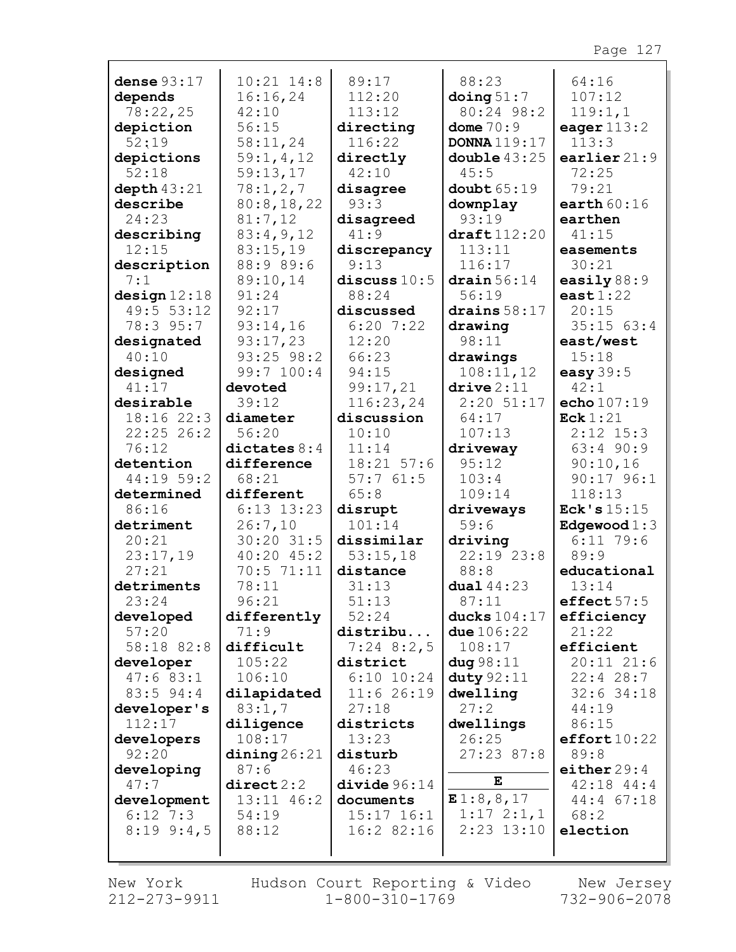| dense $93:17$ | $10:21$ $14:8$                   | 89:17          | 88:23                  | 64:16             |
|---------------|----------------------------------|----------------|------------------------|-------------------|
| depends       | 16:16,24                         | 112:20         | $\Delta$ doing $51:7$  | 107:12            |
| 78:22,25      | 42:10                            | 113:12         | 80:24 98:2             | 119:1,1           |
| depiction     | 56:15                            | directing      | dome $70:9$            | eager $113:2$     |
| 52:19         | 58:11,24                         | 116:22         | <b>DONNA</b> 119:17    | 113:3             |
| depictions    | 59:1, 4, 12                      | directly       | double $43:25$         | earlier $21:9$    |
| 52:18         | 59:13,17                         | 42:10          | 45:5                   | 72:25             |
| depth 43:21   | 78:1,2,7                         | disagree       | double65:19            | 79:21             |
| describe      | 80:8,18,22                       | 93:3           | downplay               | earth $60:16$     |
| 24:23         | 81:7,12                          | disagreed      | 93:19                  | earthen           |
| describing    | 83:4,9,12                        | 41:9           | draff112:20            | 41:15             |
| 12:15         | 83:15,19                         | discrepancy    | 113:11                 | easements         |
| description   | 88:9 89:6                        | 9:13           | 116:17                 | 30:21             |
| 7:1           | 89:10,14                         | discuss $10:5$ | $\frac{d}{1}$          | easily $88:9$     |
| design 12:18  | 91:24                            | 88:24          | 56:19                  | east $1:22$       |
| 49:5 53:12    | 92:17                            | discussed      | drains $58:17$         | 20:15             |
| 78:3 95:7     | 93:14,16                         | $6:20$ 7:22    | drawing                | $35:15$ $63:4$    |
| designated    | 93:17,23                         | 12:20          | 98:11                  | east/west         |
| 40:10         | $93:25$ $98:2$                   | 66:23          | drawings               | 15:18             |
| designed      | 99:7 100:4                       | 94:15          | 108:11,12              | easy $39:5$       |
| 41:17         | devoted                          | 99:17,21       | $\text{drive} \, 2:11$ | 42:1              |
| desirable     | 39:12                            | 116:23,24      | $2:20$ 51:17           | echo 107:19       |
| 18:16 22:3    | diameter                         | discussion     | 64:17                  | $\text{Eck} 1:21$ |
| $22:25$ 26:2  | 56:20                            | 10:10          | 107:13                 | $2:12$ $15:3$     |
| 76:12         | dictates $8:4$                   | 11:14          | driveway               | $63:4$ 90:9       |
| detention     | difference                       | $18:21$ 57:6   | 95:12                  | 90:10,16          |
| 44:19 59:2    | 68:21                            | 57:761:5       | 103:4                  | $90:17$ $96:1$    |
| determined    | different                        | 65:8           | 109:14                 | 118:13            |
| 86:16         | $6:13$ $13:23$                   | disrupt        | driveways              | Eck's $15:15$     |
| detriment     | 26:7,10                          | 101:14         | 59:6                   | Edgewood $1:3$    |
| 20:21         | $30:20$ 31:5                     | dissimilar     | driving                | $6:11$ 79:6       |
| 23:17,19      | $40:20$ $45:2$                   | 53:15,18       | $22:19$ $23:8$         | 89:9              |
| 27:21         | 70:5 71:11                       | distance       | 88:8                   | educational       |
| detriments    | 78:11                            | 31:13          | dual 44:23             | 13:14             |
| 23:24         | 96:21                            | 51:13          | 87:11                  | effect $57:5$     |
| developed     | differently                      | 52:24          | ducks $104:17$         | efficiency        |
| 57:20         | 71:9                             | distribu       | <b>due</b> $106:22$    | 21:22             |
| 58:18 82:8    | difficult                        | $7:24$ 8:2,5   | 108:17                 | efficient         |
| developer     | 105:22                           | district       | diag 98:11             | $20:11$ $21:6$    |
| 47:683:1      | 106:10                           | $6:10$ $10:24$ | duty $92:11$           | $22:4$ 28:7       |
| 83:5 94:4     | dilapidated                      | 11:6 26:19     | dwelling               | $32:6$ 34:18      |
| developer's   | 83:1,7                           | 27:18          | 27:2                   | 44:19             |
| 112:17        | diligence                        | districts      | dwellings              | 86:15             |
| developers    | 108:17                           | 13:23          | 26:25                  | effort10:22       |
| 92:20         | $\dim \mathop{\text{ing}} 26:21$ | disturb        | 27:2387:8              | 89:8              |
| developing    | 87:6                             | 46:23          |                        | either $29:4$     |
| 47:7          | direct2:2                        | divide96:14    | Е                      | $42:18$ $44:4$    |
| development   | 13:11 46:2                       | documents      | E1:8,8,17              | 44:4 67:18        |
| $6:12$ 7:3    | 54:19                            | $15:17$ $16:1$ | $1:17 \; 2:1,1$        | 68:2              |
| $8:19$ 9:4,5  |                                  |                |                        |                   |
|               | 88:12                            | 16:2 82:16     | $2:23$ 13:10           | election          |
|               |                                  |                |                        |                   |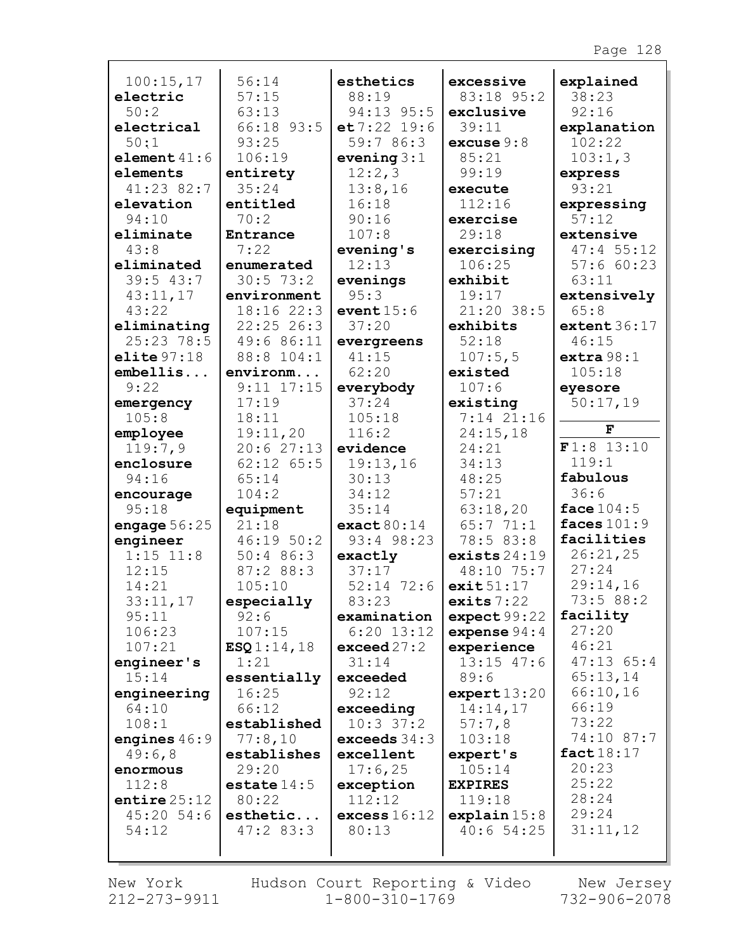| 100:15,17      | 56:14          | esthetics      | excessive              | explained      |
|----------------|----------------|----------------|------------------------|----------------|
| electric       | 57:15          | 88:19          | 83:18 95:2             | 38:23          |
| 50:2           | 63:13          | 94:13 95:5     | exclusive              | 92:16          |
| electrical     | 66:18 93:5     | e t 7:22 19:6  | 39:11                  | explanation    |
| 50:1           | 93:25          | 59:7 86:3      | excuse $9:8$           | 102:22         |
| element $41:6$ | 106:19         | evening $3:1$  | 85:21                  | 103:1,3        |
| elements       | entirety       | 12:2,3         | 99:19                  | express        |
| 41:23 82:7     | 35:24          | 13:8,16        | execute                | 93:21          |
| elevation      | entitled       | 16:18          | 112:16                 | expressing     |
| 94:10          | 70:2           | 90:16          | exercise               | 57:12          |
| eliminate      | Entrance       | 107:8          | 29:18                  | extensive      |
| 43:8           | 7:22           | evening's      | exercising             | 47:455:12      |
| eliminated     | enumerated     | 12:13          | 106:25                 | 57:660:23      |
| 39:543:7       | 30:573:2       | evenings       | exhibit                | 63:11          |
| 43:11,17       | environment    | 95:3           | 19:17                  | extensively    |
| 43:22          | 18:1622:3      | event $15:6$   | 21:20 38:5             | 65:8           |
| eliminating    | $22:25$ 26:3   | 37:20          | exhibits               | extent 36:17   |
| $25:23$ 78:5   | 49:6 86:11     | evergreens     | 52:18                  | 46:15          |
| elite $97:18$  | 88:8 104:1     | 41:15          | 107:5,5                | extra 98:1     |
| embellis       | environm       | 62:20          | existed                | 105:18         |
| 9:22           | $9:11$ $17:15$ | everybody      | 107:6                  | eyesore        |
| emergency      | 17:19          | 37:24          | existing               | 50:17,19       |
| 105:8          | 18:11          | 105:18         | 7:14 21:16             |                |
| employee       | 19:11,20       | 116:2          | 24:15,18               | F              |
| 119:7,9        | 20:627:13      | evidence       | 24:21                  | F1:8 13:10     |
| enclosure      | $62:12$ $65:5$ | 19:13,16       | 34:13                  | 119:1          |
| 94:16          | 65:14          | 30:13          | 48:25                  | fabulous       |
| encourage      | 104:2          | 34:12          | 57:21                  | 36:6           |
| 95:18          | equipment      | 35:14          | 63:18,20               | face $104:5$   |
| engage $56:25$ | 21:18          | exact80:14     | 65:771:1               | faces $101:9$  |
| engineer       | 46:1950:2      | 93:4 98:23     | 78:5 83:8              | facilities     |
| $1:15$ $11:8$  | 50:486:3       | exactly        | exists $24:19$         | 26:21,25       |
| 12:15          | 87:2 88:3      | 37:17          | 48:10 75:7             | 27:24          |
| 14:21          | 105:10         | $52:14$ 72:6   | exit51:17              | 29:14,16       |
| 33:11,17       | especially     | 83:23          | exits $7:22$           | 73:5 88:2      |
| 95:11          | 92:6           | examination    | expect99:22            | facility       |
| 106:23         | 107:15         | $6:20$ 13:12   | expense $94:4$         | 27:20          |
| 107:21         | ESQ1:14,18     | exceed 27:2    | experience             | 46:21          |
| engineer's     | 1:21           | 31:14          | $13:15$ $47:6$         | $47:13$ $65:4$ |
| 15:14          | essentially    | exceeded       | 89:6                   | 65:13,14       |
| engineering    | 16:25          | 92:12          | $\texttt{expert}13:20$ | 66:10,16       |
| 64:10          | 66:12          | exceeding      | 14:14,17               | 66:19          |
| 108:1          | established    | $10:3$ 37:2    | 57:7,8                 | 73:22          |
| engines $46:9$ | 77:8,10        | exceeds $34:3$ | 103:18                 | 74:10 87:7     |
| 49:6,8         | establishes    | excellent      | expert's               | fact $18:17$   |
| enormous       | 29:20          | 17:6,25        | 105:14                 | 20:23          |
| 112:8          | estate $14:5$  | exception      | <b>EXPIRES</b>         | 25:22          |
| entire $25:12$ | 80:22          | 112:12         | 119:18                 | 28:24          |
| $45:20$ 54:6   | esthetic       | excess 16:12   | explain15:8            | 29:24          |
| 54:12          | 47:283:3       | 80:13          | 40:654:25              | 31:11,12       |
|                |                |                |                        |                |

Г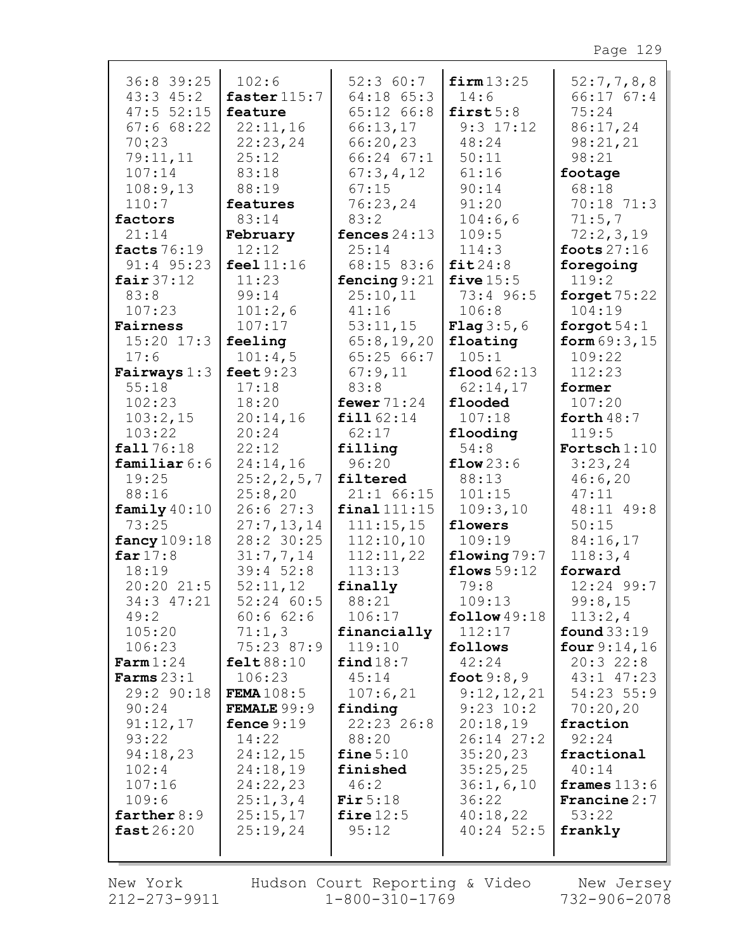| 36:8 39:25           | 102:6                | 52:360:7       | firm 13:25            | 52:7,7,8,8            |
|----------------------|----------------------|----------------|-----------------------|-----------------------|
| $43:3$ $45:2$        | faster $115:7$       | 64:18 65:3     | 14:6                  | 66:1767:4             |
| $47:5$ 52:15         | feature              | $65:12$ $66:8$ | first $5:8$           | 75:24                 |
| 67:668:22            | 22:11,16             | 66:13,17       | $9:3$ $17:12$         | 86:17,24              |
|                      |                      |                |                       |                       |
| 70:23                | 22:23,24             | 66:20,23       | 48:24                 | 98:21,21              |
| 79:11,11             | 25:12                | 66:24 67:1     | 50:11                 | 98:21                 |
| 107:14               | 83:18                | 67:3,4,12      | 61:16                 | footage               |
| 108:9,13             | 88:19                | 67:15          | 90:14                 | 68:18                 |
| 110:7                | features             | 76:23,24       | 91:20                 | 70:18 71:3            |
| factors              | 83:14                | 83:2           | 104:6,6               | 71:5,7                |
| 21:14                | February             | fences $24:13$ | 109:5                 | 72:2,3,19             |
| facts 76:19          | 12:12                | 25:14          | 114:3                 | foots $27:16$         |
|                      | feel 11:16           |                | fit24:8               |                       |
| $91:4$ $95:23$       |                      | 68:15 83:6     |                       | foregoing             |
| fair $37:12$         | 11:23                | fencing $9:21$ | five $15:5$           | 119:2                 |
| 83:8                 | 99:14                | 25:10,11       | 73:4 96:5             | forget $75:22$        |
| 107:23               | 101:2,6              | 41:16          | 106:8                 | 104:19                |
| Fairness             | 107:17               | 53:11,15       | <b>Flag</b> $3:5,6$   | forgot $54:1$         |
| $15:20$ $17:3$       | feeling              | 65:8,19,20     | floating              | form $69:3,15$        |
| 17:6                 | 101:4,5              | 65:2566:7      | 105:1                 | 109:22                |
| Fairways $1:3$       | feet $9:23$          | 67:9,11        | $\text{flood } 62:13$ | 112:23                |
| 55:18                | 17:18                | 83:8           | 62:14,17              | former                |
| 102:23               | 18:20                | fewer $71:24$  | flooded               | 107:20                |
| 103:2,15             | 20:14,16             | fill 62:14     | 107:18                | forth $48:7$          |
|                      |                      |                |                       |                       |
| 103:22               | 20:24                | 62:17          | flooding              | 119:5                 |
| fall 76:18           | 22:12                | filling        | 54:8                  | Fortsch $1:10$        |
| familiar $6:6$       | 24:14,16             | 96:20          | flow23:6              | 3:23,24               |
| 19:25                | 25:2,2,5,7           | filtered       | 88:13                 | 46:6,20               |
| 88:16                | 25:8,20              | $21:1$ 66:15   | 101:15                | 47:11                 |
| family $40:10$       | 26:627:3             | $final$ 111:15 | 109:3,10              | 48:11 49:8            |
| 73:25                | 27:7,13,14           | 111:15,15      | flowers               | 50:15                 |
| fancy $109:18$       | 28:2 30:25           | 112:10,10      | 109:19                | 84:16,17              |
| far $17:8$           | 31:7,7,14            | 112:11,22      | flowing $79:7$        | 118:3,4               |
| 18:19                | 39:452:8             | 113:13         | flows $59:12$         | forward               |
| 20:20 21:5           | 52:11,12             | finally        | 79:8                  | $12:24$ 99:7          |
| 34:3 47:21           | 52:24 60:5           | 88:21          | 109:13                | 99:8,15               |
| 49:2                 | 60:662:6             | 106:17         | follow $49:18$        | 113:2,4               |
| 105:20               | 71:1,3               | financially    | 112:17                | found $33:19$         |
| 106:23               | 75:23 87:9           | 119:10         | follows               | four $9:14,16$        |
| $\texttt{Farm} 1:24$ | felt 88:10           | find 18:7      | 42:24                 | 20:322:8              |
|                      |                      |                |                       |                       |
| Farms $23:1$         | 106:23               | 45:14          | foot $9:8,9$          | $43:1$ $47:23$        |
| 29:2 90:18           | FEMA $108:5$         | 107:6,21       | 9:12,12,21            | $54:23$ 55:9          |
| 90:24                | <b>FEMALE</b> $99:9$ | finding        | $9:23$ $10:2$         | 70:20,20              |
| 91:12,17             | fence $9:19$         | 22:23 26:8     | 20:18,19              | fraction              |
| 93:22                | 14:22                | 88:20          | 26:14 27:2            | 92:24                 |
| 94:18,23             | 24:12,15             | fine $5:10$    | 35:20,23              | fractional            |
| 102:4                | 24:18,19             | finished       | 35:25,25              | 40:14                 |
| 107:16               | 24:22,23             | 46:2           | 36:1, 6, 10           | frames $113:6$        |
| 109:6                | 25:1,3,4             | Fir $5:18$     | 36:22                 | <b>Francine</b> $2:7$ |
| farther $8:9$        | 25:15,17             | fire $12:5$    | 40:18,22              | 53:22                 |
| fast26:20            | 25:19,24             | 95:12          | $40:24$ 52:5          | frankly               |
|                      |                      |                |                       |                       |
|                      |                      |                |                       |                       |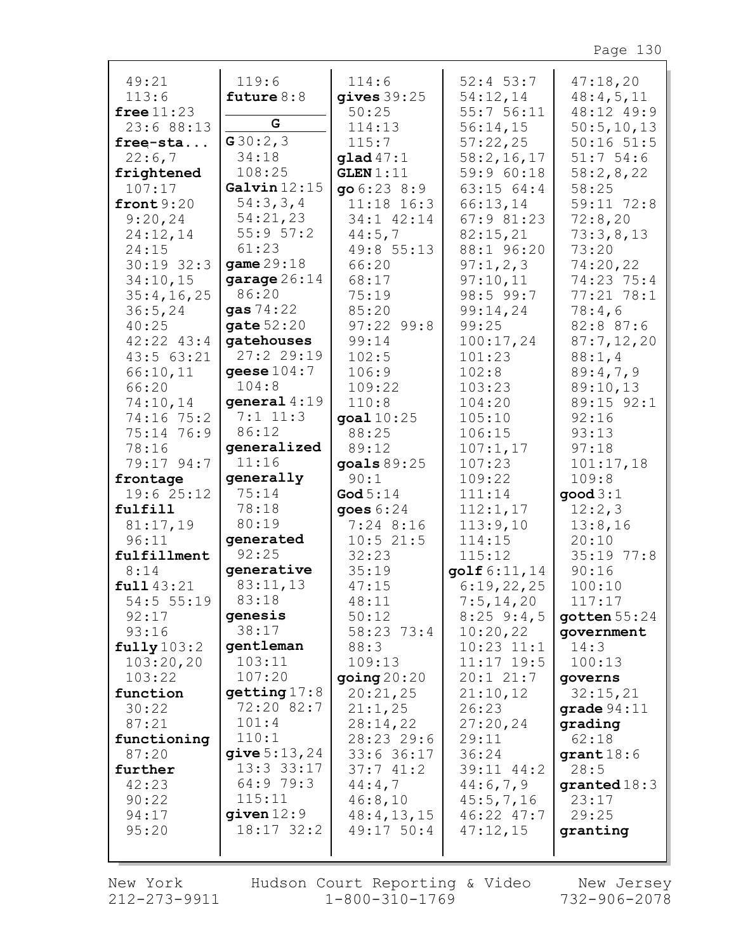| 49:21                       | 119:6                   | 114:6                 | $52:4$ 53:7     | 47:18,20             |
|-----------------------------|-------------------------|-----------------------|-----------------|----------------------|
| 113:6                       | future $8:8$            | gives $39:25$         | 54:12,14        | 48:4,5,11            |
| free $11:23$                |                         | 50:25                 | 55:756:11       | 48:12 49:9           |
| 23:6 88:13                  | G                       | 114:13                | 56:14,15        | 50:5, 10, 13         |
| free-sta                    | G30:2,3                 | 115:7                 | 57:22,25        | $50:16$ $51:5$       |
| 22:6,7                      | 34:18                   | $\texttt{quad}$ 47:1  | 58:2,16,17      | 51:754:6             |
| frightened                  | 108:25                  | GLEN 1:11             | 59:9 60:18      | 58:2,8,22            |
| 107:17                      | Galvin $12:15$          | 906:238:9             | 63:15 64:4      | 58:25                |
| front $9:20$                | 54:3,3,4                | $11:18$ 16:3          | 66:13,14        | 59:11 72:8           |
| 9:20,24                     | 54:21,23                | 34:1 42:14            | 67:9 81:23      | 72:8,20              |
| 24:12,14                    | 55:957:2                | 44:5,7                | 82:15,21        | 73:3,8,13            |
| 24:15                       | 61:23                   | 49:8 55:13            | 88:1 96:20      | 73:20                |
| $30:19$ 32:3                | game 29:18              | 66:20                 | 97:1,2,3        | 74:20,22             |
| 34:10,15                    | garage $26:14$          | 68:17                 | 97:10,11        | 74:23 75:4           |
| 35:4,16,25                  | 86:20                   | 75:19                 | 98:5 99:7       | $77:21$ $78:1$       |
| 36:5,24                     | <b>gas</b> $74:22$      | 85:20                 | 99:14,24        | 78:4,6               |
| 40:25                       | gate $52:20$            | $97:22$ 99:8          | 99:25           | 82:8 87:6            |
| $42:22$ $43:4$<br>43:563:21 | gatehouses<br>27:229:19 | 99:14                 | 100:17,24       | 87:7,12,20           |
|                             |                         | 102:5                 | 101:23          | 88:1,4               |
| 66:10,11<br>66:20           | geese $104:7$<br>104:8  | 106:9<br>109:22       | 102:8<br>103:23 | 89:4,7,9<br>89:10,13 |
|                             | qeneral $4:19$          | 110:8                 | 104:20          | 89:15 92:1           |
| 74:10,14<br>74:16 75:2      | $7:1$ 11:3              |                       | 105:10          | 92:16                |
| 75:14 76:9                  | 86:12                   | goal $10:25$<br>88:25 | 106:15          | 93:13                |
| 78:16                       | generalized             | 89:12                 | 107:1,17        | 97:18                |
| 79:17 94:7                  | 11:16                   | goals $89:25$         | 107:23          | 101:17,18            |
| frontage                    | generally               | 90:1                  | 109:22          | 109:8                |
| 19:625:12                   | 75:14                   | God $5:14$            | 111:14          | good 3:1             |
| fulfill                     | 78:18                   | goes $6:24$           | 112:1,17        | 12:2,3               |
| 81:17,19                    | 80:19                   | $7:24$ 8:16           | 113:9,10        | 13:8,16              |
| 96:11                       | generated               | 10:521:5              | 114:15          | 20:10                |
| fulfillment                 | 92:25                   | 32:23                 | 115:12          | 35:19 77:8           |
| 8:14                        | generative              | 35:19                 | golf 6:11,14    | 90:16                |
| full43:21                   | 83:11,13                | 47:15                 | 6:19,22,25      | 100:10               |
| 54:5 55:19                  | 83:18                   | 48:11                 | 7:5,14,20       | 117:17               |
| 92:17                       | genesis                 | 50:12                 | $8:25$ 9:4,5    | $q$ otten $55:24$    |
| 93:16                       | 38:17                   | 58:23 73:4            | 10:20,22        | qovernment           |
| fully 103:2                 | gentleman               | 88:3                  | $10:23$ $11:1$  | 14:3                 |
| 103:20,20                   | 103:11                  | 109:13                | $11:17$ 19:5    | 100:13               |
| 103:22                      | 107:20                  | $\gamma$ oing 20:20   | $20:1$ $21:7$   | governs              |
| function                    | getting 17:8            | 20:21,25              | 21:10,12        | 32:15,21             |
| 30:22                       | 72:20 82:7              | 21:1,25               | 26:23           | grade $94:11$        |
| 87:21                       | 101:4                   | 28:14,22              | 27:20,24        | grading              |
| functioning                 | 110:1                   | 28:23 29:6            | 29:11           | 62:18                |
| 87:20                       | give $5:13,24$          | $33:6$ 36:17          | 36:24           | grant18:6            |
| further                     | 13:3 33:17              | 37:741:2              | 39:11 44:2      | 28:5                 |
| 42:23                       | 64:9 79:3               | 44:4,7                | 44:6,7,9        | granted $18:3$       |
| 90:22                       | 115:11                  | 46:8,10               | 45:5,7,16       | 23:17                |
| 94:17                       | given $12:9$            | 48:4, 13, 15          | $46:22$ $47:7$  | 29:25                |
| 95:20                       | $18:17$ $32:2$          | $49:17$ 50:4          | 47:12,15        | granting             |
|                             |                         |                       |                 |                      |

New York 212-273-9911 Hudson Court Reporting & Video  $1 - 800 - 310 - 1769$ 

New Jersey 732-906-2078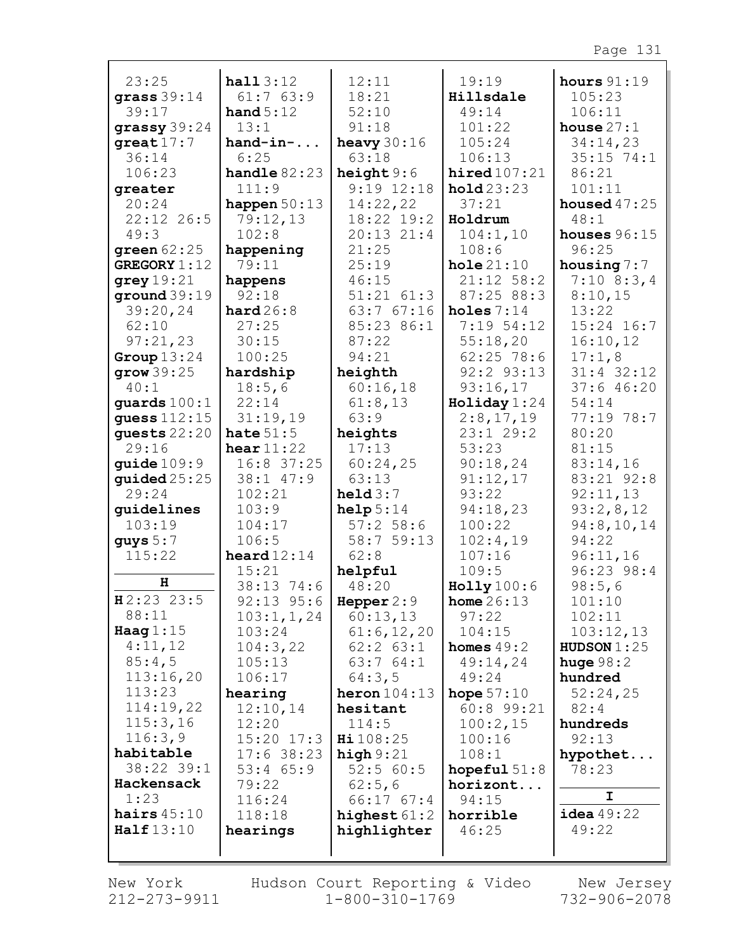| 23:25                  | half3:12                | 12:11                          | 19:19                               | hours $91:19$              |
|------------------------|-------------------------|--------------------------------|-------------------------------------|----------------------------|
| grass $39:14$          | 61:763:9                | 18:21                          | Hillsdale                           | 105:23                     |
| 39:17                  | hand $5:12$             | 52:10                          | 49:14                               | 106:11                     |
| grassy39:24            | 13:1                    | 91:18                          | 101:22                              | house $27:1$               |
| $great17:7$            | $hand-in-.$             | heavy $30:16$                  | 105:24                              | 34:14,23                   |
| 36:14                  | 6:25                    | 63:18                          | 106:13                              | $35:15$ 74:1               |
| 106:23                 | handle $82:23$<br>111:9 | height $9:6$<br>$9:19$ $12:18$ | $\texttt{hired107:21}$<br>hold23:23 | 86:21<br>101:11            |
| greater<br>20:24       | happen $50:13$          | 14:22,22                       | 37:21                               | housed $47:25$             |
| 22:12 26:5             | 79:12,13                | 18:22 19:2                     | Holdrum                             | 48:1                       |
| 49:3                   | 102:8                   | $20:13$ $21:4$                 | 104:1,10                            | houses $96:15$             |
| green $62:25$          | happening               | 21:25                          | 108:6                               | 96:25                      |
| GREGORY $1:12$         | 79:11                   | 25:19                          | hole21:10                           | housing $7:7$              |
| grey 19:21             | happens                 | 46:15                          | $21:12$ 58:2                        | $7:10$ 8:3,4               |
| ground $39:19$         | 92:18                   | $51:21$ $61:3$                 | 87:25 88:3                          | 8:10,15                    |
| 39:20,24               | hard26:8                | 63:767:16                      | holes $7:14$                        | 13:22                      |
| 62:10                  | 27:25                   | 85:23 86:1                     | $7:19$ 54:12                        | $15:24$ $16:7$             |
| 97:21,23               | 30:15                   | 87:22                          | 55:18,20                            | 16:10,12                   |
| Group $13:24$          | 100:25                  | 94:21                          | $62:25$ 78:6                        | 17:1,8                     |
| grow39:25              | hardship                | heighth                        | 92:2 93:13                          | $31:4$ 32:12               |
| 40:1                   | 18:5,6                  | 60:16,18                       | 93:16,17                            | 37:646:20                  |
| quards $100:1$         | 22:14                   | 61:8,13                        | $\text{Holiday} 1:24$               | 54:14                      |
| guess $112:15$         | 31:19,19                | 63:9                           | 2:8,17,19                           | 77:19 78:7                 |
| guests $22:20$         | hate $51:5$             | heights                        | 23:129:2                            | 80:20                      |
| 29:16                  | hear $11:22$            | 17:13                          | 53:23                               | 81:15                      |
| guide 109:9            | 16:8 37:25              | 60:24,25                       | 90:18,24                            | 83:14,16                   |
| $\bold{guide}$ $25:25$ | 38:1 47:9               | 63:13                          | 91:12,17                            | 83:21 92:8                 |
| 29:24                  | 102:21                  | held3:7                        | 93:22                               | 92:11,13                   |
| guidelines             | 103:9                   | help 5:14                      | 94:18,23                            | 93:2,8,12                  |
| 103:19                 | 104:17                  | 57:258:6                       | 100:22                              | 94:8,10,14                 |
| guys $5:7$<br>115:22   | 106:5                   | 58:7 59:13                     | 102:4,19                            | 94:22                      |
|                        | heard $12:14$<br>15:21  | 62:8                           | 107:16<br>109:5                     | 96:11,16<br>$96:23$ $98:4$ |
| H                      | 38:13 74:6              | helpful<br>48:20               | Holly 100:6                         | 98:5,6                     |
| $H2:23$ 23:5           | 92:13 95:6   Hepper 2:9 |                                | <b>home</b> $26:13$                 | 101:10                     |
| 88:11                  | 103:1, 1, 24            | 60:13,13                       | 97:22                               | 102:11                     |
| Haag $1:15$            | 103:24                  | 61:6, 12, 20                   | 104:15                              | 103:12,13                  |
| 4:11,12                | 104:3,22                | $62:2$ $63:1$                  | homes $49:2$                        | HUDSON $1:25$              |
| 85:4,5                 | 105:13                  | 63:764:1                       | 49:14,24                            | huge $98:2$                |
| 113:16,20              | 106:17                  | 64:3,5                         | 49:24                               | hundred                    |
| 113:23                 | hearing                 | heron $104:13$                 | hope $57:10$                        | 52:24,25                   |
| 114:19,22              | 12:10,14                | hesitant                       | 60:8 99:21                          | 82:4                       |
| 115:3,16               | 12:20                   | 114:5                          | 100:2,15                            | hundreds                   |
| 116:3,9                | $15:20$ 17:3            | $\text{Hi } 108:25$            | 100:16                              | 92:13                      |
| habitable              | $17:6$ 38:23            | high $9:21$                    | 108:1                               | hypothet                   |
| 38:22 39:1             | $53:4$ $65:9$           | 52:560:5                       | hopeful $51:8$                      | 78:23                      |
| Hackensack             | 79:22                   | 62:5,6                         | horizont                            |                            |
| 1:23                   | 116:24                  | $66:17$ $67:4$                 | 94:15                               | I.                         |
| hairs $45:10$          | 118:18                  | highest $61:2$                 | horrible                            | $i$ dea $49:22$            |
| Half13:10              | hearings                | highlighter                    | 46:25                               | 49:22                      |
|                        |                         |                                |                                     |                            |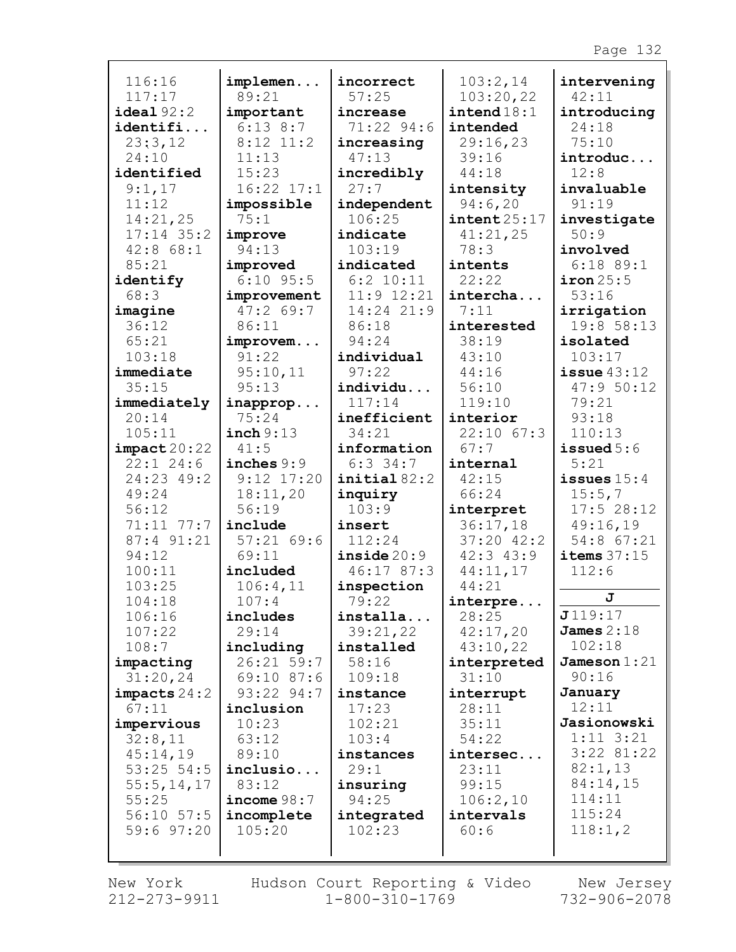| 116:16           | implemen               | incorrect          | 103:2,14               | intervening    |
|------------------|------------------------|--------------------|------------------------|----------------|
| 117:17           | 89:21                  | 57:25              | 103:20,22              | 42:11          |
| ideal92:2        | important              | increase           | $\texttt{intend} 18:1$ | introducing    |
| identifi         | $6:13$ $8:7$           | 71:22 94:6         | intended               | 24:18          |
| 23:3,12          | $8:12$ 11:2            | increasing         | 29:16,23               | 75:10          |
| 24:10            | 11:13                  | 47:13              | 39:16                  | introduc       |
| identified       | 15:23                  | incredibly         | 44:18                  | 12:8           |
| 9:1,17           | $16:22$ $17:1$         | 27:7               | intensity              | invaluable     |
| 11:12            |                        |                    |                        | 91:19          |
|                  | impossible             | independent        | 94:6,20                |                |
| 14:21,25         | 75:1                   | 106:25             | $\texttt{intent25:17}$ | investigate    |
| $17:14$ 35:2     | improve                | indicate           | 41:21,25               | 50:9           |
| $42:8$ 68:1      | 94:13                  | 103:19             | 78:3                   | involved       |
| 85:21            | improved               | indicated          | intents                | $6:18$ 89:1    |
| identify         | $6:10$ 95:5            | $6:2$ 10:11        | 22:22                  | iron 25:5      |
| 68:3             | improvement            | $11:9$ $12:21$     | intercha               | 53:16          |
| imagine          | 47:269:7               | 14:24 21:9         | 7:11                   | irrigation     |
| 36:12            | 86:11                  | 86:18              | interested             | 19:8 58:13     |
| 65:21            | improvem               | 94:24              | 38:19                  | isolated       |
| 103:18           | 91:22                  | individual         | 43:10                  | 103:17         |
| immediate        | 95:10,11               | 97:22              | 44:16                  | issue $43:12$  |
| 35:15            | 95:13                  | individu           | 56:10                  | 47:9 50:12     |
| immediately      | inapprop               | 117:14             | 119:10                 | 79:21          |
| 20:14            | 75:24                  | inefficient        | interior               | 93:18          |
| 105:11           | inch 9:13              | 34:21              | $22:10$ 67:3           | 110:13         |
| impact20:22      | 41:5                   | information        | 67:7                   | issued $5:6$   |
| $22:1$ 24:6      | inches $9:9$           | $6:3$ 34:7         | internal               | 5:21           |
| 24:23 49:2       | $9:12$ $17:20$         | initial 82:2       | 42:15                  | issues $15:4$  |
| 49:24            | 18:11,20               | inquiry            | 66:24                  | 15:5,7         |
| 56:12            | 56:19                  | 103:9              | interpret              | 17:528:12      |
| $71:11$ $77:7$   | include                | insert             | 36:17,18               | 49:16,19       |
| 87:4 91:21       | 57:2169:6              | 112:24             | 37:20 42:2             | 54:8 67:21     |
| 94:12            | 69:11                  | inside20:9         | $42:3$ $43:9$          | items $37:15$  |
| 100:11           | included               | 46:17 87:3         | 44:11,17               | 112:6          |
| 103:25           | 106:4,11               | inspection         | 44:21                  |                |
|                  |                        |                    |                        | J              |
| 104:18<br>106:16 | 107:4<br>includes      | 79:22<br>installa  | interpre<br>28:25      | J119:17        |
|                  | 29:14                  |                    | 42:17,20               | James $2:18$   |
| 107:22           |                        | 39:21,22           |                        | 102:18         |
| 108:7            | including              | installed<br>58:16 | 43:10,22               | Jameson $1:21$ |
| impacting        | 26:21 59:7             |                    | interpreted            | 90:16          |
| 31:20,24         | 69:10 87:6             | 109:18             | 31:10                  |                |
| impects 24:2     | 93:22 94:7             | instance           | interrupt              | January        |
| 67:11            | inclusion              | 17:23              | 28:11                  | 12:11          |
| impervious       | 10:23                  | 102:21             | 35:11                  | Jasionowski    |
| 32:8,11          | 63:12                  | 103:4              | 54:22                  | $1:11 \ 3:21$  |
| 45:14,19         | 89:10                  | instances          | intersec               | $3:22$ 81:22   |
| $53:25$ 54:5     | inclusio               | 29:1               | 23:11                  | 82:1,13        |
| 55:5, 14, 17     | 83:12                  | insuring           | 99:15                  | 84:14,15       |
| 55:25            | $\texttt{income} 98:7$ | 94:25              | 106:2,10               | 114:11         |
| $56:10$ $57:5$   | incomplete             | integrated         | intervals              | 115:24         |
| $59:6$ $97:20$   | 105:20                 | 102:23             | 60:6                   | 118:1,2        |
|                  |                        |                    |                        |                |
|                  |                        |                    |                        |                |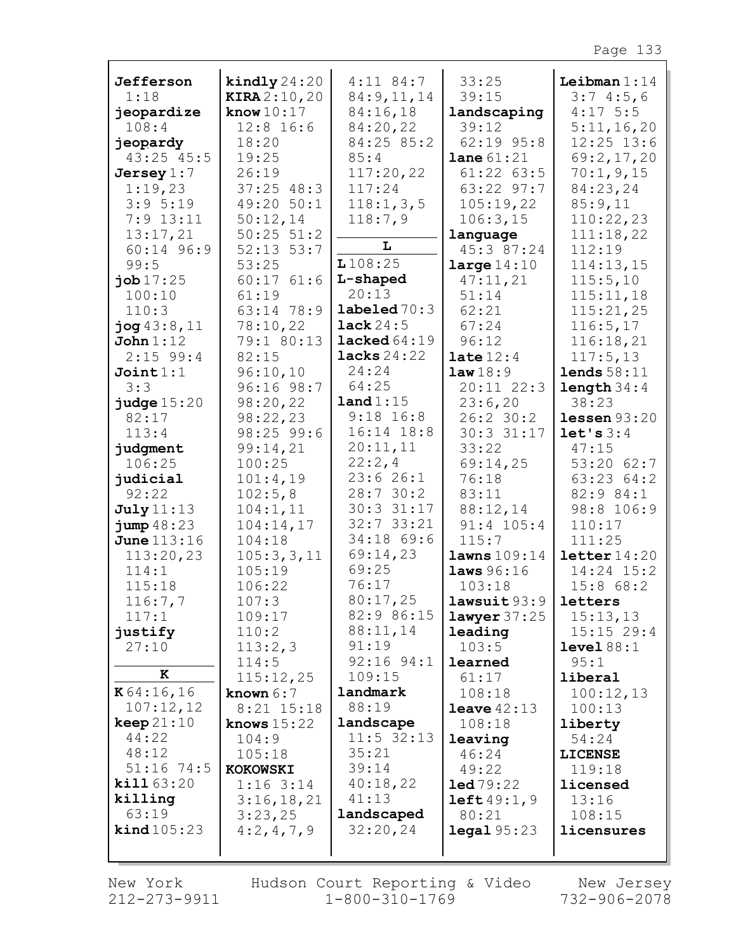| Jefferson             | kindly $24:20$            | $4:11$ 84:7            | 33:25                   | Leibman $1:14$      |
|-----------------------|---------------------------|------------------------|-------------------------|---------------------|
| 1:18                  | <b>KIRA</b> 2:10,20       | 84: 9, 11, 14          | 39:15                   | 3:74:5,6            |
| jeopardize            | know $10:17$              | 84:16,18               | landscaping             | $4:17$ 5:5          |
| 108:4                 | $12:8$ 16:6               | 84:20,22               | 39:12                   | 5:11,16,20          |
| jeopardy              | 18:20                     | 84:25 85:2             | $62:19$ $95:8$          | $12:25$ $13:6$      |
| 43:25 45:5            | 19:25                     | 85:4                   | <b>lane</b> $61:21$     | 69:2,17,20          |
| Jersey $1:7$          | 26:19                     | 117:20,22              | $61:22$ $63:5$          | 70:1,9,15           |
| 1:19,23               | $37:25$ 48:3              | 117:24                 | 63:22 97:7              | 84:23,24            |
| 3:95:19               | 49:20 50:1                | 118:1, 3, 5            | 105:19,22               | 85:9,11             |
| $7:9$ 13:11           | 50:12,14                  | 118:7,9                | 106:3,15                | 110:22,23           |
| 13:17,21              | $50:25$ $51:2$            |                        | language                | 111:18,22           |
| 60:14 96:9            | $52:13$ $53:7$            | L                      | 45:3 87:24              | 112:19              |
| 99:5                  | 53:25                     | L108:25                | large $14:10$           | 114:13,15           |
| job17:25              | $60:17$ $61:6$            | L-shaped               | 47:11,21                | 115:5,10            |
| 100:10                | 61:19                     | 20:13                  | 51:14                   | 115:11,18           |
| 110:3                 | 63:14 78:9                | $\texttt{labeled70:3}$ | 62:21                   | 115:21,25           |
| $j$ og $43:8,11$      | 78:10,22                  | lack 24:5              | 67:24                   | 116:5, 17           |
| John 1:12             | 79:1 80:13                | lacked64:19            | 96:12                   | 116:18,21           |
| $2:15$ 99:4           | 82:15                     | lacks $24:22$          | late $12:4$             | 117:5, 13           |
| Join1:1               | 96:10,10                  | 24:24                  | law18:9                 | lends 58:11         |
| 3:3                   | 96:16 98:7                | 64:25                  | 20:11 22:3              | length 34:4         |
| $j$ udge $15:20$      | 98:20,22                  | land 1:15              | 23:6,20                 | 38:23               |
| 82:17                 | 98:22,23                  | $9:18$ 16:8            | 26:2 30:2               | lessen 93:20        |
| 113:4                 | $98:25$ 99:6              | 16:14 18:8             | 30:3 31:17              | let's $3:4$         |
| judgment              | 99:14,21                  | 20:11,11               | 33:22                   | 47:15               |
| 106:25                | 100:25                    | 22:2,4                 | 69:14,25                | $53:20$ 62:7        |
| judicial              | 101:4,19                  | 23:626:1               | 76:18                   | 63:23 64:2          |
| 92:22                 | 102:5,8                   | 28:7 30:2              | 83:11                   | 82:9 84:1           |
| <b>July</b> 11:13     | 104:1,11                  | 30:3 31:17             | 88:12,14                | 98:8 106:9          |
| jump48:23             | 104:14,17                 | $32:7$ 33:21           | 91:4 105:4              | 110:17              |
| June 113:16           | 104:18                    | 34:18 69:6             | 115:7                   | 111:25              |
| 113:20,23             | 105:3,3,11                | 69:14,23               | lawns 109:14            | letter14:20         |
| 114:1                 | 105:19                    | 69:25                  | laws 96:16              | $14:24$ $15:2$      |
| 115:18                | 106:22                    | 76:17                  | 103:18                  | 15:868:2            |
| 116:7,7               | 107:3                     | 80:17,25               | lawsuit 93:9   letters  |                     |
| 117:1                 | 109:17                    | 82:9 86:15             | $lawyer$ 37:25          | 15:13,13            |
| justify               | 110:2                     | 88:11,14               | leading                 | $15:15$ 29:4        |
| 27:10                 | 113:2,3                   | 91:19                  | 103:5                   | level 88:1          |
| к                     | 114:5                     | $92:16$ $94:1$         | learned                 | 95:1                |
| K64:16,16             | 115:12,25                 | 109:15<br>landmark     | 61:17                   | liberal             |
| 107:12,12             | known $6:7$<br>8:21 15:18 | 88:19                  | 108:18<br>leave $42:13$ | 100:12,13<br>100:13 |
| keep 21:10            | knows $15:22$             | landscape              | 108:18                  | liberty             |
| 44:22                 | 104:9                     | $11:5$ 32:13           | leaving                 | 54:24               |
| 48:12                 | 105:18                    | 35:21                  | 46:24                   | <b>LICENSE</b>      |
| $51:16$ 74:5          | <b>KOKOWSKI</b>           | 39:14                  | 49:22                   | 119:18              |
| kill 63:20            | $1:16$ 3:14               | 40:18,22               | 1ed 79:22               | licensed            |
| killing               | 3:16,18,21                | 41:13                  | left49:1,9              | 13:16               |
| 63:19                 | 3:23,25                   | landscaped             | 80:21                   | 108:15              |
| $\text{kind } 105:23$ | 4:2,4,7,9                 | 32:20,24               | $\texttt{legal } 95:23$ | licensures          |
|                       |                           |                        |                         |                     |
|                       |                           |                        |                         |                     |

New York 212-273-9911

Hudson Court Reporting & Video New Jersey<br>11 1-800-310-1769 732-906-2078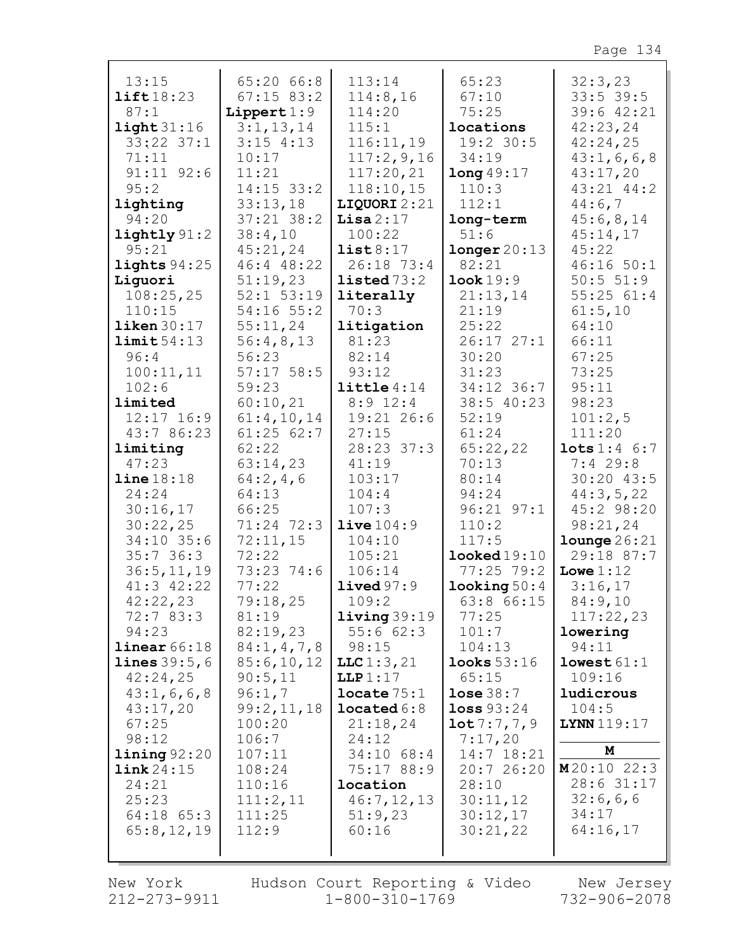| 13:15                  | 65:20 66:8         | 113:14                        | 65:23                   | 32:3,23                   |
|------------------------|--------------------|-------------------------------|-------------------------|---------------------------|
| lift18:23              | $67:15$ 83:2       | 114:8,16                      | 67:10                   | $33:5$ 39:5               |
| 87:1                   | Lippert $1:9$      | 114:20                        | 75:25                   | 39:6 42:21                |
| light 31:16            | 3:1, 13, 14        | 115:1                         | locations               | 42:23,24                  |
| $33:22$ $37:1$         | $3:15$ 4:13        | 116:11,19                     | 19:2 30:5               | 42:24,25                  |
| 71:11                  | 10:17              | 117:2,9,16                    | 34:19                   | 43:1,6,6,8                |
| $91:11$ $92:6$         | 11:21              | 117:20,21                     | long49:17               | 43:17,20                  |
| 95:2                   | 14:15 33:2         | 118:10,15                     | 110:3                   | 43:21 44:2                |
| lighting               | 33:13,18           | LIQUORI 2:21                  | 112:1                   | 44:6,7                    |
| 94:20                  | $37:21$ $38:2$     | Lisa $2:17$                   | long-term               | 45:6,8,14                 |
| $\text{lightly } 91:2$ | 38:4,10            | 100:22                        | 51:6                    | 45:14,17                  |
| 95:21                  | 45:21,24           | list8:17                      | longer 20:13            | 45:22                     |
| lights $94:25$         | 46:4 48:22         | 26:18 73:4                    | 82:21                   | $46:16$ 50:1              |
| Liguori                | 51:19,23           | $1$ isted $73:2$              | Look 19:9               | 50:5 51:9                 |
| 108:25,25              | $52:1$ $53:19$     | literally                     | 21:13,14                | 55:2561:4                 |
| 110:15                 | $54:16$ $55:2$     | 70:3                          | 21:19                   | 61:5,10                   |
| $\text{likelihood}:17$ | 55:11,24           | litigation                    | 25:22                   | 64:10                     |
| limit 54:13<br>96:4    | 56:4,8,13<br>56:23 | 81:23                         | $26:17$ $27:1$<br>30:20 | 66:11<br>67:25            |
| 100:11,11              | $57:17$ 58:5       | 82:14<br>93:12                | 31:23                   | 73:25                     |
| 102:6                  | 59:23              | $\text{little } 4:14$         | 34:12 36:7              | 95:11                     |
| limited                | 60:10,21           | $8:9$ 12:4                    | 38:5 40:23              | 98:23                     |
| $12:17$ $16:9$         | 61:4,10,14         | 19:21 26:6                    | 52:19                   | 101:2,5                   |
| 43:7 86:23             | $61:25$ $62:7$     | 27:15                         | 61:24                   | 111:20                    |
| limiting               | 62:22              | 28:23 37:3                    | 65:22,22                | $\texttt{lots} 1:4 \ 6:7$ |
| 47:23                  | 63:14,23           | 41:19                         | 70:13                   | $7:4$ 29:8                |
| $line 18:18$           | 64:2,4,6           | 103:17                        | 80:14                   | 30:20 43:5                |
| 24:24                  | 64:13              | 104:4                         | 94:24                   | 44:3,5,22                 |
| 30:16,17               | 66:25              | 107:3                         | $96:21$ $97:1$          | 45:2 98:20                |
| 30:22,25               | 71:24 72:3         | live104:9                     | 110:2                   | 98:21,24                  |
| $34:10$ 35:6           | 72:11,15           | 104:10                        | 117:5                   | $1$ ounge $26:21$         |
| 35:736:3               | 72:22              | 105:21                        | $1$ ooked $19:10$       | 29:18 87:7                |
| 36:5, 11, 19           | 73:23 74:6         | 106:14                        | $77:25$ 79:2            | Lowe $1:12$               |
| $41:3$ $42:22$         | 77:22              | lived97:9                     | $\texttt{looking} 50:4$ | 3:16,17                   |
| 42:22,23               | 79:18,25           | 109:2                         | $63:8$ $66:15$<br>77:25 | 84:9,10                   |
| 72:7 83:3<br>94:23     | 81:19<br>82:19,23  | $1$ iving $39:19$<br>55:662:3 | 101:7                   | 117:22,23<br>lowering     |
| linear 66:18           | 84:1, 4, 7, 8      | 98:15                         | 104:13                  | 94:11                     |
| <b>lines</b> $39:5,6$  | 85:6,10,12         | LLC1:3,21                     | looks 53:16             | lowest 61:1               |
| 42:24,25               | 90:5,11            | LLP 1:17                      | 65:15                   | 109:16                    |
| 43:1,6,6,8             | 96:1,7             | locate 75:1                   | $lose$ 38:7             | ludicrous                 |
| 43:17,20               | 99:2,11,18         | located 6:8                   | loss 93:24              | 104:5                     |
| 67:25                  | 100:20             | 21:18,24                      | 10t7:7,7,9              | <b>LYNN</b> 119:17        |
| 98:12                  | 106:7              | 24:12                         | 7:17,20                 |                           |
| $\text{lining } 92:20$ | 107:11             | $34:10$ 68:4                  | 14:7 18:21              | М                         |
| link24:15              | 108:24             | 75:17 88:9                    | 20:7 26:20              | M20:1022:3                |
| 24:21                  | 110:16             | location                      | 28:10                   | 28:6 31:17                |
| 25:23                  | 111:2,11           | 46:7,12,13                    | 30:11,12                | 32:6,6,6                  |
| $64:18$ $65:3$         | 111:25             | 51:9,23                       | 30:12,17                | 34:17<br>64:16,17         |
| 65:8,12,19             | 112:9              | 60:16                         | 30:21,22                |                           |
|                        |                    |                               |                         |                           |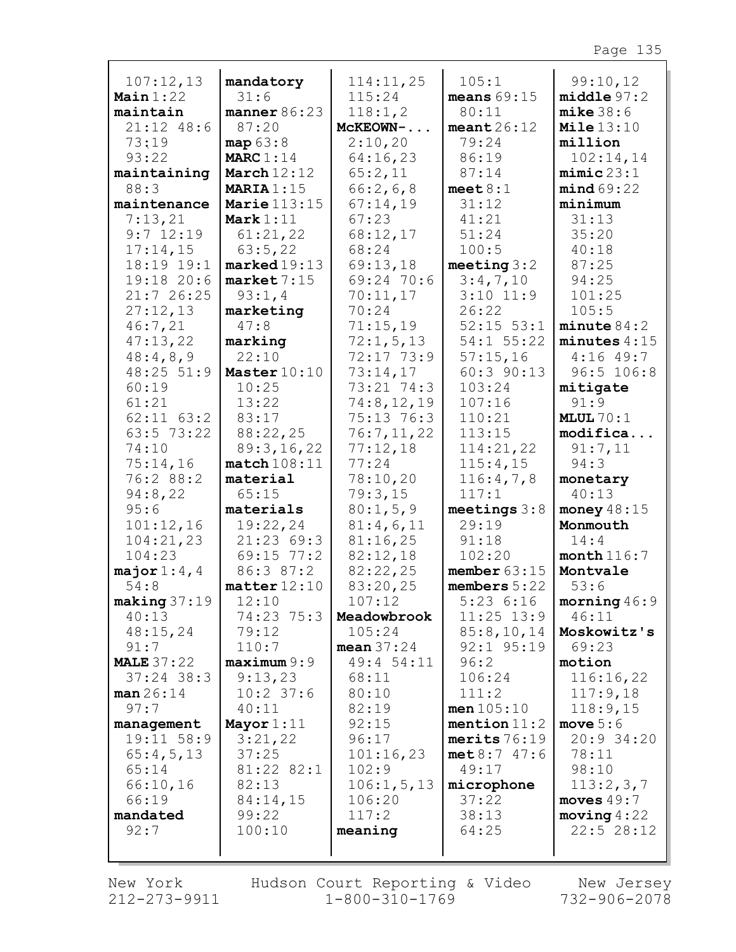| 107:12,13               | mandatory               | 114:11,25              | 105:1                         | 99:10,12               |
|-------------------------|-------------------------|------------------------|-------------------------------|------------------------|
| Main $1:22$             | 31:6                    | 115:24                 | means $69:15$                 | middle97:2             |
| maintain                | manner 86:23            | 118:1,2                | 80:11                         | mike 38:6              |
| 21:12 48:6              | 87:20                   | MCKEOWN-               | meant26:12                    | Mile $13:10$           |
| 73:19                   | map 63:8                | 2:10,20                | 79:24                         | million                |
| 93:22                   | MARC $1:14$             | 64:16,23               | 86:19                         | 102:14,14              |
| maintaining             | March $12:12$           | 65:2,11                | 87:14                         | minic23:1              |
| 88:3                    | MARIA $1:15$            | 66:2,6,8               | meet 8:1                      | mind69:22              |
| maintenance             | Marie $113:15$          | 67:14,19               | 31:12                         | minimum                |
| 7:13,21                 | Mark $1:11$             | 67:23                  | 41:21                         | 31:13                  |
| $9:7$ 12:19             | 61:21,22                | 68:12,17               | 51:24                         | 35:20                  |
| 17:14,15                | 63:5,22                 | 68:24                  | 100:5                         | 40:18                  |
| 18:19 19:1              | $\texttt{marked19:13}$  | 69:13,18               | meeting $3:2$                 | 87:25                  |
| 19:18 20:6              | market 7:15             | 69:24 70:6             | 3:4,7,10                      | 94:25                  |
| 21:726:25               | 93:1,4                  | 70:11,17               | $3:10$ 11:9                   | 101:25                 |
| 27:12,13                | marketing               | 70:24                  | 26:22                         | 105:5                  |
| 46:7,21                 | 47:8                    | 71:15,19               | $52:15$ $53:1$                | minute 84:2            |
| 47:13,22                | marking                 | 72:1, 5, 13            | 54:1 55:22                    | minutes $4:15$         |
| 48:4,8,9                | 22:10                   | 72:17 73:9             | 57:15,16                      | $4:16$ 49:7            |
| 48:25 51:9              | Master $10:10$          | 73:14,17               | 60:3 90:13                    | 96:5 106:8             |
| 60:19                   | 10:25                   | 73:21 74:3             | 103:24                        | mitigate               |
| 61:21                   | 13:22                   | 74:8, 12, 19           | 107:16                        | 91:9                   |
| $62:11$ $63:2$          | 83:17                   | 75:13 76:3             | 110:21                        | MLUL $70:1$            |
| $63:5$ 73:22            | 88:22,25                | 76:7,11,22             | 113:15                        | modifica               |
| 74:10                   | 89:3,16,22              | 77:12,18               | 114:21,22                     | 91:7,11                |
| 75:14,16                | match108:11             | 77:24                  | 115:4,15                      | 94:3                   |
| 76:2 88:2               | material                | 78:10,20               | 116:4,7,8                     | monetary               |
| 94:8,22                 | 65:15                   | 79:3,15                | 117:1                         | 40:13                  |
| 95:6                    | materials               | 80:1, 5, 9             | meetings $3:8$                | money $48:15$          |
| 101:12,16               | 19:22,24                | 81:4,6,11              | 29:19                         | Monmouth               |
| 104:21,23               | 21:23 69:3              | 81:16,25               | 91:18                         | 14:4                   |
| 104:23                  | 69:15 77:2              | 82:12,18               | 102:20                        | month $116:7$          |
| major $1:4$ , 4         | 86:3 87:2               | 82:22,25               | member $63:15$                | Montvale               |
| 54:8                    | $\texttt{matter}$ 12:10 | 83:20,25               | members $5:22$                | 53:6                   |
| $\texttt{making} 37:19$ | 12:10                   | 107:12                 | 5:236:16                      | $\texttt{moving}~46:9$ |
| 40:13                   | 74:23 75:3              | Meadowbrook            | $11:25$ $13:9$                | 46:11                  |
| 48:15,24                | 79:12                   | 105:24                 | 85:8,10,14                    | Moskowitz's            |
| 91:7                    | 110:7                   | mean $37:24$           | 92:1 95:19                    | 69:23                  |
| <b>MALE 37:22</b>       | maximum 9:9             | 49:4 54:11             | 96:2                          | motion                 |
| $37:24$ 38:3            | 9:13,23                 | 68:11                  | 106:24                        | 116:16,22              |
| man 26:14               | $10:2$ 37:6             | 80:10                  | 111:2                         | 117:9,18               |
| 97:7                    | 40:11                   | 82:19                  | men 105:10                    | 118:9,15               |
| management              | Mayor $1:11$            | 92:15                  | mention $11:2$                | move $5:6$             |
| 19:11 58:9              | 3:21,22                 | 96:17                  | merits $76:19$<br>met 8:747:6 | 20:9 34:20<br>78:11    |
| 65:4,5,13<br>65:14      | 37:25<br>81:22 82:1     | 101:16,23<br>102:9     |                               | 98:10                  |
| 66:10,16                | 82:13                   |                        | 49:17                         | 113:2,3,7              |
| 66:19                   | 84:14,15                | 106:1, 5, 13<br>106:20 | microphone<br>37:22           | moves $49:7$           |
| mandated                | 99:22                   | 117:2                  | 38:13                         | moving 4:22            |
| 92:7                    | 100:10                  | meaning                | 64:25                         | 22:528:12              |
|                         |                         |                        |                               |                        |
|                         |                         |                        |                               |                        |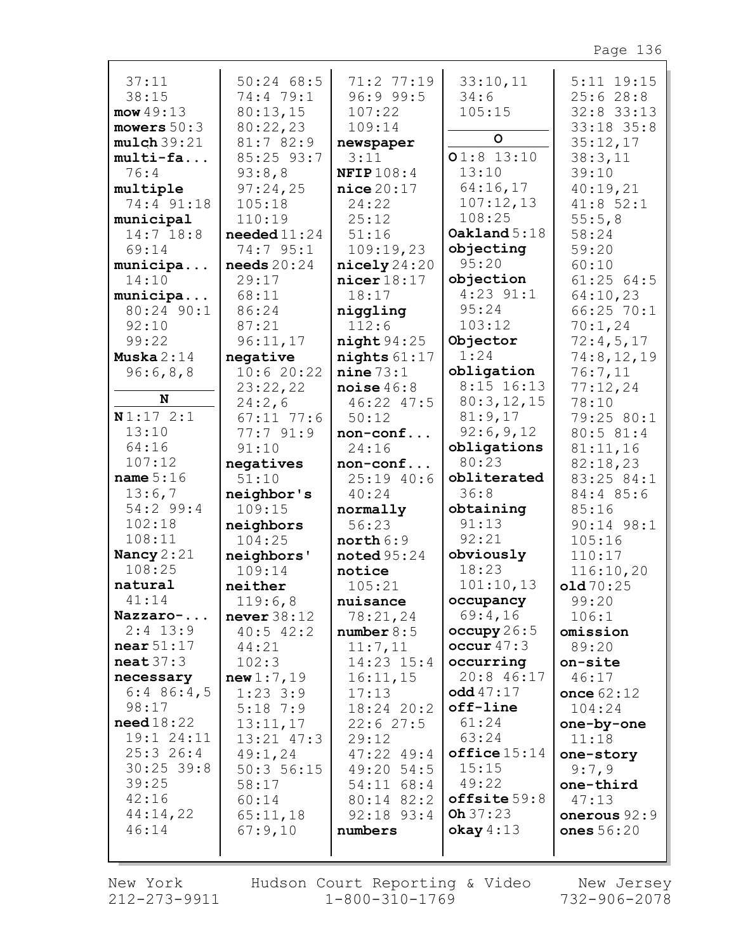| 37:11                 | $50:24$ 68:5           | 71:2 77:19              | 33:10,11                   | $5:11$ $19:15$      |
|-----------------------|------------------------|-------------------------|----------------------------|---------------------|
| 38:15                 | 74:4 79:1              | 96:999:5                | 34:6                       | 25:628:8            |
| mow49:13              | 80:13,15               | 107:22                  | 105:15                     | $32:8$ 33:13        |
| mowers $50:3$         | 80:22,23               | 109:14                  |                            | 33:18 35:8          |
| mulch 39:21           | 81:7 82:9              | newspaper               | $\circ$                    | 35:12,17            |
| multi-fa              | 85:25 93:7             | 3:11                    | $01:8$ 13:10               | 38:3,11             |
| 76:4                  | 93:8,8                 | <b>NFIP</b> 108:4       | 13:10                      | 39:10               |
| multiple              | 97:24,25               | nice20:17               | 64:16,17                   | 40:19,21            |
| 74:4 91:18            | 105:18                 | 24:22                   | 107:12,13                  | 41:852:1            |
| municipal             | 110:19                 | 25:12                   | 108:25                     | 55:5,8              |
| $14:7$ 18:8           | needed $11:24$         | 51:16                   | Oakland $5:18$             | 58:24               |
| 69:14                 | 74:7 95:1              | 109:19,23               | objecting                  | 59:20               |
| municipa              | needs $20:24$          | $\texttt{nicely} 24:20$ | 95:20                      | 60:10               |
| 14:10                 | 29:17                  | $nicer$ $18:17$         | objection                  | 61:2564:5           |
| municipa              | 68:11                  | 18:17                   | $4:23$ $91:1$              | 64:10,23            |
| 80:24 90:1            | 86:24                  | niggling                | 95:24                      | $66:25$ 70:1        |
| 92:10                 | 87:21                  | 112:6                   | 103:12                     | 70:1,24             |
| 99:22                 | 96:11,17               | night94:25              | Objector                   | 72:4,5,17           |
| Muska $2:14$          | negative               | nights $61:17$          | 1:24                       | 74:8,12,19          |
| 96:6,8,8              | 10:620:22              | nine 73:1               | obligation                 | 76:7,11             |
| N                     | 23:22,22               | noise $46:8$            | $8:15$ 16:13<br>80:3,12,15 | 77:12,24            |
| N1:172:1              | 24:2,6<br>$67:11$ 77:6 | 46:22 47:5<br>50:12     | 81:9,17                    | 78:10<br>79:25 80:1 |
| 13:10                 | 77:791:9               | $non-conf$              | 92:6,9,12                  | 80:5 81:4           |
| 64:16                 | 91:10                  | 24:16                   | obligations                | 81:11,16            |
| 107:12                | negatives              | non-conf                | 80:23                      | 82:18,23            |
| name $5:16$           | 51:10                  | $25:19$ 40:6            | obliterated                | 83:25 84:1          |
| 13:6,7                | neighbor's             | 40:24                   | 36:8                       | 84:4 85:6           |
| 54:2 99:4             | 109:15                 | normally                | obtaining                  | 85:16               |
| 102:18                | neighbors              | 56:23                   | 91:13                      | 90:14 98:1          |
| 108:11                | 104:25                 | north 6:9               | 92:21                      | 105:16              |
| Nancy 2:21            | neighbors'             | $\texttt{noted} 95:24$  | obviously                  | 110:17              |
| 108:25                | 109:14                 | notice                  | 18:23                      | 116:10,20           |
| natural               | neither                | 105:21                  | 101:10,13                  | old70:25            |
| 41:14                 | 119:6,8                | nuisance                | occupancy                  | 99:20               |
| Nazzaro-              | never $38:12$          | 78:21,24                | 69:4,16                    | 106:1               |
| $2:4$ 13:9            | $40:5$ $42:2$          | number 8:5              | occupy $26:5$              | omission            |
| near $51:17$          | 44:21                  | 11:7,11                 | occur $47:3$               | 89:20               |
| $\texttt{neat}37:3$   | 102:3                  | $14:23$ $15:4$          | occurring                  | on-site             |
| necessary             | new1:7,19              | 16:11,15                | 20:8 46:17                 | 46:17               |
| $6:4$ 86:4,5<br>98:17 | $1:23$ 3:9             | 17:13                   | odd 47:17<br>off-line      | once $62:12$        |
| need18:22             | $5:18$ 7:9<br>13:11,17 | 18:24 20:2<br>22:627:5  | 61:24                      | 104:24              |
| 19:1 24:11            | 13:21 47:3             | 29:12                   | 63:24                      | one-by-one<br>11:18 |
| 25:326:4              | 49:1,24                | $47:22$ $49:4$          | $offline 15:14$            | one-story           |
| $30:25$ 39:8          | 50:356:15              | 49:20 54:5              | 15:15                      | 9:7,9               |
| 39:25                 | 58:17                  | 54:11 68:4              | 49:22                      | one-third           |
| 42:16                 | 60:14                  | 80:14 82:2              | offsetsize 59:8            | 47:13               |
| 44:14,22              | 65:11,18               | $92:18$ $93:4$          | Oh 37:23                   | onerous 92:9        |
| 46:14                 | 67:9,10                | numbers                 | okay 4:13                  | ones $56:20$        |
|                       |                        |                         |                            |                     |
|                       |                        |                         |                            |                     |

New York 212-273-9911 Hudson Court Reporting & Video  $1 - 800 - 310 - 1769$ 

New Jersey  $732 - 906 - 2078$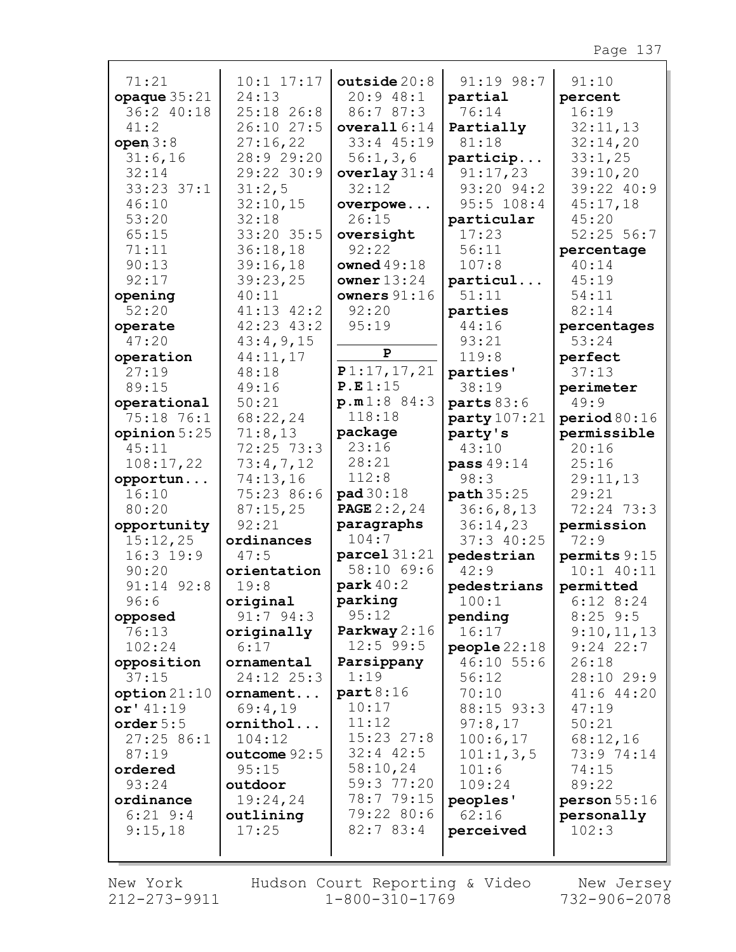| 71:21<br>opaque $35:21$<br>36:2 40:18 | $10:1$ $17:17$<br>24:13<br>25:18 26:8 | outside $20:8$<br>20:948:1<br>86:7 87:3 | 91:19 98:7<br>partial<br>76:14 | 91:10<br>percent<br>16:19 |
|---------------------------------------|---------------------------------------|-----------------------------------------|--------------------------------|---------------------------|
| 41:2                                  | 26:10 27:5                            | overall $6:14$                          | Partially                      | 32:11,13                  |
| open $3:8$                            | 27:16,22                              | 33:4 45:19                              | 81:18                          | 32:14,20                  |
| 31:6,16                               | 28:9 29:20                            | 56:1,3,6                                | particip                       | 33:1,25                   |
| 32:14                                 | 29:22 30:9                            | overlay $31:4$                          | 91:17,23                       | 39:10,20                  |
| $33:23$ $37:1$                        | 31:2,5                                | 32:12                                   | 93:20 94:2                     | 39:22 40:9                |
| 46:10                                 | 32:10,15                              | overpowe                                | 95:5 108:4                     | 45:17,18                  |
| 53:20                                 | 32:18                                 | 26:15                                   | particular                     | 45:20                     |
| 65:15                                 | 33:20 35:5                            | oversight                               | 17:23                          | $52:25$ 56:7              |
| 71:11                                 | 36:18,18                              | 92:22                                   | 56:11                          | percentage                |
| 90:13                                 | 39:16,18                              | owned $49:18$                           | 107:8                          | 40:14                     |
| 92:17                                 | 39:23,25                              | owner $13:24$                           | particul                       | 45:19                     |
| opening                               | 40:11                                 | owners $91:16$                          | 51:11                          | 54:11<br>82:14            |
| 52:20                                 | $41:13$ $42:2$<br>$42:23$ $43:2$      | 92:20<br>95:19                          | parties<br>44:16               |                           |
| operate<br>47:20                      | 43:4,9,15                             |                                         | 93:21                          | percentages<br>53:24      |
| operation                             | 44:11,17                              | $\mathbf{P}$                            | 119:8                          | perfect                   |
| 27:19                                 | 48:18                                 | P1:17,17,21                             | parties'                       | 37:13                     |
| 89:15                                 | 49:16                                 | P.E1:15                                 | 38:19                          | perimeter                 |
| operational                           | 50:21                                 | p.m1:8 84:3                             | parts 83:6                     | 49:9                      |
| 75:18 76:1                            | 68:22,24                              | 118:18                                  | party 107:21                   | period 80:16              |
| opinion 5:25                          | 71:8,13                               | package                                 | party's                        | permissible               |
| 45:11                                 | 72:25 73:3                            | 23:16                                   | 43:10                          | 20:16                     |
| 108:17,22                             | 73:4,7,12                             | 28:21                                   | pass 49:14                     | 25:16                     |
| opportun                              | 74:13,16                              | 112:8                                   | 98:3                           | 29:11,13                  |
| 16:10                                 | 75:23 86:6                            | pad 30:18                               | path 35:25                     | 29:21                     |
| 80:20                                 | 87:15,25                              | <b>PAGE 2:2, 24</b>                     | 36:6,8,13                      | 72:24 73:3                |
| opportunity                           | 92:21                                 | paragraphs                              | 36:14,23                       | permission                |
| 15:12,25                              | ordinances                            | 104:7                                   | 37:340:25                      | 72:9                      |
| $16:3$ 19:9                           | 47:5                                  | $\texttt{parcell} 31:21$                | pedestrian                     | permits 9:15              |
| 90:20                                 | orientation                           | 58:10 69:6                              | 42:9                           | $10:1$ $40:11$            |
| $91:14$ $92:8$                        | 19:8                                  | park $40:2$                             | pedestrians                    | permitted                 |
| 96:6                                  | original                              | parking                                 | 100:1                          | $6:12$ $8:24$             |
| opposed                               | $91:7$ $94:3$                         | 95:12                                   | pending                        | $8:25$ 9:5                |
| 76:13                                 | originally                            | Parkway $2:16$                          | 16:17                          | 9:10,11,13                |
| 102:24                                | 6:17                                  | $12:5$ 99:5                             | people22:18                    | $9:24$ 22:7               |
| opposition                            | ornamental                            | Parsippany                              | $46:10$ 55:6                   | 26:18                     |
| 37:15                                 | 24:12 25:3                            | 1:19                                    | 56:12                          | 28:10 29:9                |
| option 21:10                          | ornament                              | part8:16<br>10:17                       | 70:10                          | $41:6$ $44:20$            |
| or' 41:19                             | 69:4,19                               | 11:12                                   | 88:15 93:3<br>97:8,17          | 47:19                     |
| order $5:5$<br>27:2586:1              | ornithol<br>104:12                    | $15:23$ $27:8$                          | 100:6,17                       | 50:21<br>68:12,16         |
| 87:19                                 | outcome $92:5$                        | $32:4$ $42:5$                           | 101:1, 3, 5                    | 73:9 74:14                |
| ordered                               | 95:15                                 | 58:10,24                                | 101:6                          | 74:15                     |
| 93:24                                 | outdoor                               | 59:3 77:20                              | 109:24                         | 89:22                     |
| ordinance                             | 19:24,24                              | 78:7 79:15                              | peoples'                       | person 55:16              |
| $6:21$ $9:4$                          | outlining                             | 79:22 80:6                              | 62:16                          | personally                |
| 9:15,18                               | 17:25                                 | 82:783:4                                | perceived                      | 102:3                     |
|                                       |                                       |                                         |                                |                           |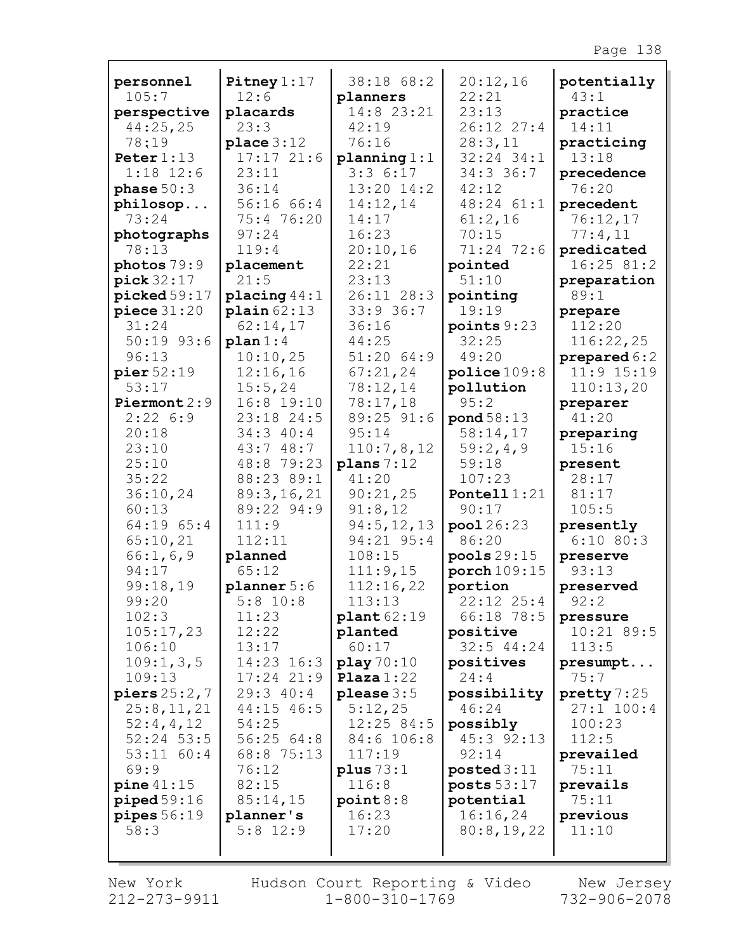|                           |                              | 38:18 68:2                 |                   |                     |
|---------------------------|------------------------------|----------------------------|-------------------|---------------------|
| personnel<br>105:7        | Pitney $1:17$<br>12:6        | planners                   | 20:12,16<br>22:21 | potentially<br>43:1 |
| perspective               | placards                     | 14:8 23:21                 | 23:13             | practice            |
| 44:25,25                  | 23:3                         | 42:19                      | 26:12 27:4        | 14:11               |
| 78:19                     | place 3:12                   | 76:16                      | 28:3,11           | practicing          |
| Peter $1:13$              | 17:1721:6                    | planning $1:1$             | $32:24$ $34:1$    | 13:18               |
| $1:18$ 12:6               | 23:11                        | 3:36:17                    | 34:3 36:7         | precedence          |
| phase $50:3$              | 36:14                        | 13:20 14:2                 | 42:12             | 76:20               |
| philosop                  | 56:16 66:4                   | 14:12,14                   | 48:24 61:1        | precedent           |
| 73:24                     | 75:4 76:20                   | 14:17                      | 61:2,16           | 76:12,17            |
| photographs               | 97:24                        | 16:23                      | 70:15             | 77:4,11             |
| 78:13                     | 119:4                        | 20:10,16                   | 71:24 72:6        | predicated          |
| photos 79:9               | placement                    | 22:21                      | pointed           | 16:25 81:2          |
| pick 32:17                | 21:5                         | 23:13                      | 51:10             | preparation         |
| $\texttt{picked} 59:17$   | placing $44:1$               | 26:11 28:3                 | pointing          | 89:1                |
| piece 31:20               | plain 62:13                  | 33:936:7                   | 19:19             | prepare             |
| 31:24                     | 62:14,17                     | 36:16                      | points $9:23$     | 112:20              |
| $50:19$ 93:6              | plan 1:4                     | 44:25                      | 32:25             | 116:22,25           |
| 96:13                     | 10:10,25                     | 51:20 64:9                 | 49:20             | prepared 6:2        |
| pier $52:19$              | 12:16,16                     | 67:21,24                   | police 109:8      | $11:9$ $15:19$      |
| 53:17                     | 15:5,24<br>16:8 19:10        | 78:12,14                   | pollution<br>95:2 | 110:13,20           |
| Piermont $2:9$<br>2:226:9 | 23:18 24:5                   | 78:17,18<br>89:25 91:6     | pond 58:13        | preparer<br>41:20   |
| 20:18                     | 34:3 40:4                    | 95:14                      | 58:14,17          | preparing           |
| 23:10                     | 43:748:7                     | 110:7,8,12                 | 59:2,4,9          | 15:16               |
| 25:10                     | 48:8 79:23                   | plane 7:12                 | 59:18             | present             |
| 35:22                     | 88:23 89:1                   | 41:20                      | 107:23            | 28:17               |
| 36:10,24                  | 89:3,16,21                   | 90:21,25                   | Pontell $1:21$    | 81:17               |
| 60:13                     | 89:22 94:9                   | 91:8,12                    | 90:17             | 105:5               |
| 64:19 65:4                | 111:9                        | 94:5, 12, 13               | pool 26:23        | presently           |
| 65:10,21                  | 112:11                       | 94:21 95:4                 | 86:20             | $6:10$ 80:3         |
| 66:1, 6, 9                | planned                      | 108:15                     | pools29:15        | preserve            |
| 94:17                     | 65:12                        | 111:9,15                   | porch 109:15      | 93:13               |
| 99:18,19                  | planner 5:6                  | 112:16,22                  | portion           | preserved           |
| 99:20                     | $5:8$ 10:8                   | 113:13                     | $22:12$ $25:4$    | 92:2                |
| 102:3                     | 11:23                        | $\texttt{plant}62:19$      | 66:18 78:5        | pressure            |
| 105:17,23                 | 12:22                        | planted                    | positive          | 10:21 89:5          |
| 106:10                    | 13:17                        | 60:17                      | $32:5$ 44:24      | 113:5               |
| 109:1, 3, 5<br>109:13     | 14:23 16:3<br>$17:24$ $21:9$ | play 70:10<br>Plaza $1:22$ | positives<br>24:4 | presumpt<br>75:7    |
| piers $25:2,7$            | 29:340:4                     | please $3:5$               | possibility       | pretty 7:25         |
| 25:8,11,21                | 44:15 46:5                   | 5:12,25                    | 46:24             | $27:1$ 100:4        |
| 52:4,4,12                 | 54:25                        | 12:25 84:5                 | possibly          | 100:23              |
| $52:24$ 53:5              | 56:2564:8                    | 84:6 106:8                 | 45:3 92:13        | 112:5               |
| $53:11$ $60:4$            | 68:8 75:13                   | 117:19                     | 92:14             | prevailed           |
| 69:9                      | 76:12                        | plus $73:1$                | posted 3:11       | 75:11               |
| $pine\,41:15$             | 82:15                        | 116:8                      | posts $53:17$     | prevails            |
| $pi$ piped $59:16$        | 85:14,15                     | point 8:8                  | potential         | 75:11               |
| pipes 56:19               | planner's                    | 16:23                      | 16:16,24          | previous            |
| 58:3                      | $5:8$ 12:9                   | 17:20                      | 80:8,19,22        | 11:10               |
|                           |                              |                            |                   |                     |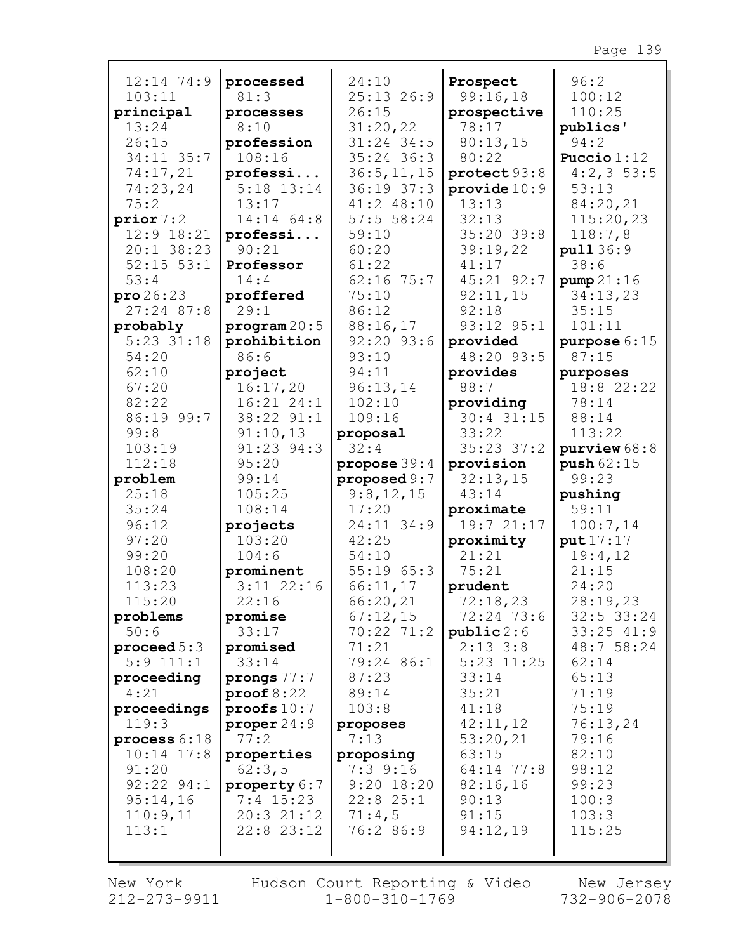| $12:14$ 74:9                 | processed              | 24:10               | Prospect                  | 96:2              |
|------------------------------|------------------------|---------------------|---------------------------|-------------------|
| 103:11                       | 81:3                   | $25:13$ $26:9$      | 99:16,18                  | 100:12            |
| principal<br>13:24           | processes<br>8:10      | 26:15<br>31:20,22   | prospective<br>78:17      | 110:25            |
| 26:15                        | profession             | $31:24$ 34:5        | 80:13,15                  | publics'<br>94:2  |
| $34:11$ $35:7$               | 108:16                 | $35:24$ 36:3        | 80:22                     | Puccio $1:12$     |
| 74:17,21                     | professi               | 36:5, 11, 15        | protect 93:8              | $4:2,3$ 53:5      |
| 74:23,24                     | $5:18$ $13:14$         | $36:19$ $37:3$      | provide $10:9$            | 53:13             |
| 75:2                         | 13:17                  | $41:2$ $48:10$      | 13:13                     | 84:20,21          |
| prior 7:2                    | 14:14 64:8             | 57:556:24           | 32:13                     | 115:20,23         |
| $12:9$ $18:21$               | professi               | 59:10               | 35:20 39:8                | 118:7,8           |
| $20:1$ 38:23                 | 90:21                  | 60:20               | 39:19,22                  | pull 36:9         |
| $52:15$ $53:1$               | Professor              | 61:22               | 41:17                     | 38:6              |
| 53:4                         | 14:4                   | $62:16$ 75:7        | 45:21 92:7                | pump21:16         |
| $\texttt{pro}\,26\colon\!23$ | proffered              | 75:10               | 92:11,15                  | 34:13,23          |
| $27:24$ 87:8                 | 29:1                   | 86:12               | 92:18                     | 35:15             |
| probably                     | program 20:5           | 88:16,17            | 93:12 95:1                | 101:11            |
| $5:23$ $31:18$               | prohibition            | $92:20$ $93:6$      | provided                  | purpose 6:15      |
| 54:20                        | 86:6                   | 93:10               | 48:20 93:5                | 87:15             |
| 62:10                        | project                | 94:11               | provides                  | purposes          |
| 67:20                        | 16:17,20               | 96:13,14            | 88:7                      | 18:8 22:22        |
| 82:22<br>86:19 99:7          | 16:21 24:1             | 102:10<br>109:16    | providing<br>$30:4$ 31:15 | 78:14             |
| 99:8                         | 38:22 91:1<br>91:10,13 | proposal            | 33:22                     | 88:14<br>113:22   |
| 103:19                       | 91:23 94:3             | 32:4                | $35:23$ $37:2$            | purview $68:8$    |
| 112:18                       | 95:20                  | propose $39:4$      | provision                 | push 62:15        |
|                              |                        |                     |                           |                   |
|                              |                        |                     |                           |                   |
| problem                      | 99:14                  | proposed 9:7        | 32:13,15                  | 99:23             |
| 25:18<br>35:24               | 105:25<br>108:14       | 9:8,12,15           | 43:14                     | pushing<br>59:11  |
| 96:12                        | projects               | 17:20<br>24:11 34:9 | proximate<br>19:7 21:17   | 100:7,14          |
| 97:20                        | 103:20                 | 42:25               | proximity                 | put 17:17         |
| 99:20                        | 104:6                  | 54:10               | 21:21                     | 19:4,12           |
| 108:20                       | prominent              | 55:1965:3           | 75:21                     | 21:15             |
| 113:23                       | $3:11$ $22:16$         | 66:11,17            | prudent                   | 24:20             |
| 115:20                       | 22:16                  | 66:20,21            | 72:18,23                  | 28:19,23          |
| problems                     | promise                | 67:12,15            | 72:24 73:6                | $32:5$ 33:24      |
| 50:6                         | 33:17                  | $70:22$ $71:2$      | public 2:6                | $33:25$ $41:9$    |
| proceed $5:3$                | promised               | 71:21               | $2:13$ $3:8$              | 48:7 58:24        |
| $5:9$ 111:1                  | 33:14                  | 79:24 86:1          | $5:23$ $11:25$            | 62:14             |
| proceeding                   | prongs $77:7$          | 87:23               | 33:14                     | 65:13             |
| 4:21                         | proof 8:22             | 89:14               | 35:21                     | 71:19             |
| proceedings                  | proofs $10:7$          | 103:8               | 41:18                     | 75:19             |
| 119:3<br>process $6:18$      | proper 24:9<br>77:2    | proposes<br>7:13    | 42:11,12<br>53:20,21      | 76:13,24<br>79:16 |
| $10:14$ $17:8$               | properties             | proposing           | 63:15                     | 82:10             |
| 91:20                        | 62:3,5                 | $7:3$ $9:16$        | 64:14 77:8                | 98:12             |
| $92:22$ $94:1$               | property 6:7           | $9:20$ 18:20        | 82:16,16                  | 99:23             |
| 95:14,16                     | $7:4$ 15:23            | 22:825:1            | 90:13                     | 100:3             |
| 110:9,11                     | 20:321:12              | 71:4,5              | 91:15                     | 103:3             |
| 113:1                        | $22:8$ $23:12$         | 76:2 86:9           | 94:12,19                  | 115:25            |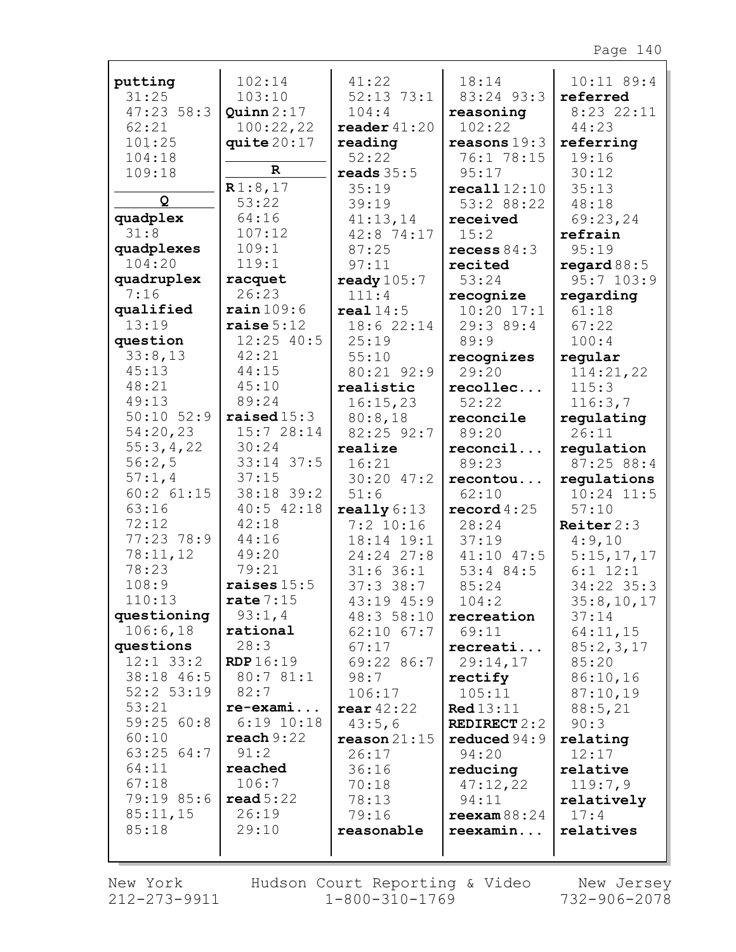| putting            | 102:14                 | 41:22                   | 18:14               | $10:11$ 89:4             |
|--------------------|------------------------|-------------------------|---------------------|--------------------------|
| 31:25              | 103:10                 | $52:13$ 73:1            | 83:24 93:3          | referred                 |
| 47:2356:3          | Quinn $2:17$           | 104:4                   | reasoning           | $8:23$ 22:11             |
| 62:21              | 100:22,22              | reader $41:20$          | 102:22              | 44:23                    |
| 101:25             | quite $20:17$          | reading                 | reasons 19:3        | referring                |
| 104:18             | $\mathbf R$            | 52:22                   | 76:1 78:15          | 19:16                    |
| 109:18             |                        | reads $35:5$            | 95:17               | 30:12                    |
| Q                  | R1:8,17                | 35:19                   | recall 12:10        | 35:13                    |
|                    | 53:22                  | 39:19                   | 53:2 88:22          | 48:18                    |
| quadplex           | 64:16                  | 41:13,14                | received            | 69:23,24                 |
| 31:8               | 107:12                 | $42:8$ 74:17            | 15:2                | refrain                  |
| quadplexes         | 109:1                  | 87:25                   | recess $84:3$       | 95:19                    |
| 104:20             | 119:1                  | 97:11                   | recited             | regard $88:5$            |
| quadruplex         | racquet                | ready $105:7$           | 53:24               | $95:7$ 103:9             |
| 7:16               | 26:23                  | 111:4                   | recognize           | regarding                |
| qualified<br>13:19 | rain109:6              | real14:5                | $10:20$ $17:1$      | 61:18                    |
|                    | raise $5:12$           | 18:622:14               | 29:3 89:4           | 67:22                    |
| question           | $12:25$ 40:5           | 25:19                   | 89:9                | 100:4                    |
| 33:8,13            | 42:21                  | 55:10                   | recognizes          | regular                  |
| 45:13<br>48:21     | 44:15                  | 80:21 92:9              | 29:20               | 114:21,22                |
| 49:13              | 45:10<br>89:24         | realistic               | recollec            | 115:3                    |
| $50:10$ $52:9$     | $\texttt{raiseed}15:3$ | 16:15,23                | 52:22               | 116:3,7                  |
| 54:20,23           | 15:7 28:14             | 80:8,18                 | reconcile           | regulating               |
| 55:3,4,22          | 30:24                  | $82:25$ 92:7<br>realize | 89:20               | 26:11                    |
| 56:2,5             | 33:14 37:5             | 16:21                   | reconcil<br>89:23   | regulation<br>87:25 88:4 |
| 57:1,4             | 37:15                  | $30:20$ 47:2            | recontou            | requlations              |
| $60:2$ $61:15$     | 38:18 39:2             | 51:6                    | 62:10               | $10:24$ 11:5             |
| 63:16              | $40:5$ $42:18$         | $\texttt{really} 6:13$  | record $4:25$       | 57:10                    |
| 72:12              | 42:18                  | $7:2$ 10:16             | 28:24               | Reiter $2:3$             |
| 77:23 78:9         | 44:16                  | $18:14$ $19:1$          | 37:19               | 4:9,10                   |
| 78:11,12           | 49:20                  | 24:24 27:8              | $41:10$ $47:5$      | 5:15,17,17               |
| 78:23              | 79:21                  | $31:6$ 36:1             | $53:4$ 84:5         | $6:1$ 12:1               |
| 108:9              | raises $15:5$          | 37:338:7                | 85:24               | $34:22$ 35:3             |
| 110:13             | rate $7:15$            | $43:19$ $45:9$          | 104:2               | 35:8,10,17               |
| questioning        | 93:1,4                 | 48:3 58:10              | recreation          | 37:14                    |
| 106:6,18           | rational               | $62:10$ $67:7$          | 69:11               | 64:11,15                 |
| questions          | 28:3                   | 67:17                   | recreati            | 85:2,3,17                |
| $12:1$ $33:2$      | <b>RDP</b> 16:19       | 69:22 86:7              | 29:14,17            | 85:20                    |
| 38:18 46:5         | 80:7 81:1              | 98:7                    | rectify             | 86:10,16                 |
| $52:2$ $53:19$     | 82:7                   | 106:17                  | 105:11              | 87:10,19                 |
| 53:21              | $re-exami$             | rear $42:22$            | <b>Red</b> 13:11    | 88:5,21                  |
| 59:25 60:8         | $6:19$ $10:18$         | 43:5,6                  | <b>REDIRECT 2:2</b> | 90:3                     |
| 60:10              | reach 9:22             | $\texttt{reason} 21:15$ | reduced $94:9$      | relating                 |
| 63:2564:7          | 91:2                   | 26:17                   | 94:20               | 12:17                    |
| 64:11              | reached                | 36:16                   | reducing            | relative                 |
| 67:18              | 106:7                  | 70:18                   | 47:12,22            | 119:7,9                  |
| 79:19 85:6         | read 5:22              | 78:13                   | 94:11               | relatively               |
| 85:11,15           | 26:19                  | 79:16                   | reexam88:24         | 17:4                     |
| 85:18              | 29:10                  | reasonable              | reexamin            | relatives                |
|                    |                        |                         |                     |                          |
|                    |                        |                         |                     |                          |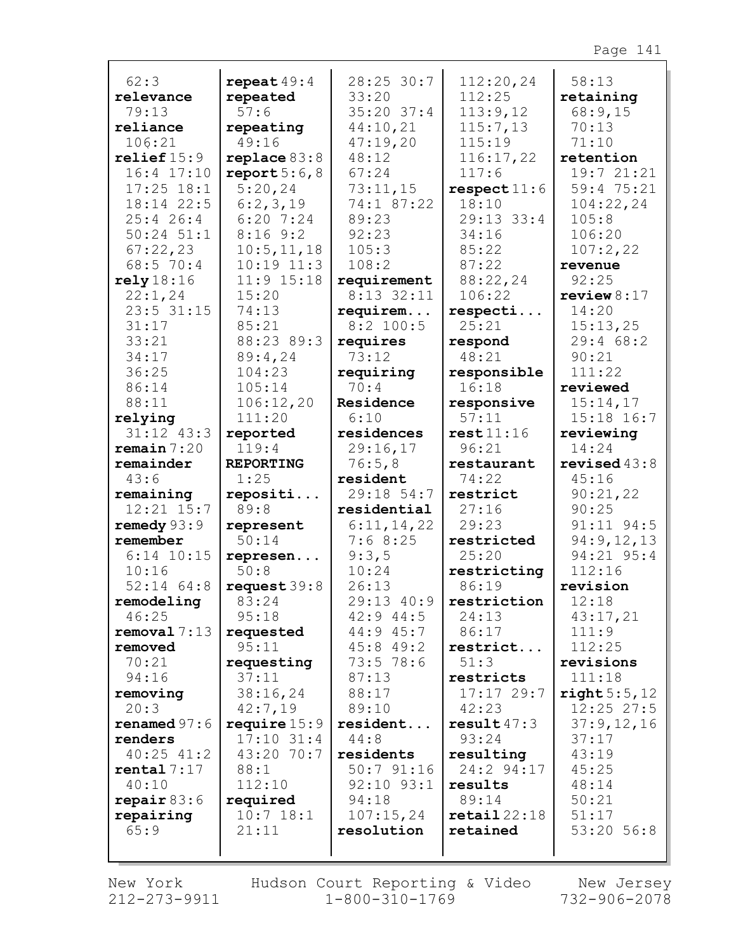| 62:3                  | repeat $49:4$       | 28:25 30:7                     | 112:20,24               | 58:13             |
|-----------------------|---------------------|--------------------------------|-------------------------|-------------------|
| relevance             | repeated            | 33:20                          | 112:25                  | retaining         |
| 79:13                 | 57:6                | $35:20$ 37:4                   | 113:9,12                | 68:9,15           |
| reliance              | repeating           | 44:10,21                       | 115:7,13                | 70:13             |
| 106:21                | 49:16               | 47:19,20                       | 115:19                  | 71:10             |
| relief15:9            | replace 83:8        | 48:12                          | 116:17,22               | retention         |
| $16:4$ $17:10$        | report $5:6,8$      | 67:24                          | 117:6                   | 19:7 21:21        |
| $17:25$ $18:1$        | 5:20,24             | 73:11,15                       | respect11:6             | 59:4 75:21        |
| 18:14 22:5            | 6:2,3,19            | 74:1 87:22                     | 18:10                   | 104:22,24         |
| $25:4$ 26:4           | $6:20$ 7:24         | 89:23                          | $29:13$ 33:4            | 105:8             |
| $50:24$ $51:1$        | 8:169::2            | 92:23                          | 34:16                   | 106:20            |
| 67:22,23              | 10:5, 11, 18        | 105:3                          | 85:22                   | 107:2,22          |
| 68:5 70:4             | $10:19$ $11:3$      | 108:2                          | 87:22                   | revenue           |
| rely18:16             | $11:9$ $15:18$      | requirement                    | 88:22,24                | 92:25             |
| 22:1,24               | 15:20               | $8:13$ 32:11                   | 106:22                  | review $8:17$     |
| $23:5$ $31:15$        | 74:13               | requirem                       | respecti                | 14:20             |
| 31:17                 | 85:21               | $8:2$ 100:5                    | 25:21                   | 15:13,25          |
| 33:21                 | 88:23 89:3          | requires                       | respond                 | 29:468:2          |
| 34:17                 | 89:4,24             | 73:12                          | 48:21                   | 90:21             |
| 36:25                 | 104:23              | requiring                      | responsible             | 111:22            |
| 86:14                 | 105:14              | 70:4                           | 16:18                   | reviewed          |
| 88:11                 | 106:12,20           | Residence                      | responsive              | 15:14,17          |
| relying               | 111:20              | 6:10                           | 57:11                   | 15:18 16:7        |
| $31:12$ $43:3$        | reported            | residences                     | rest11:16               | reviewing         |
| remain 7:20           | 119:4               | 29:16,17                       | 96:21                   | 14:24             |
|                       |                     |                                |                         |                   |
| remainder             | <b>REPORTING</b>    | 76:5,8                         | restaurant              | revised $43:8$    |
| 43:6                  | 1:25                | resident                       | 74:22                   | 45:16             |
| remaining             | repositi            | 29:18 54:7                     | restrict                | 90:21,22          |
| $12:21$ $15:7$        | 89:8                | residential                    | 27:16                   | 90:25             |
| remedy 93:9           | represent           | 6:11,14,22                     | 29:23                   | 91:11 94:5        |
| remember              | 50:14               | 7:68:25                        | restricted              | 94:9,12,13        |
| $6:14$ 10:15          | represen            | 9:3,5                          | 25:20                   | 94:21 95:4        |
| 10:16                 | 50:8                | 10:24                          | restricting             | 112:16            |
| $52:14$ $64:8$        | request39:8         | 26:13                          | 86:19                   | revision          |
| remodeling            | 83:24<br>95:18      | $29:13$ $40:9$                 | restriction             | 12:18             |
| 46:25<br>removal 7:13 |                     | $42:9$ $44:5$<br>$44:9$ $45:7$ | 24:13<br>86:17          | 43:17,21<br>111:9 |
| removed               | requested<br>95:11  | 45:849:2                       | restrict                | 112:25            |
| 70:21                 |                     | 73:5 78:6                      | 51:3                    | revisions         |
| 94:16                 | requesting<br>37:11 | 87:13                          | restricts               | 111:18            |
| removing              | 38:16,24            | 88:17                          | 17:1729:7               | right 5:5,12      |
| 20:3                  | 42:7,19             | 89:10                          | 42:23                   | $12:25$ 27:5      |
| renamed $97:6$        | require $15:9$      | resident                       | result $47:3$           | 37:9,12,16        |
| renders               | $17:10$ 31:4        | 44:8                           | 93:24                   | 37:17             |
| $40:25$ $41:2$        | 43:20 70:7          | residents                      | resulting               | 43:19             |
| rental 7:17           | 88:1                | $50:7$ $91:16$                 | 24:2 94:17              | 45:25             |
| 40:10                 | 112:10              | 92:10 93:1                     | results                 | 48:14             |
| repair $83:6$         | required            | 94:18                          | 89:14                   | 50:21             |
| repairing             | $10:7$ 18:1         | 107:15,24                      | $\texttt{retail}$ 22:18 | 51:17             |
| 65:9                  | 21:11               | resolution                     | retained                | 53:20 56:8        |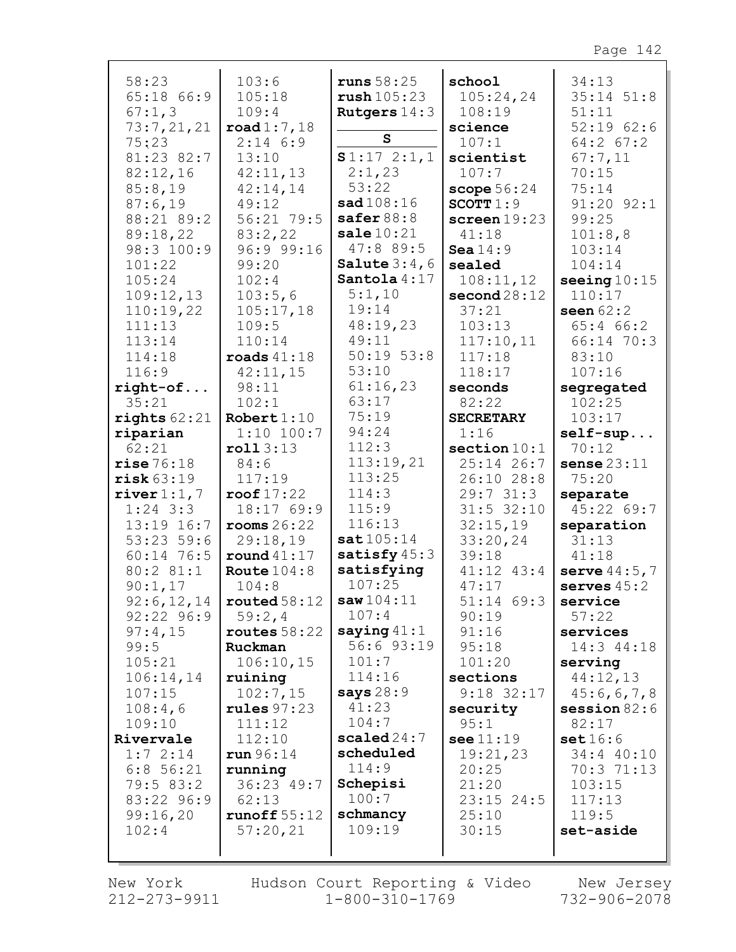| 58:23          | 103:6                       | runs $58:25$          | school           | 34:13          |
|----------------|-----------------------------|-----------------------|------------------|----------------|
| 65:18 66:9     | 105:18                      | $\texttt{rush105:23}$ | 105:24,24        | $35:14$ $51:8$ |
|                |                             |                       |                  |                |
| 67:1,3         | 109:4                       | Rutgers $14:3$        | 108:19           | 51:11          |
| 73:7,21,21     | $\texttt{road1:7,18}$       |                       | science          | 52:1962:6      |
| 75:23          | $2:14$ 6:9                  | S                     | 107:1            | $64:2$ $67:2$  |
| 81:23 82:7     | 13:10                       | S1:172:1,1            | scientist        | 67:7,11        |
|                |                             |                       |                  |                |
| 82:12,16       | 42:11,13                    | 2:1,23                | 107:7            | 70:15          |
| 85:8,19        | 42:14,14                    | 53:22                 | scope $56:24$    | 75:14          |
| 87:6,19        | 49:12                       | sad 108:16            | SCOTT $1:9$      | $91:20$ $92:1$ |
| 88:21 89:2     | 56:21 79:5                  | safer $88:8$          | screen $19:23$   | 99:25          |
|                |                             |                       |                  |                |
| 89:18,22       | 83:2,22                     | $\texttt{ sale}10:21$ | 41:18            | 101:8,8        |
| 98:3 100:9     | 96:9 99:16                  | 47:889:5              | Sea $14:9$       | 103:14         |
| 101:22         | 99:20                       | Salute $3:4,6$        | sealed           | 104:14         |
| 105:24         | 102:4                       | Santola $4:17$        | 108:11,12        | seeing $10:15$ |
|                |                             |                       |                  |                |
| 109:12,13      | 103:5,6                     | 5:1,10                | second28:12      | 110:17         |
| 110:19,22      | 105:17,18                   | 19:14                 | 37:21            | seen $62:2$    |
| 111:13         | 109:5                       | 48:19,23              | 103:13           | 65:466:2       |
| 113:14         | 110:14                      | 49:11                 | 117:10,11        | 66:14 70:3     |
| 114:18         |                             | $50:19$ $53:8$        |                  |                |
|                | $\texttt{roads}$ 41:18      |                       | 117:18           | 83:10          |
| 116:9          | 42:11,15                    | 53:10                 | 118:17           | 107:16         |
| $right-of$     | 98:11                       | 61:16,23              | seconds          | segregated     |
| 35:21          | 102:1                       | 63:17                 | 82:22            | 102:25         |
| rights $62:21$ | Robert 1:10                 | 75:19                 | <b>SECRETARY</b> | 103:17         |
|                |                             | 94:24                 |                  |                |
| riparian       | $1:10$ 100:7                |                       | 1:16             | $self-sup$     |
| 62:21          | roll3:13                    | 112:3                 | section $10:1$   | 70:12          |
| rise76:18      | 84:6                        | 113:19,21             | $25:14$ 26:7     | sense $23:11$  |
| risk 63:19     | 117:19                      | 113:25                | 26:10 28:8       | 75:20          |
|                | roof $17:22$                | 114:3                 | 29:731:3         |                |
| river $1:1, 7$ |                             |                       |                  | separate       |
| $1:24$ 3:3     | 18:17 69:9                  | 115:9                 | $31:5$ 32:10     | 45:22 69:7     |
| 13:19 16:7     | $\texttt{rooms } 26:22$     | 116:13                | 32:15,19         | separation     |
| $53:23$ 59:6   | 29:18,19                    | sat105:14             | 33:20,24         | 31:13          |
| 60:14 76:5     | round $41:17$               | satisfy $45:3$        | 39:18            | 41:18          |
| 80:2 81:1      | Route $104:8$               | satisfying            | $41:12$ $43:4$   | serve $44:5,7$ |
|                |                             |                       |                  |                |
| 90:1,17        | 104:8                       | 107:25                | 47:17            | serves $45:2$  |
|                | 92:6, 12, 14   routed 58:12 | saw104:11             | 51:14 69:3       | service        |
| $92:22$ $96:9$ | 59:2,4                      | 107:4                 | 90:19            | 57:22          |
| 97:4,15        | routes $58:22$              | saying $41:1$         | 91:16            | services       |
| 99:5           | Ruckman                     | 56:6 93:19            | 95:18            | 14:3 44:18     |
|                |                             |                       |                  |                |
| 105:21         | 106:10,15                   | 101:7                 | 101:20           | serving        |
| 106:14,14      | ruining                     | 114:16                | sections         | 44:12,13       |
| 107:15         | 102:7,15                    | says $28:9$           | $9:18$ 32:17     | 45:6,6,7,8     |
| 108:4,6        | rules $97:23$               | 41:23                 | security         | session $82:6$ |
|                |                             | 104:7                 |                  |                |
| 109:10         | 111:12                      |                       | 95:1             | 82:17          |
| Rivervale      | 112:10                      | scaled $24:7$         | see 11:19        | set16:6        |
| 1:72:14        | run 96:14                   | scheduled             | 19:21,23         | 34:4 40:10     |
| $6:8$ 56:21    | running                     | 114:9                 | 20:25            | 70:3 71:13     |
| 79:5 83:2      | 36:23 49:7                  | Schepisi              | 21:20            | 103:15         |
|                |                             |                       |                  |                |
| 83:22 96:9     | 62:13                       | 100:7                 | $23:15$ 24:5     | 117:13         |
| 99:16,20       | runoff $55:12$              | schmancy              | 25:10            | 119:5          |
| 102:4          | 57:20,21                    | 109:19                | 30:15            | set-aside      |
|                |                             |                       |                  |                |
|                |                             |                       |                  |                |

New York 212-273-9911 Hudson Court Reporting & Video  $1 - 800 - 310 - 1769$ 

New Jersey 732-906-2078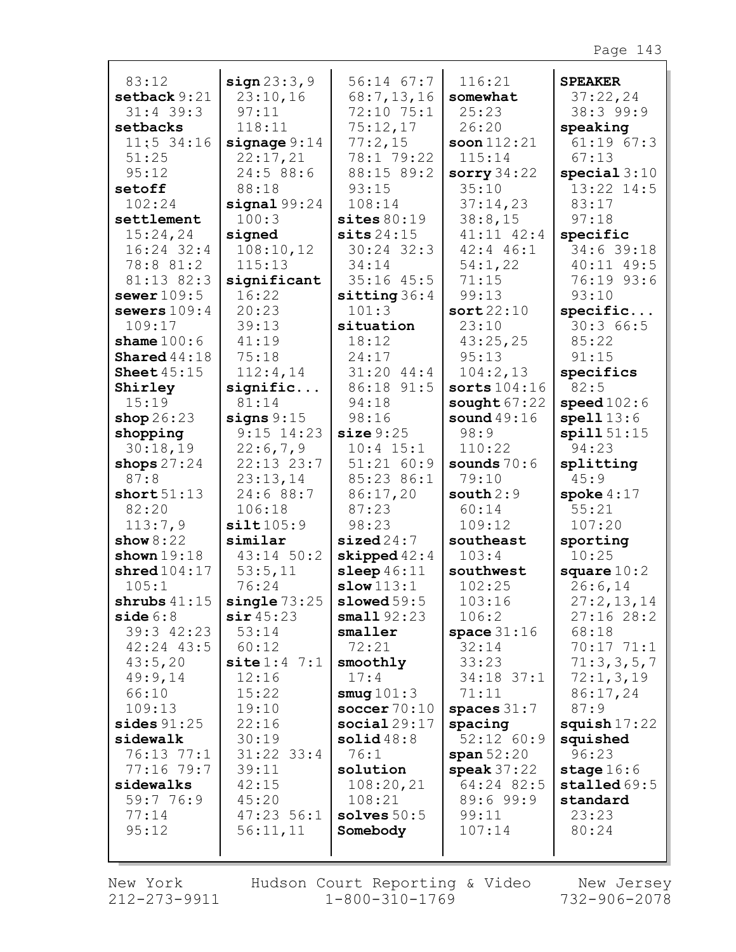| 83:12                           | sign 23:3,9               | $56:14$ $67:7$        | 116:21                     | <b>SPEAKER</b>     |
|---------------------------------|---------------------------|-----------------------|----------------------------|--------------------|
| setback 9:21                    | 23:10,16                  | 68:7,13,16            | somewhat                   | 37:22,24           |
| $31:4$ 39:3                     | 97:11                     | 72:10 75:1            | 25:23                      | 38:3 99:9          |
| setbacks                        | 118:11                    | 75:12,17              | 26:20                      | speaking           |
| $11:5$ 34:16                    | signage $9:14$            | 77:2,15               | soon $112:21$              | $61:19$ $67:3$     |
| 51:25                           | 22:17,21                  | 78:1 79:22            | 115:14                     | 67:13              |
| 95:12                           | 24:5 88:6                 | 88:15 89:2            | sorry $34:22$              | special 3:10       |
| setoff                          | 88:18                     | 93:15                 | 35:10                      | 13:22 14:5         |
| 102:24                          | signal 99:24              | 108:14                | 37:14,23                   | 83:17              |
| settlement                      | 100:3                     | sites 80:19           | 38:8,15                    | 97:18              |
| 15:24,24                        | signed                    | sits24:15             | $41:11$ $42:4$             | specific           |
| $16:24$ 32:4                    | 108:10,12                 | $30:24$ 32:3          | $42:4$ $46:1$              | 34:6 39:18         |
| 78:8 81:2                       | 115:13                    | 34:14                 | 54:1,22                    | $40:11$ $49:5$     |
| 81:13 82:3                      | significant               | $35:16$ 45:5          | 71:15                      | 76:19 93:6         |
| sewer $109:5$                   | 16:22                     | sitting 36:4          | 99:13                      | 93:10              |
| sewers $109:4$                  | 20:23                     | 101:3                 | sort22:10                  | specific           |
| 109:17                          | 39:13                     | situation             | 23:10                      | 30:366:5           |
| shame $100:6$                   | 41:19                     | 18:12                 | 43:25,25                   | 85:22              |
| Shared $44:18$<br>Sheet $45:15$ | 75:18                     | 24:17<br>$31:20$ 44:4 | 95:13                      | 91:15              |
| Shirley                         | 112:4,14<br>signific      | 86:18 91:5            | 104:2,13<br>sorts $104:16$ | specifics<br>82:5  |
| 15:19                           | 81:14                     | 94:18                 | sought $67:22$             | speed102:6         |
| shop $26:23$                    | signs $9:15$              | 98:16                 | sound $49:16$              | spell13:6          |
| shopping                        | $9:15$ 14:23              | size 9:25             | 98:9                       | spill51:15         |
| 30:18,19                        | 22:6,7,9                  | $10:4$ 15:1           | 110:22                     | 94:23              |
| shops $27:24$                   | $22:13$ $23:7$            | 51:21 60:9            | sounds $70:6$              | splitting          |
| 87:8                            | 23:13,14                  | 85:23 86:1            | 79:10                      | 45:9               |
| short $51:13$                   | 24:6 88:7                 | 86:17,20              | south 2:9                  | spoke $4:17$       |
| 82:20                           | 106:18                    | 87:23                 | 60:14                      | 55:21              |
| 113:7,9                         | silt105:9                 | 98:23                 | 109:12                     | 107:20             |
| show $8:22$                     | similar                   | sized24:7             | southeast                  | sporting           |
| shown $19:18$                   | 43:14 50:2                | skipped $42:4$        | 103:4                      | 10:25              |
| shred104:17                     | 53:5,11                   | sleep $46:11$         | southwest                  | square $10:2$      |
| 105:1                           | 76:24                     | slow 113:1            | 102:25                     | 26:6,14            |
| shrubs $41:15$                  | $single\,73:25$           | slowed59:5            | 103:16                     | 27:2,13,14         |
| side 6:8                        | $\sin 45:23$              | small92:23            | 106:2                      | 27:1628:2          |
| 39:3 42:23<br>$42:24$ $43:5$    | 53:14<br>60:12            | smaller<br>72:21      | space $31:16$<br>32:14     | 68:18<br>70:1771:1 |
| 43:5,20                         | $\texttt{site} 1:4 \ 7:1$ | smoothly              | 33:23                      | 71:3,3,5,7         |
| 49:9,14                         | 12:16                     | 17:4                  | $34:18$ 37:1               | 72:1,3,19          |
| 66:10                           | 15:22                     | smug $101:3$          | 71:11                      | 86:17,24           |
| 109:13                          | 19:10                     | soccer $70:10$        | spaces $31:7$              | 87:9               |
| sides $91:25$                   | 22:16                     | social29:17           | spacing                    | squish $17:22$     |
| sidewalk                        | 30:19                     | solid48:8             | $52:12$ 60:9               | squished           |
| $76:13$ $77:1$                  | $31:22$ 33:4              | 76:1                  | span 52:20                 | 96:23              |
| $77:16$ $79:7$                  | 39:11                     | solution              | speak $37:22$              | stage $16:6$       |
| sidewalks                       | 42:15                     | 108:20,21             | 64:24 82:5                 | stalled 69:5       |
| 59:7 76:9                       | 45:20                     | 108:21                | 89:6 99:9                  | standard           |
| 77:14                           | $47:23$ 56:1              | solves $50:5$         | 99:11                      | 23:23              |
| 95:12                           | 56:11,11                  | Somebody              | 107:14                     | 80:24              |
|                                 |                           |                       |                            |                    |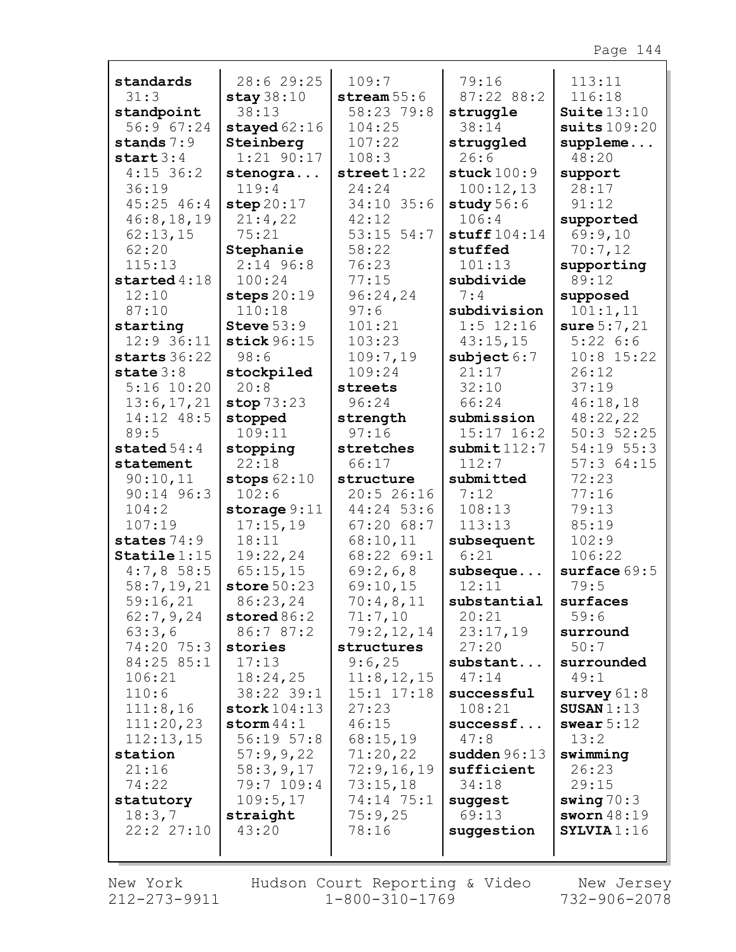|                          | 28:6 29:25                   | 109:7                   | 79:16                        | 113:11                      |
|--------------------------|------------------------------|-------------------------|------------------------------|-----------------------------|
| standards<br>31:3        | stay $38:10$                 | stream $55:6$           | 87:22 88:2                   | 116:18                      |
| standpoint               | 38:13                        | 58:23 79:8              | struggle                     | Suite $13:10$               |
| 56:9 67:24               | stayed $62:16$               | 104:25                  | 38:14                        | suits $109:20$              |
| stands $7:9$             | Steinberg                    | 107:22                  | struggled                    | $supplement.$               |
| start $3:4$              | $1:21$ 90:17                 | 108:3                   | 26:6                         | 48:20                       |
| $4:15$ 36:2              | stenogra                     | $\texttt{street} 1:22$  | stuck $100:9$                | support                     |
| 36:19                    | 119:4                        | 24:24                   | 100:12,13                    | 28:17                       |
| $45:25$ $46:4$           | step $20:17$                 | $34:10$ 35:6            | study 56:6                   | 91:12                       |
| 46:8, 18, 19             | 21:4,22                      | 42:12                   | 106:4                        | supported                   |
| 62:13,15                 | 75:21                        | $53:15$ $54:7$          | $\texttt{stuff104:14}$       | 69:9,10                     |
| 62:20                    | Stephanie                    | 58:22                   | stuffed                      | 70:7,12                     |
| 115:13                   | $2:14$ 96:8                  | 76:23                   | 101:13                       | supporting                  |
| started $4:18$           | 100:24                       | 77:15                   | subdivide                    | 89:12                       |
| 12:10                    | steps $20:19$                | 96:24,24                | 7:4                          | supposed                    |
| 87:10                    | 110:18                       | 97:6                    | subdivision                  | 101:1,11                    |
| starting                 | Steve $53:9$                 | 101:21                  | $1:5$ 12:16                  | sure $5:7,21$               |
| $12:9$ 36:11             | stick $96:15$                | 103:23                  | 43:15,15                     | 5:226:6                     |
| starts $36:22$           | 98:6                         | 109:7,19                | subject 6:7                  | $10:8$ 15:22                |
| state $3:8$              | stockpiled                   | 109:24                  | 21:17                        | 26:12                       |
| $5:16$ 10:20             | 20:8                         | streets                 | 32:10                        | 37:19                       |
| 13:6,17,21<br>14:12 48:5 | stop $73:23$                 | 96:24                   | 66:24                        | 46:18,18                    |
| 89:5                     | stopped<br>109:11            | strength<br>97:16       | submission<br>$15:17$ $16:2$ | 48:22,22<br>$50:3$ $52:25$  |
| stated $54:4$            | stopping                     | stretches               | $\texttt{submit}112:7$       | 54:19 55:3                  |
| statement                | 22:18                        | 66:17                   | 112:7                        | 57:364:15                   |
| 90:10,11                 | stops $62:10$                | structure               | submitted                    | 72:23                       |
| $90:14$ $96:3$           | 102:6                        | 20:526:16               | 7:12                         | 77:16                       |
| 104:2                    | storage $9:11$               | 44:24 53:6              | 108:13                       | 79:13                       |
| 107:19                   | 17:15,19                     | 67:2068:7               | 113:13                       | 85:19                       |
| states $74:9$            | 18:11                        | 68:10,11                | subsequent                   | 102:9                       |
| $\texttt{Staticle} 1:15$ | 19:22,24                     | 68:22 69:1              | 6:21                         | 106:22                      |
| 4:7,858:5                | 65:15,15                     | 69:2,6,8                | subseque                     | surface 69:5                |
| 58:7,19,21               | store $50:23$                | 69:10,15                | 12:11                        | 79:5                        |
| 59:16,21                 | 86:23,24                     | $70:4$ , 8, 11          | substantial                  | surfaces                    |
| 62:7,9,24                | stored $86:2$                | 71:7,10                 | 20:21                        | 59:6                        |
| 63:3,6                   | 86:7 87:2                    | 79:2,12,14              | 23:17,19                     | surround                    |
| 74:20 75:3               | stories                      | structures              | 27:20                        | 50:7                        |
| 84:25 85:1               | 17:13                        | 9:6,25                  | substant                     | surrounded                  |
| 106:21                   | 18:24,25                     | 11:8, 12, 15            | 47:14                        | 49:1                        |
| 110:6<br>111:8,16        | 38:22 39:1<br>stork $104:13$ | $15:1$ $17:18$<br>27:23 | successful<br>108:21         | survey $61:8$<br>SUSAN 1:13 |
| 111:20,23                | storm $44:1$                 | 46:15                   | successf                     | swear $5:12$                |
| 112:13,15                | $56:19$ $57:8$               | 68:15,19                | 47:8                         | 13:2                        |
| station                  | 57:9,9,22                    | 71:20,22                | sudden $96:13$               | swimming                    |
| 21:16                    | 58:3,9,17                    | 72:9,16,19              | sufficient                   | 26:23                       |
| 74:22                    | 79:7 109:4                   | 73:15,18                | 34:18                        | 29:15                       |
| statutory                | 109:5,17                     | 74:14 75:1              | suggest                      | swing $70:3$                |
| 18:3,7                   | straight                     | 75:9,25                 | 69:13                        | sworn $48:19$               |
| 22:2 27:10               | 43:20                        | 78:16                   | suggestion                   | SYLVIA1:16                  |
|                          |                              |                         |                              |                             |
|                          |                              |                         |                              |                             |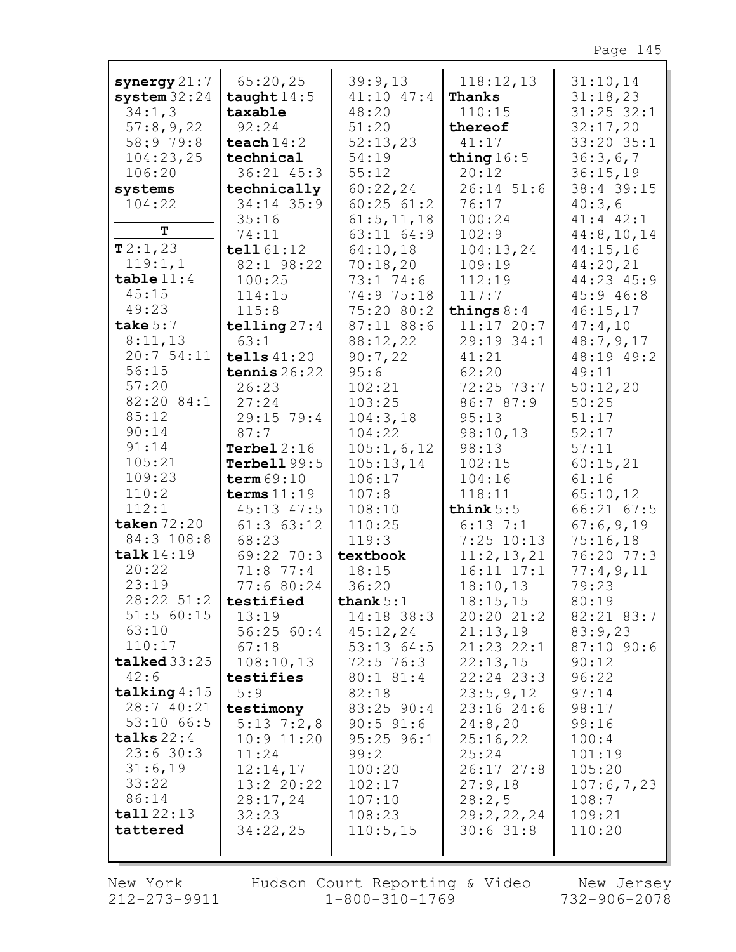| synergy $21:7$              | 65:20,25                  | 39:9,13               | 118:12,13                  | 31:10,14                |
|-----------------------------|---------------------------|-----------------------|----------------------------|-------------------------|
| system $32:24$              | taught $14:5$             | $41:10$ $47:4$        | Thanks                     | 31:18,23                |
| 34:1,3                      | taxable                   | 48:20                 | 110:15                     | $31:25$ $32:1$          |
| 57:8,9,22                   | 92:24                     | 51:20                 | thereof                    | 32:17,20                |
| 58:9 79:8                   | teach $14:2$              | 52:13,23              | 41:17                      | 33:20 35:1              |
| 104:23,25                   | technical                 | 54:19                 | thing $16:5$               | 36:3,6,7                |
| 106:20                      | 36:21 45:3                | 55:12                 | 20:12                      | 36:15,19                |
| systems<br>104:22           | technically<br>34:14 35:9 | 60:22,24<br>60:2561:2 | $26:14$ 51:6               | 38:4 39:15              |
|                             | 35:16                     | 61:5, 11, 18          | 76:17<br>100:24            | 40:3,6<br>$41:4$ $42:1$ |
| Т                           | 74:11                     | 63:11 64:9            | 102:9                      | 44:8,10,14              |
| T2:1,23                     | tell 61:12                | 64:10,18              | 104:13,24                  | 44:15,16                |
| 119:1,1                     | 82:1 98:22                | 70:18,20              | 109:19                     | 44:20,21                |
| table 11:4                  | 100:25                    | 73:1 74:6             | 112:19                     | 44:23 45:9              |
| 45:15                       | 114:15                    | 74:9 75:18            | 117:7                      | 45:9 46:8               |
| 49:23                       | 115:8                     | 75:20 80:2            | things $8:4$               | 46:15,17                |
| take $5:7$                  | telling $27:4$            | 87:11 88:6            | $11:17$ 20:7               | 47:4,10                 |
| 8:11,13                     | 63:1                      | 88:12,22              | 29:19 34:1                 | 48:7,9,17               |
| 20:754:11                   | tells $41:20$             | 90:7,22               | 41:21                      | 48:19 49:2              |
| 56:15                       | tennis $26:22$            | 95:6                  | 62:20                      | 49:11                   |
| 57:20                       | 26:23                     | 102:21                | 72:25 73:7                 | 50:12,20                |
| 82:20 84:1                  | 27:24                     | 103:25                | 86:7 87:9                  | 50:25                   |
| 85:12                       | 29:15 79:4                | 104:3,18              | 95:13                      | 51:17                   |
| 90:14                       | 87:7                      | 104:22                | 98:10,13                   | 52:17                   |
| 91:14                       | Terbel $2:16$             | 105:1,6,12            | 98:13                      | 57:11                   |
| 105:21                      | Terbell $99:5$            | 105:13,14             | 102:15                     | 60:15,21                |
| 109:23                      | term $69:10$              | 106:17                | 104:16                     | 61:16                   |
| 110:2                       | terms $11:19$             | 107:8                 | 118:11                     | 65:10,12                |
| 112:1                       | 45:13 47:5                | 108:10                | think $5:5$                | $66:21$ $67:5$          |
| taken $72:20$<br>84:3 108:8 | $61:3$ $63:12$<br>68:23   | 110:25                | $6:13$ 7:1                 | 67:6,9,19               |
| $\texttt{talk}$ 14:19       | 69:22 70:3                | 119:3<br>textbook     | $7:25$ 10:13<br>11:2,13,21 | 75:16,18<br>76:20 77:3  |
| 20:22                       | $71:8$ $77:4$             | 18:15                 | $16:11$ $17:1$             | 77:4,9,11               |
| 23:19                       | 77:6 80:24                | 36:20                 | 18:10,13                   | 79:23                   |
| $28:22$ 51:2   testified    |                           | thank $5:1$           | 18:15,15                   | 80:19                   |
| $51:5$ 60:15                | 13:19                     | 14:18 38:3            | 20:20 21:2                 | 82:21 83:7              |
| 63:10                       | 56:2560:4                 | 45:12,24              | 21:13,19                   | 83:9,23                 |
| 110:17                      | 67:18                     | 53:13 64:5            | 21:23 22:1                 | $87:10$ 90:6            |
| $talked$ 33:25              | 108:10,13                 | $72:5$ 76:3           | 22:13,15                   | 90:12                   |
| 42:6                        | testifies                 | 80:1 81:4             | 22:24 23:3                 | 96:22                   |
| talking $4:15$              | 5:9                       | 82:18                 | 23:5,9,12                  | 97:14                   |
| 28:7 40:21                  | testimony                 | $83:25$ 90:4          | 23:1624:6                  | 98:17                   |
| 53:10 66:5                  | $5:13 \ 7:2,8$            | $90:5$ $91:6$         | 24:8,20                    | 99:16                   |
| talks $22:4$                | $10:9$ $11:20$            | $95:25$ $96:1$        | 25:16,22                   | 100:4                   |
| 23:630:3                    | 11:24                     | 99:2                  | 25:24                      | 101:19                  |
| 31:6,19                     | 12:14,17                  | 100:20                | 26:17 27:8                 | 105:20                  |
| 33:22                       | 13:2 20:22                | 102:17                | 27:9,18                    | 107:6,7,23              |
| 86:14<br>tall22:13          | 28:17,24                  | 107:10                | 28:2,5                     | 108:7                   |
| tattered                    | 32:23                     | 108:23                | 29:2,22,24                 | 109:21                  |
|                             | 34:22,25                  | 110:5, 15             | 30:631:8                   | 110:20                  |
|                             |                           |                       |                            |                         |

212-273-9911 1-800-310-1769 732-906-2078 New York Hudson Court Reporting & Video New Jersey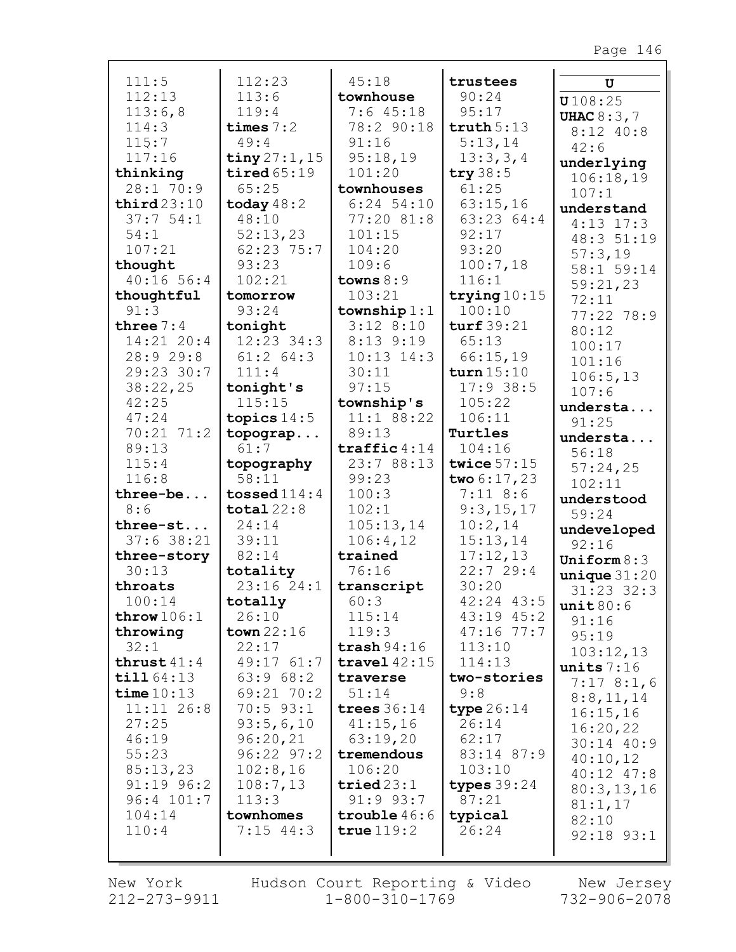| 111:5          | 112:23          | 45:18                   | trustees       | U                        |
|----------------|-----------------|-------------------------|----------------|--------------------------|
| 112:13         | 113:6           | townhouse               | 90:24          | U108:25                  |
| 113:6,8        | 119:4           | 7:645:18                | 95:17          | <b>UHAC 8:3,7</b>        |
| 114:3          | times $7:2$     | 78:2 90:18              | truth 5:13     | $8:12$ 40:8              |
| 115:7          | 49:4            | 91:16                   | 5:13,14        | 42:6                     |
| 117:16         | tiny $27:1, 15$ | 95:18,19                | 13:3,3,4       | underlying               |
| thinking       | tired65:19      | 101:20                  | try $38:5$     | 106:18,19                |
| 28:170:9       | 65:25           | townhouses              | 61:25          | 107:1                    |
| third23:10     | today $48:2$    | $6:24$ 54:10            | 63:15,16       | understand               |
| 37:754:1       | 48:10           | 77:20 81:8              | 63:23 64:4     | $4:13$ 17:3              |
| 54:1           | 52:13,23        | 101:15                  | 92:17          | 48:3 51:19               |
| 107:21         | 62:23 75:7      | 104:20                  | 93:20          | 57:3,19                  |
| thought        | 93:23           | 109:6                   | 100:7,18       | 58:1 59:14               |
| 40:1656:4      | 102:21          | towns $8:9$             | 116:1          | 59:21,23                 |
| thoughtful     | tomorrow        | 103:21                  | trying $10:15$ | 72:11                    |
| 91:3           | 93:24           | township $1:1$          | 100:10         | 77:22 78:9               |
| three $7:4$    | tonight         | $3:12$ 8:10             | turf 39:21     | 80:12                    |
| $14:21$ $20:4$ | $12:23$ 34:3    | $8:13$ 9:19             | 65:13          | 100:17                   |
| 28:9 29:8      | $61:2$ $64:3$   | $10:13$ $14:3$          | 66:15,19       | 101:16                   |
| 29:23 30:7     | 111:4           | 30:11                   | turn $15:10$   | 106:5, 13                |
| 38:22,25       | tonight's       | 97:15                   | $17:9$ 38:5    | 107:6                    |
| 42:25          | 115:15          | township's              | 105:22         | understa                 |
| 47:24          | topics $14:5$   | 11:1 88:22              | 106:11         | 91:25                    |
| 70:21 71:2     | topograp        | 89:13                   | Turtles        | understa                 |
| 89:13          | 61:7            | $\texttt{traffic} 4:14$ | 104:16         | 56:18                    |
| 115:4          | topography      | 23:7 88:13              | twice $57:15$  | 57:24,25                 |
| 116:8          | 58:11           | 99:23                   | two $6:17,23$  | 102:11                   |
| three-be       | tossed $114:4$  | 100:3                   | $7:11$ 8:6     | understood               |
| 8:6            | total $22:8$    | 102:1                   | 9:3,15,17      | 59:24                    |
| three-st       | 24:14           | 105:13,14               | 10:2,14        | undeveloped              |
| $37:6$ 38:21   | 39:11           | 106:4,12                | 15:13,14       | 92:16                    |
| three-story    | 82:14           | trained                 | 17:12,13       | Uniform $8:3$            |
| 30:13          | totality        | 76:16                   | 22:729:4       | unique31:20              |
| throats        | 23:16 24:1      | transcript              | 30:20          | $31:23$ $32:3$           |
| 100:14         | totally         | 60:3                    | 42:24 43:5     | unit 80:6                |
| throw $106:1$  | 26:10           | 115:14                  | 43:19 45:2     | 91:16                    |
| throwing       | town $22:16$    | 119:3                   | $47:16$ 77:7   | 95:19                    |
| 32:1           | 22:17           | trash $94:16$           | 113:10         | 103:12,13                |
| thrust $41:4$  | 49:1761:7       | travel $42:15$          | 114:13         | units $7:16$             |
| till 64:13     | 63:968:2        | traverse                | two-stories    | 7:178::16                |
| time $10:13$   | 69:21 70:2      | 51:14                   | 9:8            |                          |
| 11:11 26:8     | $70:5$ 93:1     | trees $36:14$           | type $26:14$   | 8:8,11,14<br>16:15,16    |
| 27:25          | 93:5,6,10       | 41:15,16                | 26:14          |                          |
| 46:19          | 96:20,21        | 63:19,20                | 62:17          | 16:20,22                 |
| 55:23          | $96:22$ $97:2$  | tremendous              | 83:14 87:9     | $30:14$ 40:9<br>40:10,12 |
| 85:13,23       | 102:8,16        | 106:20                  | 103:10         | $40:12$ $47:8$           |
| $91:19$ $96:2$ | 108:7,13        | tried23:1               | types $39:24$  |                          |
| 96:4 101:7     | 113:3           | $91:9$ $93:7$           | 87:21          | 80:3,13,16               |
| 104:14         | townhomes       | trouble $46:6$          | typical        | 81:1,17                  |
| 110:4          | $7:15$ 44:3     | true $119:2$            | 26:24          | 82:10                    |
|                |                 |                         |                | $92:18$ $93:1$           |
|                |                 |                         |                |                          |

New York 212-273-9911 Hudson Court Reporting & Video  $1 - 800 - 310 - 1769$ 

New Jersey 732-906-2078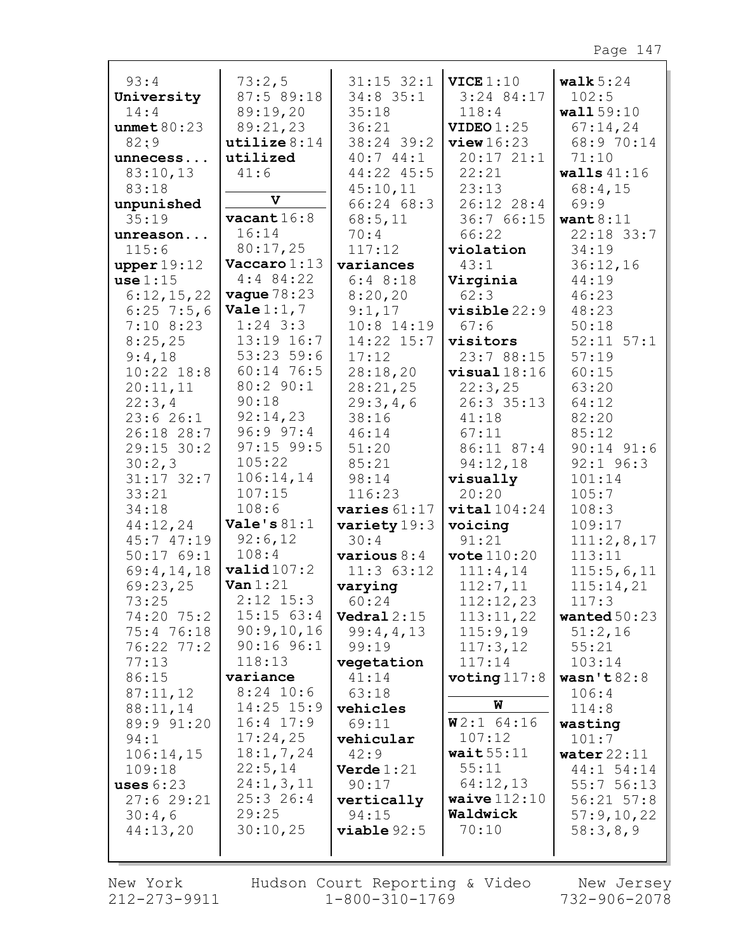| 93:4               | 73:2,5                     | $31:15$ $32:1$         | VICE 1:10              | walk $5:24$    |
|--------------------|----------------------------|------------------------|------------------------|----------------|
| University         | 87:5 89:18                 | $34:8$ 35:1            | $3:24$ 84:17           | 102:5          |
| 14:4               | 89:19,20                   | 35:18                  | 118:4                  | wall 59:10     |
| unmet $80:23$      | 89:21,23                   | 36:21                  | VIDEO1:25              | 67:14,24       |
| 82:9               | utilize $8:14$             | 38:24 39:2             | view16:23              | 68:9 70:14     |
| unnecess           | utilized                   | 40:744:1               | 20:1721:1              | 71:10          |
| 83:10,13           | 41:6                       | 44:22 45:5             | 22:21                  | walls $41:16$  |
| 83:18              | V                          | 45:10,11               | 23:13                  | 68:4,15        |
| unpunished         |                            | 66:2468:3              | 26:12 28:4             | 69:9           |
| 35:19              | $\texttt{vacant} 16:8$     | 68:5,11                | 36:7 66:15             | want $8:11$    |
| unreason           | 16:14                      | 70:4                   | 66:22                  | $22:18$ 33:7   |
| 115:6              | 80:17,25                   | 117:12                 | violation              | 34:19          |
| upper 19:12        | $\textbf{Vaccaro} 1:13$    | variances              | 43:1                   | 36:12,16       |
| use 1:15           | $4:4$ 84:22                | 6:48:18                | Virginia               | 44:19          |
| 6:12,15,22         | <b>vague</b> $78:23$       | 8:20,20                | 62:3                   | 46:23          |
| $6:25$ 7:5,6       | <b>Vale</b> $1:1, 7$       | 9:1,17                 | $visible 22:9$         | 48:23          |
| $7:10$ 8:23        | $1:24$ 3:3                 | $10:8$ 14:19           | 67:6                   | 50:18          |
| 8:25,25            | 13:19 16:7<br>$53:23$ 59:6 | $14:22$ $15:7$         | visitors               | $52:11$ $57:1$ |
| 9:4,18             | 60:14 76:5                 | 17:12                  | 23:7 88:15             | 57:19          |
| $10:22$ $18:8$     | 80:2 90:1                  | 28:18,20               | $visual 18:16$         | 60:15          |
| 20:11,11           | 90:18                      | 28:21,25               | 22:3,25                | 63:20          |
| 22:3,4<br>23:626:1 | 92:14,23                   | 29:3,4,6<br>38:16      | 26:3 35:13<br>41:18    | 64:12<br>82:20 |
| 26:18 28:7         | 96:997:4                   | 46:14                  | 67:11                  | 85:12          |
| $29:15$ 30:2       | $97:15$ 99:5               | 51:20                  | 86:11 87:4             | $90:14$ $91:6$ |
| 30:2,3             | 105:22                     | 85:21                  | 94:12,18               | $92:1$ $96:3$  |
| $31:17$ $32:7$     | 106:14,14                  | 98:14                  | visually               | 101:14         |
| 33:21              | 107:15                     | 116:23                 | 20:20                  | 105:7          |
| 34:18              | 108:6                      | varies $61:17$         | vital104:24            | 108:3          |
| 44:12,24           | Vale's $81:1$              | variety 19:3           | voicing                | 109:17         |
| 45:747:19          | 92:6,12                    | 30:4                   | 91:21                  | 111:2,8,17     |
| 50:1769:1          | 108:4                      | $\texttt{various} 8:4$ | $\texttt{vote}$ 110:20 | 113:11         |
| 69:4,14,18         | valid107:2                 | $11:3$ 63:12           | 111:4,14               | 115:5,6,11     |
| 69:23,25           | $\text{Van } 1:21$         | varying                | 112:7,11               | 115:14,21      |
| 73:25              | $2:12$ $15:3$              | 60:24                  | 112:12,23              | 117:3          |
| 74:20 75:2         | 15:15 63:4                 | Vedral $2:15$          | 113:11,22              | wanted $50:23$ |
| 75:4 76:18         | 90:9,10,16                 | 99:4,4,13              | 115:9,19               | 51:2,16        |
| 76:22 77:2         | $90:16$ $96:1$             | 99:19                  | 117:3,12               | 55:21          |
| 77:13              | 118:13                     | vegetation             | 117:14                 | 103:14         |
| 86:15              | variance                   | 41:14                  | voting $117:8$         | wasn't82:8     |
| 87:11,12           | $8:24$ 10:6                | 63:18                  |                        | 106:4          |
| 88:11,14           | $14:25$ $15:9$             | vehicles               | W                      | 114:8          |
| 89:9 91:20         | $16:4$ $17:9$              | 69:11                  | $W2:1$ 64:16           | wasting        |
| 94:1               | 17:24,25                   | vehicular              | 107:12                 | 101:7          |
| 106:14,15          | 18:1, 7, 24                | 42:9                   | wait $55:11$           | water $22:11$  |
| 109:18             | 22:5,14                    | Verde $1:21$           | 55:11                  | 44:1 54:14     |
| uses $6:23$        | 24:1, 3, 11                | 90:17                  | 64:12,13               | 55:756:13      |
| 27:629:21          | 25:326:4                   | vertically             | waive $112:10$         | $56:21$ $57:8$ |
| 30:4,6             | 29:25                      | 94:15                  | Waldwick               | 57:9,10,22     |
| 44:13,20           | 30:10,25                   | viable 92:5            | 70:10                  | 58:3,8,9       |
|                    |                            |                        |                        |                |
|                    |                            |                        |                        |                |

New York 212-273-9911

Hudson Court Reporting & Video  $1 - 800 - 310 - 1769$ 

New Jersey 732-906-2078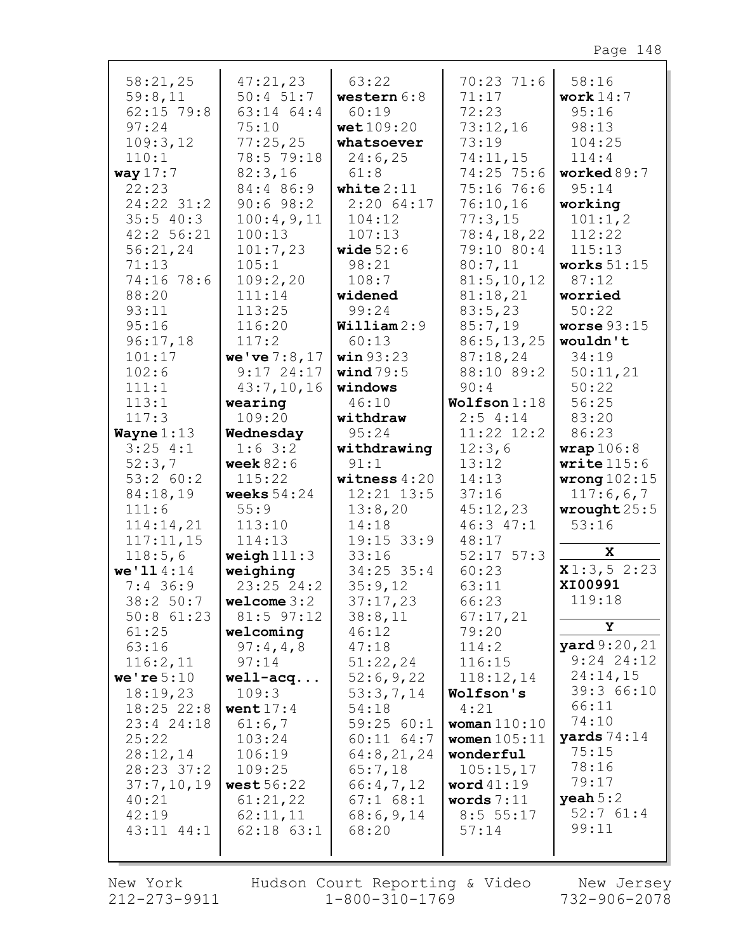| 58:21,25            | 47:21,23       | 63:22          | 70:2371:6      | 58:16                       |
|---------------------|----------------|----------------|----------------|-----------------------------|
| 59:8,11             | $50:4$ 51:7    | western $6:8$  | 71:17          | work $14:7$                 |
| $62:15$ 79:8        | 63:14 64:4     | 60:19          | 72:23          | 95:16                       |
| 97:24               | 75:10          | wet109:20      | 73:12,16       | 98:13                       |
| 109:3,12            | 77:25,25       | whatsoever     | 73:19          | 104:25                      |
| 110:1               | 78:5 79:18     | 24:6,25        | 74:11,15       | 114:4                       |
| way $17:7$          | 82:3,16        | 61:8           | 74:25 75:6     | worked89:7                  |
| 22:23               | 84:4 86:9      | white $2:11$   | 75:16 76:6     | 95:14                       |
| 24:22 31:2          | 90:698:2       | 2:2064:17      | 76:10,16       | working                     |
| 35:540:3            | 100:4,9,11     | 104:12         | 77:3,15        | 101:1, 2                    |
| 42:2 56:21          | 100:13         | 107:13         | 78:4, 18, 22   | 112:22                      |
| 56:21,24            | 101:7,23       | wide $52:6$    | 79:10 80:4     | 115:13                      |
| 71:13               | 105:1          | 98:21          | 80:7,11        | works $51:15$               |
| 74:16 78:6          | 109:2,20       | 108:7          | 81:5, 10, 12   | 87:12                       |
| 88:20               | 111:14         | widened        | 81:18,21       | worried                     |
| 93:11               | 113:25         | 99:24          | 83:5,23        | 50:22                       |
| 95:16               | 116:20         | William2:9     | 85:7,19        | worse $93:15$               |
| 96:17,18            | 117:2          | 60:13          | 86:5, 13, 25   | wouldn't                    |
| 101:17              | we've7:8,17    | win 93:23      | 87:18,24       | 34:19                       |
| 102:6               | $9:17$ 24:17   | wind $79:5$    | 88:10 89:2     | 50:11,21                    |
| 111:1               | 43:7,10,16     | windows        | 90:4           | 50:22                       |
| 113:1               | wearing        | 46:10          | Wolfson 1:18   | 56:25                       |
| 117:3               | 109:20         | withdraw       | 2:54:14        | 83:20                       |
| Wayne $1:13$        | Wednesday      | 95:24          | $11:22$ $12:2$ | 86:23                       |
| $3:25$ 4:1          | $1:6 \; 3:2$   | withdrawing    | 12:3,6         | wrap106:8                   |
|                     |                |                |                |                             |
|                     | week $82:6$    | 91:1           | 13:12          | write $115:6$               |
| 52:3,7<br>53:2 60:2 | 115:22         | witness $4:20$ | 14:13          |                             |
| 84:18,19            | weeks $54:24$  | $12:21$ $13:5$ | 37:16          | wrong $102:15$<br>117:6,6,7 |
| 111:6               | 55:9           | 13:8,20        | 45:12,23       | wrought $25:5$              |
| 114:14,21           | 113:10         | 14:18          | 46:3 47:1      | 53:16                       |
| 117:11,15           | 114:13         | $19:15$ 33:9   | 48:17          |                             |
| 118:5,6             | weigh $111:3$  | 33:16          | $52:17$ $57:3$ | X                           |
| we' 114:14          | weighing       | $34:25$ 35:4   | 60:23          | x1:3,52:23                  |
| $7:4$ 36:9          | $23:25$ $24:2$ | 35:9,12        | 63:11          | XI00991                     |
| 38:2 50:7           | welcome $3:2$  | 37:17,23       | 66:23          | 119:18                      |
| $50:8$ $61:23$      | $81:5$ 97:12   | 38:8,11        | 67:17,21       |                             |
| 61:25               | welcoming      | 46:12          | 79:20          | Υ                           |
| 63:16               | 97:4,4,8       | 47:18          | 114:2          | <b>yard</b> 9:20, 21        |
| 116:2,11            | 97:14          | 51:22,24       | 116:15         | $9:24$ 24:12                |
| we're $5:10$        | $well - acq$   | 52:6,9,22      | 118:12,14      | 24:14,15                    |
| 18:19,23            | 109:3          | 53:3,7,14      | Wolfson's      | 39:3 66:10                  |
| $18:25$ 22:8        | went $17:4$    | 54:18          | 4:21           | 66:11                       |
| 23:4 24:18          | 61:6,7         | 59:2560:1      | woman $110:10$ | 74:10                       |
| 25:22               | 103:24         | $60:11$ $64:7$ | women $105:11$ | yards $74:14$               |
| 28:12,14            | 106:19         | 64:8,21,24     | wonderful      | 75:15                       |
| 28:23 37:2          | 109:25         | 65:7,18        | 105:15,17      | 78:16                       |
| 37:7,10,19          | west $56:22$   | 66:4,7,12      | word $41:19$   | 79:17                       |
| 40:21               | 61:21,22       | $67:1$ $68:1$  | words $7:11$   | $\mathbf{y}$ eah $5:2$      |
| 42:19               | 62:11,11       | 68:6,9,14      | 8:5 55:17      | 52:761:4                    |
| $43:11$ $44:1$      | $62:18$ $63:1$ | 68:20          | 57:14          | 99:11                       |

New York 212-273-9911

Hudson Court Reporting & Video Mew Jersey  $1 - 800 - 310 - 1769$ 

732-906-2078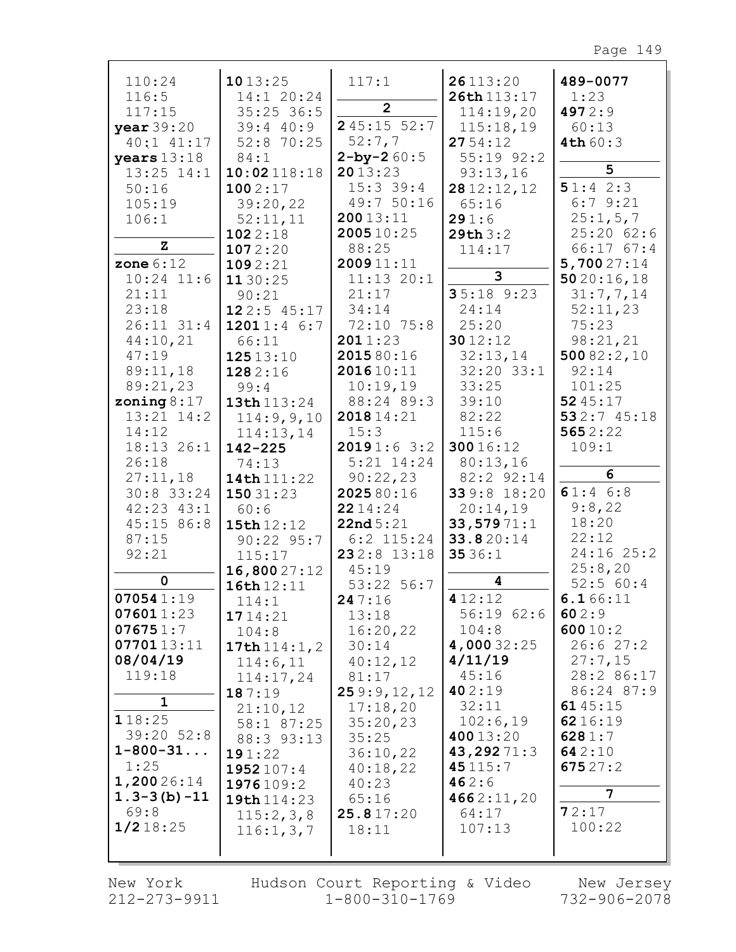| 110:24<br>116:5<br>117:15<br>year 39:20<br>$40:1$ $41:17$<br>years $13:18$<br>$13:25$ $14:1$<br>50:16<br>105:19<br>106:1                                                                                                                | 1013:25<br>14:1 20:24<br>$35:25$ 36:5<br>39:440:9<br>52:8 70:25<br>84:1<br>10:02118:18<br>1002:17<br>39:20,22<br>52:11,11<br>1022:18                                                                                                                                            | 117:1<br>2 <sup>1</sup><br>245:1552:7<br>52:7,7<br>$2 - by - 260:5$<br>2013:23<br>$15:3$ 39:4<br>49:7 50:16<br>20013:11<br>200510:25                                                                                                                               | 26113:20<br>26th 113:17<br>114:19,20<br>115:18,19<br>2754:12<br>55:19 92:2<br>93:13,16<br>2812:12,12<br>65:16<br>291:6<br>29th3:2                                                                                                            | 489-0077<br>1:23<br>4972:9<br>60:13<br>4th60:3<br>5<br>51:42:3<br>6:79:21<br>25:1, 5, 7<br>$25:20$ 62:6                                                                                                                  |
|-----------------------------------------------------------------------------------------------------------------------------------------------------------------------------------------------------------------------------------------|---------------------------------------------------------------------------------------------------------------------------------------------------------------------------------------------------------------------------------------------------------------------------------|--------------------------------------------------------------------------------------------------------------------------------------------------------------------------------------------------------------------------------------------------------------------|----------------------------------------------------------------------------------------------------------------------------------------------------------------------------------------------------------------------------------------------|--------------------------------------------------------------------------------------------------------------------------------------------------------------------------------------------------------------------------|
| z<br>zone $6:12$<br>$10:24$ 11:6<br>21:11<br>23:18<br>$26:11$ $31:4$<br>44:10,21<br>47:19<br>89:11,18<br>89:21,23<br>zoning $8:17$<br>$13:21$ $14:2$<br>14:12<br>18:13 26:1                                                             | 1072:20<br>1092:21<br>1130:25<br>90:21<br>122:545:17<br>12011:46:7<br>66:11<br>12513:10<br>1282:16<br>99:4<br>13th 113:24<br>114:9,9,10<br>114:13,14<br>$142 - 225$                                                                                                             | 88:25<br>200911:11<br>$11:13$ $20:1$<br>21:17<br>34:14<br>72:10 75:8<br>2011:23<br>2015 80:16<br>201610:11<br>10:19,19<br>88:24 89:3<br>201814:21<br>15:3<br>20191:63:2                                                                                            | 114:17<br>3<br>$35:18$ 9:23<br>24:14<br>25:20<br>3012:12<br>32:13,14<br>$32:20$ $33:1$<br>33:25<br>39:10<br>82:22<br>115:6<br>30016:12                                                                                                       | 66:1767:4<br>5,70027:14<br>5020:16,18<br>31:7,7,14<br>52:11,23<br>75:23<br>98:21,21<br>50082:2,10<br>92:14<br>101:25<br>5245:17<br>532:745:18<br>5652:22<br>109:1                                                        |
| 26:18<br>27:11,18<br>$30:8$ 33:24<br>$42:23$ $43:1$<br>45:15 86:8<br>87:15<br>92:21<br>0<br>070541:19<br>076011:23<br>076751:7<br>0770113:11<br>08/04/19<br>119:18<br>1<br>118:25<br>39:20 52:8<br>$1 - 800 - 31$<br>1:25<br>1,20026:14 | 74:13<br>14th 111:22<br>15031:23<br>60:6<br>15th 12:12<br>$90:22$ $95:7$<br>115:17<br>16,80027:12<br>16th 12:11<br>114:1<br>1714:21<br>104:8<br>17th $114:1, 2$<br>114:6,11<br>114:17,24<br>187:19<br>21:10,12<br>58:1 87:25<br>88:3 93:13<br>191:22<br>1952 107:4<br>1976109:2 | $5:21$ $14:24$<br>90:22,23<br>202580:16<br>2214:24<br>22nd5:21<br>$6:2$ 115:24<br>232:8 13:18<br>45:19<br>53:22 56:7<br>247:16<br>13:18<br>16:20,22<br>30:14<br>40:12,12<br>81:17<br>259:9,12,12<br>17:18,20<br>35:20,23<br>35:25<br>36:10,22<br>40:18,22<br>40:23 | 80:13,16<br>82:2 92:14<br>339:8 18:20<br>20:14,19<br>33,57971:1<br>33.820:14<br>3536:1<br>4<br>4 12:12<br>56:1962:6<br>104:8<br>4,000 32:25<br>4/11/19<br>45:16<br>402:19<br>32:11<br>102:6,19<br>40013:20<br>43,29271:3<br>45115:7<br>462:6 | 6<br>61:46:8<br>9:8,22<br>18:20<br>22:12<br>24:16 25:2<br>25:8,20<br>52:560:4<br>6.166:11<br>602:9<br>60010:2<br>26:627:2<br>27:7,15<br>28:2 86:17<br>86:24 87:9<br>6145:15<br>6216:19<br>6281:7<br>642:10<br>675 $27:2$ |
| $1.3 - 3(b) - 11$<br>69:8<br>$1/2$ 18:25                                                                                                                                                                                                | 19th 114:23<br>115:2,3,8<br>116:1, 3, 7                                                                                                                                                                                                                                         | 65:16<br>25.817:20<br>18:11                                                                                                                                                                                                                                        | 4662:11,20<br>64:17<br>107:13                                                                                                                                                                                                                | 7<br>72:17<br>100:22                                                                                                                                                                                                     |

212-273-9911 1-800-310-1769 732-906-2078 New York Hudson Court Reporting & Video New Jersey